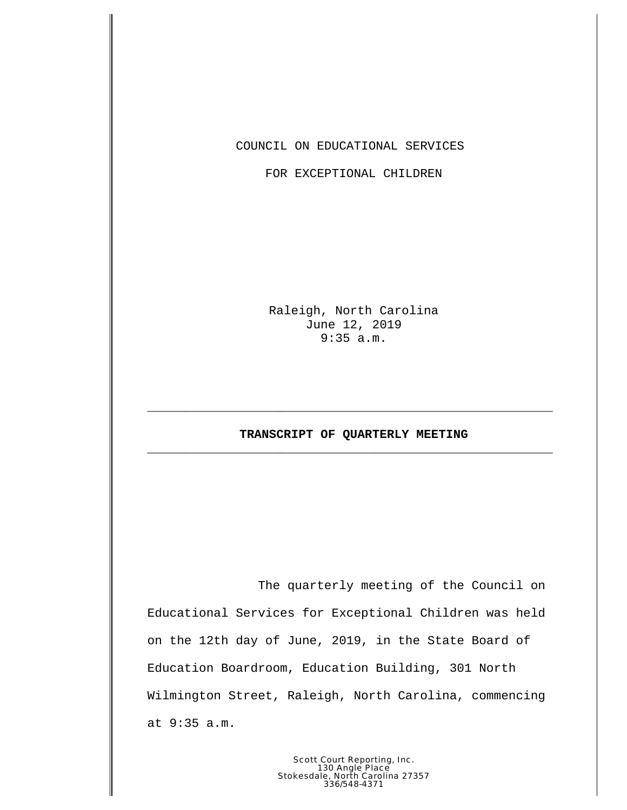COUNCIL ON EDUCATIONAL SERVICES

FOR EXCEPTIONAL CHILDREN

Raleigh, North Carolina June 12, 2019 9:35 a.m.

## **TRANSCRIPT OF QUARTERLY MEETING \_\_\_\_\_\_\_\_\_\_\_\_\_\_\_\_\_\_\_\_\_\_\_\_\_\_\_\_\_\_\_\_\_\_\_\_\_\_\_\_\_\_\_\_\_\_\_\_\_\_\_\_\_\_\_**

**\_\_\_\_\_\_\_\_\_\_\_\_\_\_\_\_\_\_\_\_\_\_\_\_\_\_\_\_\_\_\_\_\_\_\_\_\_\_\_\_\_\_\_\_\_\_\_\_\_\_\_\_\_\_\_**

The quarterly meeting of the Council on Educational Services for Exceptional Children was held on the 12th day of June, 2019, in the State Board of Education Boardroom, Education Building, 301 North Wilmington Street, Raleigh, North Carolina, commencing at 9:35 a.m.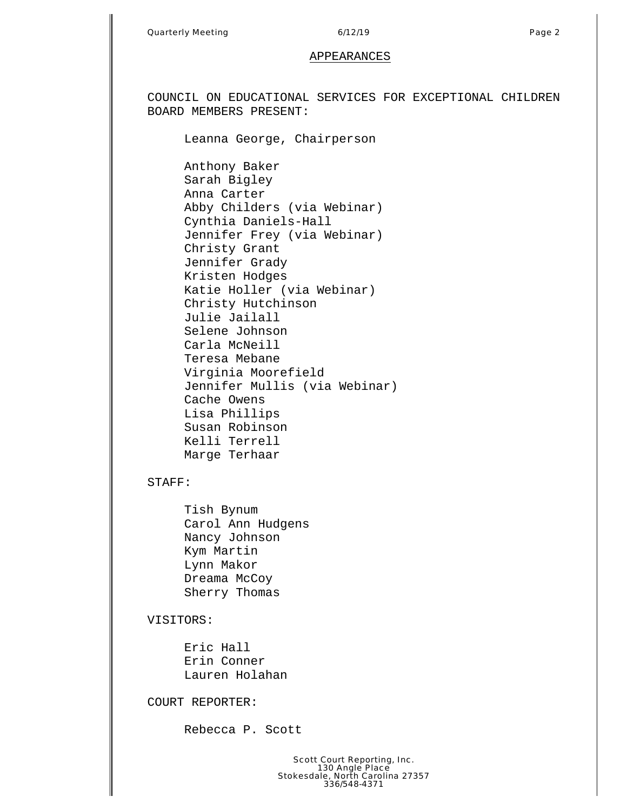COUNCIL ON EDUCATIONAL SERVICES FOR EXCEPTIONAL CHILDREN BOARD MEMBERS PRESENT:

Leanna George, Chairperson

Anthony Baker Sarah Bigley Anna Carter Abby Childers (via Webinar) Cynthia Daniels-Hall Jennifer Frey (via Webinar) Christy Grant Jennifer Grady Kristen Hodges Katie Holler (via Webinar) Christy Hutchinson Julie Jailall Selene Johnson Carla McNeill Teresa Mebane Virginia Moorefield Jennifer Mullis (via Webinar) Cache Owens Lisa Phillips Susan Robinson Kelli Terrell Marge Terhaar

## STAFF:

Tish Bynum Carol Ann Hudgens Nancy Johnson Kym Martin Lynn Makor Dreama McCoy Sherry Thomas

## VISITORS:

Eric Hall Erin Conner Lauren Holahan

COURT REPORTER:

Rebecca P. Scott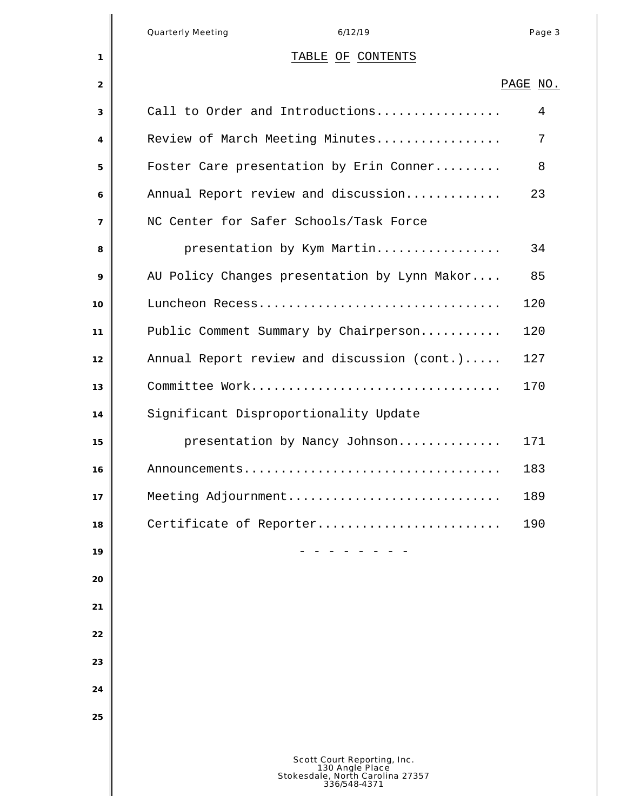|                | <b>Quarterly Meeting</b><br>6/12/19                                                                | Page 3   |
|----------------|----------------------------------------------------------------------------------------------------|----------|
| 1              | TABLE OF CONTENTS                                                                                  |          |
| 2              |                                                                                                    | PAGE NO. |
| 3              | Call to Order and Introductions                                                                    | 4        |
| 4              | Review of March Meeting Minutes                                                                    | 7        |
| 5              | Foster Care presentation by Erin Conner                                                            | 8        |
| 6              | Annual Report review and discussion                                                                | 23       |
| $\overline{7}$ | NC Center for Safer Schools/Task Force                                                             |          |
| 8              | presentation by Kym Martin                                                                         | 34       |
| 9              | AU Policy Changes presentation by Lynn Makor                                                       | 85       |
| 10             | Luncheon Recess                                                                                    | 120      |
| 11             | Public Comment Summary by Chairperson                                                              | 120      |
| 12             | Annual Report review and discussion (cont.)                                                        | 127      |
| 13             | Committee Work                                                                                     | 170      |
| 14             | Significant Disproportionality Update                                                              |          |
| 15             | presentation by Nancy Johnson                                                                      | 171      |
| 16             | Announcements                                                                                      | 183      |
| 17             | Meeting Adjournment                                                                                | 189      |
| 18             | Certificate of Reporter                                                                            | 190      |
| 19             |                                                                                                    |          |
| 20             |                                                                                                    |          |
| 21             |                                                                                                    |          |
| 22             |                                                                                                    |          |
| 23             |                                                                                                    |          |
| 24             |                                                                                                    |          |
| 25             |                                                                                                    |          |
|                |                                                                                                    |          |
|                | Scott Court Reporting, Inc.<br>130 Angle Place<br>Stokesdale, North Carolina 27357<br>336/548-4371 |          |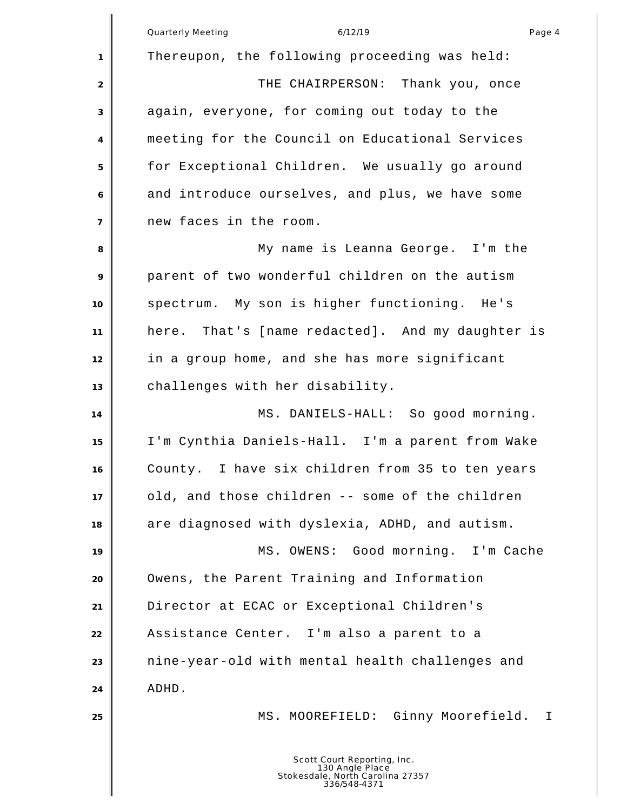|                | Quarterly Meeting<br>6/12/19<br>Page 4                                                             |
|----------------|----------------------------------------------------------------------------------------------------|
| 1              | Thereupon, the following proceeding was held:                                                      |
| $\overline{2}$ | THE CHAIRPERSON: Thank you, once                                                                   |
| 3              | again, everyone, for coming out today to the                                                       |
| 4              | meeting for the Council on Educational Services                                                    |
| 5              | for Exceptional Children. We usually go around                                                     |
| 6              | and introduce ourselves, and plus, we have some                                                    |
| $\overline{7}$ | new faces in the room.                                                                             |
| 8              | My name is Leanna George. I'm the                                                                  |
| 9              | parent of two wonderful children on the autism                                                     |
| 10             | spectrum. My son is higher functioning. He's                                                       |
| 11             | here. That's [name redacted]. And my daughter is                                                   |
| 12             | in a group home, and she has more significant                                                      |
| 13             | challenges with her disability.                                                                    |
| 14             | MS. DANIELS-HALL: So good morning.                                                                 |
| 15             | I'm Cynthia Daniels-Hall. I'm a parent from Wake                                                   |
| 16             | County. I have six children from 35 to ten years                                                   |
| 17             | old, and those children -- some of the children                                                    |
| 18             | are diagnosed with dyslexia, ADHD, and autism.                                                     |
| 19             | MS. OWENS: Good morning. I'm Cache                                                                 |
| 20             | Owens, the Parent Training and Information                                                         |
| 21             | Director at ECAC or Exceptional Children's                                                         |
| 22             | Assistance Center. I'm also a parent to a                                                          |
| 23             | nine-year-old with mental health challenges and                                                    |
| 24             | ADHD.                                                                                              |
| 25             | MS. MOOREFIELD: Ginny Moorefield.<br>Ι.                                                            |
|                |                                                                                                    |
|                | Scott Court Reporting, Inc.<br>130 Angle Place<br>Stokesdale, North Carolina 27357<br>336/548-4371 |

║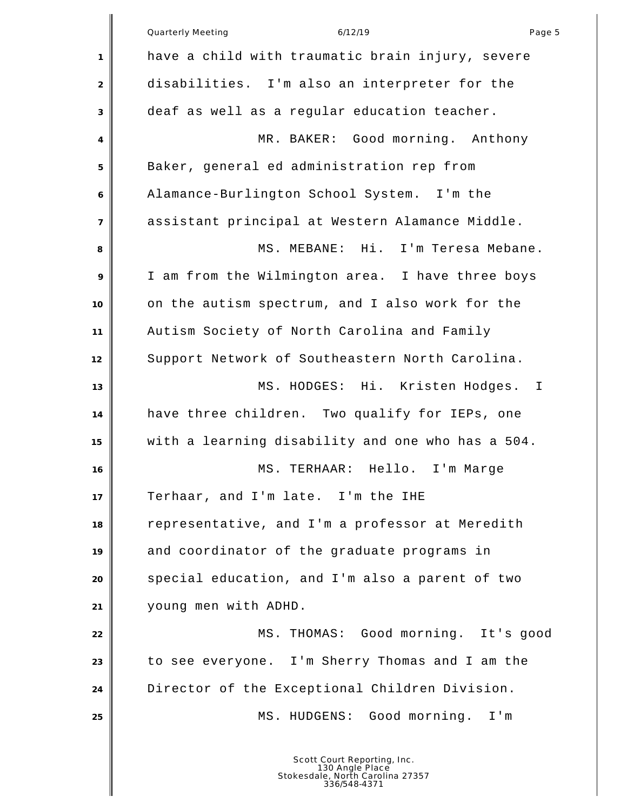|                | <b>Quarterly Meeting</b><br>6/12/19<br>Page 5                                                      |
|----------------|----------------------------------------------------------------------------------------------------|
| 1              | have a child with traumatic brain injury, severe                                                   |
| 2              | disabilities. I'm also an interpreter for the                                                      |
| 3              | deaf as well as a regular education teacher.                                                       |
| 4              | MR. BAKER: Good morning. Anthony                                                                   |
| 5              | Baker, general ed administration rep from                                                          |
| 6              | Alamance-Burlington School System. I'm the                                                         |
| $\overline{7}$ | assistant principal at Western Alamance Middle.                                                    |
| 8              | MS. MEBANE: Hi. I'm Teresa Mebane.                                                                 |
| 9              | I am from the Wilmington area. I have three boys                                                   |
| 10             | on the autism spectrum, and I also work for the                                                    |
| 11             | Autism Society of North Carolina and Family                                                        |
| 12             | Support Network of Southeastern North Carolina.                                                    |
| 13             | MS. HODGES: Hi. Kristen Hodges.<br>$\mathbf{I}$                                                    |
| 14             | have three children. Two qualify for IEPs, one                                                     |
| 15             | with a learning disability and one who has a 504.                                                  |
| 16             | TERHAAR: Hello. I'm Marge<br>MS.                                                                   |
| 17             | Terhaar, and I'm late. I'm the IHE                                                                 |
| 18             | representative, and I'm a professor at Meredith                                                    |
| 19             | and coordinator of the graduate programs in                                                        |
| 20             | special education, and I'm also a parent of two                                                    |
| 21             | young men with ADHD.                                                                               |
| 22             | MS. THOMAS: Good morning. It's good                                                                |
| 23             | to see everyone. I'm Sherry Thomas and I am the                                                    |
| 24             | Director of the Exceptional Children Division.                                                     |
| 25             | MS. HUDGENS: Good morning. I'm                                                                     |
|                | Scott Court Reporting, Inc.<br>130 Angle Place<br>Stokesdale, North Carolina 27357<br>336/548-4371 |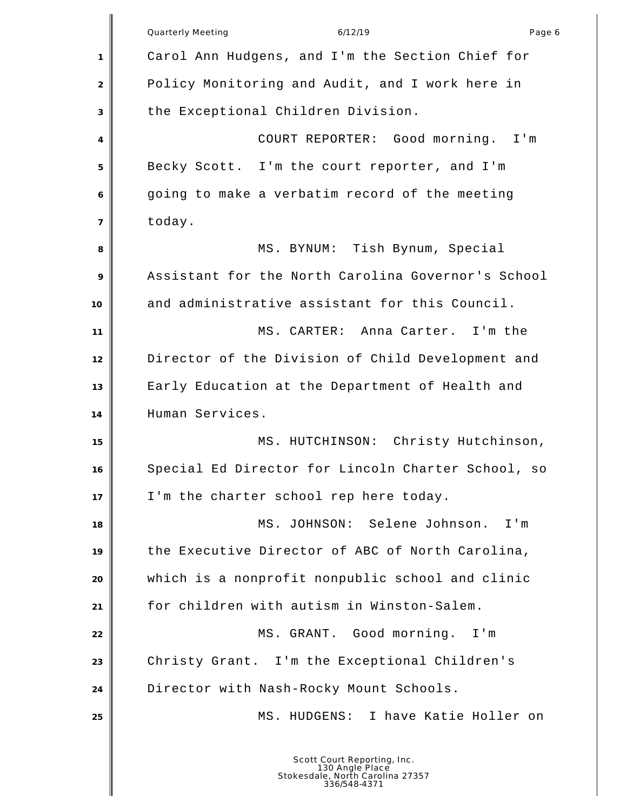| <b>Quarterly Meeting</b><br>6/12/19<br>Carol Ann Hudgens, and I'm the Section Chief for<br>1<br>Policy Monitoring and Audit, and I work here in<br>$\overline{2}$<br>the Exceptional Children Division.<br>3<br>COURT REPORTER: Good morning. I'm<br>4<br>Becky Scott. I'm the court reporter, and I'm<br>5<br>going to make a verbatim record of the meeting<br>6<br>today.<br>$\overline{7}$<br>MS. BYNUM: Tish Bynum, Special<br>8<br>Assistant for the North Carolina Governor's School<br>9<br>and administrative assistant for this Council.<br>10<br>MS. CARTER: Anna Carter. I'm the<br>11<br>Director of the Division of Child Development and<br>12<br>Early Education at the Department of Health and<br>13<br>Human Services.<br>14<br>MS. HUTCHINSON: Christy Hutchinson,<br>15<br>Special Ed Director for Lincoln Charter School, so<br>16<br>I'm the charter school rep here today.<br>17<br>MS. JOHNSON: Selene Johnson.<br>18<br>the Executive Director of ABC of North Carolina,<br>19<br>which is a nonprofit nonpublic school and clinic<br>20 | Page 6 |
|--------------------------------------------------------------------------------------------------------------------------------------------------------------------------------------------------------------------------------------------------------------------------------------------------------------------------------------------------------------------------------------------------------------------------------------------------------------------------------------------------------------------------------------------------------------------------------------------------------------------------------------------------------------------------------------------------------------------------------------------------------------------------------------------------------------------------------------------------------------------------------------------------------------------------------------------------------------------------------------------------------------------------------------------------------------------|--------|
|                                                                                                                                                                                                                                                                                                                                                                                                                                                                                                                                                                                                                                                                                                                                                                                                                                                                                                                                                                                                                                                                    |        |
|                                                                                                                                                                                                                                                                                                                                                                                                                                                                                                                                                                                                                                                                                                                                                                                                                                                                                                                                                                                                                                                                    |        |
|                                                                                                                                                                                                                                                                                                                                                                                                                                                                                                                                                                                                                                                                                                                                                                                                                                                                                                                                                                                                                                                                    |        |
|                                                                                                                                                                                                                                                                                                                                                                                                                                                                                                                                                                                                                                                                                                                                                                                                                                                                                                                                                                                                                                                                    |        |
|                                                                                                                                                                                                                                                                                                                                                                                                                                                                                                                                                                                                                                                                                                                                                                                                                                                                                                                                                                                                                                                                    |        |
|                                                                                                                                                                                                                                                                                                                                                                                                                                                                                                                                                                                                                                                                                                                                                                                                                                                                                                                                                                                                                                                                    |        |
|                                                                                                                                                                                                                                                                                                                                                                                                                                                                                                                                                                                                                                                                                                                                                                                                                                                                                                                                                                                                                                                                    |        |
|                                                                                                                                                                                                                                                                                                                                                                                                                                                                                                                                                                                                                                                                                                                                                                                                                                                                                                                                                                                                                                                                    |        |
|                                                                                                                                                                                                                                                                                                                                                                                                                                                                                                                                                                                                                                                                                                                                                                                                                                                                                                                                                                                                                                                                    |        |
|                                                                                                                                                                                                                                                                                                                                                                                                                                                                                                                                                                                                                                                                                                                                                                                                                                                                                                                                                                                                                                                                    |        |
|                                                                                                                                                                                                                                                                                                                                                                                                                                                                                                                                                                                                                                                                                                                                                                                                                                                                                                                                                                                                                                                                    |        |
|                                                                                                                                                                                                                                                                                                                                                                                                                                                                                                                                                                                                                                                                                                                                                                                                                                                                                                                                                                                                                                                                    |        |
|                                                                                                                                                                                                                                                                                                                                                                                                                                                                                                                                                                                                                                                                                                                                                                                                                                                                                                                                                                                                                                                                    |        |
|                                                                                                                                                                                                                                                                                                                                                                                                                                                                                                                                                                                                                                                                                                                                                                                                                                                                                                                                                                                                                                                                    |        |
|                                                                                                                                                                                                                                                                                                                                                                                                                                                                                                                                                                                                                                                                                                                                                                                                                                                                                                                                                                                                                                                                    |        |
|                                                                                                                                                                                                                                                                                                                                                                                                                                                                                                                                                                                                                                                                                                                                                                                                                                                                                                                                                                                                                                                                    |        |
|                                                                                                                                                                                                                                                                                                                                                                                                                                                                                                                                                                                                                                                                                                                                                                                                                                                                                                                                                                                                                                                                    |        |
|                                                                                                                                                                                                                                                                                                                                                                                                                                                                                                                                                                                                                                                                                                                                                                                                                                                                                                                                                                                                                                                                    |        |
|                                                                                                                                                                                                                                                                                                                                                                                                                                                                                                                                                                                                                                                                                                                                                                                                                                                                                                                                                                                                                                                                    | $I'$ m |
|                                                                                                                                                                                                                                                                                                                                                                                                                                                                                                                                                                                                                                                                                                                                                                                                                                                                                                                                                                                                                                                                    |        |
|                                                                                                                                                                                                                                                                                                                                                                                                                                                                                                                                                                                                                                                                                                                                                                                                                                                                                                                                                                                                                                                                    |        |
| for children with autism in Winston-Salem.<br>21                                                                                                                                                                                                                                                                                                                                                                                                                                                                                                                                                                                                                                                                                                                                                                                                                                                                                                                                                                                                                   |        |
| MS. GRANT. Good morning. I'm<br>22                                                                                                                                                                                                                                                                                                                                                                                                                                                                                                                                                                                                                                                                                                                                                                                                                                                                                                                                                                                                                                 |        |
| Christy Grant. I'm the Exceptional Children's<br>23                                                                                                                                                                                                                                                                                                                                                                                                                                                                                                                                                                                                                                                                                                                                                                                                                                                                                                                                                                                                                |        |
| Director with Nash-Rocky Mount Schools.<br>24                                                                                                                                                                                                                                                                                                                                                                                                                                                                                                                                                                                                                                                                                                                                                                                                                                                                                                                                                                                                                      |        |
| MS. HUDGENS: I have Katie Holler on<br>25                                                                                                                                                                                                                                                                                                                                                                                                                                                                                                                                                                                                                                                                                                                                                                                                                                                                                                                                                                                                                          |        |
| Scott Court Reporting, Inc.<br>130 Angle Place<br>Stokesdale, North Carolina 27357<br>336/548-4371                                                                                                                                                                                                                                                                                                                                                                                                                                                                                                                                                                                                                                                                                                                                                                                                                                                                                                                                                                 |        |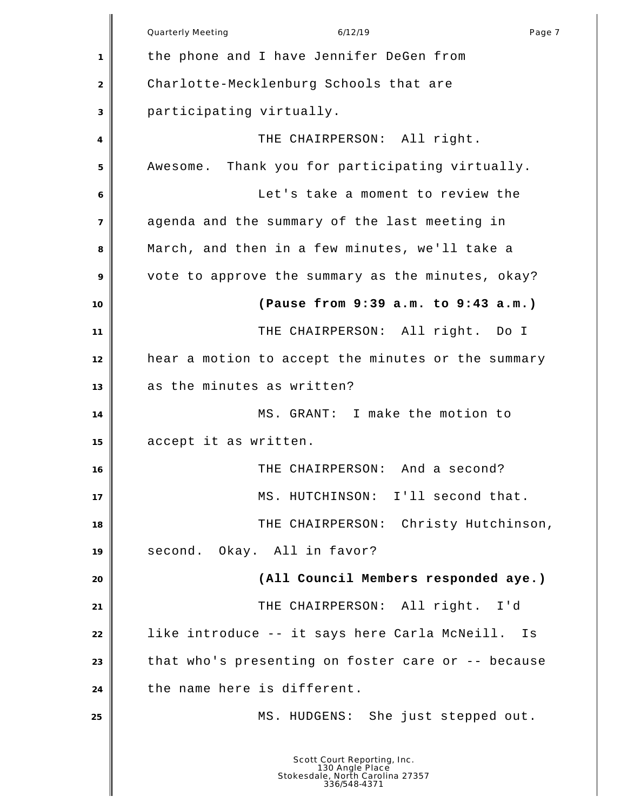|                | Quarterly Meeting<br>6/12/19<br>Page 7                                                             |
|----------------|----------------------------------------------------------------------------------------------------|
| 1              | the phone and I have Jennifer DeGen from                                                           |
| $\overline{2}$ | Charlotte-Mecklenburg Schools that are                                                             |
| 3              | participating virtually.                                                                           |
| 4              | THE CHAIRPERSON: All right.                                                                        |
| 5              | Awesome. Thank you for participating virtually.                                                    |
| 6              | Let's take a moment to review the                                                                  |
| $\overline{7}$ | agenda and the summary of the last meeting in                                                      |
| 8              | March, and then in a few minutes, we'll take a                                                     |
| 9              | vote to approve the summary as the minutes, okay?                                                  |
| 10             | (Pause from 9:39 a.m. to 9:43 a.m.)                                                                |
| 11             | THE CHAIRPERSON: All right. Do I                                                                   |
| 12             | hear a motion to accept the minutes or the summary                                                 |
| 13             | as the minutes as written?                                                                         |
| 14             | MS. GRANT: I make the motion to                                                                    |
| 15             | accept it as written.                                                                              |
| 16             | THE CHAIRPERSON: And a second?                                                                     |
| 17             | MS. HUTCHINSON: I'll second that.                                                                  |
| 18             | THE CHAIRPERSON: Christy Hutchinson,                                                               |
| 19             | second. Okay. All in favor?                                                                        |
| 20             | (All Council Members responded aye.)                                                               |
| 21             | THE CHAIRPERSON: All right. I'd                                                                    |
| 22             | like introduce -- it says here Carla McNeill. Is                                                   |
| 23             | that who's presenting on foster care or -- because                                                 |
| 24             | the name here is different.                                                                        |
| 25             | MS. HUDGENS: She just stepped out.                                                                 |
|                | Scott Court Reporting, Inc.<br>130 Angle Place<br>Stokesdale, North Carolina 27357<br>336/548-4371 |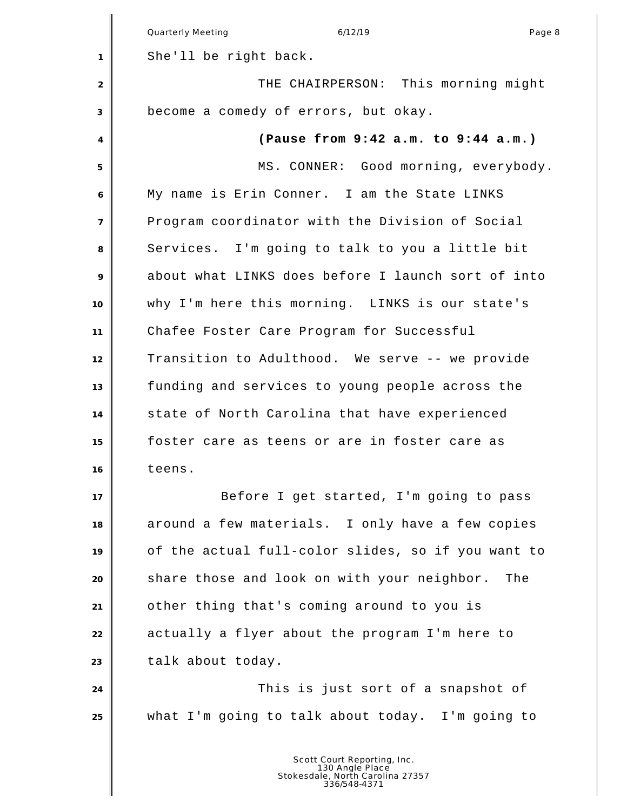|                | Quarterly Meeting<br>6/12/19<br>Page 8             |
|----------------|----------------------------------------------------|
| 1              | She'll be right back.                              |
| 2              | THE CHAIRPERSON: This morning might                |
| 3              | become a comedy of errors, but okay.               |
| 4              | (Pause from 9:42 a.m. to 9:44 a.m.)                |
| 5              | MS. CONNER: Good morning, everybody.               |
| 6              | My name is Erin Conner. I am the State LINKS       |
| $\overline{7}$ | Program coordinator with the Division of Social    |
| 8              | Services. I'm going to talk to you a little bit    |
| 9              | about what LINKS does before I launch sort of into |
| 10             | why I'm here this morning. LINKS is our state's    |
| 11             | Chafee Foster Care Program for Successful          |
| 12             | Transition to Adulthood. We serve -- we provide    |
| 13             | funding and services to young people across the    |
| 14             | state of North Carolina that have experienced      |
| 15             | foster care as teens or are in foster care as      |
| 16             | teens.                                             |
| 17             | Before I get started, I'm going to pass            |
| 18             | around a few materials. I only have a few copies   |
| 19             | of the actual full-color slides, so if you want to |
| 20             | share those and look on with your neighbor. The    |
| 21             | other thing that's coming around to you is         |
| 22             | actually a flyer about the program I'm here to     |
| 23             | talk about today.                                  |
| 24             | This is just sort of a snapshot of                 |
| 25             | what I'm going to talk about today. I'm going to   |
|                |                                                    |
|                | Court Donortina                                    |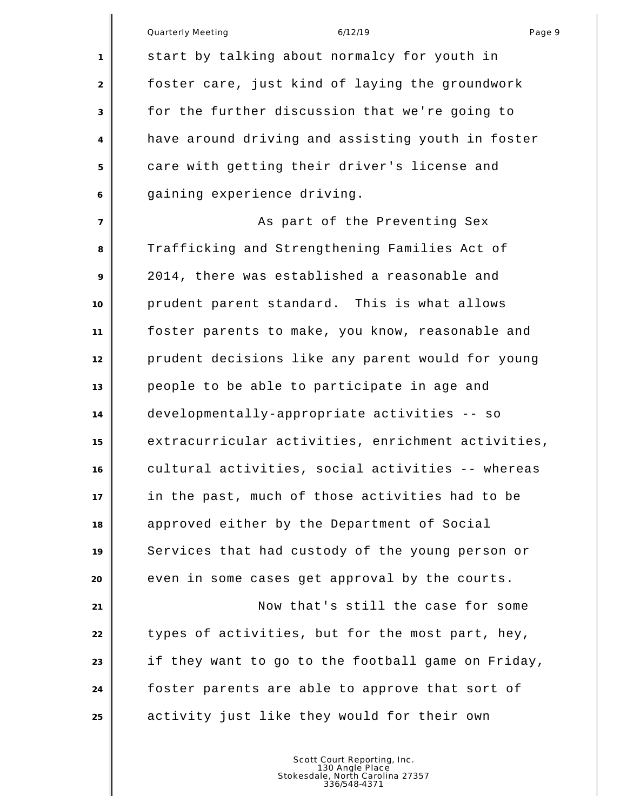|                | Quarterly Meeting<br>6/12/19<br>Page 9<br>start by talking about normalcy for youth in |
|----------------|----------------------------------------------------------------------------------------|
| $\mathbf{1}$   |                                                                                        |
| 2              | foster care, just kind of laying the groundwork                                        |
| 3              | for the further discussion that we're going to                                         |
| 4              | have around driving and assisting youth in foster                                      |
| 5              | care with getting their driver's license and                                           |
| 6              | gaining experience driving.                                                            |
| $\overline{7}$ | As part of the Preventing Sex                                                          |
| 8              | Trafficking and Strengthening Families Act of                                          |
| 9              | 2014, there was established a reasonable and                                           |
| 10             | prudent parent standard. This is what allows                                           |
| 11             | foster parents to make, you know, reasonable and                                       |
| 12             | prudent decisions like any parent would for young                                      |
| 13             | people to be able to participate in age and                                            |
| 14             | developmentally-appropriate activities -- so                                           |
| 15             | extracurricular activities, enrichment activities,                                     |
| 16             | cultural activities, social activities -- whereas                                      |
| 17             | in the past, much of those activities had to be                                        |
| 18             | approved either by the Department of Social                                            |
| 19             | Services that had custody of the young person or                                       |
| 20             | even in some cases get approval by the courts.                                         |
| 21             | Now that's still the case for some                                                     |
| 22             | types of activities, but for the most part, hey,                                       |
| 23             | if they want to go to the football game on Friday,                                     |
| 24             | foster parents are able to approve that sort of                                        |
| 25             | activity just like they would for their own                                            |
|                |                                                                                        |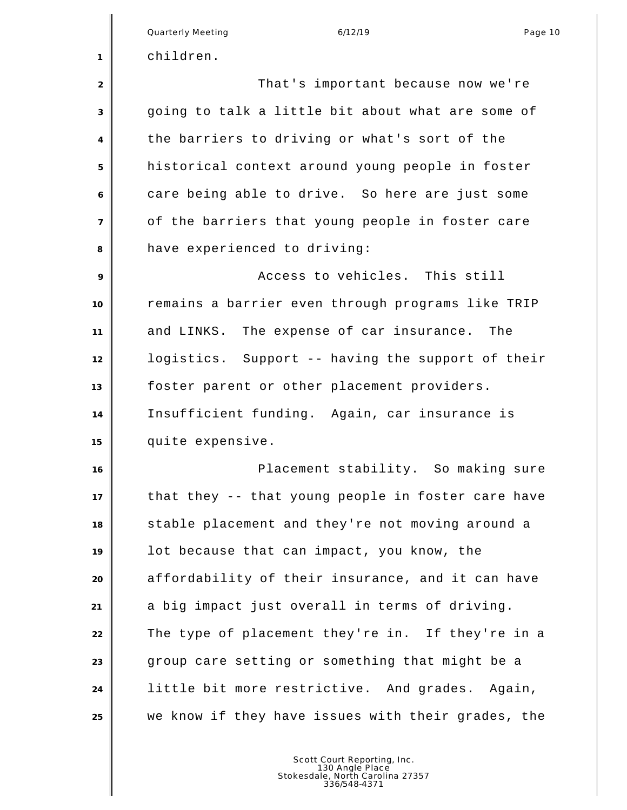|                | <b>Quarterly Meeting</b><br>6/12/19<br>Page 10     |
|----------------|----------------------------------------------------|
| 1              | children.                                          |
| $\overline{2}$ | That's important because now we're                 |
| 3              | going to talk a little bit about what are some of  |
| 4              | the barriers to driving or what's sort of the      |
| 5              | historical context around young people in foster   |
| 6              | care being able to drive. So here are just some    |
| $\overline{7}$ | of the barriers that young people in foster care   |
| 8              | have experienced to driving:                       |
| 9              | Access to vehicles. This still                     |
| 10             | remains a barrier even through programs like TRIP  |
| 11             | and LINKS. The expense of car insurance. The       |
| 12             | logistics. Support -- having the support of their  |
| 13             | foster parent or other placement providers.        |
| 14             | Insufficient funding. Again, car insurance is      |
| 15             | quite expensive.                                   |
| 16             | Placement stability. So making sure                |
| 17             | that they -- that young people in foster care have |
| 18             | stable placement and they're not moving around a   |
| 19             | lot because that can impact, you know, the         |
| 20             | affordability of their insurance, and it can have  |
| 21             | a big impact just overall in terms of driving.     |
| 22             | The type of placement they're in. If they're in a  |
| 23             | group care setting or something that might be a    |
| 24             | little bit more restrictive. And grades. Again,    |
| 25             | we know if they have issues with their grades, the |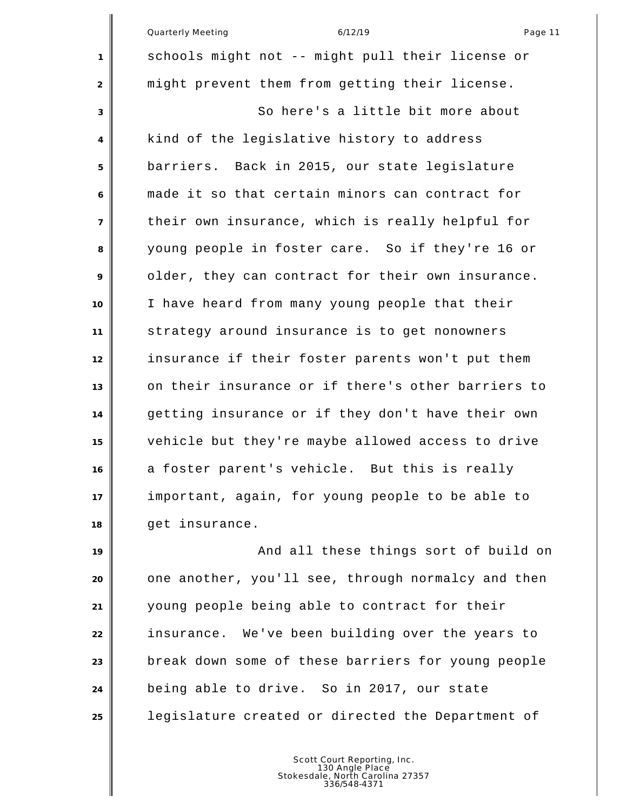|                   | <b>Quarterly Meeting</b><br>6/12/19<br>Page 11     |
|-------------------|----------------------------------------------------|
| $\mathbf{1}$      | schools might not -- might pull their license or   |
| 2                 | might prevent them from getting their license.     |
| 3                 | So here's a little bit more about                  |
| $\overline{4}$    | kind of the legislative history to address         |
| 5                 | barriers. Back in 2015, our state legislature      |
| 6                 | made it so that certain minors can contract for    |
| $\overline{7}$    | their own insurance, which is really helpful for   |
| 8                 | young people in foster care. So if they're 16 or   |
| 9                 | older, they can contract for their own insurance.  |
| 10                | I have heard from many young people that their     |
| 11                | strategy around insurance is to get nonowners      |
| $12 \overline{ }$ | insurance if their foster parents won't put them   |
| 13                | on their insurance or if there's other barriers to |
| 14                | getting insurance or if they don't have their own  |
| 15                | vehicle but they're maybe allowed access to drive  |
| 16                | a foster parent's vehicle. But this is really      |
| 17                | important, again, for young people to be able to   |
| 18                | get insurance.                                     |

 $\mathbf{u}$ 

**And all these things sort of build on**  one another, you'll see, through normalcy and then young people being able to contract for their insurance. We've been building over the years to break down some of these barriers for young people being able to drive. So in 2017, our state legislature created or directed the Department of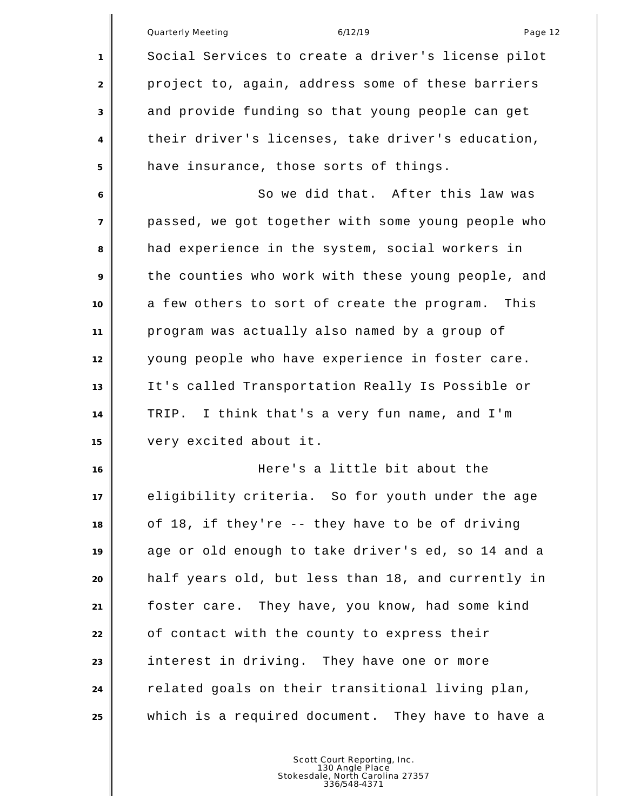|                | Quarterly Meeting<br>6/12/19<br>Page 12            |
|----------------|----------------------------------------------------|
| 1              | Social Services to create a driver's license pilot |
| 2              | project to, again, address some of these barriers  |
| 3              | and provide funding so that young people can get   |
| 4              | their driver's licenses, take driver's education,  |
| 5              | have insurance, those sorts of things.             |
| 6              | So we did that. After this law was                 |
| $\overline{7}$ | passed, we got together with some young people who |
| 8              | had experience in the system, social workers in    |
| 9              | the counties who work with these young people, and |
| 10             | a few others to sort of create the program. This   |
| 11             | program was actually also named by a group of      |
| 12             | young people who have experience in foster care.   |
| 13             | It's called Transportation Really Is Possible or   |
| 14             | TRIP. I think that's a very fun name, and I'm      |
| 15             | very excited about it.                             |
| 16             | Here's a little bit about the                      |
| 17             | eligibility criteria. So for youth under the age   |
| 18             | of 18, if they're -- they have to be of driving    |
| 19             | age or old enough to take driver's ed, so 14 and a |
| 20             | half years old, but less than 18, and currently in |
| 21             | foster care. They have, you know, had some kind    |
| 22             | of contact with the county to express their        |
| 23             | interest in driving. They have one or more         |
| 24             | related goals on their transitional living plan,   |
| 25             | which is a required document. They have to have a  |
|                |                                                    |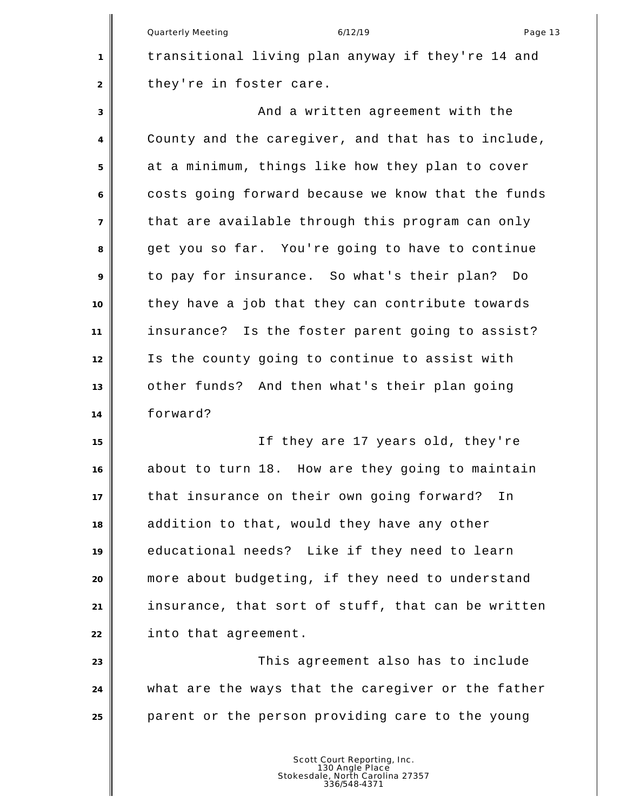Quarterly Meeting and the control of the 6/12/19 control of the control of the Page 13 transitional living plan anyway if they're 14 and 2 they're in foster care. And a written agreement with the County and the caregiver, and that has to include, at a minimum, things like how they plan to cover costs going forward because we know that the funds that are available through this program can only get you so far. You're going to have to continue to pay for insurance. So what's their plan? Do they have a job that they can contribute towards insurance? Is the foster parent going to assist? Is the county going to continue to assist with other funds? And then what's their plan going forward? If they are 17 years old, they're about to turn 18. How are they going to maintain that insurance on their own going forward? In addition to that, would they have any other educational needs? Like if they need to learn more about budgeting, if they need to understand insurance, that sort of stuff, that can be written into that agreement. **This agreement also has to include**  what are the ways that the caregiver or the father parent or the person providing care to the young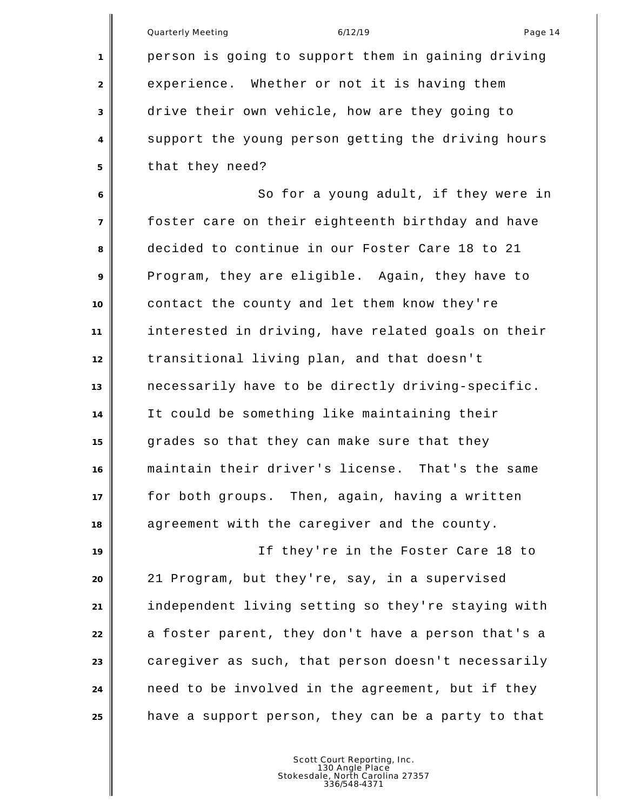Quarterly Meeting and the control of the 6/12/19 control of the control of the Page 14 person is going to support them in gaining driving experience. Whether or not it is having them drive their own vehicle, how are they going to support the young person getting the driving hours that they need? So for a young adult, if they were in foster care on their eighteenth birthday and have decided to continue in our Foster Care 18 to 21 Program, they are eligible. Again, they have to contact the county and let them know they're interested in driving, have related goals on their transitional living plan, and that doesn't necessarily have to be directly driving-specific. It could be something like maintaining their grades so that they can make sure that they maintain their driver's license. That's the same for both groups. Then, again, having a written agreement with the caregiver and the county. If they're in the Foster Care 18 to 21 Program, but they're, say, in a supervised independent living setting so they're staying with a foster parent, they don't have a person that's a caregiver as such, that person doesn't necessarily need to be involved in the agreement, but if they have a support person, they can be a party to that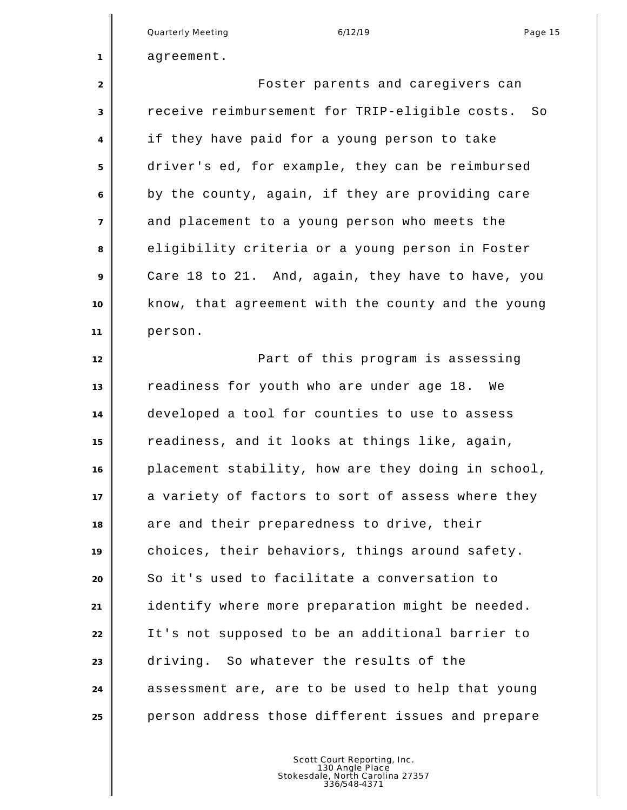Quarterly Meeting and the control of the 6/12/19 control of the control of the Page 15

agreement.

 Foster parents and caregivers can receive reimbursement for TRIP-eligible costs. So if they have paid for a young person to take driver's ed, for example, they can be reimbursed by the county, again, if they are providing care and placement to a young person who meets the eligibility criteria or a young person in Foster Care 18 to 21. And, again, they have to have, you know, that agreement with the county and the young person.

**Part of this program is assessing**  readiness for youth who are under age 18. We developed a tool for counties to use to assess readiness, and it looks at things like, again, placement stability, how are they doing in school, 17 a variety of factors to sort of assess where they are and their preparedness to drive, their choices, their behaviors, things around safety. So it's used to facilitate a conversation to identify where more preparation might be needed. It's not supposed to be an additional barrier to driving. So whatever the results of the assessment are, are to be used to help that young person address those different issues and prepare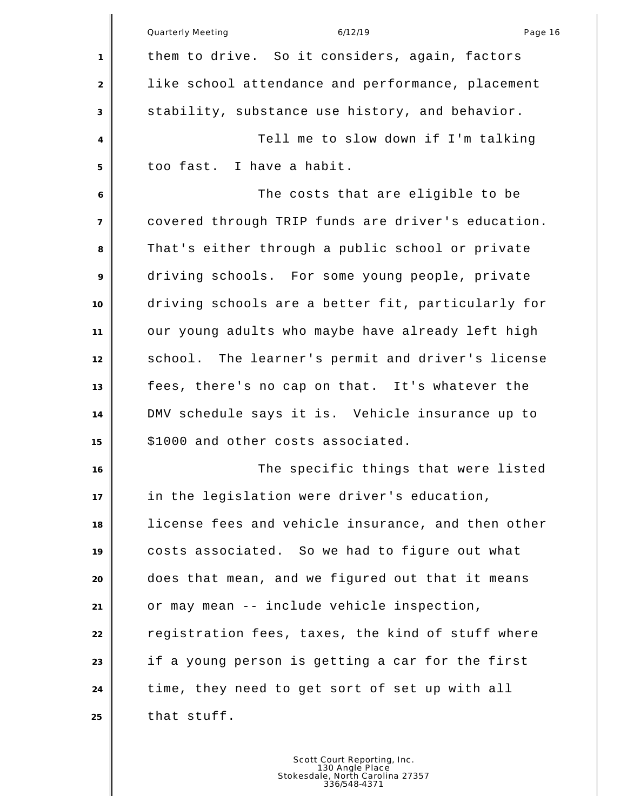|                | <b>Quarterly Meeting</b><br>6/12/19<br>Page 16     |
|----------------|----------------------------------------------------|
| 1              | them to drive. So it considers, again, factors     |
| $\overline{2}$ | like school attendance and performance, placement  |
| $\sqrt{3}$     | stability, substance use history, and behavior.    |
| 4              | Tell me to slow down if I'm talking                |
| 5              | too fast. I have a habit.                          |
| 6              | The costs that are eligible to be                  |
| $\overline{7}$ | covered through TRIP funds are driver's education. |
| 8              | That's either through a public school or private   |
| 9              | driving schools. For some young people, private    |
| 10             | driving schools are a better fit, particularly for |
| 11             | our young adults who maybe have already left high  |
| 12             | school. The learner's permit and driver's license  |
| 13             | fees, there's no cap on that. It's whatever the    |
| 14             | DMV schedule says it is. Vehicle insurance up to   |
| 15             | \$1000 and other costs associated.                 |
| 16             | The specific things that were listed               |
| 17             | in the legislation were driver's education,        |
| 18             | license fees and vehicle insurance, and then other |
| 19             | costs associated. So we had to figure out what     |
| 20             | does that mean, and we figured out that it means   |
| 21             | or may mean -- include vehicle inspection,         |
| 22             | registration fees, taxes, the kind of stuff where  |
| 23             | if a young person is getting a car for the first   |
| 24             | time, they need to get sort of set up with all     |
| 25             | that stuff.                                        |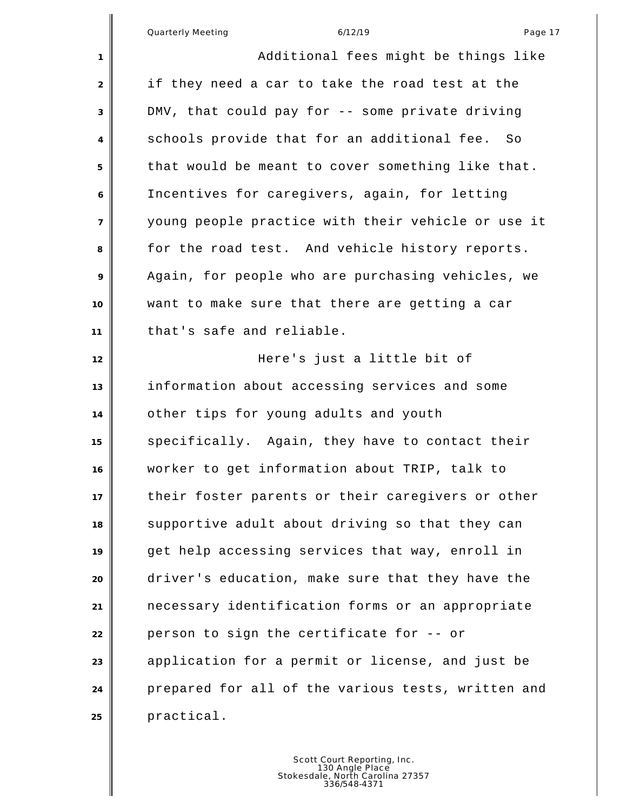Additional fees might be things like if they need a car to take the road test at the DMV, that could pay for -- some private driving schools provide that for an additional fee. So that would be meant to cover something like that. Incentives for caregivers, again, for letting young people practice with their vehicle or use it for the road test. And vehicle history reports. Again, for people who are purchasing vehicles, we want to make sure that there are getting a car that's safe and reliable. Here's just a little bit of information about accessing services and some other tips for young adults and youth specifically. Again, they have to contact their worker to get information about TRIP, talk to their foster parents or their caregivers or other supportive adult about driving so that they can get help accessing services that way, enroll in driver's education, make sure that they have the necessary identification forms or an appropriate person to sign the certificate for -- or application for a permit or license, and just be prepared for all of the various tests, written and practical.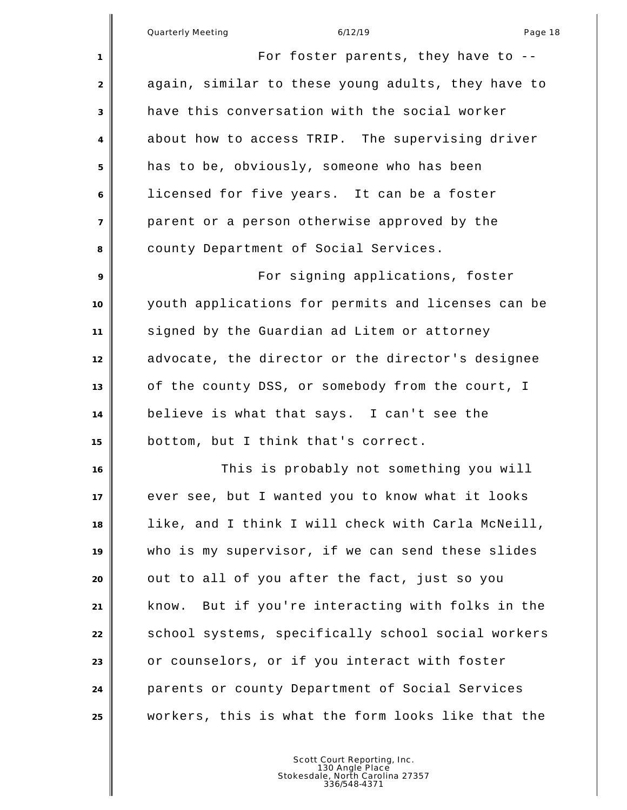| $\mathbf{1}$   | For foster parents, they have to $-$ -               |
|----------------|------------------------------------------------------|
| 2              | again, similar to these young adults, they have to   |
| 3              | have this conversation with the social worker        |
| 4              | about how to access TRIP. The supervising driver     |
| 5              | has to be, obviously, someone who has been           |
| 6              | licensed for five years. It can be a foster          |
| $\overline{7}$ | parent or a person otherwise approved by the         |
| 8              | county Department of Social Services.                |
| 9              | For signing applications, foster                     |
| 10             | youth applications for permits and licenses can be   |
| 11             | signed by the Guardian ad Litem or attorney          |
| 12             | advocate, the director or the director's designee    |
| 13             | of the county DSS, or somebody from the court, I     |
| 14             | believe is what that says. I can't see the           |
| 15             | bottom, but I think that's correct.                  |
| 16             | This is probably not something you will              |
| 17             | ever see, but I wanted you to know what it looks     |
| 18             | like, and I think I will check with Carla McNeill,   |
| 19             | who is my supervisor, if we can send these slides    |
| 20             | out to all of you after the fact, just so you        |
| 21             | But if you're interacting with folks in the<br>know. |
| 22             | school systems, specifically school social workers   |
| 23             | or counselors, or if you interact with foster        |
| 24             | parents or county Department of Social Services      |
| 25             | workers, this is what the form looks like that the   |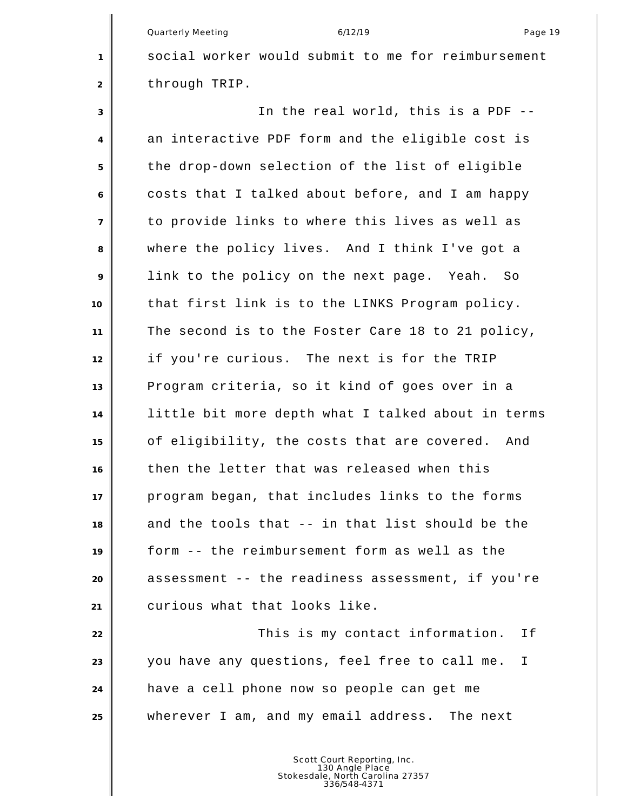Quarterly Meeting and the control of the 6/12/19 control of the Page 19

 social worker would submit to me for reimbursement 2 through TRIP.

 In the real world, this is a PDF -- an interactive PDF form and the eligible cost is the drop-down selection of the list of eligible costs that I talked about before, and I am happy to provide links to where this lives as well as where the policy lives. And I think I've got a link to the policy on the next page. Yeah. So that first link is to the LINKS Program policy. The second is to the Foster Care 18 to 21 policy, if you're curious. The next is for the TRIP Program criteria, so it kind of goes over in a little bit more depth what I talked about in terms of eligibility, the costs that are covered. And then the letter that was released when this program began, that includes links to the forms and the tools that -- in that list should be the form -- the reimbursement form as well as the assessment -- the readiness assessment, if you're curious what that looks like. **This is my contact information.** If you have any questions, feel free to call me. I

wherever I am, and my email address. The next

Scott Court Reporting, Inc. 130 Angle Place Stokesdale, North Carolina 27357 336/548-4371

have a cell phone now so people can get me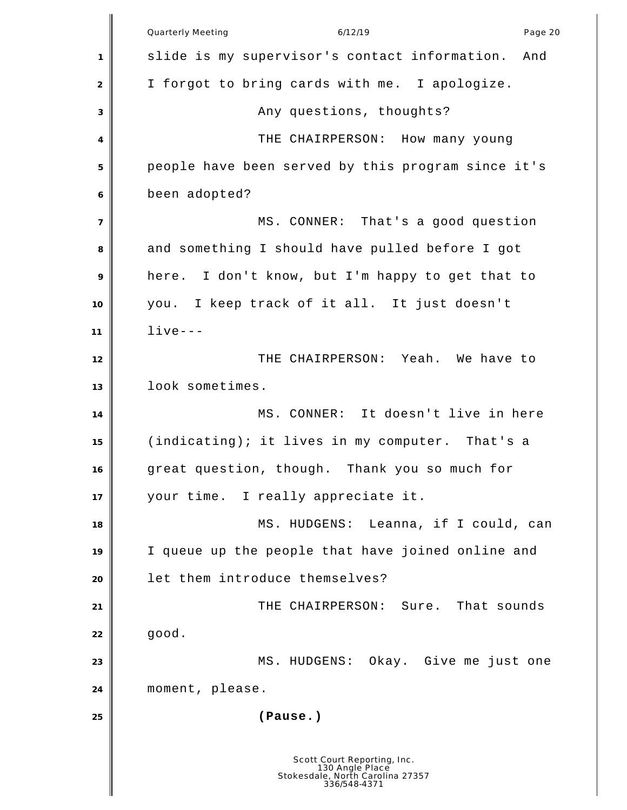Quarterly Meeting and the control of the 6/12/19 control of the Page 20 control of the Page 20 control of the P slide is my supervisor's contact information. And I forgot to bring cards with me. I apologize. 3 any questions, thoughts? THE CHAIRPERSON: How many young people have been served by this program since it's been adopted? MS. CONNER: That's a good question and something I should have pulled before I got here. I don't know, but I'm happy to get that to you. I keep track of it all. It just doesn't live--- THE CHAIRPERSON: Yeah. We have to look sometimes. MS. CONNER: It doesn't live in here (indicating); it lives in my computer. That's a great question, though. Thank you so much for your time. I really appreciate it. MS. HUDGENS: Leanna, if I could, can I queue up the people that have joined online and let them introduce themselves? THE CHAIRPERSON: Sure. That sounds good. 23 No. HUDGENS: Okay. Give me just one moment, please. **(Pause.)** Scott Court Reporting, Inc. 130 Angle Place Stokesdale, North Carolina 27357 336/548-4371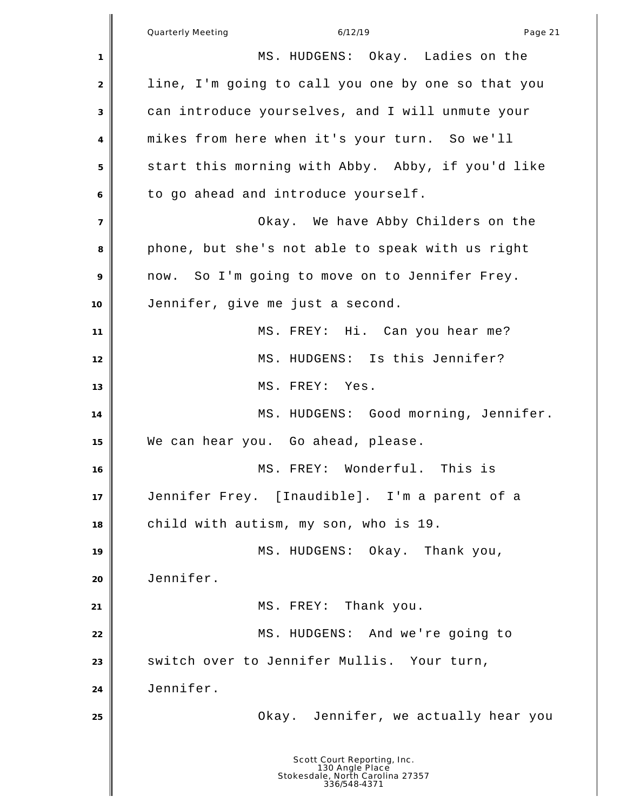Quarterly Meeting and the control of the 6/12/19 control of the Page 21 control of the Page 21 MS. HUDGENS: Okay. Ladies on the line, I'm going to call you one by one so that you can introduce yourselves, and I will unmute your mikes from here when it's your turn. So we'll start this morning with Abby. Abby, if you'd like to go ahead and introduce yourself. Okay. We have Abby Childers on the phone, but she's not able to speak with us right now. So I'm going to move on to Jennifer Frey. Jennifer, give me just a second. **I** MS. FREY: Hi. Can you hear me? MS. HUDGENS: Is this Jennifer? MS. FREY: Yes. 14 MS. HUDGENS: Good morning, Jennifer. We can hear you. Go ahead, please. MS. FREY: Wonderful. This is Jennifer Frey. [Inaudible]. I'm a parent of a child with autism, my son, who is 19. MS. HUDGENS: Okay. Thank you, Jennifer. MS. FREY: Thank you. MS. HUDGENS: And we're going to **S** switch over to Jennifer Mullis. Your turn, Jennifer. Okay. Jennifer, we actually hear you Scott Court Reporting, Inc. 130 Angle Place Stokesdale, North Carolina 27357 336/548-4371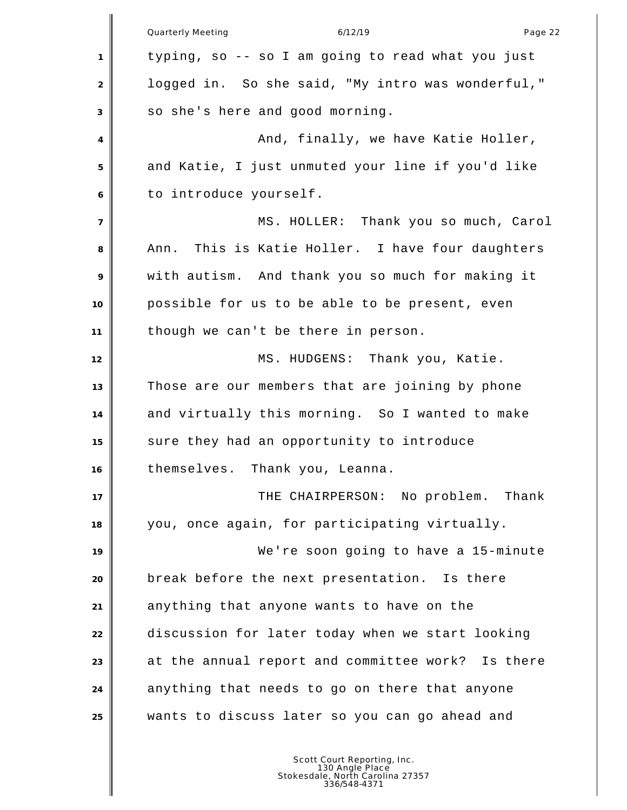Quarterly Meeting and the control of the 6/12/19 control of the control of the Page 22 typing, so -- so I am going to read what you just logged in. So she said, "My intro was wonderful," so she's here and good morning. And, finally, we have Katie Holler, and Katie, I just unmuted your line if you'd like to introduce yourself. MS. HOLLER: Thank you so much, Carol Ann. This is Katie Holler. I have four daughters with autism. And thank you so much for making it possible for us to be able to be present, even though we can't be there in person. 12 | MS. HUDGENS: Thank you, Katie. Those are our members that are joining by phone and virtually this morning. So I wanted to make sure they had an opportunity to introduce themselves. Thank you, Leanna. **THE CHAIRPERSON:** No problem. Thank you, once again, for participating virtually. We're soon going to have a 15-minute break before the next presentation. Is there anything that anyone wants to have on the discussion for later today when we start looking at the annual report and committee work? Is there anything that needs to go on there that anyone wants to discuss later so you can go ahead and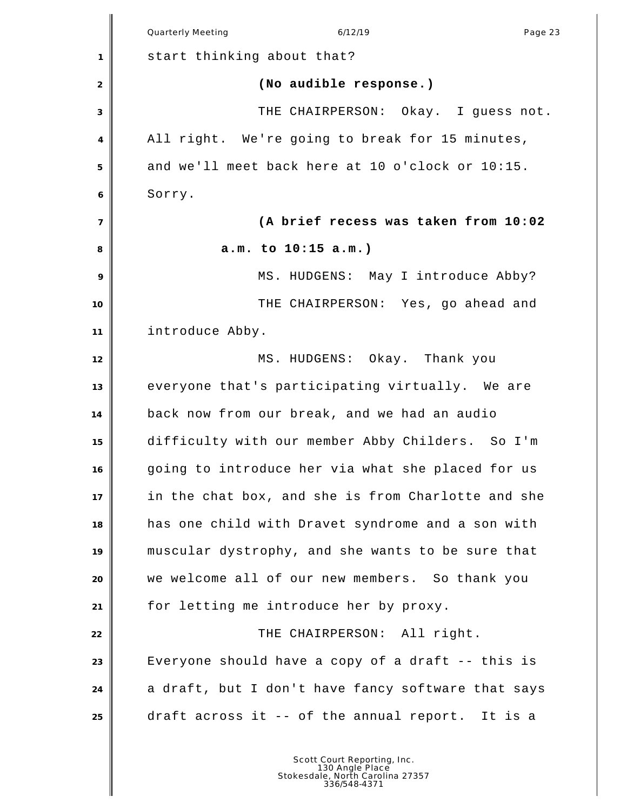|                | Quarterly Meeting<br>6/12/19<br>Page 23            |
|----------------|----------------------------------------------------|
| 1              | start thinking about that?                         |
| 2              | (No audible response.)                             |
| 3              | THE CHAIRPERSON: Okay. I guess not.                |
| 4              | All right. We're going to break for 15 minutes,    |
| 5              | and we'll meet back here at 10 o'clock or 10:15.   |
| 6              | Sorry.                                             |
| $\overline{7}$ | (A brief recess was taken from 10:02               |
| 8              | a.m. to 10:15 a.m.)                                |
| 9              | MS. HUDGENS: May I introduce Abby?                 |
| 10             | THE CHAIRPERSON: Yes, go ahead and                 |
| 11             | introduce Abby.                                    |
| 12             | MS. HUDGENS: Okay. Thank you                       |
| 13             | everyone that's participating virtually. We are    |
| 14             | back now from our break, and we had an audio       |
| 15             | difficulty with our member Abby Childers. So I'm   |
| 16             | going to introduce her via what she placed for us  |
| 17             | in the chat box, and she is from Charlotte and she |
| 18             | has one child with Dravet syndrome and a son with  |
| 19             | muscular dystrophy, and she wants to be sure that  |
| 20             | we welcome all of our new members. So thank you    |
| 21             | for letting me introduce her by proxy.             |
| 22             | THE CHAIRPERSON: All right.                        |
| 23             | Everyone should have a copy of a draft -- this is  |
| 24             | a draft, but I don't have fancy software that says |
|                |                                                    |
| 25             | draft across it -- of the annual report. It is a   |
|                |                                                    |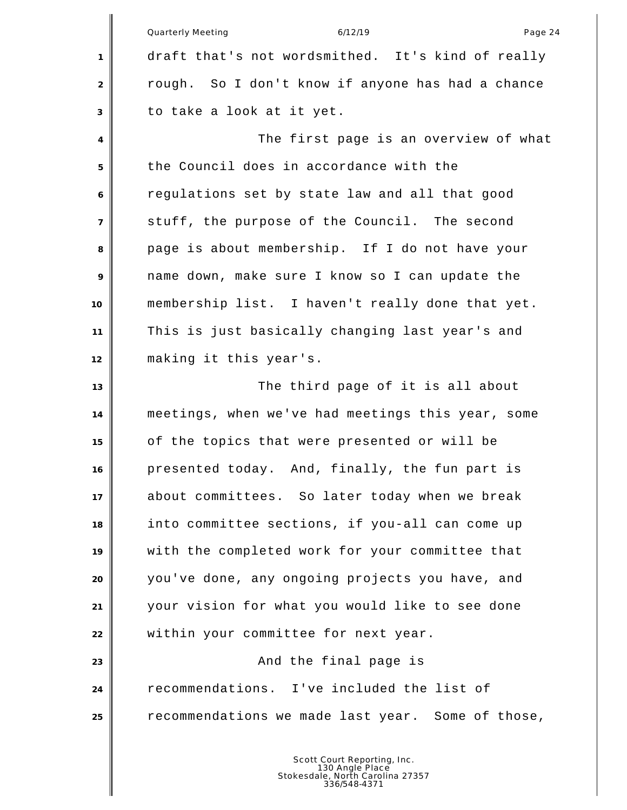|                | Quarterly Meeting<br>6/12/19<br>Page 24           |
|----------------|---------------------------------------------------|
| 1              | draft that's not wordsmithed. It's kind of really |
| 2              | rough. So I don't know if anyone has had a chance |
| 3              | to take a look at it yet.                         |
| $\overline{4}$ | The first page is an overview of what             |
| 5              | the Council does in accordance with the           |
| 6              | regulations set by state law and all that good    |
| $\overline{7}$ | stuff, the purpose of the Council. The second     |
| 8              | page is about membership. If I do not have your   |
| 9              | name down, make sure I know so I can update the   |
| 10             | membership list. I haven't really done that yet.  |
| 11             | This is just basically changing last year's and   |
| 12             | making it this year's.                            |
| 13             | The third page of it is all about                 |
| 14             | meetings, when we've had meetings this year, some |
| 15             | of the topics that were presented or will be      |
| 16             | presented today. And, finally, the fun part is    |
| 17             | about committees. So later today when we break    |
| 18             | into committee sections, if you-all can come up   |
| 19             | with the completed work for your committee that   |
| 20             | you've done, any ongoing projects you have, and   |
| 21             | your vision for what you would like to see done   |
| 22             | within your committee for next year.              |
| 23             | And the final page is                             |
| 24             | recommendations. I've included the list of        |
| 25             | recommendations we made last year. Some of those, |
|                |                                                   |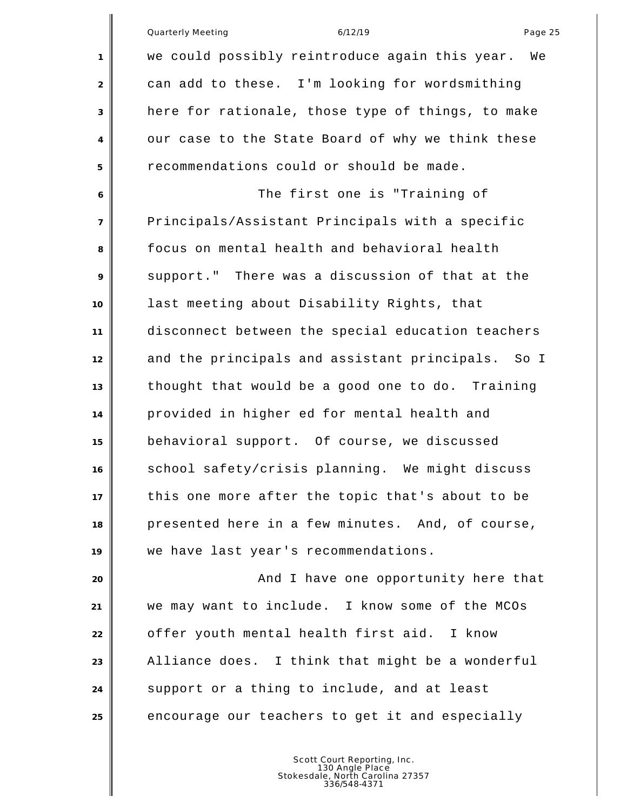|                | 6/12/19<br><b>Quarterly Meeting</b><br>Page 25       |
|----------------|------------------------------------------------------|
| 1              | we could possibly reintroduce again this year.<br>We |
| $\overline{2}$ | can add to these. I'm looking for wordsmithing       |
| 3              | here for rationale, those type of things, to make    |
| $\overline{4}$ | our case to the State Board of why we think these    |
| 5              | recommendations could or should be made.             |
| 6              | The first one is "Training of                        |
| $\overline{7}$ | Principals/Assistant Principals with a specific      |
| 8              | focus on mental health and behavioral health         |
| 9              | support." There was a discussion of that at the      |
| 10             | last meeting about Disability Rights, that           |
| 11             | disconnect between the special education teachers    |
| 12             | and the principals and assistant principals. So I    |
| 13             | thought that would be a good one to do. Training     |
| 14             | provided in higher ed for mental health and          |
| 15             | behavioral support. Of course, we discussed          |
| 16             | school safety/crisis planning. We might discuss      |
| 17             | this one more after the topic that's about to be     |
| 18             | presented here in a few minutes. And, of course,     |
| 19             | we have last year's recommendations.                 |
| 20             | And I have one opportunity here that                 |
| 21             | we may want to include. I know some of the MCOs      |
| 22             | offer youth mental health first aid. I know          |
| 23             | Alliance does. I think that might be a wonderful     |
| 24             | support or a thing to include, and at least          |
| 25             | encourage our teachers to get it and especially      |
|                |                                                      |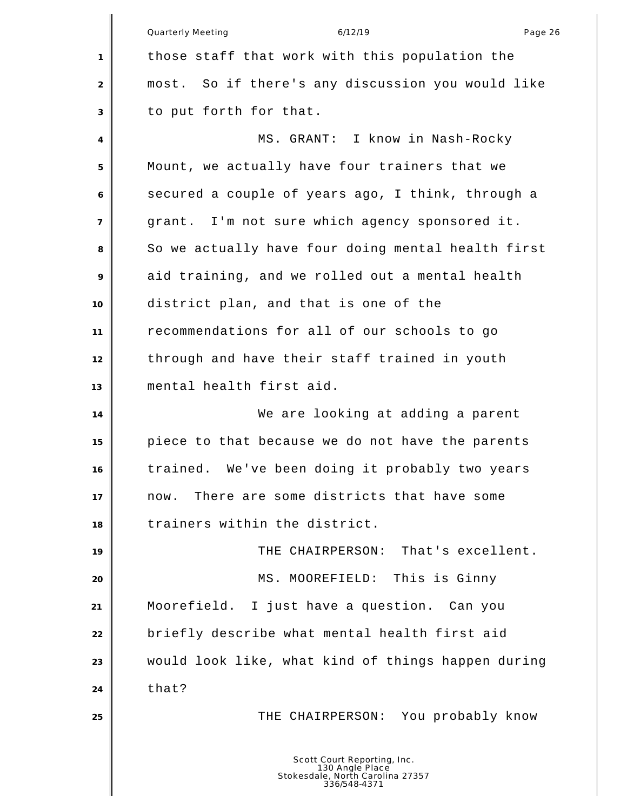|                | Quarterly Meeting<br>6/12/19<br>Page 26              |
|----------------|------------------------------------------------------|
| 1              | those staff that work with this population the       |
| $\overline{2}$ | So if there's any discussion you would like<br>most. |
| 3              | to put forth for that.                               |
| 4              | MS. GRANT: I know in Nash-Rocky                      |
| 5              | Mount, we actually have four trainers that we        |
| 6              | secured a couple of years ago, I think, through a    |
| $\overline{7}$ | grant. I'm not sure which agency sponsored it.       |
| 8              | So we actually have four doing mental health first   |
| 9              | aid training, and we rolled out a mental health      |
| 10             | district plan, and that is one of the                |
| 11             | recommendations for all of our schools to go         |
| 12             | through and have their staff trained in youth        |
| 13             | mental health first aid.                             |
| 14             | We are looking at adding a parent                    |
| 15             | piece to that because we do not have the parents     |
| 16             | We've been doing it probably two years<br>trained.   |
| 17             | There are some districts that have some<br>now.      |
| 18             | trainers within the district.                        |
| 19             | THE CHAIRPERSON: That's excellent.                   |
| 20             | This is Ginny<br>MS. MOOREFIELD:                     |
| 21             | Moorefield.<br>I just have a question. Can you       |
| 22             | briefly describe what mental health first aid        |
| 23             | would look like, what kind of things happen during   |
| 24             | that?                                                |
| 25             | THE CHAIRPERSON: You probably know                   |
|                | Scott Court Reporting, Inc.<br>130 Angle Place       |

130 Angle Place Stokesdale, North Carolina 27357 336/548-4371

║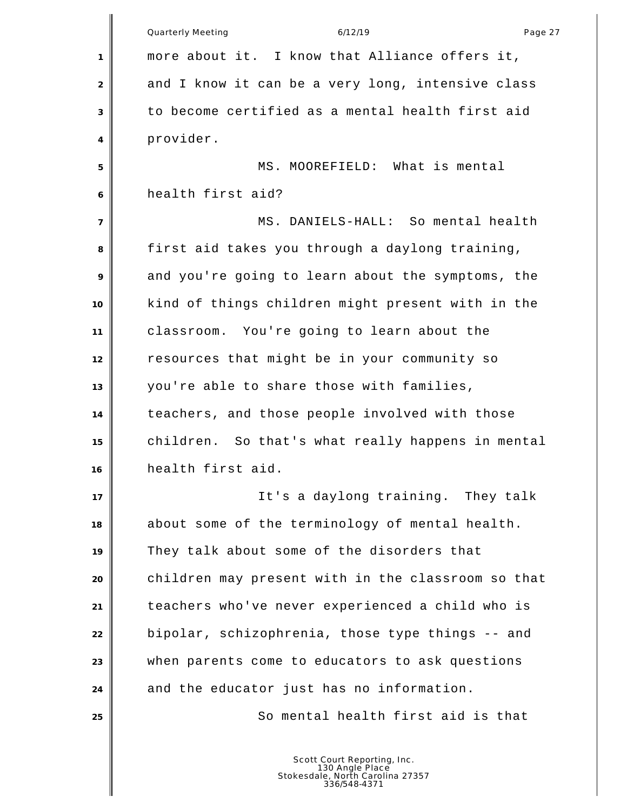|                | <b>Quarterly Meeting</b><br>6/12/19<br>Page 27     |
|----------------|----------------------------------------------------|
| 1              | more about it. I know that Alliance offers it,     |
| 2              | and I know it can be a very long, intensive class  |
| 3              | to become certified as a mental health first aid   |
| 4              | provider.                                          |
| 5              | MS. MOOREFIELD: What is mental                     |
| 6              | health first aid?                                  |
| $\overline{7}$ | MS. DANIELS-HALL: So mental health                 |
| 8              | first aid takes you through a daylong training,    |
| 9              | and you're going to learn about the symptoms, the  |
| 10             | kind of things children might present with in the  |
| 11             | classroom. You're going to learn about the         |
| 12             | resources that might be in your community so       |
| 13             | you're able to share those with families,          |
| 14             | teachers, and those people involved with those     |
| 15             | children. So that's what really happens in mental  |
| 16             | health first aid.                                  |
| 17             | It's a daylong training. They talk                 |
| 18             | about some of the terminology of mental health.    |
| 19             | They talk about some of the disorders that         |
| 20             | children may present with in the classroom so that |
| 21             | teachers who've never experienced a child who is   |
| 22             | bipolar, schizophrenia, those type things -- and   |
| 23             | when parents come to educators to ask questions    |
| 24             | and the educator just has no information.          |
| 25             | So mental health first aid is that                 |
|                |                                                    |
|                | Scott Court Reporting, Inc.                        |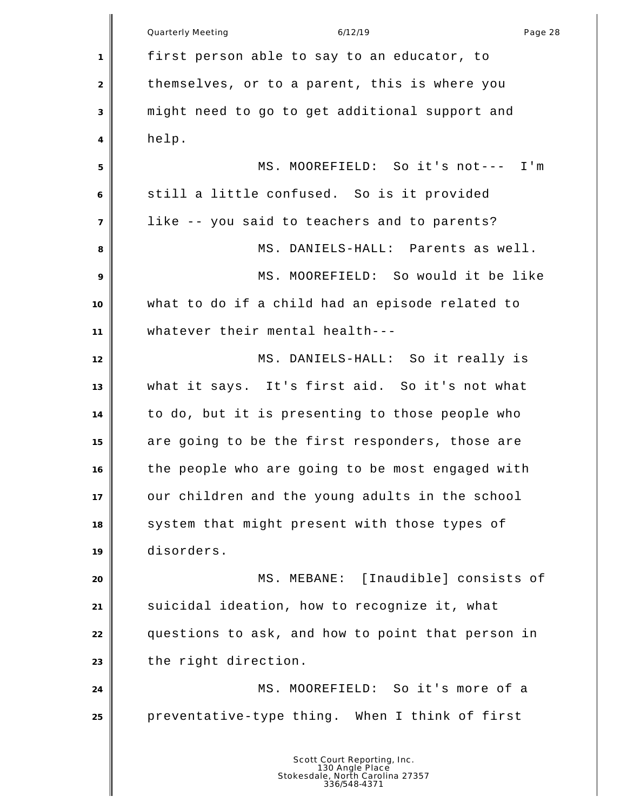Quarterly Meeting and the control of the 6/12/19 control of the control of the Page 28 first person able to say to an educator, to 2 themselves, or to a parent, this is where you might need to go to get additional support and help. MS. MOOREFIELD: So it's not--- I'm still a little confused. So is it provided like -- you said to teachers and to parents? MS. DANIELS-HALL: Parents as well. MS. MOOREFIELD: So would it be like what to do if a child had an episode related to whatever their mental health--- 12 MS. DANIELS-HALL: So it really is what it says. It's first aid. So it's not what to do, but it is presenting to those people who are going to be the first responders, those are the people who are going to be most engaged with our children and the young adults in the school 18 system that might present with those types of disorders. MS. MEBANE: [Inaudible] consists of suicidal ideation, how to recognize it, what questions to ask, and how to point that person in 23 the right direction. MS. MOOREFIELD: So it's more of a preventative-type thing. When I think of first Scott Court Reporting, Inc. 130 Angle Place Stokesdale, North Carolina 27357 336/548-4371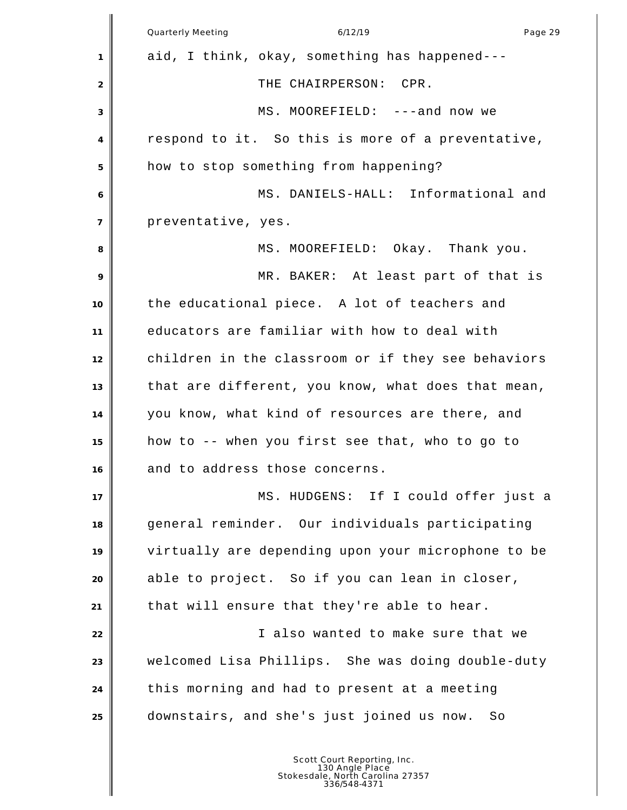|                | Quarterly Meeting<br>6/12/19<br>Page 29            |
|----------------|----------------------------------------------------|
| 1              | aid, I think, okay, something has happened---      |
| 2              | THE CHAIRPERSON: CPR.                              |
| 3              | MS. MOOREFIELD: ---and now we                      |
| 4              | respond to it. So this is more of a preventative,  |
| 5              | how to stop something from happening?              |
| 6              | MS. DANIELS-HALL: Informational and                |
| $\overline{7}$ | preventative, yes.                                 |
| 8              | MS. MOOREFIELD: Okay. Thank you.                   |
| 9              | MR. BAKER: At least part of that is                |
| 10             | the educational piece. A lot of teachers and       |
| 11             | educators are familiar with how to deal with       |
| 12             | children in the classroom or if they see behaviors |
| 13             | that are different, you know, what does that mean, |
| 14             | you know, what kind of resources are there, and    |
| 15             | how to -- when you first see that, who to go to    |
| 16             | and to address those concerns.                     |
| 17             | MS. HUDGENS: If I could offer just a               |
| 18             | general reminder. Our individuals participating    |
| 19             | virtually are depending upon your microphone to be |
| 20             | able to project. So if you can lean in closer,     |
| 21             | that will ensure that they're able to hear.        |
| 22             | I also wanted to make sure that we                 |
| 23             | welcomed Lisa Phillips. She was doing double-duty  |
| 24             | this morning and had to present at a meeting       |
| 25             | downstairs, and she's just joined us now.<br>- So  |
|                |                                                    |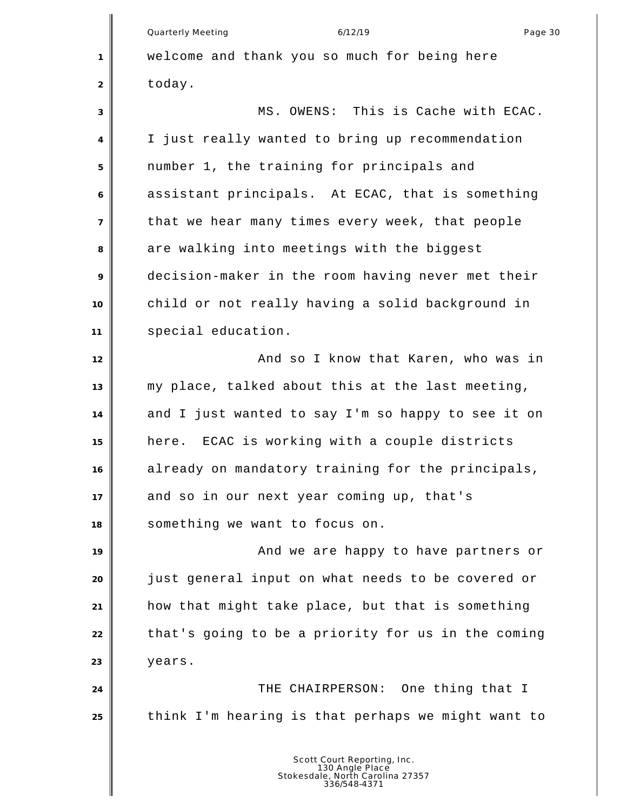Quarterly Meeting and the control of the 6/12/19 control of the control of the Page 30 welcome and thank you so much for being here today. MS. OWENS: This is Cache with ECAC. I just really wanted to bring up recommendation number 1, the training for principals and assistant principals. At ECAC, that is something that we hear many times every week, that people are walking into meetings with the biggest decision-maker in the room having never met their child or not really having a solid background in special education. **And so I know that Karen, who was in**  my place, talked about this at the last meeting, and I just wanted to say I'm so happy to see it on here. ECAC is working with a couple districts already on mandatory training for the principals, and so in our next year coming up, that's something we want to focus on. **And we are happy to have partners or**  just general input on what needs to be covered or how that might take place, but that is something that's going to be a priority for us in the coming years. **THE CHAIRPERSON:** One thing that I think I'm hearing is that perhaps we might want to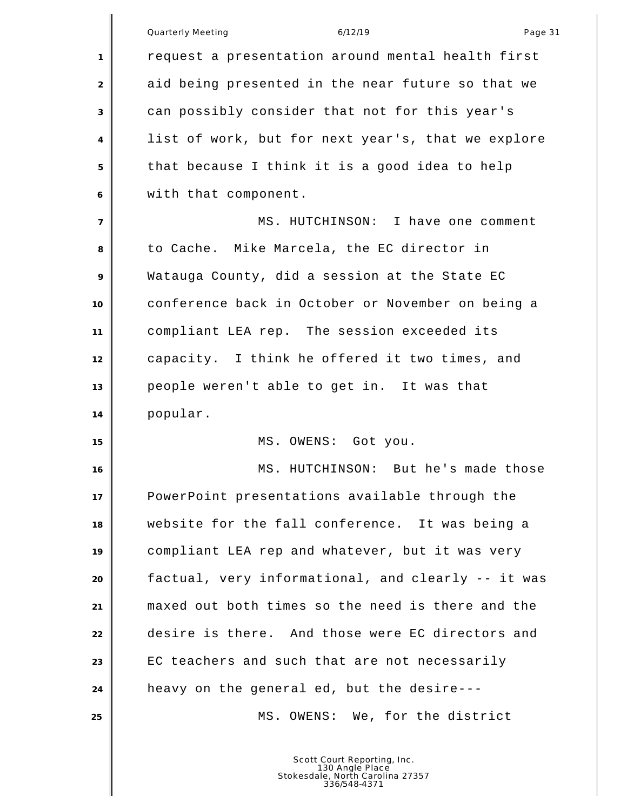| 1              | <b>Quarterly Meeting</b><br>6/12/19<br>Page 31<br>request a presentation around mental health first |
|----------------|-----------------------------------------------------------------------------------------------------|
|                |                                                                                                     |
|                |                                                                                                     |
| 2              | aid being presented in the near future so that we                                                   |
| 3              | can possibly consider that not for this year's                                                      |
| 4              | list of work, but for next year's, that we explore                                                  |
| 5              | that because I think it is a good idea to help                                                      |
| 6              | with that component.                                                                                |
| $\overline{7}$ | MS. HUTCHINSON: I have one comment                                                                  |
| 8              | to Cache. Mike Marcela, the EC director in                                                          |
| 9              | Watauga County, did a session at the State EC                                                       |
| 10             | conference back in October or November on being a                                                   |
| 11             | compliant LEA rep. The session exceeded its                                                         |
| 12             | capacity. I think he offered it two times, and                                                      |
| 13             | people weren't able to get in. It was that                                                          |
| 14             | popular.                                                                                            |
| 15             | MS. OWENS: Got you.                                                                                 |
| 16             | MS.<br>HUTCHINSON: But he's made those                                                              |
| 17             | PowerPoint presentations available through the                                                      |
| 18             | website for the fall conference. It was being a                                                     |
| 19             | compliant LEA rep and whatever, but it was very                                                     |
| 20             | factual, very informational, and clearly -- it was                                                  |
| 21             | maxed out both times so the need is there and the                                                   |
| 22             | desire is there. And those were EC directors and                                                    |
| 23             | EC teachers and such that are not necessarily                                                       |
| 24             | heavy on the general ed, but the desire---                                                          |
| 25             | MS. OWENS: We, for the district                                                                     |
|                |                                                                                                     |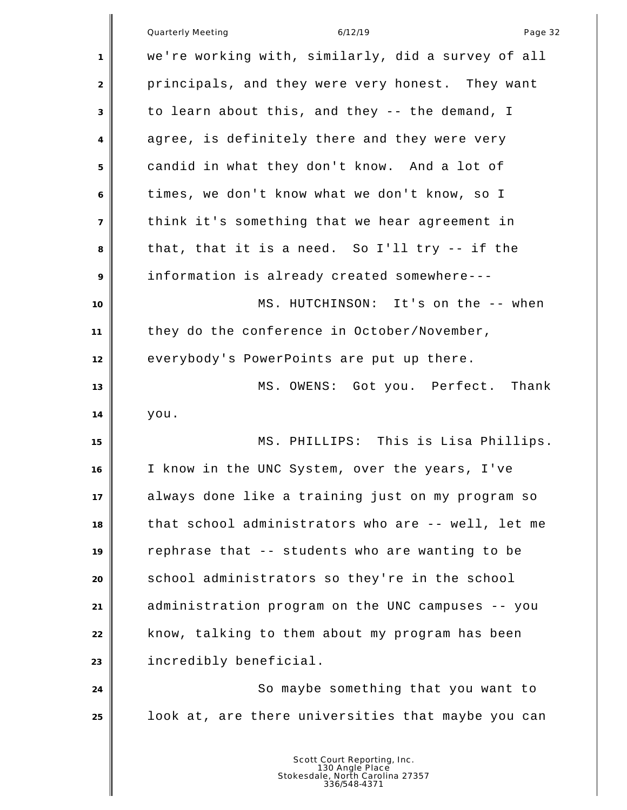|                | Quarterly Meeting<br>6/12/19<br>Page 32            |
|----------------|----------------------------------------------------|
| 1              | we're working with, similarly, did a survey of all |
| 2              | principals, and they were very honest. They want   |
| 3              | to learn about this, and they -- the demand, I     |
| 4              | agree, is definitely there and they were very      |
| 5              | candid in what they don't know. And a lot of       |
| 6              | times, we don't know what we don't know, so I      |
| $\overline{7}$ | think it's something that we hear agreement in     |
| 8              | that, that it is a need. So I'll try -- if the     |
| 9              | information is already created somewhere---        |
| 10             | MS. HUTCHINSON: It's on the -- when                |
| 11             | they do the conference in October/November,        |
| 12             | everybody's PowerPoints are put up there.          |
| 13             | MS. OWENS: Got you. Perfect. Thank                 |
| 14             | you.                                               |
| 15             | MS. PHILLIPS: This is Lisa Phillips.               |
| 16             | I know in the UNC System, over the years, I've     |
| 17             | always done like a training just on my program so  |
| 18             | that school administrators who are -- well, let me |
| 19             | rephrase that -- students who are wanting to be    |
| 20             | school administrators so they're in the school     |
| 21             | administration program on the UNC campuses -- you  |
| 22             | know, talking to them about my program has been    |
| 23             | incredibly beneficial.                             |
| 24             | So maybe something that you want to                |
| 25             | look at, are there universities that maybe you can |
|                |                                                    |
|                | Scott Court Reporting Inc                          |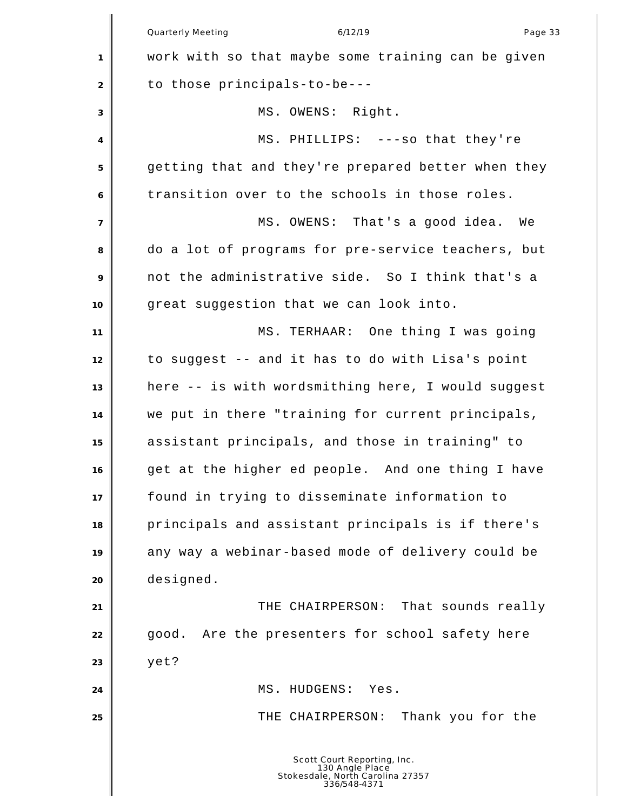|                | Quarterly Meeting<br>6/12/19<br>Page 33                                                            |
|----------------|----------------------------------------------------------------------------------------------------|
| 1              | work with so that maybe some training can be given                                                 |
| 2              | to those principals-to-be---                                                                       |
| 3              | MS. OWENS: Right.                                                                                  |
| 4              | MS. PHILLIPS: ---so that they're                                                                   |
| 5              | getting that and they're prepared better when they                                                 |
| 6              | transition over to the schools in those roles.                                                     |
| $\overline{7}$ | MS. OWENS: That's a good idea. We                                                                  |
| 8              | do a lot of programs for pre-service teachers, but                                                 |
| 9              | not the administrative side. So I think that's a                                                   |
| 10             | great suggestion that we can look into.                                                            |
| 11             | MS. TERHAAR: One thing I was going                                                                 |
| 12             | to suggest -- and it has to do with Lisa's point                                                   |
| 13             | here -- is with wordsmithing here, I would suggest                                                 |
| 14             | we put in there "training for current principals,                                                  |
| 15             | assistant principals, and those in training" to                                                    |
| 16             | get at the higher ed people. And one thing I have                                                  |
| 17             | found in trying to disseminate information to                                                      |
| 18             | principals and assistant principals is if there's                                                  |
| 19             | any way a webinar-based mode of delivery could be                                                  |
| 20             | designed.                                                                                          |
| 21             | That sounds really<br>THE CHAIRPERSON:                                                             |
| 22             | Are the presenters for school safety here<br>good.                                                 |
| 23             | yet?                                                                                               |
| 24             | MS. HUDGENS:<br>Yes.                                                                               |
| 25             | Thank you for the<br>THE CHAIRPERSON:                                                              |
|                |                                                                                                    |
|                | Scott Court Reporting, Inc.<br>130 Angle Place<br>Stokesdale, North Carolina 27357<br>336/548-4371 |

║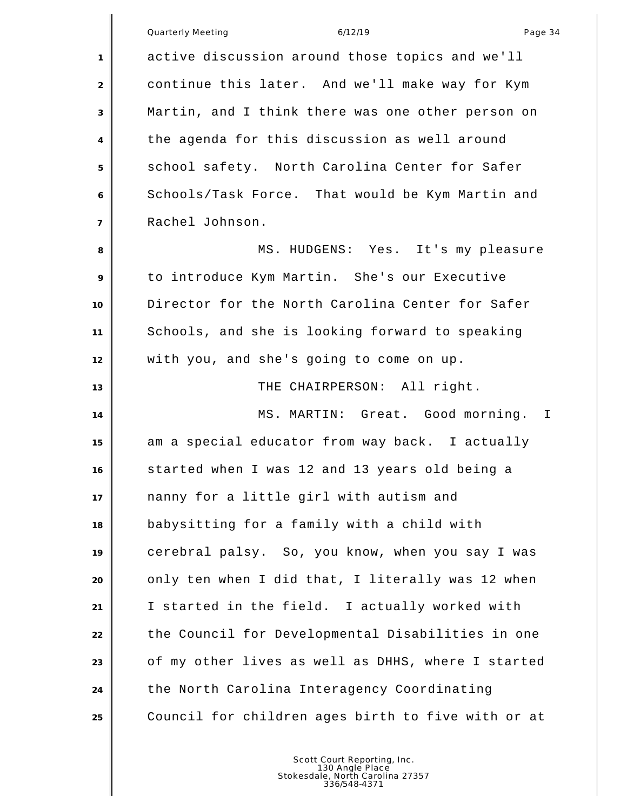|                | Quarterly Meeting<br>Page 34<br>6/12/19           |
|----------------|---------------------------------------------------|
| 1              | active discussion around those topics and we'll   |
| 2              | continue this later. And we'll make way for Kym   |
| 3              | Martin, and I think there was one other person on |
| $\overline{4}$ | the agenda for this discussion as well around     |
| 5              | school safety. North Carolina Center for Safer    |
| 6              | Schools/Task Force. That would be Kym Martin and  |
| $\overline{7}$ | Rachel Johnson.                                   |
| 8              | MS. HUDGENS: Yes. It's my pleasure                |
| 9              | to introduce Kym Martin. She's our Executive      |
| 10             | Director for the North Carolina Center for Safer  |
| 11             | Schools, and she is looking forward to speaking   |
| 12             | with you, and she's going to come on up.          |
| 13             | THE CHAIRPERSON: All right.                       |
| 14             | MS. MARTIN: Great. Good morning. I                |
| 15             | am a special educator from way back. I actually   |
| 16             | started when I was 12 and 13 years old being a    |
| 17             | nanny for a little girl with autism and           |
| 18             | babysitting for a family with a child with        |
| 19             | cerebral palsy. So, you know, when you say I was  |
| 20             | only ten when I did that, I literally was 12 when |

I started in the field. I actually worked with

24 the North Carolina Interagency Coordinating

22 the Council for Developmental Disabilities in one

of my other lives as well as DHHS, where I started

Council for children ages birth to five with or at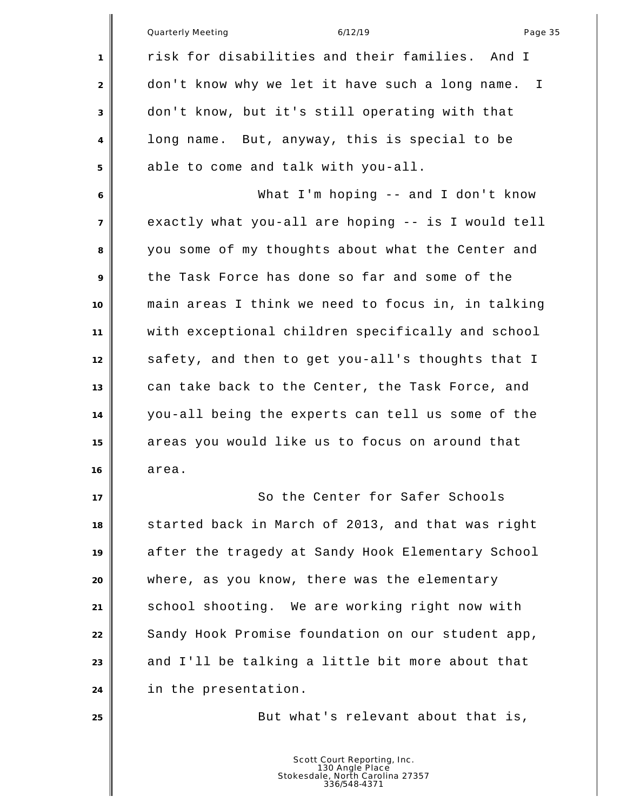|                | <b>Quarterly Meeting</b><br>6/12/19<br>Page 35                                                     |
|----------------|----------------------------------------------------------------------------------------------------|
| 1              | risk for disabilities and their families.<br>And I                                                 |
| 2              | don't know why we let it have such a long name.<br>I                                               |
| 3              | don't know, but it's still operating with that                                                     |
| 4              | long name. But, anyway, this is special to be                                                      |
| 5              | able to come and talk with you-all.                                                                |
| 6              | What I'm hoping $-$ and I don't know                                                               |
| $\overline{7}$ | exactly what you-all are hoping -- is I would tell                                                 |
| 8              | you some of my thoughts about what the Center and                                                  |
| 9              | the Task Force has done so far and some of the                                                     |
| 10             | main areas I think we need to focus in, in talking                                                 |
| 11             | with exceptional children specifically and school                                                  |
| 12             | safety, and then to get you-all's thoughts that I                                                  |
| 13             | can take back to the Center, the Task Force, and                                                   |
| 14             | you-all being the experts can tell us some of the                                                  |
| 15             | areas you would like us to focus on around that                                                    |
| 16             | area.                                                                                              |
| 17             | So the Center for Safer Schools                                                                    |
| 18             | started back in March of 2013, and that was right                                                  |
| 19             | after the tragedy at Sandy Hook Elementary School                                                  |
| 20             | where, as you know, there was the elementary                                                       |
| 21             | school shooting. We are working right now with                                                     |
| 22             | Sandy Hook Promise foundation on our student app,                                                  |
| 23             | and I'll be talking a little bit more about that                                                   |
| 24             | in the presentation.                                                                               |
| 25             | But what's relevant about that is,                                                                 |
|                | Scott Court Reporting, Inc.<br>130 Angle Place<br>Stokesdale, North Carolina 27357<br>336/548-4371 |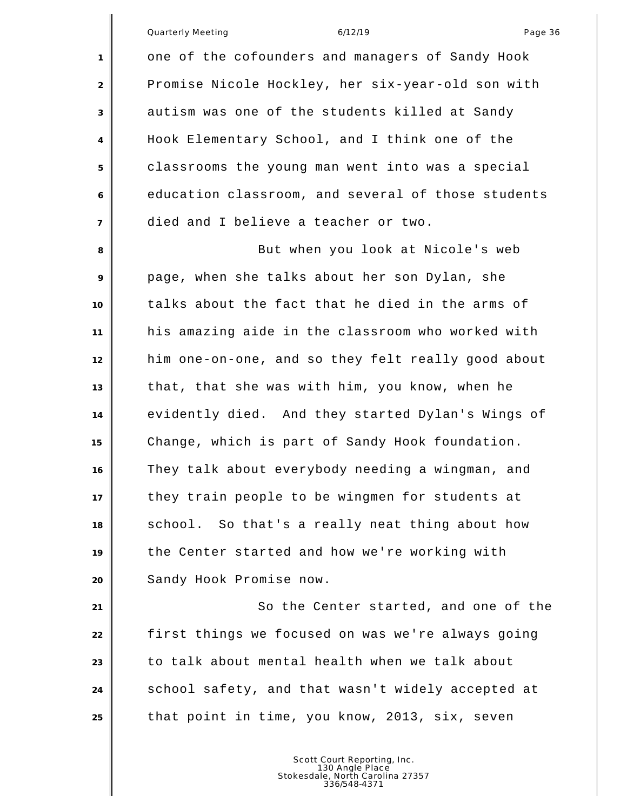one of the cofounders and managers of Sandy Hook Promise Nicole Hockley, her six-year-old son with autism was one of the students killed at Sandy Hook Elementary School, and I think one of the classrooms the young man went into was a special education classroom, and several of those students died and I believe a teacher or two.

**But when you look at Nicole's web**  page, when she talks about her son Dylan, she talks about the fact that he died in the arms of his amazing aide in the classroom who worked with him one-on-one, and so they felt really good about that, that she was with him, you know, when he evidently died. And they started Dylan's Wings of Change, which is part of Sandy Hook foundation. They talk about everybody needing a wingman, and they train people to be wingmen for students at school. So that's a really neat thing about how the Center started and how we're working with Sandy Hook Promise now.

21 || So the Center started, and one of the first things we focused on was we're always going to talk about mental health when we talk about school safety, and that wasn't widely accepted at that point in time, you know, 2013, six, seven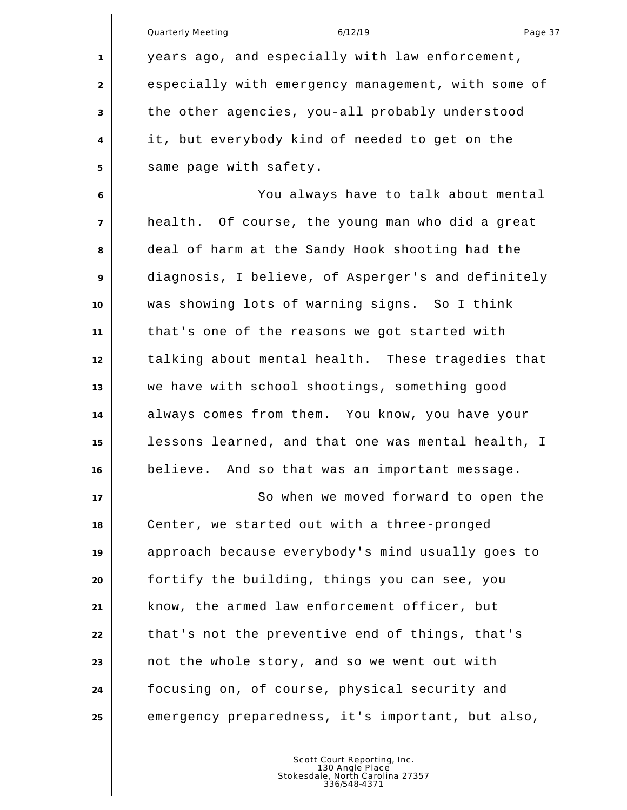|                | Quarterly Meeting<br>6/12/19<br>Page 37            |
|----------------|----------------------------------------------------|
| 1              | years ago, and especially with law enforcement,    |
| 2              | especially with emergency management, with some of |
| 3              | the other agencies, you-all probably understood    |
| 4              | it, but everybody kind of needed to get on the     |
| 5              | same page with safety.                             |
| 6              | You always have to talk about mental               |
| $\overline{7}$ | health. Of course, the young man who did a great   |
| 8              | deal of harm at the Sandy Hook shooting had the    |
| 9              | diagnosis, I believe, of Asperger's and definitely |
| 10             | was showing lots of warning signs. So I think      |
| 11             | that's one of the reasons we got started with      |
| 12             | talking about mental health. These tragedies that  |
| 13             | we have with school shootings, something good      |
| 14             | always comes from them. You know, you have your    |
| 15             | lessons learned, and that one was mental health, I |
| 16             | believe. And so that was an important message.     |
| 17             | So when we moved forward to open the               |
| 18             | Center, we started out with a three-pronged        |
| 19             | approach because everybody's mind usually goes to  |
| 20             | fortify the building, things you can see, you      |
| 21             | know, the armed law enforcement officer, but       |
| 22             | that's not the preventive end of things, that's    |
| 23             | not the whole story, and so we went out with       |
| 24             | focusing on, of course, physical security and      |
| 25             | emergency preparedness, it's important, but also,  |
|                |                                                    |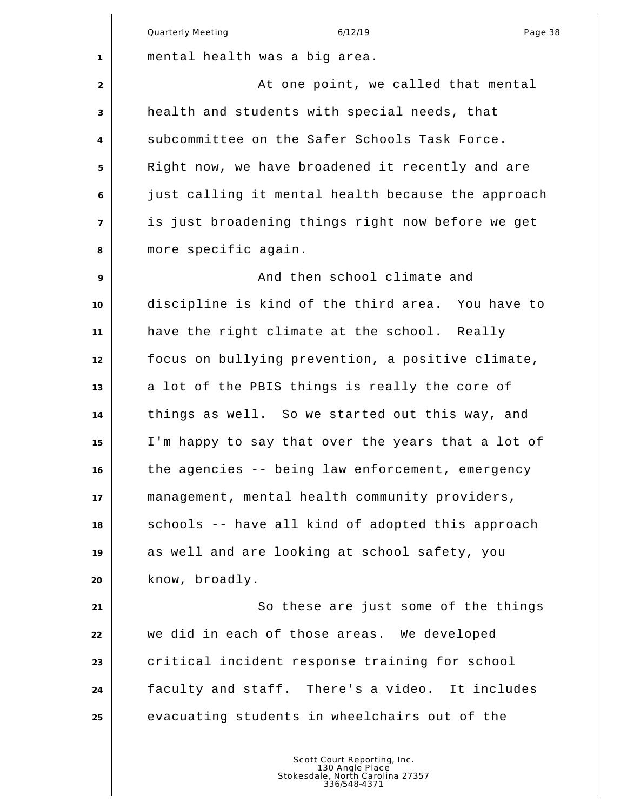Quarterly Meeting and the control of the 6/12/19 control of the control of the Page 38 mental health was a big area. **At one point, we called that mental**  health and students with special needs, that subcommittee on the Safer Schools Task Force. Right now, we have broadened it recently and are just calling it mental health because the approach is just broadening things right now before we get more specific again. And then school climate and discipline is kind of the third area. You have to have the right climate at the school. Really focus on bullying prevention, a positive climate, a lot of the PBIS things is really the core of things as well. So we started out this way, and I'm happy to say that over the years that a lot of the agencies -- being law enforcement, emergency management, mental health community providers, schools -- have all kind of adopted this approach as well and are looking at school safety, you know, broadly. So these are just some of the things we did in each of those areas. We developed critical incident response training for school faculty and staff. There's a video. It includes evacuating students in wheelchairs out of the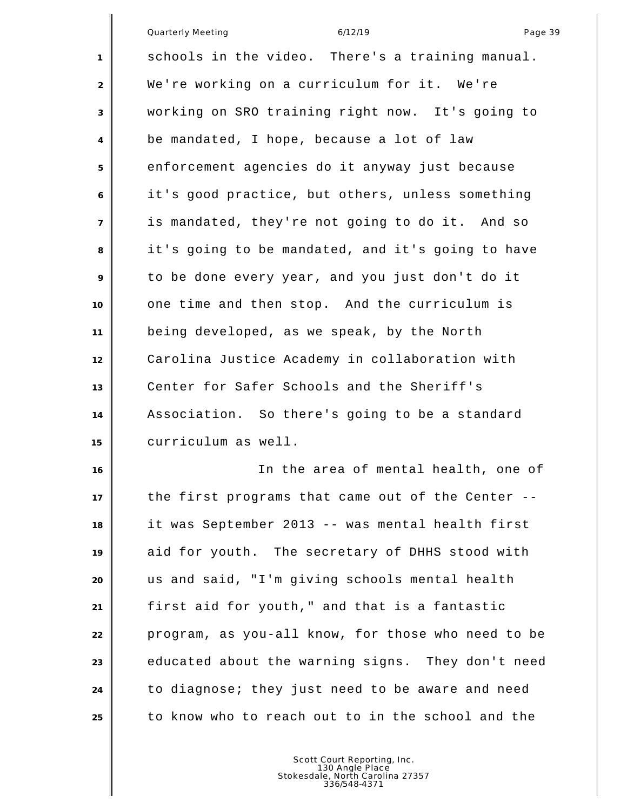Quarterly Meeting and the control of the 6/12/19 control of the control of the Page 39 schools in the video. There's a training manual. We're working on a curriculum for it. We're working on SRO training right now. It's going to be mandated, I hope, because a lot of law enforcement agencies do it anyway just because it's good practice, but others, unless something is mandated, they're not going to do it. And so it's going to be mandated, and it's going to have to be done every year, and you just don't do it one time and then stop. And the curriculum is being developed, as we speak, by the North Carolina Justice Academy in collaboration with Center for Safer Schools and the Sheriff's Association. So there's going to be a standard curriculum as well. In the area of mental health, one of

 the first programs that came out of the Center -- it was September 2013 -- was mental health first aid for youth. The secretary of DHHS stood with us and said, "I'm giving schools mental health first aid for youth," and that is a fantastic program, as you-all know, for those who need to be educated about the warning signs. They don't need to diagnose; they just need to be aware and need to know who to reach out to in the school and the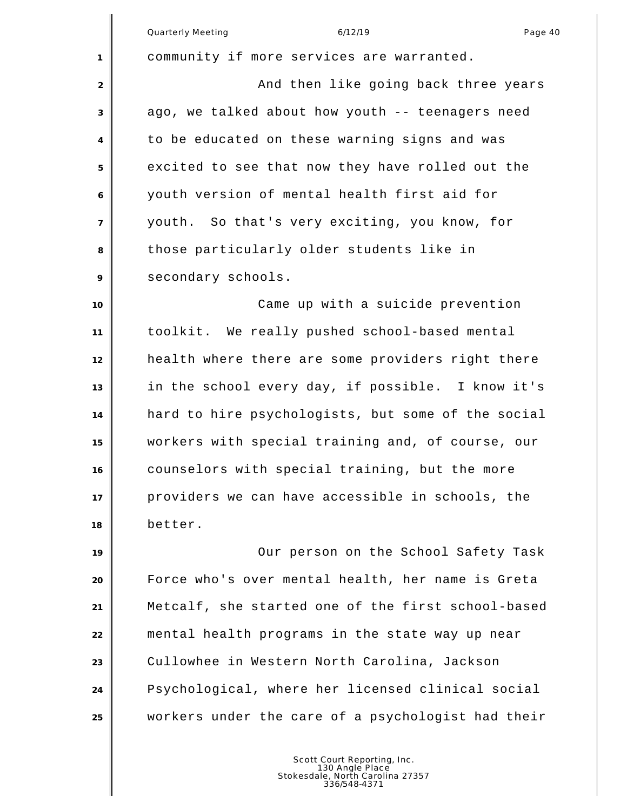Quarterly Meeting and the control of the 6/12/19 control of the control of the Page 40 community if more services are warranted. **And then like going back three years**  ago, we talked about how youth -- teenagers need to be educated on these warning signs and was excited to see that now they have rolled out the youth version of mental health first aid for youth. So that's very exciting, you know, for those particularly older students like in 9 secondary schools. Came up with a suicide prevention toolkit. We really pushed school-based mental health where there are some providers right there in the school every day, if possible. I know it's hard to hire psychologists, but some of the social workers with special training and, of course, our counselors with special training, but the more providers we can have accessible in schools, the better. Our person on the School Safety Task Force who's over mental health, her name is Greta Metcalf, she started one of the first school-based mental health programs in the state way up near Cullowhee in Western North Carolina, Jackson Psychological, where her licensed clinical social workers under the care of a psychologist had their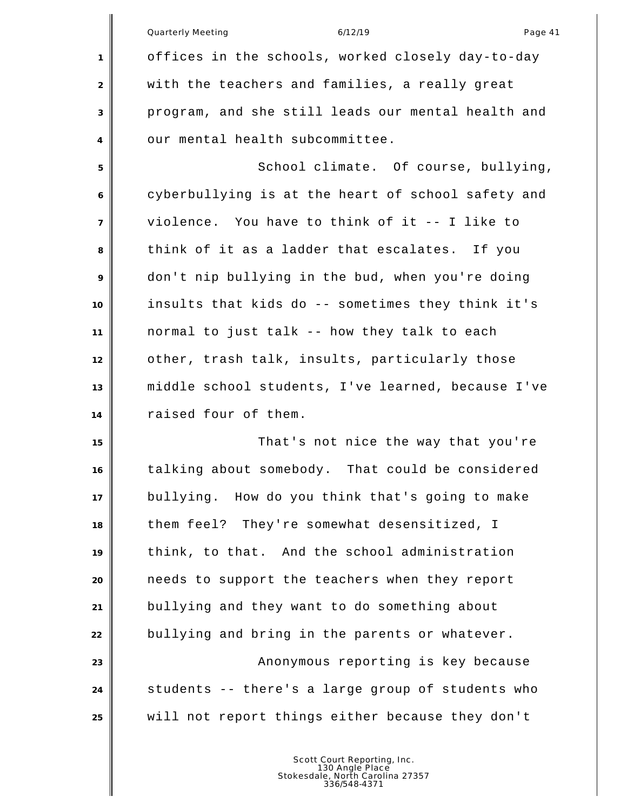|                | Quarterly Meeting<br>6/12/19<br>Page 41            |
|----------------|----------------------------------------------------|
| 1              | offices in the schools, worked closely day-to-day  |
| 2              | with the teachers and families, a really great     |
| 3              | program, and she still leads our mental health and |
| 4              | our mental health subcommittee.                    |
| 5              | School climate. Of course, bullying,               |
| 6              | cyberbullying is at the heart of school safety and |
| $\overline{7}$ | violence. You have to think of it -- I like to     |
| 8              | think of it as a ladder that escalates. If you     |
| 9              | don't nip bullying in the bud, when you're doing   |
| 10             | insults that kids do -- sometimes they think it's  |
| 11             | normal to just talk -- how they talk to each       |
| 12             | other, trash talk, insults, particularly those     |
| 13             | middle school students, I've learned, because I've |
| 14             | raised four of them.                               |
| 15             | That's not nice the way that you're                |
| 16             | talking about somebody. That could be considered   |
| 17             | bullying. How do you think that's going to make    |
| 18             | them feel? They're somewhat desensitized, I        |
| 19             | think, to that. And the school administration      |
| 20             | needs to support the teachers when they report     |
| 21             | bullying and they want to do something about       |
| 22             | bullying and bring in the parents or whatever.     |
| 23             | Anonymous reporting is key because                 |
| 24             | students -- there's a large group of students who  |
| 25             | will not report things either because they don't   |
|                |                                                    |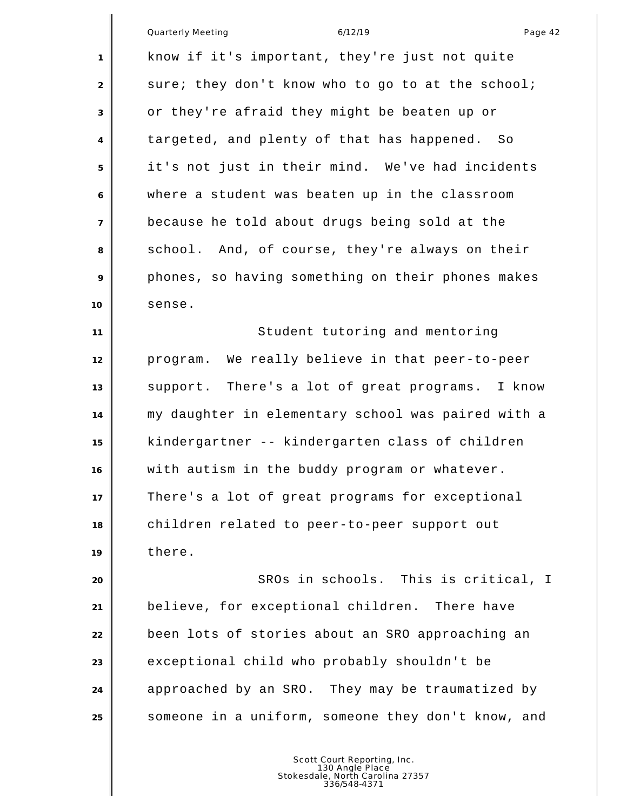|                | 6/12/19<br><b>Quarterly Meeting</b><br>Page 42     |
|----------------|----------------------------------------------------|
| 1              | know if it's important, they're just not quite     |
| 2              | sure; they don't know who to go to at the school;  |
| 3              | or they're afraid they might be beaten up or       |
| 4              | targeted, and plenty of that has happened. So      |
| 5              | it's not just in their mind. We've had incidents   |
| 6              | where a student was beaten up in the classroom     |
| $\overline{7}$ | because he told about drugs being sold at the      |
| 8              | school. And, of course, they're always on their    |
| 9              | phones, so having something on their phones makes  |
| 10             | sense.                                             |
| 11             | Student tutoring and mentoring                     |
| 12             | program. We really believe in that peer-to-peer    |
| 13             | support. There's a lot of great programs. I know   |
| 14             | my daughter in elementary school was paired with a |
| 15             | kindergartner -- kindergarten class of children    |
| 16             | with autism in the buddy program or whatever.      |
| 17             | There's a lot of great programs for exceptional    |
| 18             | children related to peer-to-peer support out       |
| 19             | there.                                             |
| 20             | SROs in schools. This is critical, I               |
| 21             | believe, for exceptional children. There have      |
| 22             | been lots of stories about an SRO approaching an   |
| 23             | exceptional child who probably shouldn't be        |
| 24             | approached by an SRO. They may be traumatized by   |
| 25             | someone in a uniform, someone they don't know, and |
|                |                                                    |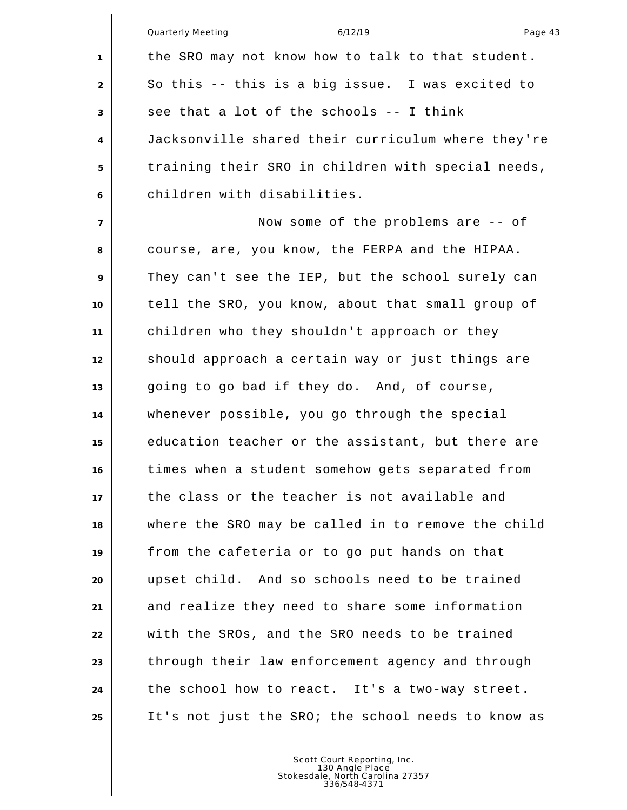|                | <b>Quarterly Meeting</b><br>6/12/19<br>Page 43     |
|----------------|----------------------------------------------------|
| 1              | the SRO may not know how to talk to that student.  |
| $\overline{2}$ | So this -- this is a big issue. I was excited to   |
| 3              | see that a lot of the schools -- I think           |
| 4              | Jacksonville shared their curriculum where they're |
| 5              | training their SRO in children with special needs, |
| 6              | children with disabilities.                        |
| $\overline{7}$ | Now some of the problems are -- of                 |
| 8              | course, are, you know, the FERPA and the HIPAA.    |
| 9              | They can't see the IEP, but the school surely can  |
| 10             | tell the SRO, you know, about that small group of  |
| 11             | children who they shouldn't approach or they       |
| 12             | should approach a certain way or just things are   |
| 13             | going to go bad if they do. And, of course,        |
| 14             | whenever possible, you go through the special      |
| 15             | education teacher or the assistant, but there are  |
| 16             | times when a student somehow gets separated from   |
| 17             | the class or the teacher is not available and      |
| 18             | where the SRO may be called in to remove the child |
| 19             | from the cafeteria or to go put hands on that      |
| 20             | upset child. And so schools need to be trained     |
| 21             | and realize they need to share some information    |
| 22             | with the SROs, and the SRO needs to be trained     |
| 23             | through their law enforcement agency and through   |
| 24             | the school how to react. It's a two-way street.    |
| 25             | It's not just the SRO; the school needs to know as |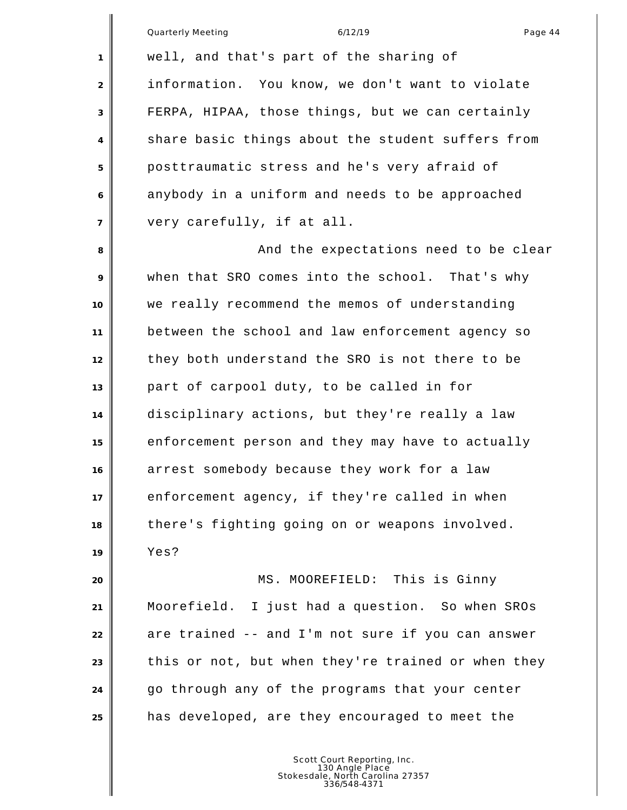|                | 6/12/19<br>Quarterly Meeting<br>Page 44            |
|----------------|----------------------------------------------------|
| 1              | well, and that's part of the sharing of            |
| 2              | information. You know, we don't want to violate    |
| 3              | FERPA, HIPAA, those things, but we can certainly   |
| 4              | share basic things about the student suffers from  |
| 5              | posttraumatic stress and he's very afraid of       |
| 6              | anybody in a uniform and needs to be approached    |
| $\overline{7}$ | very carefully, if at all.                         |
| 8              | And the expectations need to be clear              |
| 9              | when that SRO comes into the school. That's why    |
| 10             | we really recommend the memos of understanding     |
| 11             | between the school and law enforcement agency so   |
| 12             | they both understand the SRO is not there to be    |
| 13             | part of carpool duty, to be called in for          |
| 14             | disciplinary actions, but they're really a law     |
| 15             | enforcement person and they may have to actually   |
| 16             | arrest somebody because they work for a law        |
| 17             | enforcement agency, if they're called in when      |
| 18             | there's fighting going on or weapons involved.     |
| 19             | Yes?                                               |
| 20             | MS. MOOREFIELD: This is Ginny                      |
| 21             | Moorefield. I just had a question. So when SROs    |
| 22             | are trained -- and I'm not sure if you can answer  |
| 23             | this or not, but when they're trained or when they |
| 24             | go through any of the programs that your center    |
| 25             | has developed, are they encouraged to meet the     |
|                |                                                    |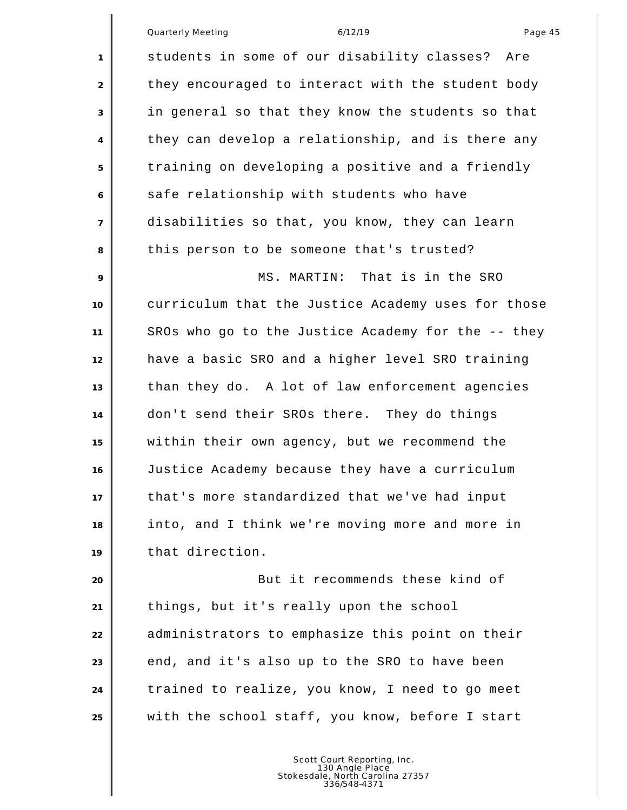students in some of our disability classes? Are 2 they encouraged to interact with the student body in general so that they know the students so that they can develop a relationship, and is there any training on developing a positive and a friendly 6 safe relationship with students who have disabilities so that, you know, they can learn this person to be someone that's trusted? MS. MARTIN: That is in the SRO curriculum that the Justice Academy uses for those SROs who go to the Justice Academy for the -- they have a basic SRO and a higher level SRO training than they do. A lot of law enforcement agencies don't send their SROs there. They do things within their own agency, but we recommend the Justice Academy because they have a curriculum that's more standardized that we've had input into, and I think we're moving more and more in that direction. But it recommends these kind of things, but it's really upon the school administrators to emphasize this point on their end, and it's also up to the SRO to have been

with the school staff, you know, before I start

Scott Court Reporting, Inc. 130 Angle Place Stokesdale, North Carolina 27357 336/548-4371

trained to realize, you know, I need to go meet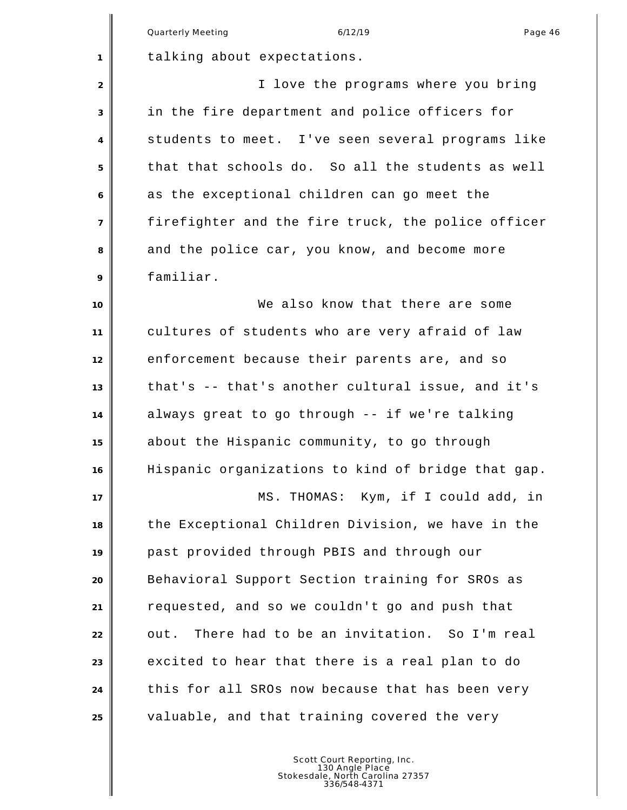|                | Quarterly Meeting<br>6/12/19<br>Page 46            |
|----------------|----------------------------------------------------|
| 1              | talking about expectations.                        |
| 2              | I love the programs where you bring                |
| 3              | in the fire department and police officers for     |
| 4              | students to meet. I've seen several programs like  |
| 5              | that that schools do. So all the students as well  |
| 6              | as the exceptional children can go meet the        |
| $\overline{7}$ | firefighter and the fire truck, the police officer |
| 8              | and the police car, you know, and become more      |
| 9              | familiar.                                          |
| 10             | We also know that there are some                   |
| 11             | cultures of students who are very afraid of law    |
| 12             | enforcement because their parents are, and so      |
| 13             | that's -- that's another cultural issue, and it's  |
| 14             | always great to go through -- if we're talking     |
| 15             | about the Hispanic community, to go through        |
| 16             | Hispanic organizations to kind of bridge that gap. |
| 17             | MS. THOMAS: Kym, if I could add, in                |
| 18             | the Exceptional Children Division, we have in the  |
| 19             | past provided through PBIS and through our         |
| 20             | Behavioral Support Section training for SROs as    |
| 21             | requested, and so we couldn't go and push that     |
| 22             | There had to be an invitation. So I'm real<br>out. |
| 23             | excited to hear that there is a real plan to do    |
| 24             | this for all SROs now because that has been very   |
| 25             | valuable, and that training covered the very       |
|                |                                                    |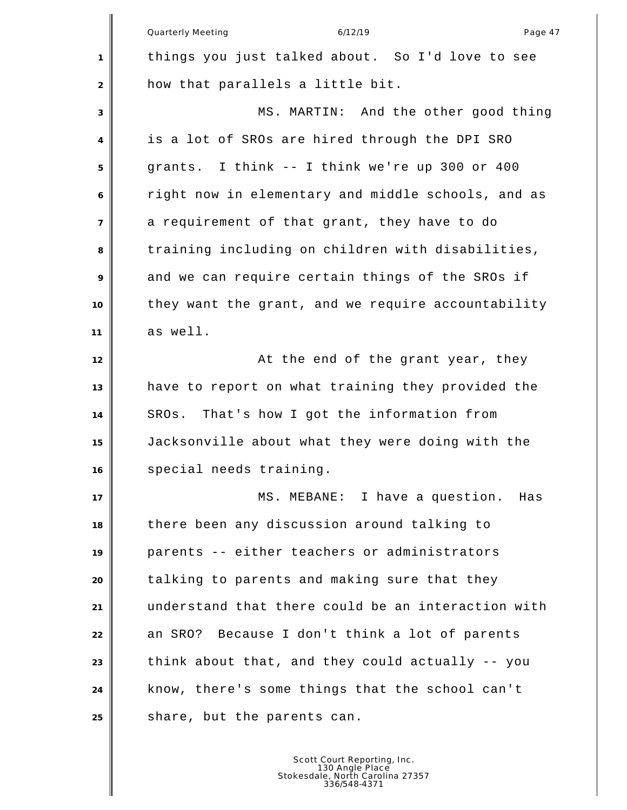|                | 6/12/19<br><b>Quarterly Meeting</b><br>Page 47     |
|----------------|----------------------------------------------------|
| $\mathbf{1}$   | things you just talked about. So I'd love to see   |
| 2              | how that parallels a little bit.                   |
| 3              | MS. MARTIN: And the other good thing               |
| 4              | is a lot of SROs are hired through the DPI SRO     |
| 5              | grants. I think -- I think we're up 300 or 400     |
| 6              | right now in elementary and middle schools, and as |
| $\overline{7}$ | a requirement of that grant, they have to do       |
| 8              | training including on children with disabilities,  |
| 9              | and we can require certain things of the SROs if   |
| 10             | they want the grant, and we require accountability |
| 11             | as well.                                           |
| 12             | At the end of the grant year, they                 |
| 13             | have to report on what training they provided the  |
| 14             | SROs. That's how I got the information from        |
| 15             | Jacksonville about what they were doing with the   |
| 16             | special needs training.                            |
| 17             | MS. MEBANE: I have a question.<br>Has              |
| 18             | there been any discussion around talking to        |
| 19             | parents -- either teachers or administrators       |
| 20             | talking to parents and making sure that they       |
| 21             | understand that there could be an interaction with |
| 22             | an SRO? Because I don't think a lot of parents     |
| 23             | think about that, and they could actually -- you   |
| 24             | know, there's some things that the school can't    |
| 25             | share, but the parents can.                        |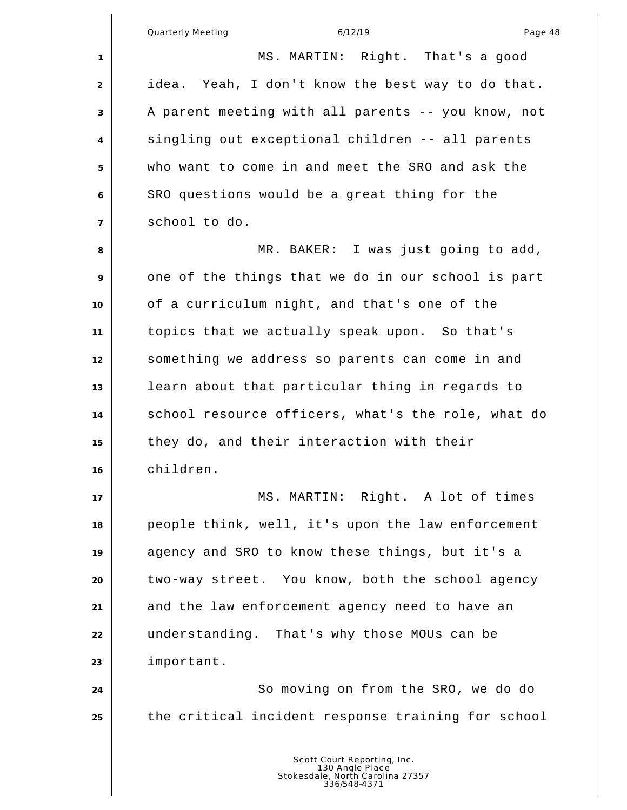| 1              | MS. MARTIN: Right. That's a good                   |
|----------------|----------------------------------------------------|
| $\overline{2}$ | idea. Yeah, I don't know the best way to do that.  |
| 3              | A parent meeting with all parents -- you know, not |
| 4              | singling out exceptional children -- all parents   |
| 5              | who want to come in and meet the SRO and ask the   |
| 6              | SRO questions would be a great thing for the       |
| $\overline{7}$ | school to do.                                      |
| 8              | MR. BAKER: I was just going to add,                |
| 9              | one of the things that we do in our school is part |
| 10             | of a curriculum night, and that's one of the       |
| 11             | topics that we actually speak upon. So that's      |
| 12             | something we address so parents can come in and    |
| 13             | learn about that particular thing in regards to    |
| 14             | school resource officers, what's the role, what do |
| 15             | they do, and their interaction with their          |
| 16             | children.                                          |
| 17             | MS <sub>1</sub><br>MARTIN: Right. A lot of times   |
| 18             | people think, well, it's upon the law enforcement  |
| 19             | agency and SRO to know these things, but it's a    |
| 20             | two-way street. You know, both the school agency   |
| 21             | and the law enforcement agency need to have an     |
| 22             | understanding. That's why those MOUs can be        |
| 23             | important.                                         |
| 24             | So moving on from the SRO, we do do                |
| 25             | the critical incident response training for school |
|                |                                                    |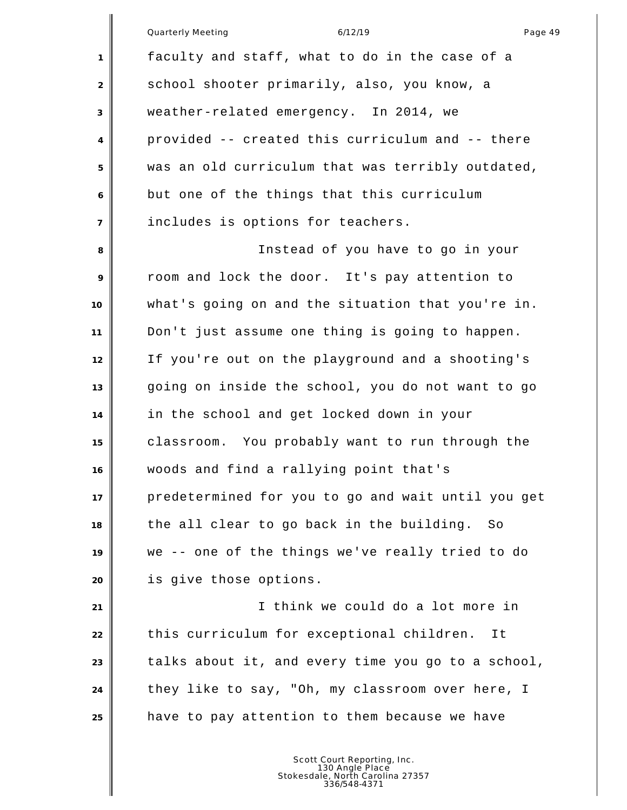Quarterly Meeting and the control of the 6/12/19 control of the control of the Page 49 faculty and staff, what to do in the case of a 2 school shooter primarily, also, you know, a weather-related emergency. In 2014, we provided -- created this curriculum and -- there was an old curriculum that was terribly outdated, but one of the things that this curriculum includes is options for teachers. Instead of you have to go in your room and lock the door. It's pay attention to what's going on and the situation that you're in. Don't just assume one thing is going to happen. If you're out on the playground and a shooting's going on inside the school, you do not want to go in the school and get locked down in your classroom. You probably want to run through the woods and find a rallying point that's predetermined for you to go and wait until you get the all clear to go back in the building. So we -- one of the things we've really tried to do is give those options. I think we could do a lot more in

 this curriculum for exceptional children. It talks about it, and every time you go to a school, they like to say, "Oh, my classroom over here, I have to pay attention to them because we have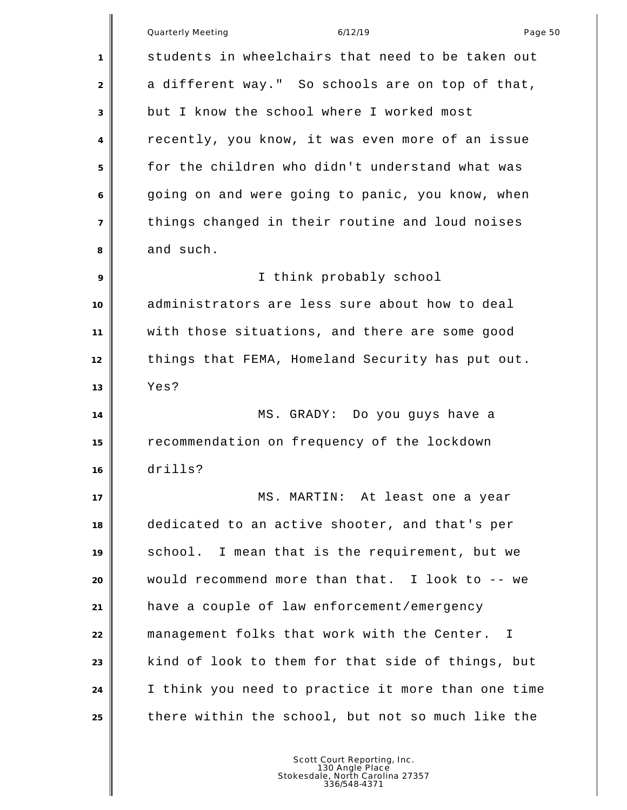|                | Quarterly Meeting<br>6/12/19<br>Page 50            |
|----------------|----------------------------------------------------|
| 1              | students in wheelchairs that need to be taken out  |
| 2              | a different way." So schools are on top of that,   |
| 3              | but I know the school where I worked most          |
| 4              | recently, you know, it was even more of an issue   |
| 5              | for the children who didn't understand what was    |
| 6              | going on and were going to panic, you know, when   |
| $\overline{7}$ | things changed in their routine and loud noises    |
| 8              | and such.                                          |
| 9              | I think probably school                            |
| 10             | administrators are less sure about how to deal     |
| 11             | with those situations, and there are some good     |
| 12             | things that FEMA, Homeland Security has put out.   |
| 13             | Yes?                                               |
| 14             | MS. GRADY: Do you guys have a                      |
| 15             | recommendation on frequency of the lockdown        |
| 16             | drills?                                            |
| 17             | MS. MARTIN: At least one a year                    |
| 18             | dedicated to an active shooter, and that's per     |
| 19             | school. I mean that is the requirement, but we     |
| 20             | would recommend more than that. I look to -- we    |
| 21             | have a couple of law enforcement/emergency         |
| 22             | management folks that work with the Center. I      |
| 23             | kind of look to them for that side of things, but  |
| 24             | I think you need to practice it more than one time |
| 25             | there within the school, but not so much like the  |
|                |                                                    |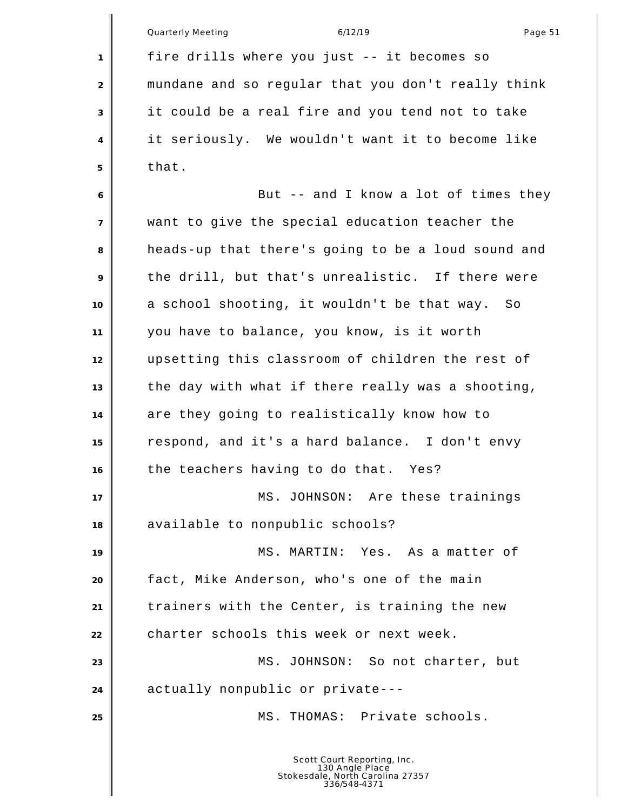|                | <b>Quarterly Meeting</b><br>6/12/19<br>Page 51     |
|----------------|----------------------------------------------------|
| $\mathbf{1}$   | fire drills where you just -- it becomes so        |
| 2              | mundane and so regular that you don't really think |
| 3              | it could be a real fire and you tend not to take   |
| 4              | it seriously. We wouldn't want it to become like   |
| 5              | that.                                              |
| 6              | But -- and I know a lot of times they              |
| $\overline{7}$ | want to give the special education teacher the     |
| 8              | heads-up that there's going to be a loud sound and |
| 9              | the drill, but that's unrealistic. If there were   |
| 10             | a school shooting, it wouldn't be that way.<br>So  |
| 11             | you have to balance, you know, is it worth         |
| 12             | upsetting this classroom of children the rest of   |
| 13             | the day with what if there really was a shooting,  |
| 14             | are they going to realistically know how to        |
| 15             | respond, and it's a hard balance. I don't envy     |
| 16             | the teachers having to do that. Yes?               |
| 17             | MS. JOHNSON: Are these trainings                   |
| 18             | available to nonpublic schools?                    |
| 19             | MS. MARTIN:<br>Yes. As a matter of                 |
| 20             | fact, Mike Anderson, who's one of the main         |
| 21             | trainers with the Center, is training the new      |
| 22             | charter schools this week or next week.            |
| 23             | MS. JOHNSON: So not charter, but                   |
| 24             | actually nonpublic or private---                   |
| 25             | MS. THOMAS: Private schools.                       |
|                | Scott Court Reporting, Inc.                        |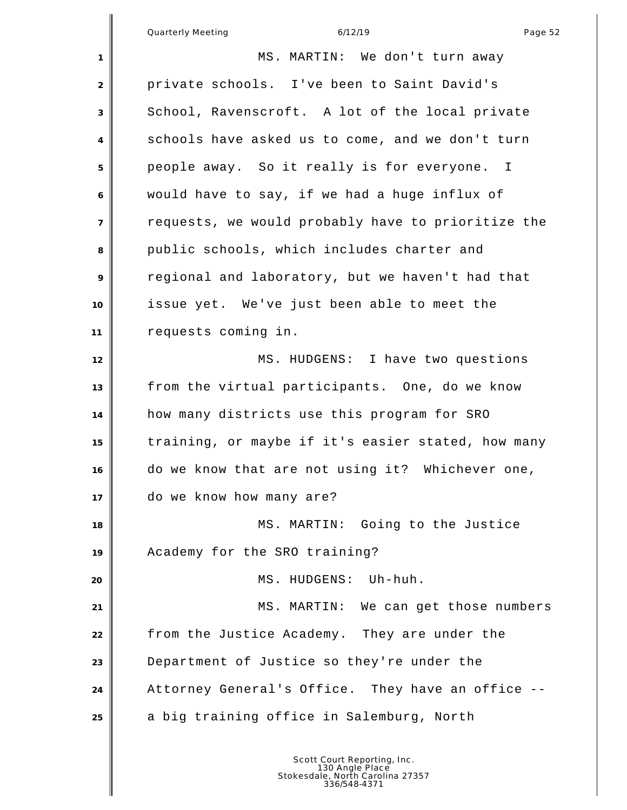|                | Page 52<br>Quarterly Meeting<br>6/12/19            |
|----------------|----------------------------------------------------|
| 1              | MS. MARTIN: We don't turn away                     |
| 2              | private schools. I've been to Saint David's        |
| 3              | School, Ravenscroft. A lot of the local private    |
| $\overline{4}$ | schools have asked us to come, and we don't turn   |
| 5              | people away. So it really is for everyone. I       |
| 6              | would have to say, if we had a huge influx of      |
| $\overline{7}$ | requests, we would probably have to prioritize the |
| 8              | public schools, which includes charter and         |
| 9              | regional and laboratory, but we haven't had that   |
| 10             | issue yet. We've just been able to meet the        |
| 11             | requests coming in.                                |
| 12             | MS. HUDGENS: I have two questions                  |

 from the virtual participants. One, do we know how many districts use this program for SRO training, or maybe if it's easier stated, how many do we know that are not using it? Whichever one, do we know how many are? 18 || MS. MARTIN: Going to the Justice Academy for the SRO training? **MS. HUDGENS:** Uh-huh. 21 | MS. MARTIN: We can get those numbers

 from the Justice Academy. They are under the Department of Justice so they're under the Attorney General's Office. They have an office -- a big training office in Salemburg, North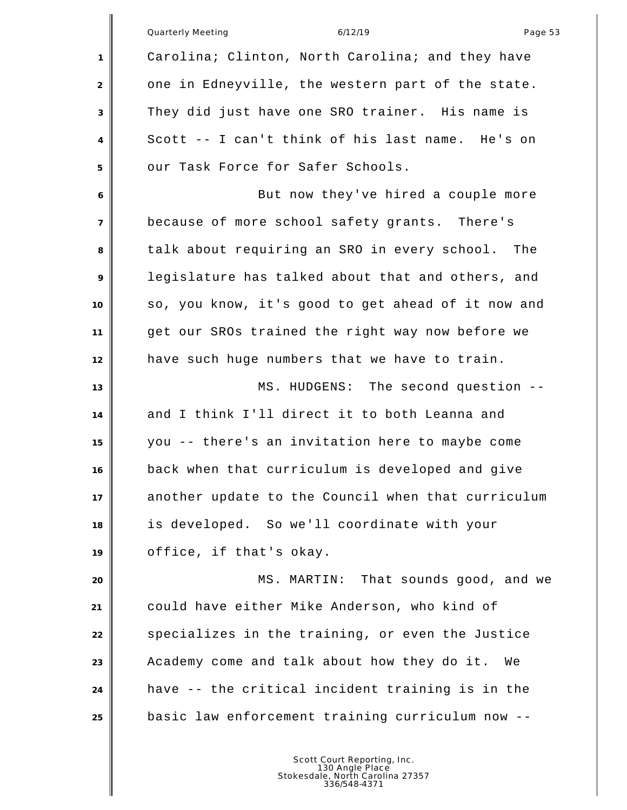|                | Quarterly Meeting<br>6/12/19<br>Page 53            |
|----------------|----------------------------------------------------|
| 1              | Carolina; Clinton, North Carolina; and they have   |
| 2              | one in Edneyville, the western part of the state.  |
| 3              | They did just have one SRO trainer. His name is    |
| 4              | Scott -- I can't think of his last name. He's on   |
| 5              | our Task Force for Safer Schools.                  |
| 6              | But now they've hired a couple more                |
| $\overline{7}$ | because of more school safety grants. There's      |
| 8              | talk about requiring an SRO in every school. The   |
| 9              | legislature has talked about that and others, and  |
| 10             | so, you know, it's good to get ahead of it now and |
| 11             | get our SROs trained the right way now before we   |
| 12             | have such huge numbers that we have to train.      |
| 13             | MS. HUDGENS: The second question --                |
| 14             | and I think I'll direct it to both Leanna and      |
| 15             | you -- there's an invitation here to maybe come    |
| 16             | back when that curriculum is developed and give    |
| 17             | another update to the Council when that curriculum |
| 18             | is developed. So we'll coordinate with your        |
| 19             | office, if that's okay.                            |
| 20             | MS. MARTIN: That sounds good, and we               |
| 21             | could have either Mike Anderson, who kind of       |
| 22             | specializes in the training, or even the Justice   |
| 23             | Academy come and talk about how they do it.<br>We  |
| 24             | have -- the critical incident training is in the   |
| 25             | basic law enforcement training curriculum now --   |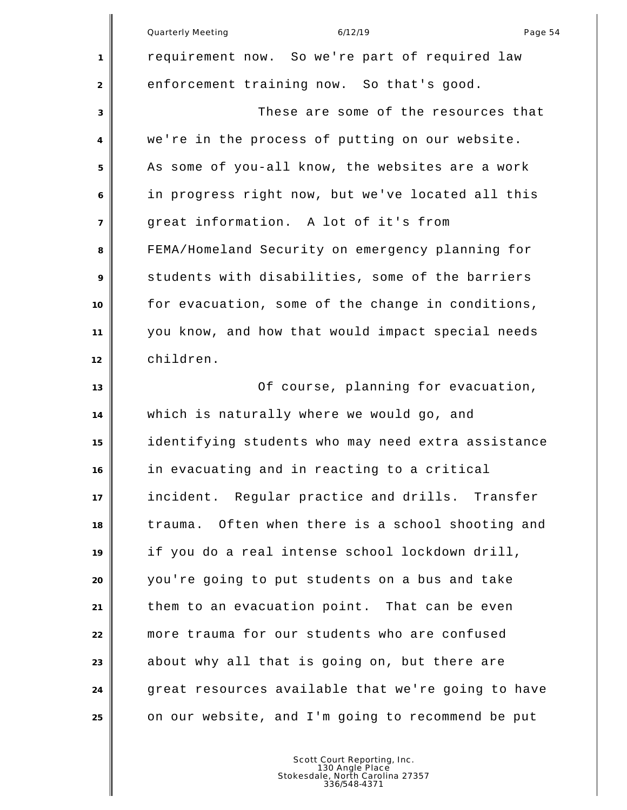|                | Quarterly Meeting<br>Page 54<br>6/12/19            |
|----------------|----------------------------------------------------|
| 1              | requirement now. So we're part of required law     |
| 2              | enforcement training now. So that's good.          |
| 3              | These are some of the resources that               |
| 4              | we're in the process of putting on our website.    |
| 5              | As some of you-all know, the websites are a work   |
| 6              | in progress right now, but we've located all this  |
| $\overline{7}$ | great information. A lot of it's from              |
| 8              | FEMA/Homeland Security on emergency planning for   |
| 9              | students with disabilities, some of the barriers   |
| 10             | for evacuation, some of the change in conditions,  |
| 11             | you know, and how that would impact special needs  |
| 12             | children.                                          |
| 13             | Of course, planning for evacuation,                |
| 14             | which is naturally where we would go, and          |
| 15             | identifying students who may need extra assistance |
| 16             | in evacuating and in reacting to a critical        |
| 17             | incident. Regular practice and drills. Transfer    |
| 18             | trauma. Often when there is a school shooting and  |
| 19             | if you do a real intense school lockdown drill,    |
| 20             | you're going to put students on a bus and take     |
| 21             | them to an evacuation point. That can be even      |
| 22             | more trauma for our students who are confused      |
| 23             | about why all that is going on, but there are      |
| 24             | great resources available that we're going to have |
| 25             | on our website, and I'm going to recommend be put  |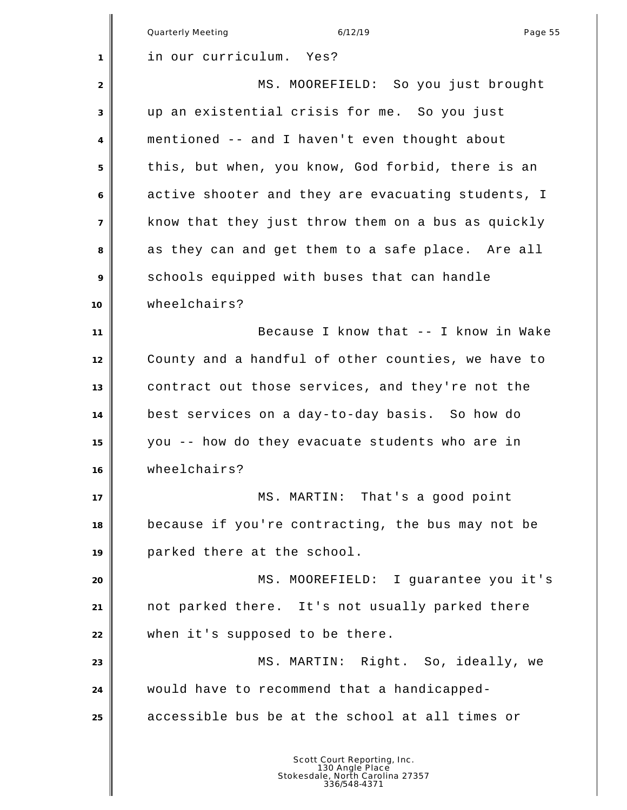|                | 6/12/19<br>Quarterly Meeting<br>Page 55            |
|----------------|----------------------------------------------------|
| 1              | in our curriculum. Yes?                            |
| 2              | MS. MOOREFIELD: So you just brought                |
| 3              | up an existential crisis for me. So you just       |
| 4              | mentioned -- and I haven't even thought about      |
| 5              | this, but when, you know, God forbid, there is an  |
| 6              | active shooter and they are evacuating students, I |
| $\overline{7}$ | know that they just throw them on a bus as quickly |
| 8              | as they can and get them to a safe place. Are all  |
| 9              | schools equipped with buses that can handle        |
| 10             | wheelchairs?                                       |
| 11             | Because I know that -- I know in Wake              |
| 12             | County and a handful of other counties, we have to |
| 13             | contract out those services, and they're not the   |
| 14             | best services on a day-to-day basis. So how do     |
| 15             | you -- how do they evacuate students who are in    |
| 16             | wheelchairs?                                       |
| 17             | MS. MARTIN: That's a good point                    |
| 18             | because if you're contracting, the bus may not be  |
| 19             | parked there at the school.                        |
| 20             | MS. MOOREFIELD: I guarantee you it's               |
| 21             | not parked there. It's not usually parked there    |
| 22             | when it's supposed to be there.                    |
| 23             | MS. MARTIN: Right. So, ideally, we                 |
| 24             | would have to recommend that a handicapped-        |
| 25             | accessible bus be at the school at all times or    |
|                |                                                    |
|                |                                                    |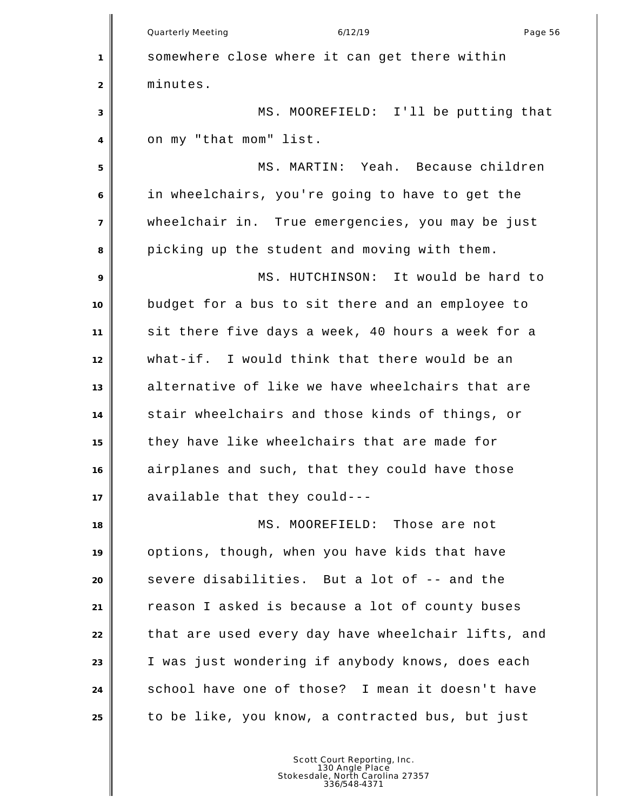|                | Page 56<br><b>Quarterly Meeting</b><br>6/12/19     |
|----------------|----------------------------------------------------|
| 1              | somewhere close where it can get there within      |
| 2              | minutes.                                           |
| 3              | MS. MOOREFIELD: I'll be putting that               |
| $\overline{4}$ | on my "that mom" list.                             |
| 5              | MS. MARTIN: Yeah. Because children                 |
| 6              | in wheelchairs, you're going to have to get the    |
| $\overline{7}$ | wheelchair in. True emergencies, you may be just   |
| 8              | picking up the student and moving with them.       |
| 9              | MS. HUTCHINSON: It would be hard to                |
| 10             | budget for a bus to sit there and an employee to   |
| 11             | sit there five days a week, 40 hours a week for a  |
| 12             | what-if. I would think that there would be an      |
| 13             | alternative of like we have wheelchairs that are   |
| 14             | stair wheelchairs and those kinds of things, or    |
| 15             | they have like wheelchairs that are made for       |
| 16             | airplanes and such, that they could have those     |
| 17             | available that they could---                       |
| 18             | MS. MOOREFIELD: Those are not                      |
| 19             | options, though, when you have kids that have      |
| 20             | severe disabilities. But a lot of -- and the       |
| 21             | reason I asked is because a lot of county buses    |
| 22             | that are used every day have wheelchair lifts, and |
| 23             | I was just wondering if anybody knows, does each   |
| 24             | school have one of those? I mean it doesn't have   |
| 25             | to be like, you know, a contracted bus, but just   |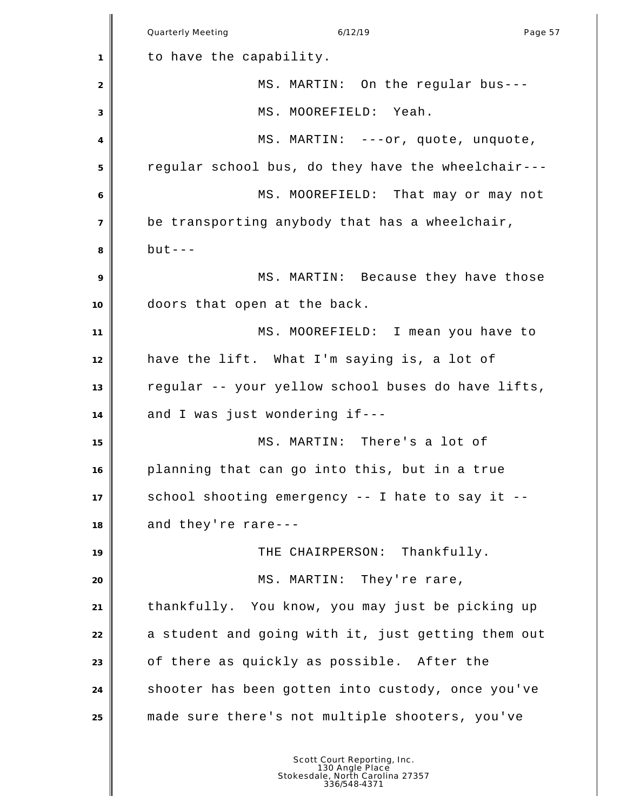|                | <b>Quarterly Meeting</b><br>6/12/19<br>Page 57     |
|----------------|----------------------------------------------------|
| 1              | to have the capability.                            |
| 2              | MS. MARTIN: On the regular bus---                  |
| 3              | MS. MOOREFIELD: Yeah.                              |
| 4              | MS. MARTIN: ---or, quote, unquote,                 |
| 5              | regular school bus, do they have the wheelchair--- |
| 6              | MS. MOOREFIELD: That may or may not                |
| $\overline{7}$ | be transporting anybody that has a wheelchair,     |
| 8              | $but --$                                           |
| 9              | MS. MARTIN: Because they have those                |
| 10             | doors that open at the back.                       |
| 11             | MS. MOOREFIELD: I mean you have to                 |
| 12             | have the lift. What I'm saying is, a lot of        |
| 13             | regular -- your yellow school buses do have lifts, |
| 14             | and I was just wondering if---                     |
| 15             | MS. MARTIN: There's a lot of                       |
| 16             | planning that can go into this, but in a true      |
| 17             | school shooting emergency -- I hate to say it --   |
| 18             | and they're rare---                                |
| 19             | THE CHAIRPERSON: Thankfully.                       |
| 20             | MS. MARTIN: They're rare,                          |
| 21             | thankfully. You know, you may just be picking up   |
| 22             | a student and going with it, just getting them out |
| 23             | of there as quickly as possible. After the         |
| 24             | shooter has been gotten into custody, once you've  |
| 25             | made sure there's not multiple shooters, you've    |
|                |                                                    |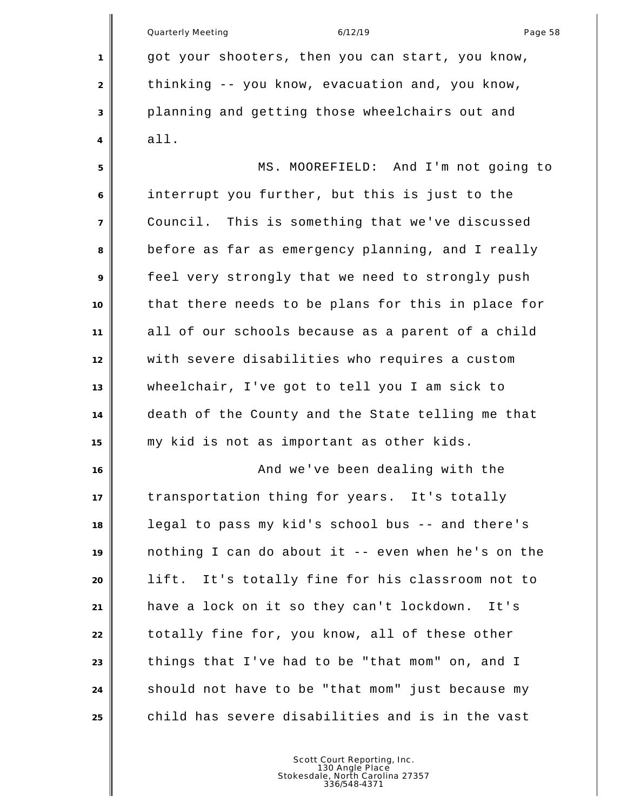Quarterly Meeting and the control of the 6/12/19 control of the control of the Page 58 got your shooters, then you can start, you know, thinking -- you know, evacuation and, you know, planning and getting those wheelchairs out and all. MS. MOOREFIELD: And I'm not going to interrupt you further, but this is just to the Council. This is something that we've discussed before as far as emergency planning, and I really feel very strongly that we need to strongly push that there needs to be plans for this in place for all of our schools because as a parent of a child with severe disabilities who requires a custom wheelchair, I've got to tell you I am sick to death of the County and the State telling me that my kid is not as important as other kids. 16 and we've been dealing with the transportation thing for years. It's totally legal to pass my kid's school bus -- and there's nothing I can do about it -- even when he's on the lift. It's totally fine for his classroom not to have a lock on it so they can't lockdown. It's totally fine for, you know, all of these other things that I've had to be "that mom" on, and I should not have to be "that mom" just because my child has severe disabilities and is in the vast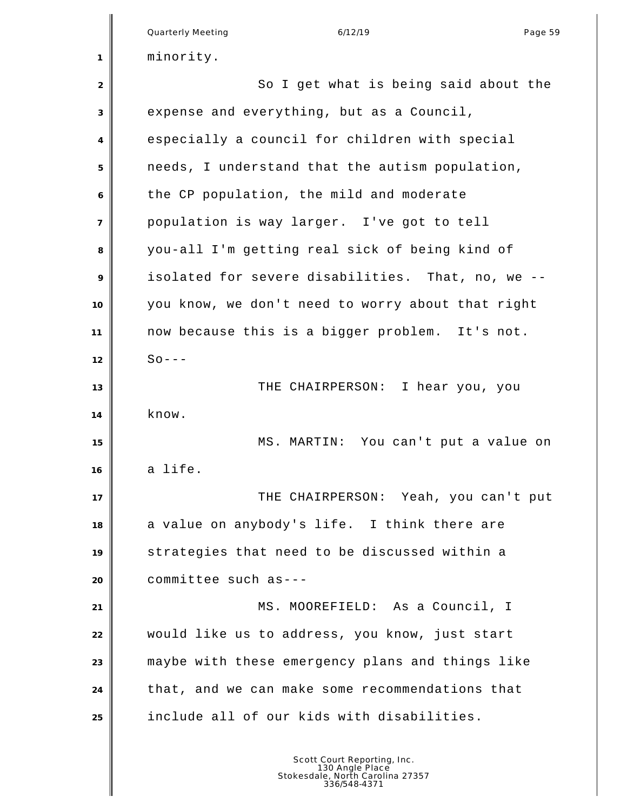|                | 6/12/19<br>Quarterly Meeting<br>Page 59           |
|----------------|---------------------------------------------------|
| 1              | minority.                                         |
| 2              | So I get what is being said about the             |
| 3              | expense and everything, but as a Council,         |
| 4              | especially a council for children with special    |
| 5              | needs, I understand that the autism population,   |
| 6              | the CP population, the mild and moderate          |
| $\overline{7}$ | population is way larger. I've got to tell        |
| 8              | you-all I'm getting real sick of being kind of    |
| 9              | isolated for severe disabilities. That, no, we -- |
| 10             | you know, we don't need to worry about that right |
| 11             | now because this is a bigger problem. It's not.   |
| 12             | $So -- -$                                         |
| 13             | THE CHAIRPERSON: I hear you, you                  |
| 14             | know.                                             |
| 15             | MS. MARTIN: You can't put a value on              |
| 16             | a life.                                           |
| 17             | THE CHAIRPERSON: Yeah, you can't put              |
| 18             | a value on anybody's life. I think there are      |
| 19             | strategies that need to be discussed within a     |
| 20             | committee such as---                              |
| 21             | MS. MOOREFIELD: As a Council, I                   |
| 22             | would like us to address, you know, just start    |
| 23             | maybe with these emergency plans and things like  |
| 24             | that, and we can make some recommendations that   |
| 25             | include all of our kids with disabilities.        |
|                |                                                   |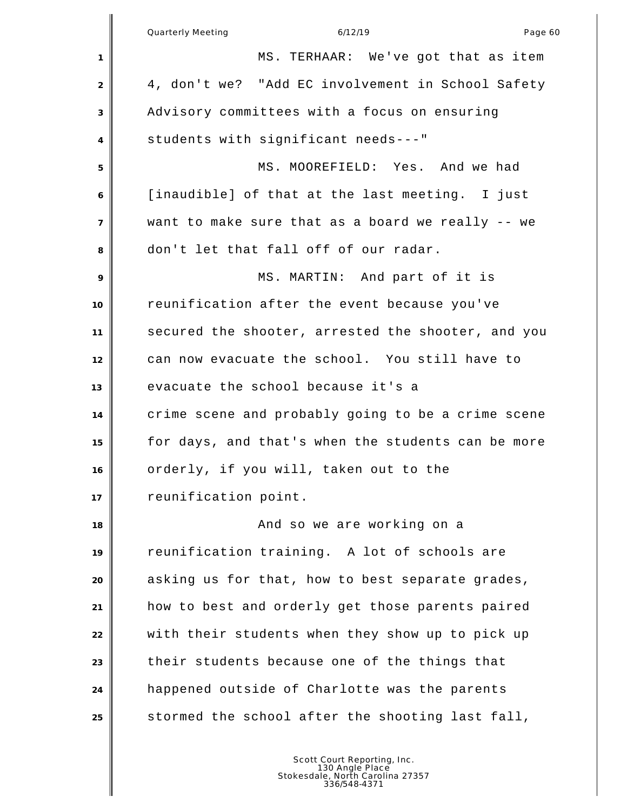|                | Quarterly Meeting<br>Page 60<br>6/12/19            |
|----------------|----------------------------------------------------|
| 1              | MS. TERHAAR: We've got that as item                |
| $\sqrt{2}$     | 4, don't we? "Add EC involvement in School Safety  |
| 3              | Advisory committees with a focus on ensuring       |
| 4              | students with significant needs---"                |
| 5              | MS. MOOREFIELD: Yes. And we had                    |
| 6              | [inaudible] of that at the last meeting. I just    |
| $\overline{7}$ | want to make sure that as a board we really -- we  |
| 8              | don't let that fall off of our radar.              |
| 9              | MS. MARTIN: And part of it is                      |
| 10             | reunification after the event because you've       |
| 11             | secured the shooter, arrested the shooter, and you |
| 12             | can now evacuate the school. You still have to     |
| 13             | evacuate the school because it's a                 |
| 14             | crime scene and probably going to be a crime scene |
| 15             | for days, and that's when the students can be more |
| 16             | orderly, if you will, taken out to the             |
| 17             | reunification point.                               |
| 18             | And so we are working on a                         |
| 19             | reunification training. A lot of schools are       |
| 20             | asking us for that, how to best separate grades,   |
| 21             | how to best and orderly get those parents paired   |
| 22             | with their students when they show up to pick up   |
| 23             | their students because one of the things that      |
| 24             | happened outside of Charlotte was the parents      |
| 25             | stormed the school after the shooting last fall,   |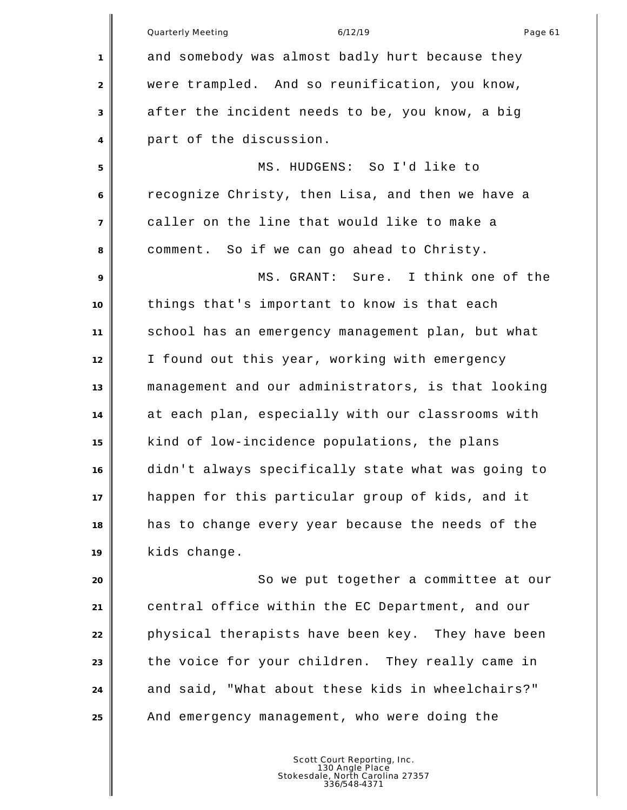Quarterly Meeting and the control of the 6/12/19 control of the control of the Page 61 and somebody was almost badly hurt because they were trampled. And so reunification, you know, after the incident needs to be, you know, a big part of the discussion. MS. HUDGENS: So I'd like to recognize Christy, then Lisa, and then we have a caller on the line that would like to make a comment. So if we can go ahead to Christy. MS. GRANT: Sure. I think one of the things that's important to know is that each school has an emergency management plan, but what I found out this year, working with emergency management and our administrators, is that looking at each plan, especially with our classrooms with kind of low-incidence populations, the plans didn't always specifically state what was going to happen for this particular group of kids, and it has to change every year because the needs of the kids change. **So we put together a committee at our**  central office within the EC Department, and our physical therapists have been key. They have been the voice for your children. They really came in 24 and said, "What about these kids in wheelchairs?"

And emergency management, who were doing the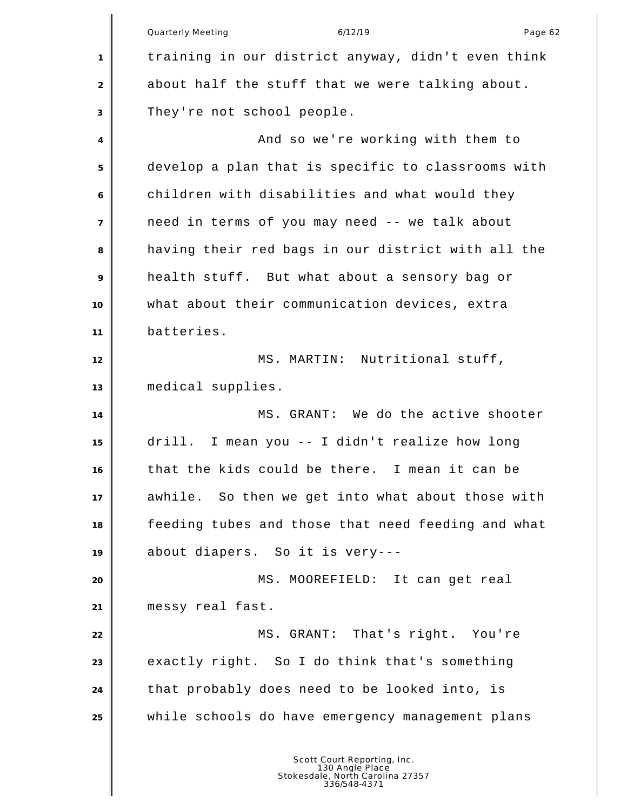|                | Quarterly Meeting<br>6/12/19<br>Page 62                                                            |
|----------------|----------------------------------------------------------------------------------------------------|
| 1              | training in our district anyway, didn't even think                                                 |
| 2              | about half the stuff that we were talking about.                                                   |
| 3              | They're not school people.                                                                         |
| $\overline{4}$ | And so we're working with them to                                                                  |
| 5              | develop a plan that is specific to classrooms with                                                 |
| 6              | children with disabilities and what would they                                                     |
| $\overline{7}$ | need in terms of you may need -- we talk about                                                     |
| 8              | having their red bags in our district with all the                                                 |
| 9              | health stuff. But what about a sensory bag or                                                      |
| 10             | what about their communication devices, extra                                                      |
| 11             | batteries.                                                                                         |
| 12             | MS. MARTIN: Nutritional stuff,                                                                     |
| 13             | medical supplies.                                                                                  |
| 14             | MS. GRANT: We do the active shooter                                                                |
| 15             | drill. I mean you -- I didn't realize how long                                                     |
| 16             | that the kids could be there. I mean it can be                                                     |
| 17             | awhile. So then we get into what about those with                                                  |
| 18             | feeding tubes and those that need feeding and what                                                 |
| 19             | about diapers. So it is very---                                                                    |
| 20             | MS. MOOREFIELD: It can get real                                                                    |
| 21             | messy real fast.                                                                                   |
| 22             | MS. GRANT: That's right. You're                                                                    |
| 23             | exactly right. So I do think that's something                                                      |
| 24             | that probably does need to be looked into, is                                                      |
| 25             | while schools do have emergency management plans                                                   |
|                | Scott Court Reporting, Inc.<br>130 Angle Place<br>Stokesdale, North Carolina 27357<br>336/548-4371 |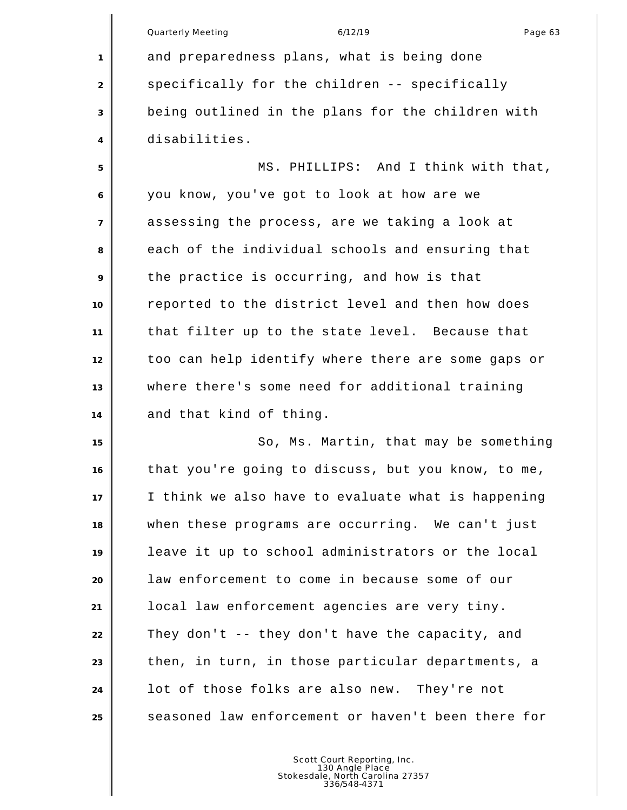|                | Quarterly Meeting<br>6/12/19<br>Page 63            |
|----------------|----------------------------------------------------|
| 1              | and preparedness plans, what is being done         |
| 2              | specifically for the children -- specifically      |
| 3              | being outlined in the plans for the children with  |
| 4              | disabilities.                                      |
| 5              | MS. PHILLIPS: And I think with that,               |
| 6              | you know, you've got to look at how are we         |
| $\overline{7}$ | assessing the process, are we taking a look at     |
| 8              | each of the individual schools and ensuring that   |
| 9              | the practice is occurring, and how is that         |
| 10             | reported to the district level and then how does   |
| 11             | that filter up to the state level. Because that    |
| 12             | too can help identify where there are some gaps or |
| 13             | where there's some need for additional training    |
| 14             | and that kind of thing.                            |
| 15             | So, Ms. Martin, that may be something              |
| 16             | that you're going to discuss, but you know, to me, |
| 17             | I think we also have to evaluate what is happening |
| 18             | when these programs are occurring. We can't just   |
| 19             | leave it up to school administrators or the local  |
| 20             | law enforcement to come in because some of our     |
| 21             | local law enforcement agencies are very tiny.      |
| 22             | They don't -- they don't have the capacity, and    |
| 23             | then, in turn, in those particular departments, a  |
| 24             | lot of those folks are also new. They're not       |
| 25             | seasoned law enforcement or haven't been there for |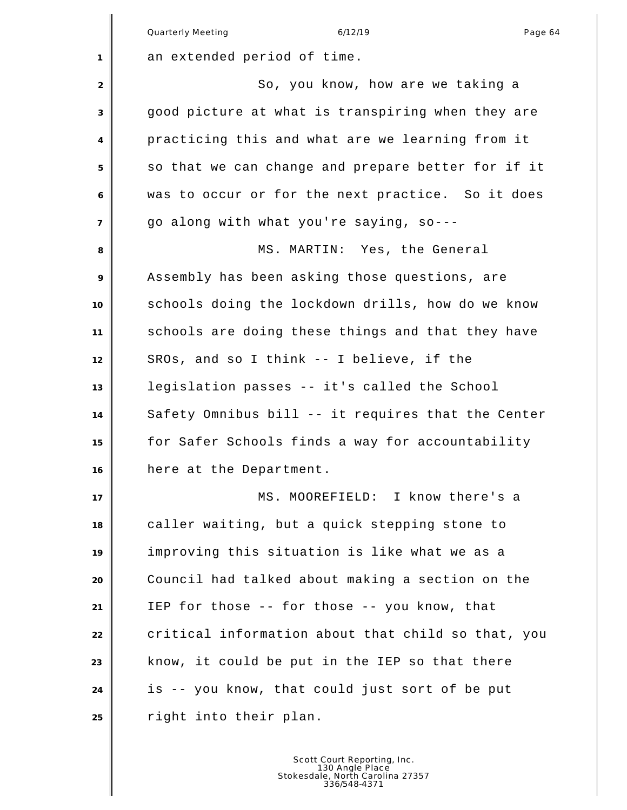|                | <b>Quarterly Meeting</b><br>6/12/19<br>Page 64     |
|----------------|----------------------------------------------------|
| 1              | an extended period of time.                        |
| 2              | So, you know, how are we taking a                  |
| 3              | good picture at what is transpiring when they are  |
| 4              | practicing this and what are we learning from it   |
| 5              | so that we can change and prepare better for if it |
| 6              | was to occur or for the next practice. So it does  |
| $\overline{7}$ | go along with what you're saying, so---            |
| 8              | MS. MARTIN: Yes, the General                       |
| 9              | Assembly has been asking those questions, are      |
| 10             | schools doing the lockdown drills, how do we know  |
| 11             | schools are doing these things and that they have  |
| 12             | SROs, and so I think -- I believe, if the          |
| 13             | legislation passes -- it's called the School       |
| 14             | Safety Omnibus bill -- it requires that the Center |
| 15             | for Safer Schools finds a way for accountability   |
| 16             | here at the Department.                            |
| 17             | MS. MOOREFIELD: I know there's a                   |
| 18             | caller waiting, but a quick stepping stone to      |
| 19             | improving this situation is like what we as a      |
| 20             | Council had talked about making a section on the   |
| 21             | IEP for those -- for those -- you know, that       |
| 22             | critical information about that child so that, you |
| 23             | know, it could be put in the IEP so that there     |
| 24             | is -- you know, that could just sort of be put     |
| 25             | right into their plan.                             |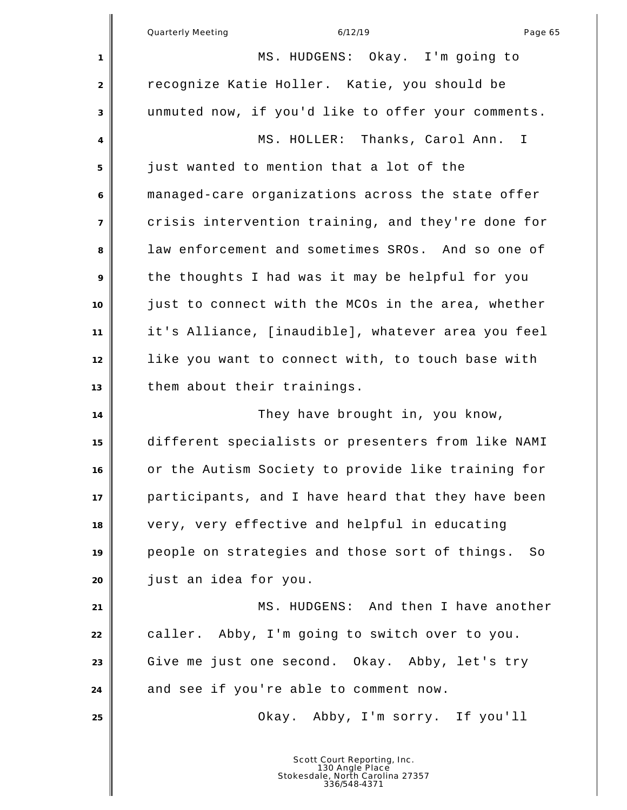Quarterly Meeting and the control of the 6/12/19 control of the control of the Page 65 MS. HUDGENS: Okay. I'm going to recognize Katie Holler. Katie, you should be unmuted now, if you'd like to offer your comments. MS. HOLLER: Thanks, Carol Ann. I just wanted to mention that a lot of the managed-care organizations across the state offer crisis intervention training, and they're done for law enforcement and sometimes SROs. And so one of the thoughts I had was it may be helpful for you just to connect with the MCOs in the area, whether it's Alliance, [inaudible], whatever area you feel like you want to connect with, to touch base with them about their trainings. 14 They have brought in, you know, different specialists or presenters from like NAMI or the Autism Society to provide like training for participants, and I have heard that they have been very, very effective and helpful in educating people on strategies and those sort of things. So just an idea for you. **MS. HUDGENS:** And then I have another **caller.** Abby, I'm going to switch over to you. Give me just one second. Okay. Abby, let's try **and see if you're able to comment now.**  Okay. Abby, I'm sorry. If you'll Scott Court Reporting, Inc. 130 Angle Place Stokesdale, North Carolina 27357 336/548-4371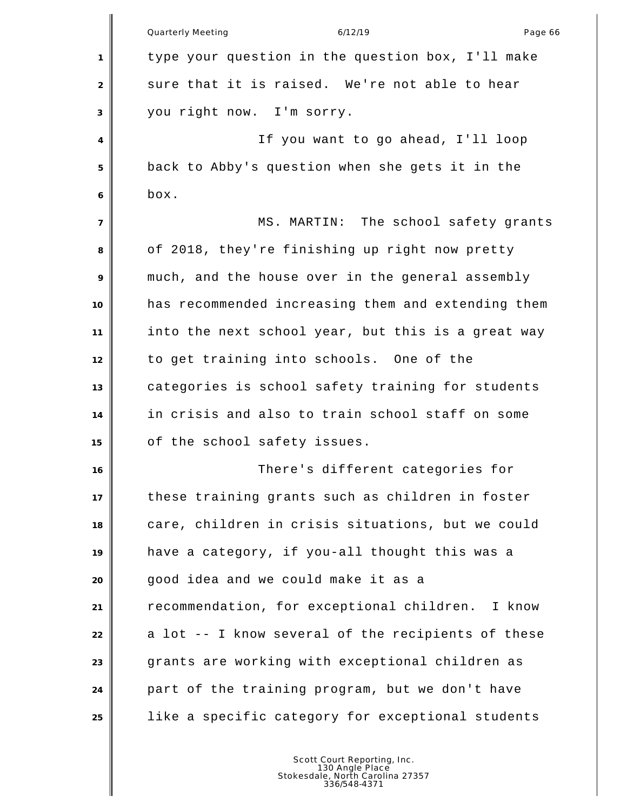|                | 6/12/19<br><b>Quarterly Meeting</b><br>Page 66      |
|----------------|-----------------------------------------------------|
| 1              | type your question in the question box, I'll make   |
| 2              | sure that it is raised. We're not able to hear      |
| 3              | you right now. I'm sorry.                           |
| 4              | If you want to go ahead, I'll loop                  |
| 5              | back to Abby's question when she gets it in the     |
| 6              | box.                                                |
| $\overline{7}$ | MS. MARTIN: The school safety grants                |
| 8              | of 2018, they're finishing up right now pretty      |
| 9              | much, and the house over in the general assembly    |
| 10             | has recommended increasing them and extending them  |
| 11             | into the next school year, but this is a great way  |
| 12             | to get training into schools. One of the            |
| 13             | categories is school safety training for students   |
| 14             | in crisis and also to train school staff on some    |
| 15             | of the school safety issues.                        |
| 16             | There's different categories for                    |
| 17             | these training grants such as children in foster    |
| 18             | care, children in crisis situations, but we could   |
| 19             | have a category, if you-all thought this was a      |
| 20             | good idea and we could make it as a                 |
| 21             | recommendation, for exceptional children.<br>I know |
| 22             | a lot -- I know several of the recipients of these  |
| 23             | grants are working with exceptional children as     |
| 24             | part of the training program, but we don't have     |
| 25             | like a specific category for exceptional students   |
|                |                                                     |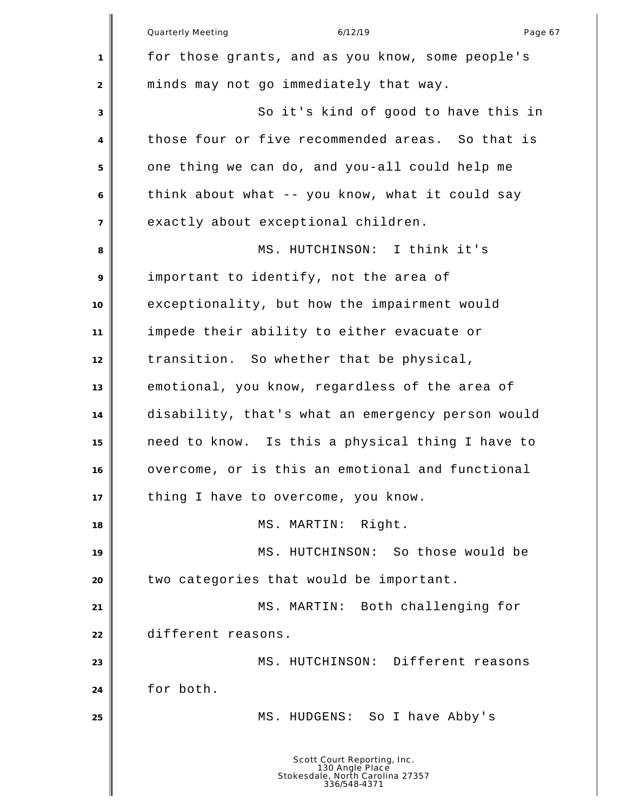|                | <b>Quarterly Meeting</b><br>6/12/19<br>Page 67                                                     |
|----------------|----------------------------------------------------------------------------------------------------|
| 1              | for those grants, and as you know, some people's                                                   |
| 2              | minds may not go immediately that way.                                                             |
| 3              | So it's kind of good to have this in                                                               |
| 4              | those four or five recommended areas. So that is                                                   |
| 5              | one thing we can do, and you-all could help me                                                     |
| 6              | think about what -- you know, what it could say                                                    |
| $\overline{7}$ | exactly about exceptional children.                                                                |
| 8              | MS. HUTCHINSON: I think it's                                                                       |
| 9              | important to identify, not the area of                                                             |
| 10             | exceptionality, but how the impairment would                                                       |
| 11             | impede their ability to either evacuate or                                                         |
| 12             | transition. So whether that be physical,                                                           |
| 13             | emotional, you know, regardless of the area of                                                     |
| 14             | disability, that's what an emergency person would                                                  |
| 15             | need to know. Is this a physical thing I have to                                                   |
| 16             | overcome, or is this an emotional and functional                                                   |
| 17             | thing I have to overcome, you know.                                                                |
| 18             | Right.<br>MS. MARTIN:                                                                              |
| 19             | MS. HUTCHINSON: So those would be                                                                  |
| 20             | two categories that would be important.                                                            |
| 21             | MS. MARTIN: Both challenging for                                                                   |
| 22             | different reasons.                                                                                 |
| 23             | MS. HUTCHINSON: Different reasons                                                                  |
| 24             | for both.                                                                                          |
| 25             | MS. HUDGENS: So I have Abby's                                                                      |
|                | Scott Court Reporting, Inc.<br>130 Angle Place<br>Stokesdale, North Carolina 27357<br>336/548-4371 |

║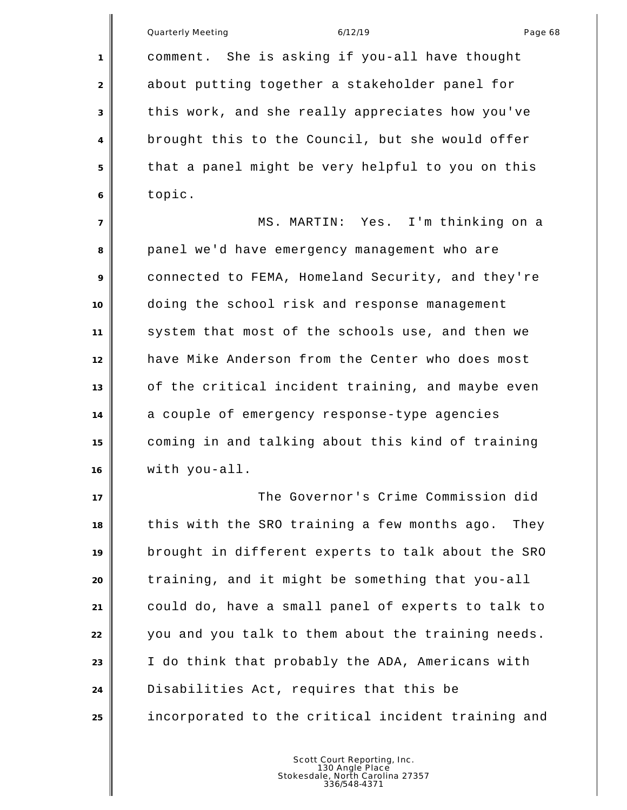Quarterly Meeting and the control of the 6/12/19 control of the control of the Page 68 comment. She is asking if you-all have thought about putting together a stakeholder panel for this work, and she really appreciates how you've brought this to the Council, but she would offer that a panel might be very helpful to you on this topic. MS. MARTIN: Yes. I'm thinking on a panel we'd have emergency management who are connected to FEMA, Homeland Security, and they're doing the school risk and response management system that most of the schools use, and then we have Mike Anderson from the Center who does most of the critical incident training, and maybe even a couple of emergency response-type agencies coming in and talking about this kind of training

with you-all.

 The Governor's Crime Commission did this with the SRO training a few months ago. They brought in different experts to talk about the SRO training, and it might be something that you-all could do, have a small panel of experts to talk to you and you talk to them about the training needs. I do think that probably the ADA, Americans with Disabilities Act, requires that this be incorporated to the critical incident training and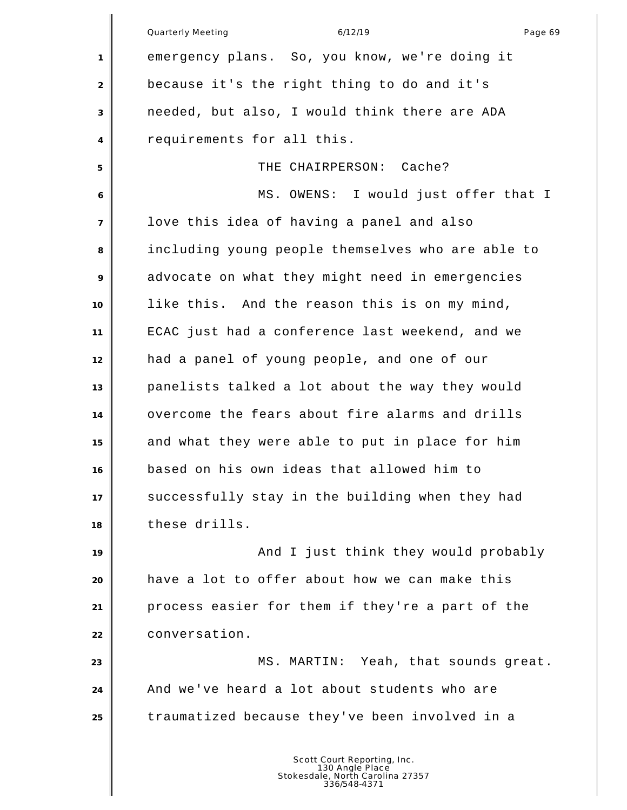Quarterly Meeting and the control of the 6/12/19 control of the control of the Page 69 emergency plans. So, you know, we're doing it because it's the right thing to do and it's needed, but also, I would think there are ADA requirements for all this. THE CHAIRPERSON: Cache? MS. OWENS: I would just offer that I love this idea of having a panel and also including young people themselves who are able to advocate on what they might need in emergencies like this. And the reason this is on my mind, ECAC just had a conference last weekend, and we had a panel of young people, and one of our panelists talked a lot about the way they would overcome the fears about fire alarms and drills and what they were able to put in place for him based on his own ideas that allowed him to successfully stay in the building when they had these drills. **And I** just think they would probably have a lot to offer about how we can make this process easier for them if they're a part of the conversation. **MS. MARTIN:** Yeah, that sounds great. And we've heard a lot about students who are traumatized because they've been involved in a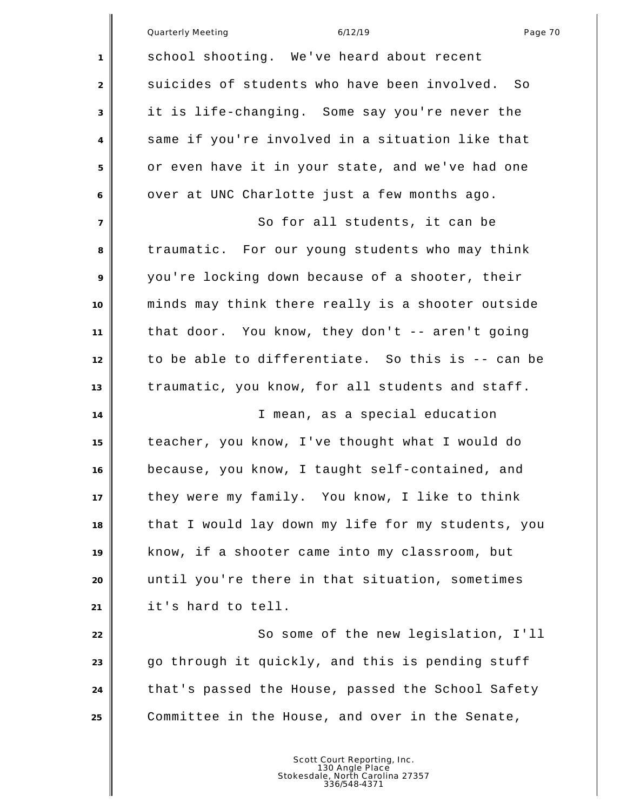|                | Page 70<br><b>Quarterly Meeting</b><br>6/12/19      |
|----------------|-----------------------------------------------------|
| 1              | school shooting. We've heard about recent           |
| 2              | suicides of students who have been involved.<br>So. |
| 3              | it is life-changing. Some say you're never the      |
| 4              | same if you're involved in a situation like that    |
| 5              | or even have it in your state, and we've had one    |
| 6              | over at UNC Charlotte just a few months ago.        |
| $\overline{7}$ | So for all students, it can be                      |
| 8              | traumatic. For our young students who may think     |
| 9              | you're locking down because of a shooter, their     |
| 10             | minds may think there really is a shooter outside   |
| 11             | that door. You know, they don't -- aren't going     |
| 12             | to be able to differentiate. So this is -- can be   |
| 13             | traumatic, you know, for all students and staff.    |
| 14             | I mean, as a special education                      |
| 15             | teacher, you know, I've thought what I would do     |
| 16             | because, you know, I taught self-contained, and     |
| 17             | they were my family. You know, I like to think      |
| 18             | that I would lay down my life for my students, you  |
| 19             | know, if a shooter came into my classroom, but      |
| 20             | until you're there in that situation, sometimes     |
| 21             | it's hard to tell.                                  |
| 22             | So some of the new legislation, I'll                |
| 23             | go through it quickly, and this is pending stuff    |
| 24             | that's passed the House, passed the School Safety   |
| 25             | Committee in the House, and over in the Senate,     |
|                |                                                     |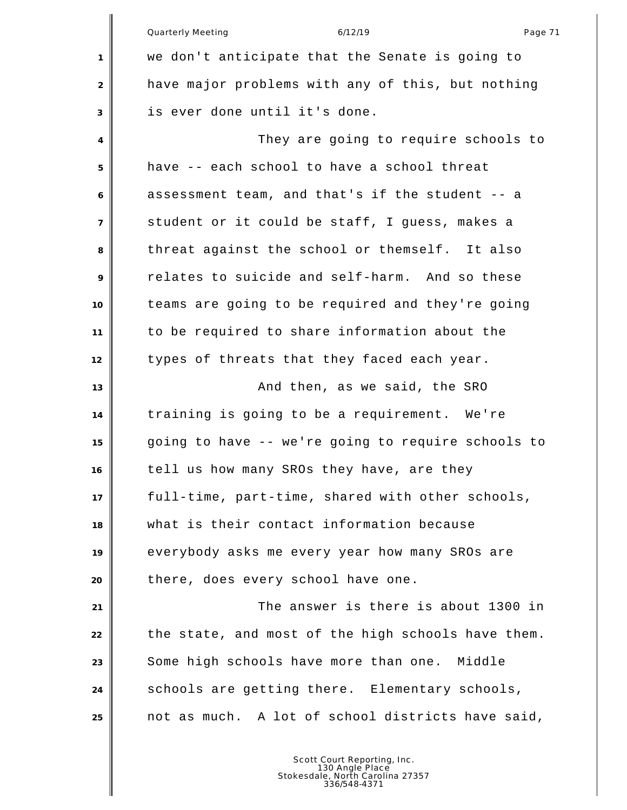Quarterly Meeting and the control of the 6/12/19 control of the Page 71 we don't anticipate that the Senate is going to have major problems with any of this, but nothing is ever done until it's done. They are going to require schools to have -- each school to have a school threat assessment team, and that's if the student -- a student or it could be staff, I guess, makes a threat against the school or themself. It also relates to suicide and self-harm. And so these teams are going to be required and they're going to be required to share information about the types of threats that they faced each year. **And then, as we said, the SRO**  training is going to be a requirement. We're going to have -- we're going to require schools to tell us how many SROs they have, are they full-time, part-time, shared with other schools, what is their contact information because everybody asks me every year how many SROs are 20 there, does every school have one. The answer is there is about 1300 in 22 the state, and most of the high schools have them. Some high schools have more than one. Middle schools are getting there. Elementary schools, not as much. A lot of school districts have said,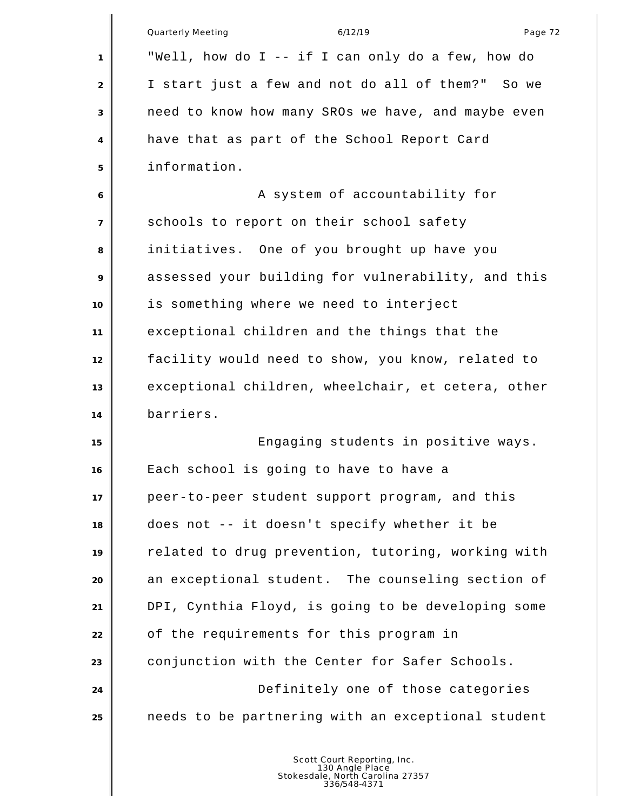|                | <b>Quarterly Meeting</b><br>6/12/19<br>Page 72     |
|----------------|----------------------------------------------------|
| 1              | "Well, how do I -- if I can only do a few, how do  |
| 2              | I start just a few and not do all of them?" So we  |
| 3              | need to know how many SROs we have, and maybe even |
| 4              | have that as part of the School Report Card        |
| 5              | information.                                       |
| 6              | A system of accountability for                     |
| $\overline{7}$ | schools to report on their school safety           |
| 8              | initiatives. One of you brought up have you        |
| 9              | assessed your building for vulnerability, and this |
| 10             | is something where we need to interject            |
| 11             | exceptional children and the things that the       |
| 12             | facility would need to show, you know, related to  |
| 13             | exceptional children, wheelchair, et cetera, other |
| 14             | barriers.                                          |
| 15             | Engaging students in positive ways.                |
| 16             | Each school is going to have to have a             |
| 17             | peer-to-peer student support program, and this     |
| 18             | does not -- it doesn't specify whether it be       |
| 19             | related to drug prevention, tutoring, working with |
| 20             | an exceptional student. The counseling section of  |
| 21             | DPI, Cynthia Floyd, is going to be developing some |
| 22             | of the requirements for this program in            |
| 23             | conjunction with the Center for Safer Schools.     |
| 24             | Definitely one of those categories                 |
| 25             | needs to be partnering with an exceptional student |
|                |                                                    |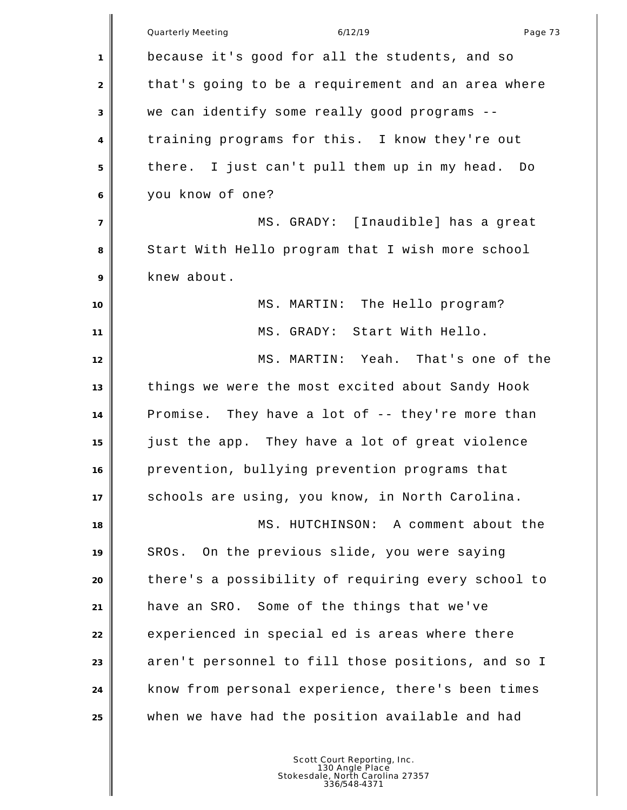|                | <b>Quarterly Meeting</b><br>6/12/19<br>Page 73     |
|----------------|----------------------------------------------------|
| $\mathbf{1}$   | because it's good for all the students, and so     |
| 2              | that's going to be a requirement and an area where |
| 3              | we can identify some really good programs --       |
| $\overline{4}$ | training programs for this. I know they're out     |
| 5              | there. I just can't pull them up in my head. Do    |
| 6              | you know of one?                                   |
| $\overline{7}$ | MS. GRADY: [Inaudible] has a great                 |
| 8              | Start With Hello program that I wish more school   |
| 9              | knew about.                                        |
| 10             | MS. MARTIN: The Hello program?                     |
| 11             | MS. GRADY: Start With Hello.                       |
| 12             | MS. MARTIN: Yeah. That's one of the                |
| 13             | things we were the most excited about Sandy Hook   |
| 14             | Promise. They have a lot of -- they're more than   |
| 15             | just the app. They have a lot of great violence    |
| 16             | prevention, bullying prevention programs that      |
| 17             | schools are using, you know, in North Carolina.    |
| 18             | MS. HUTCHINSON: A comment about the                |
| 19             | On the previous slide, you were saying<br>SROs.    |
| 20             | there's a possibility of requiring every school to |
| 21             | have an SRO. Some of the things that we've         |
| 22             | experienced in special ed is areas where there     |
| 23             | aren't personnel to fill those positions, and so I |
| 24             | know from personal experience, there's been times  |
| 25             | when we have had the position available and had    |
|                |                                                    |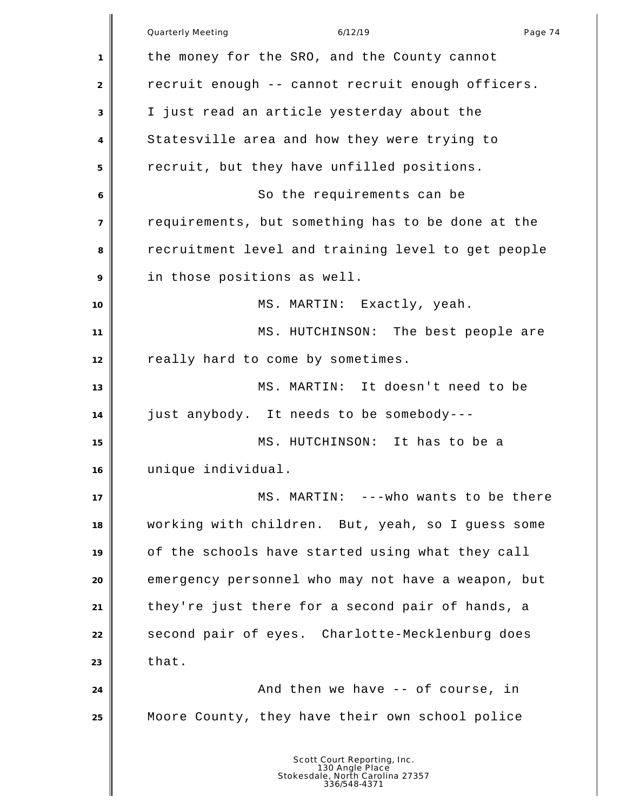|                           | 6/12/19<br>Quarterly Meeting<br>Page 74                                                            |
|---------------------------|----------------------------------------------------------------------------------------------------|
| $\mathbf{1}$              | the money for the SRO, and the County cannot                                                       |
| $\overline{2}$            | recruit enough -- cannot recruit enough officers.                                                  |
| $\ensuremath{\mathsf{3}}$ | I just read an article yesterday about the                                                         |
| 4                         | Statesville area and how they were trying to                                                       |
| 5                         | recruit, but they have unfilled positions.                                                         |
| 6                         | So the requirements can be                                                                         |
| $\overline{7}$            | requirements, but something has to be done at the                                                  |
| 8                         | recruitment level and training level to get people                                                 |
| 9                         | in those positions as well.                                                                        |
| 10                        | MS. MARTIN: Exactly, yeah.                                                                         |
| 11                        | MS. HUTCHINSON: The best people are                                                                |
| 12                        | really hard to come by sometimes.                                                                  |
| 13                        | MS. MARTIN: It doesn't need to be                                                                  |
| 14                        | just anybody. It needs to be somebody---                                                           |
| 15                        | MS. HUTCHINSON: It has to be a                                                                     |
| 16                        | unique individual.                                                                                 |
| 17                        | MS. MARTIN: --- who wants to be there                                                              |
| 18                        | working with children. But, yeah, so I guess some                                                  |
| 19                        | of the schools have started using what they call                                                   |
| 20                        | emergency personnel who may not have a weapon, but                                                 |
| 21                        | they're just there for a second pair of hands, a                                                   |
| 22                        | second pair of eyes. Charlotte-Mecklenburg does                                                    |
| 23                        | that.                                                                                              |
| 24                        | And then we have -- of course, in                                                                  |
| 25                        | Moore County, they have their own school police                                                    |
|                           | Scott Court Reporting, Inc.<br>130 Angle Place<br>Stokesdale, North Carolina 27357<br>336/548-4371 |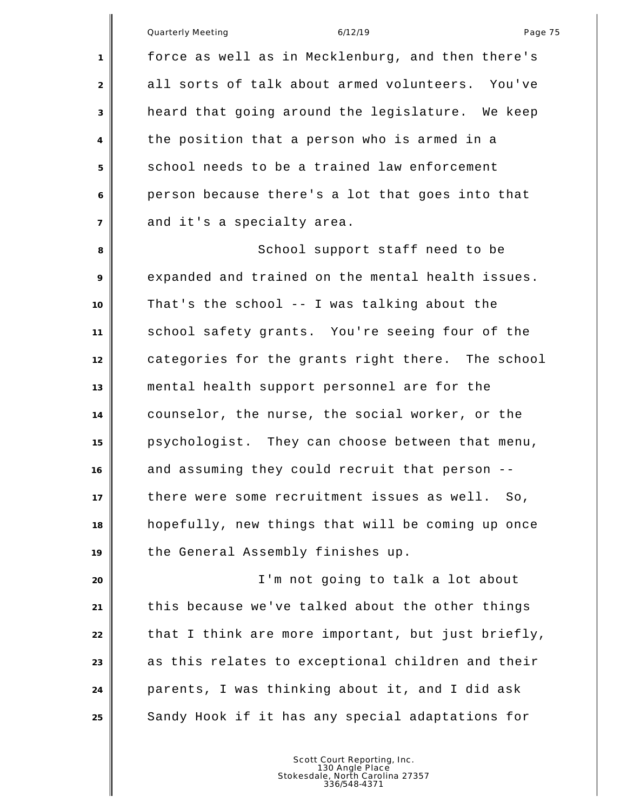|                | Quarterly Meeting<br>6/12/19<br>Page 75            |
|----------------|----------------------------------------------------|
| 1              | force as well as in Mecklenburg, and then there's  |
| 2              | all sorts of talk about armed volunteers. You've   |
| 3              | heard that going around the legislature. We keep   |
| 4              | the position that a person who is armed in a       |
| 5              | school needs to be a trained law enforcement       |
| 6              | person because there's a lot that goes into that   |
| $\overline{7}$ | and it's a specialty area.                         |
| 8              | School support staff need to be                    |
| 9              | expanded and trained on the mental health issues.  |
| 10             | That's the school -- I was talking about the       |
| 11             | school safety grants. You're seeing four of the    |
| 12             | categories for the grants right there. The school  |
| 13             | mental health support personnel are for the        |
| 14             | counselor, the nurse, the social worker, or the    |
| 15             | psychologist. They can choose between that menu,   |
| 16             | and assuming they could recruit that person --     |
| 17             | there were some recruitment issues as well.<br>So, |
| 18             | hopefully, new things that will be coming up once  |
| 19             | the General Assembly finishes up.                  |
| 20             | I'm not going to talk a lot about                  |
| 21             | this because we've talked about the other things   |
| 22             | that I think are more important, but just briefly, |
| 23             | as this relates to exceptional children and their  |
| 24             | parents, I was thinking about it, and I did ask    |
| 25             | Sandy Hook if it has any special adaptations for   |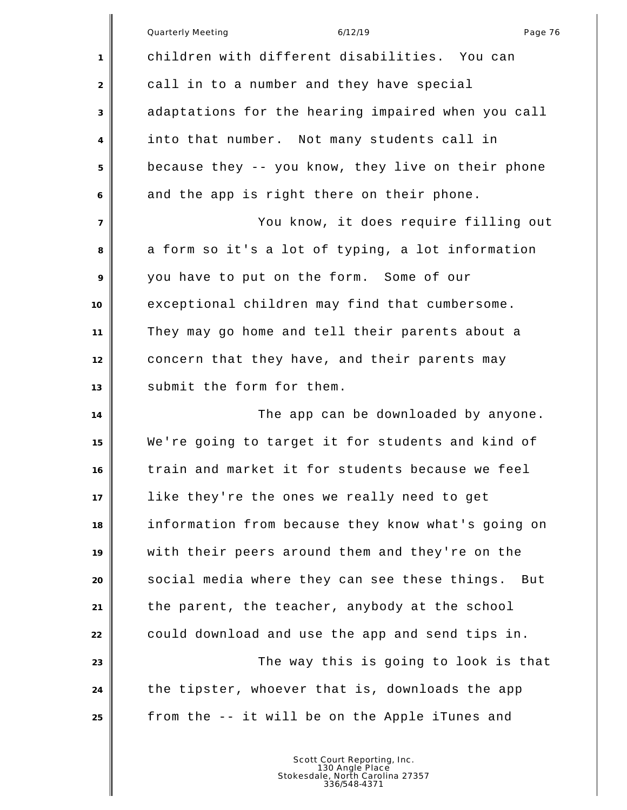|                 | <b>Quarterly Meeting</b><br>6/12/19<br>Page 76       |
|-----------------|------------------------------------------------------|
| 1               | children with different disabilities. You can        |
| 2               | call in to a number and they have special            |
| 3               | adaptations for the hearing impaired when you call   |
| 4               | into that number. Not many students call in          |
| 5               | because they -- you know, they live on their phone   |
| 6               | and the app is right there on their phone.           |
| $\overline{7}$  | You know, it does require filling out                |
| 8               | a form so it's a lot of typing, a lot information    |
| 9               | you have to put on the form. Some of our             |
| 10 <sup>°</sup> | exceptional children may find that cumbersome.       |
| 11              | They may go home and tell their parents about a      |
| 12              | concern that they have, and their parents may        |
| 13              | submit the form for them.                            |
| 14              | The app can be downloaded by anyone.                 |
| 15              | We're going to target it for students and kind of    |
| 16              | train and market it for students because we feel     |
| 17              | like they're the ones we really need to get          |
| 18              | information from because they know what's going on   |
| 19              | with their peers around them and they're on the      |
| 20              | social media where they can see these things.<br>But |
| 21              | the parent, the teacher, anybody at the school       |
| 22              | could download and use the app and send tips in.     |
| 23              | The way this is going to look is that                |
| 24              | the tipster, whoever that is, downloads the app      |
| 25              | from the -- it will be on the Apple iTunes and       |
|                 |                                                      |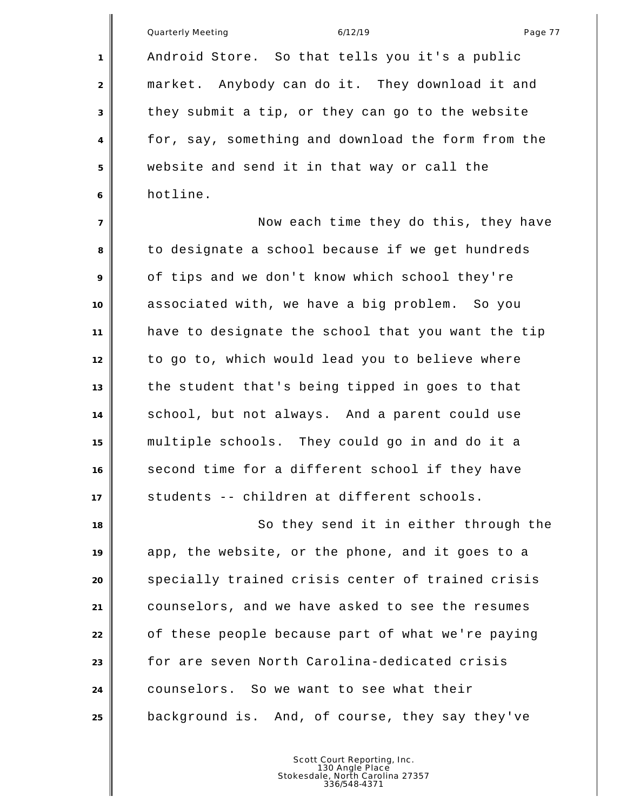|                | Quarterly Meeting<br>Page 77<br>6/12/19            |
|----------------|----------------------------------------------------|
| 1              | Android Store. So that tells you it's a public     |
| 2              | market. Anybody can do it. They download it and    |
| 3              | they submit a tip, or they can go to the website   |
| $\overline{4}$ | for, say, something and download the form from the |
| 5              | website and send it in that way or call the        |
| 6              | hotline.                                           |
| $\overline{7}$ | Now each time they do this, they have              |
| 8              | to designate a school because if we get hundreds   |
| 9              | of tips and we don't know which school they're     |
| 10             | associated with, we have a big problem. So you     |
| 11             | have to designate the school that you want the tip |
| 12             | to go to, which would lead you to believe where    |
| 13             | the student that's being tipped in goes to that    |
| 14             | school, but not always. And a parent could use     |
| 15             | multiple schools. They could go in and do it a     |
| 16             | second time for a different school if they have    |
| 17             | students -- children at different schools.         |
| 18             | So they send it in either through the              |
| 19             | app, the website, or the phone, and it goes to a   |
| 20             | specially trained crisis center of trained crisis  |
| 21             | counselors, and we have asked to see the resumes   |
| 22             | of these people because part of what we're paying  |
| 23             | for are seven North Carolina-dedicated crisis      |
| 24             | counselors. So we want to see what their           |
| 25             | background is. And, of course, they say they've    |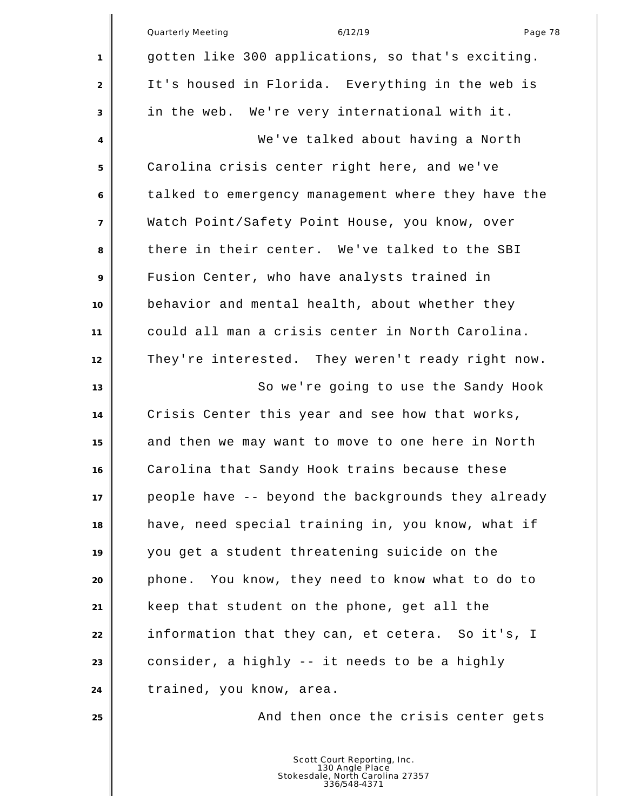|                | <b>Quarterly Meeting</b><br>Page 78<br>6/12/19     |
|----------------|----------------------------------------------------|
| 1              | gotten like 300 applications, so that's exciting.  |
| 2              | It's housed in Florida. Everything in the web is   |
| 3              | in the web. We're very international with it.      |
| 4              | We've talked about having a North                  |
| 5              | Carolina crisis center right here, and we've       |
| 6              | talked to emergency management where they have the |
| $\overline{7}$ | Watch Point/Safety Point House, you know, over     |
| 8              | there in their center. We've talked to the SBI     |
| 9              | Fusion Center, who have analysts trained in        |
| 10             | behavior and mental health, about whether they     |
| 11             | could all man a crisis center in North Carolina.   |
| 12             | They're interested. They weren't ready right now.  |
| 13             | So we're going to use the Sandy Hook               |
| 14             | Crisis Center this year and see how that works,    |
| 15             | and then we may want to move to one here in North  |
| 16             | Carolina that Sandy Hook trains because these      |
| 17             | people have -- beyond the backgrounds they already |
| 18             | have, need special training in, you know, what if  |
| 19             | you get a student threatening suicide on the       |
| 20             | phone. You know, they need to know what to do to   |
| 21             | keep that student on the phone, get all the        |
| 22             | information that they can, et cetera. So it's, I   |
| 23             | consider, a highly -- it needs to be a highly      |
| 24             | trained, you know, area.                           |
| 25             | And then once the crisis center gets               |
|                |                                                    |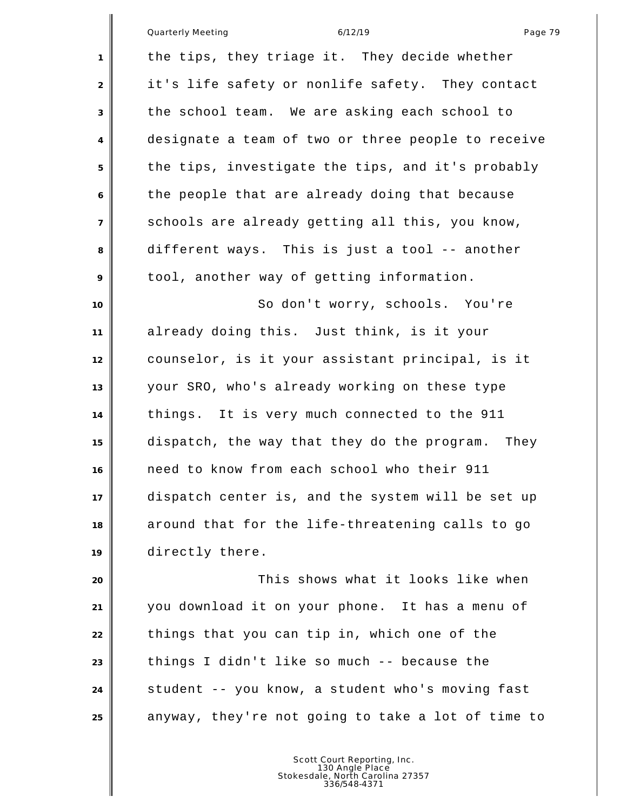|                | Quarterly Meeting<br>6/12/19<br>Page 79             |
|----------------|-----------------------------------------------------|
|                |                                                     |
| 1              | the tips, they triage it. They decide whether       |
| 2              | it's life safety or nonlife safety. They contact    |
| 3              | the school team. We are asking each school to       |
| $\overline{4}$ | designate a team of two or three people to receive  |
| 5              | the tips, investigate the tips, and it's probably   |
| 6              | the people that are already doing that because      |
| $\overline{7}$ | schools are already getting all this, you know,     |
| 8              | different ways. This is just a tool -- another      |
| 9              | tool, another way of getting information.           |
| 10             | So don't worry, schools. You're                     |
| 11             | already doing this. Just think, is it your          |
| 12             | counselor, is it your assistant principal, is it    |
| 13             | your SRO, who's already working on these type       |
| 14             | things. It is very much connected to the 911        |
| 15             | dispatch, the way that they do the program.<br>They |
| 16             | need to know from each school who their 911         |
| 17             | dispatch center is, and the system will be set up   |
| 18             | around that for the life-threatening calls to go    |
| 19             | directly there.                                     |
| 20             | This shows what it looks like when                  |
| 21             | you download it on your phone. It has a menu of     |
| 22             | things that you can tip in, which one of the        |
| 23             | things I didn't like so much -- because the         |

 student -- you know, a student who's moving fast anyway, they're not going to take a lot of time to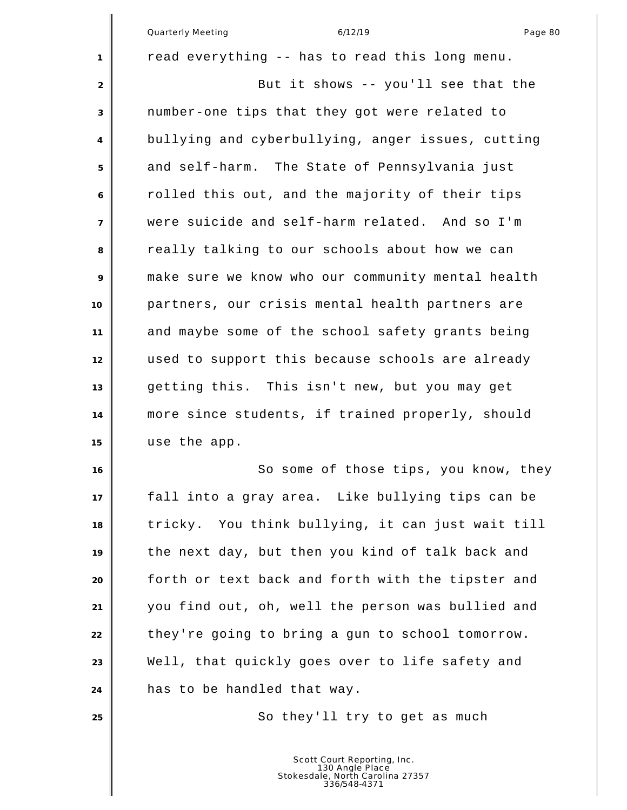|                | <b>Quarterly Meeting</b><br>6/12/19<br>Page 80    |
|----------------|---------------------------------------------------|
| 1              | read everything -- has to read this long menu.    |
| 2              | But it shows -- you'll see that the               |
| 3              | number-one tips that they got were related to     |
| 4              | bullying and cyberbullying, anger issues, cutting |
| 5              | and self-harm. The State of Pennsylvania just     |
| 6              | rolled this out, and the majority of their tips   |
| $\overline{7}$ | were suicide and self-harm related. And so I'm    |
| 8              | really talking to our schools about how we can    |
| 9              | make sure we know who our community mental health |
| 10             | partners, our crisis mental health partners are   |
| 11             | and maybe some of the school safety grants being  |
| 12             | used to support this because schools are already  |
| 13             | getting this. This isn't new, but you may get     |
| 14             | more since students, if trained properly, should  |
| 15             | use the app.                                      |
| 16             | So some of those tips, you know, they             |
| 17             | fall into a gray area. Like bullying tips can be  |
| 18             | tricky. You think bullying, it can just wait till |
| 19             | the next day, but then you kind of talk back and  |
| 20             | forth or text back and forth with the tipster and |
| 21             | you find out, oh, well the person was bullied and |
| 22             | they're going to bring a gun to school tomorrow.  |
| 23             | Well, that quickly goes over to life safety and   |
| 24             | has to be handled that way.                       |
| 25             | So they'll try to get as much                     |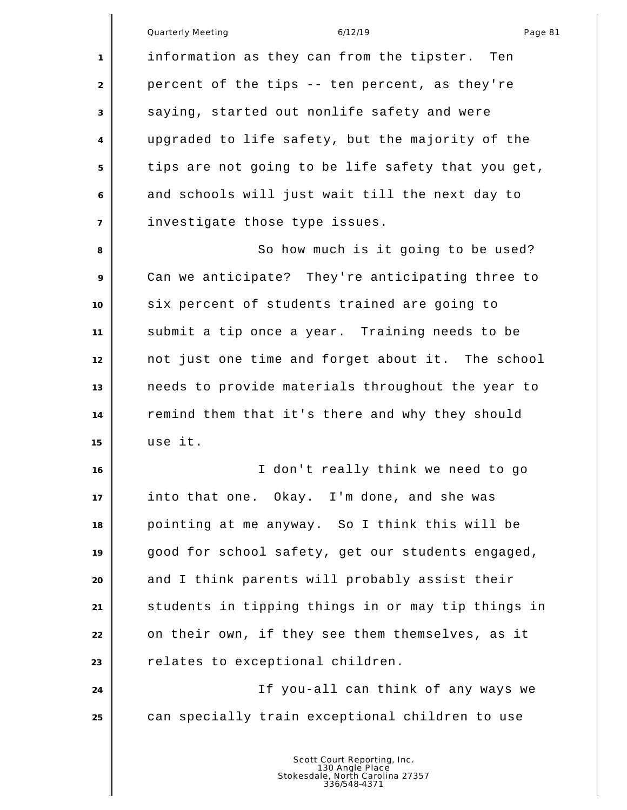| erly Meeting |  |
|--------------|--|

Quarterly Meeting 6/12/19 Page 81 information as they can from the tipster. Ten 2 percent of the tips -- ten percent, as they're saying, started out nonlife safety and were upgraded to life safety, but the majority of the tips are not going to be life safety that you get, and schools will just wait till the next day to investigate those type issues. 8 So how much is it going to be used? Can we anticipate? They're anticipating three to six percent of students trained are going to submit a tip once a year. Training needs to be not just one time and forget about it. The school needs to provide materials throughout the year to remind them that it's there and why they should use it. I don't really think we need to go into that one. Okay. I'm done, and she was pointing at me anyway. So I think this will be good for school safety, get our students engaged, and I think parents will probably assist their students in tipping things in or may tip things in on their own, if they see them themselves, as it **P** relates to exceptional children. If you-all can think of any ways we can specially train exceptional children to use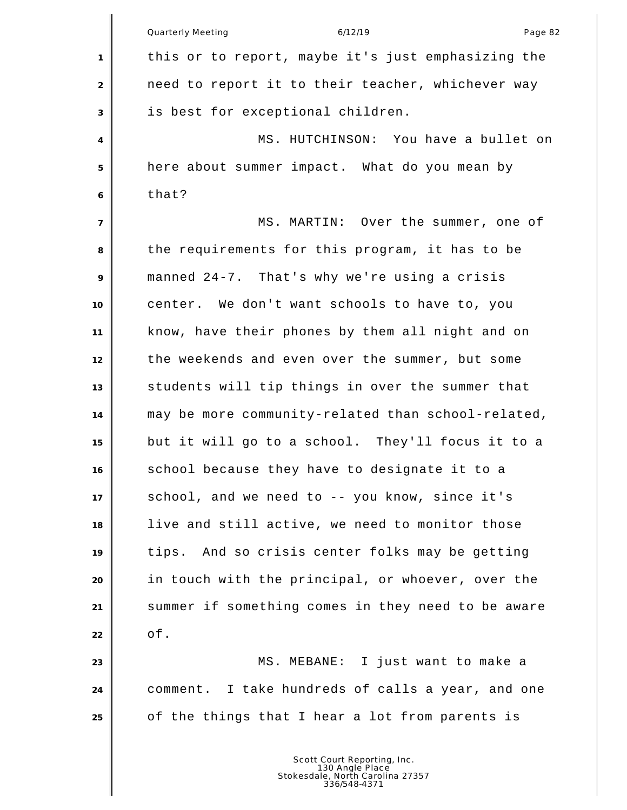|                | Quarterly Meeting<br>6/12/19<br>Page 82            |
|----------------|----------------------------------------------------|
| 1              | this or to report, maybe it's just emphasizing the |
| $\overline{2}$ | need to report it to their teacher, whichever way  |
| 3              | is best for exceptional children.                  |
| 4              | MS. HUTCHINSON: You have a bullet on               |
| 5              | here about summer impact. What do you mean by      |
| 6              | that?                                              |
| $\overline{7}$ | MS. MARTIN: Over the summer, one of                |
| 8              | the requirements for this program, it has to be    |
| 9              | manned 24-7. That's why we're using a crisis       |
| 10             | center. We don't want schools to have to, you      |
| 11             | know, have their phones by them all night and on   |
| 12             | the weekends and even over the summer, but some    |
| 13             | students will tip things in over the summer that   |
| 14             | may be more community-related than school-related, |
| 15             | but it will go to a school. They'll focus it to a  |
| 16             | school because they have to designate it to a      |
| 17             | school, and we need to -- you know, since it's     |
| 18             | live and still active, we need to monitor those    |
| 19             | And so crisis center folks may be getting<br>tips. |
| 20             | in touch with the principal, or whoever, over the  |
| 21             | summer if something comes in they need to be aware |
| 22             | of.                                                |
| 23             | MS. MEBANE: I just want to make a                  |
| 24             | comment. I take hundreds of calls a year, and one  |
| 25             | of the things that I hear a lot from parents is    |
|                |                                                    |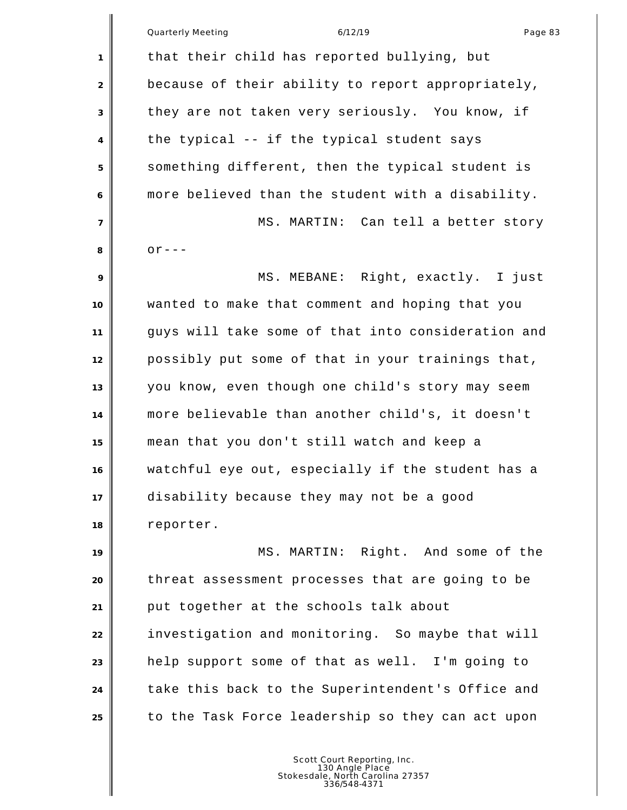|                | Quarterly Meeting<br>6/12/19<br>Page 83            |
|----------------|----------------------------------------------------|
| 1              | that their child has reported bullying, but        |
| 2              | because of their ability to report appropriately,  |
| 3              | they are not taken very seriously. You know, if    |
| 4              | the typical -- if the typical student says         |
| 5              | something different, then the typical student is   |
| 6              | more believed than the student with a disability.  |
| $\overline{7}$ | MS. MARTIN: Can tell a better story                |
| 8              | $or --$                                            |
| 9              | MS. MEBANE: Right, exactly. I just                 |
| 10             | wanted to make that comment and hoping that you    |
| 11             | guys will take some of that into consideration and |
| 12             | possibly put some of that in your trainings that,  |
| 13             | you know, even though one child's story may seem   |
| 14             | more believable than another child's, it doesn't   |
| 15             | mean that you don't still watch and keep a         |
| 16             | watchful eye out, especially if the student has a  |
| 17             | disability because they may not be a good          |
| 18             | reporter.                                          |
| 19             | MS. MARTIN: Right. And some of the                 |
| 20             | threat assessment processes that are going to be   |
| 21             | put together at the schools talk about             |
| 22             | investigation and monitoring. So maybe that will   |
| 23             | help support some of that as well. I'm going to    |
| 24             | take this back to the Superintendent's Office and  |
| 25             | to the Task Force leadership so they can act upon  |
|                |                                                    |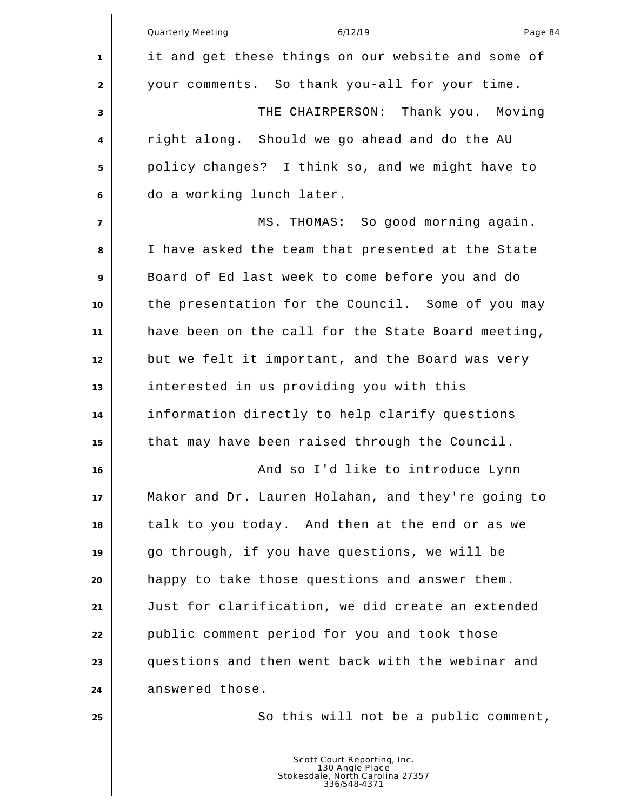|                | 6/12/19<br>Page 84<br><b>Quarterly Meeting</b>                                                     |
|----------------|----------------------------------------------------------------------------------------------------|
| 1              | it and get these things on our website and some of                                                 |
| 2              | your comments. So thank you-all for your time.                                                     |
| 3              | THE CHAIRPERSON: Thank you. Moving                                                                 |
| 4              | right along. Should we go ahead and do the AU                                                      |
| 5              | policy changes? I think so, and we might have to                                                   |
| 6              | do a working lunch later.                                                                          |
| $\overline{7}$ | MS. THOMAS: So good morning again.                                                                 |
| 8              | I have asked the team that presented at the State                                                  |
| 9              | Board of Ed last week to come before you and do                                                    |
| 10             | the presentation for the Council. Some of you may                                                  |
| 11             | have been on the call for the State Board meeting,                                                 |
| 12             | but we felt it important, and the Board was very                                                   |
| 13             | interested in us providing you with this                                                           |
| 14             | information directly to help clarify questions                                                     |
| 15             | that may have been raised through the Council.                                                     |
| 16             | And so I'd like to introduce Lynn                                                                  |
| 17             | Makor and Dr. Lauren Holahan, and they're going to                                                 |
| 18             | talk to you today. And then at the end or as we                                                    |
| 19             | go through, if you have questions, we will be                                                      |
| 20             | happy to take those questions and answer them.                                                     |
| 21             | Just for clarification, we did create an extended                                                  |
| 22             | public comment period for you and took those                                                       |
| 23             | questions and then went back with the webinar and                                                  |
| 24             | answered those.                                                                                    |
| 25             | So this will not be a public comment,                                                              |
|                |                                                                                                    |
|                | Scott Court Reporting, Inc.<br>130 Angle Place<br>Stokesdale, North Carolina 27357<br>336/548-4371 |

║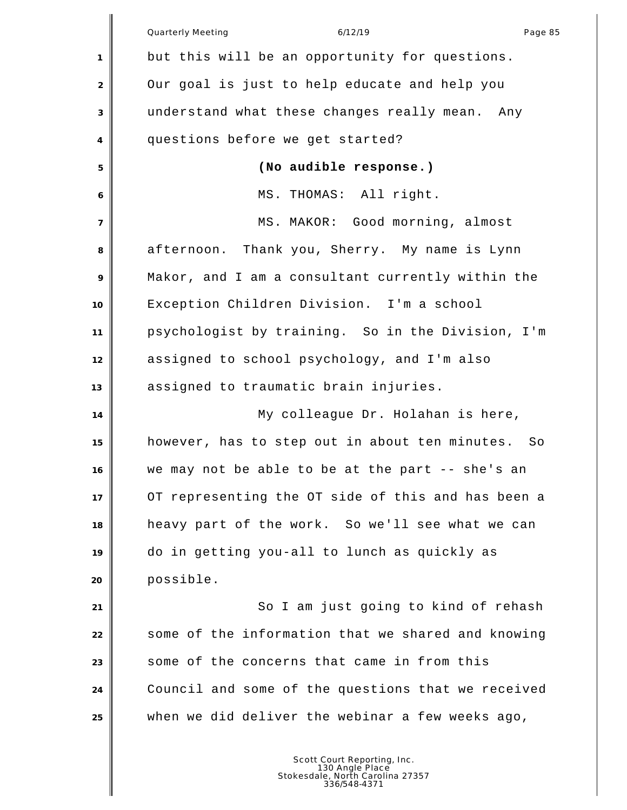|                | Quarterly Meeting<br>6/12/19<br>Page 85              |
|----------------|------------------------------------------------------|
| 1              | but this will be an opportunity for questions.       |
| $\overline{2}$ | Our goal is just to help educate and help you        |
| 3              | understand what these changes really mean. Any       |
| 4              | questions before we get started?                     |
| 5              | (No audible response.)                               |
| 6              | MS. THOMAS: All right.                               |
| $\overline{7}$ | MS. MAKOR: Good morning, almost                      |
| 8              | afternoon. Thank you, Sherry. My name is Lynn        |
| 9              | Makor, and I am a consultant currently within the    |
| 10             | Exception Children Division. I'm a school            |
| 11             | psychologist by training. So in the Division, I'm    |
| 12             | assigned to school psychology, and I'm also          |
| 13             | assigned to traumatic brain injuries.                |
| 14             | My colleague Dr. Holahan is here,                    |
| 15             | however, has to step out in about ten minutes.<br>So |
| 16             | we may not be able to be at the part -- she's an     |
| 17             | OT representing the OT side of this and has been a   |
| 18             | heavy part of the work. So we'll see what we can     |
| 19             | do in getting you-all to lunch as quickly as         |
| 20             | possible.                                            |
| 21             | So I am just going to kind of rehash                 |
| 22             | some of the information that we shared and knowing   |
| 23             | some of the concerns that came in from this          |
| 24             | Council and some of the questions that we received   |
| 25             | when we did deliver the webinar a few weeks ago,     |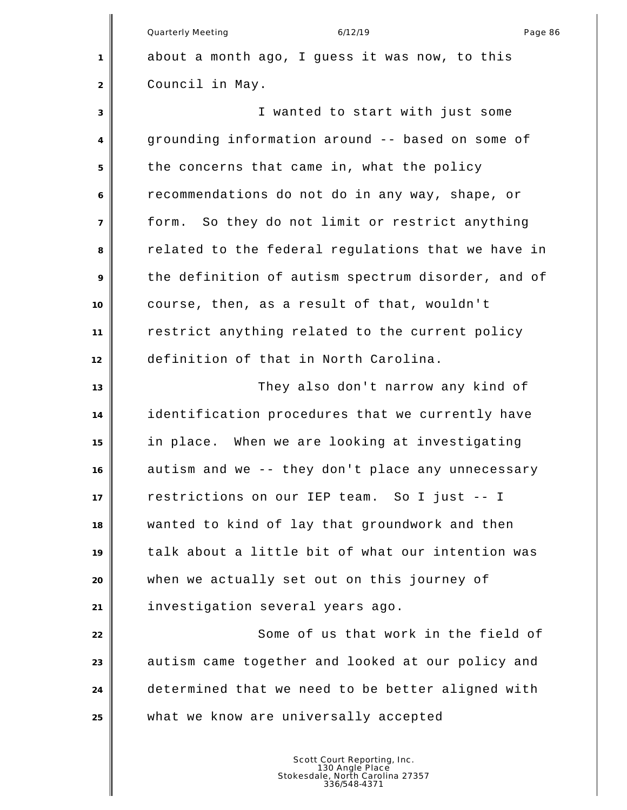Quarterly Meeting and the control of the 6/12/19 control of the control of the Page 86 about a month ago, I guess it was now, to this Council in May. I wanted to start with just some grounding information around -- based on some of the concerns that came in, what the policy recommendations do not do in any way, shape, or form. So they do not limit or restrict anything related to the federal regulations that we have in the definition of autism spectrum disorder, and of course, then, as a result of that, wouldn't restrict anything related to the current policy definition of that in North Carolina. They also don't narrow any kind of identification procedures that we currently have in place. When we are looking at investigating autism and we -- they don't place any unnecessary restrictions on our IEP team. So I just -- I wanted to kind of lay that groundwork and then talk about a little bit of what our intention was when we actually set out on this journey of investigation several years ago. Some of us that work in the field of **a** autism came together and looked at our policy and determined that we need to be better aligned with what we know are universally accepted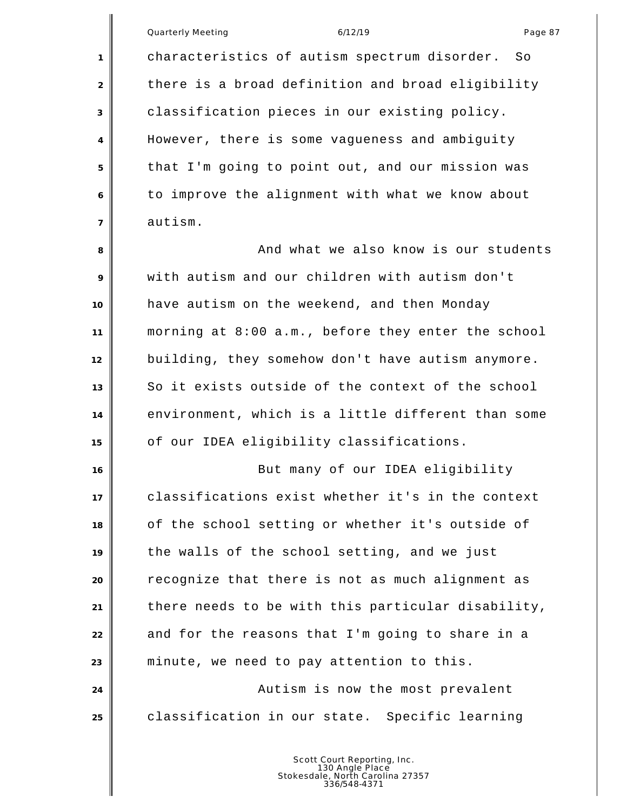|                | Quarterly Meeting<br>Page 87<br>6/12/19            |
|----------------|----------------------------------------------------|
|                |                                                    |
| 1              | characteristics of autism spectrum disorder.<br>So |
| 2              | there is a broad definition and broad eligibility  |
| 3              | classification pieces in our existing policy.      |
| 4              | However, there is some vagueness and ambiguity     |
| 5              | that I'm going to point out, and our mission was   |
| 6              | to improve the alignment with what we know about   |
| $\overline{7}$ | autism.                                            |
| 8              | And what we also know is our students              |
| 9              | with autism and our children with autism don't     |
| 10             | have autism on the weekend, and then Monday        |
| 11             | morning at 8:00 a.m., before they enter the school |
| 12             | building, they somehow don't have autism anymore.  |
| 13             | So it exists outside of the context of the school  |
| 14             | environment, which is a little different than some |
| 15             | of our IDEA eligibility classifications.           |
| 16             | But many of our IDEA eligibility                   |
| 17             | classifications exist whether it's in the context  |
| 18             | of the school setting or whether it's outside of   |
| 19             | the walls of the school setting, and we just       |
| 20             | recognize that there is not as much alignment as   |
| 21             | there needs to be with this particular disability, |
| 22             | and for the reasons that I'm going to share in a   |
| 23             | minute, we need to pay attention to this.          |
| 24             | Autism is now the most prevalent                   |
| 25             | classification in our state. Specific learning     |
|                |                                                    |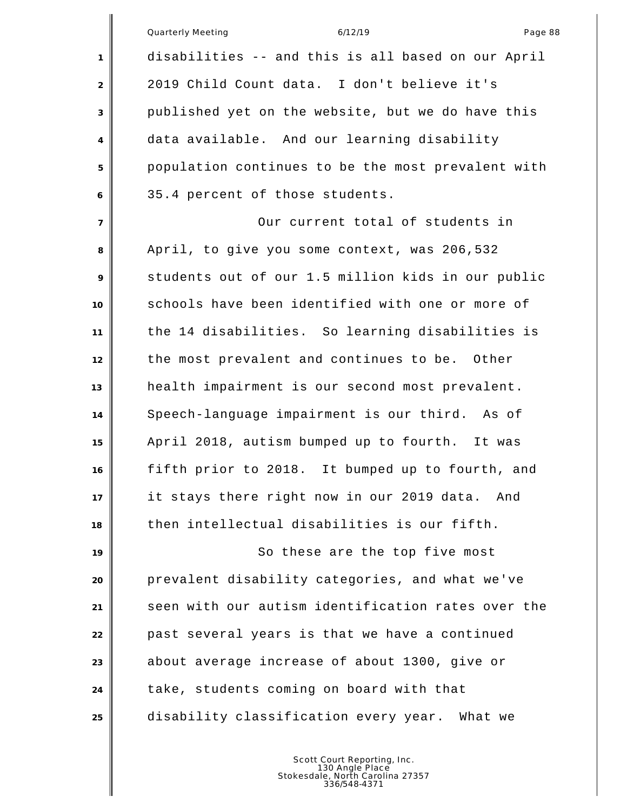|                | Quarterly Meeting<br>Page 88<br>6/12/19            |
|----------------|----------------------------------------------------|
| 1              | disabilities -- and this is all based on our April |
| $\overline{2}$ | 2019 Child Count data. I don't believe it's        |
| 3              | published yet on the website, but we do have this  |
| 4              | data available. And our learning disability        |
| 5              | population continues to be the most prevalent with |
| 6              | 35.4 percent of those students.                    |
| $\overline{7}$ | Our current total of students in                   |
| 8              | April, to give you some context, was 206,532       |
| 9              | students out of our 1.5 million kids in our public |
| 10             | schools have been identified with one or more of   |
| 11             | the 14 disabilities. So learning disabilities is   |
| 12             | the most prevalent and continues to be. Other      |
| 13             | health impairment is our second most prevalent.    |
| 14             | Speech-language impairment is our third. As of     |
| 15             | April 2018, autism bumped up to fourth. It was     |
| 16             | fifth prior to 2018. It bumped up to fourth, and   |
| 17             | it stays there right now in our 2019 data.<br>And  |
| 18             | then intellectual disabilities is our fifth.       |
| 19             | So these are the top five most                     |
| 20             | prevalent disability categories, and what we've    |
| 21             | seen with our autism identification rates over the |
| 22             | past several years is that we have a continued     |
| 23             | about average increase of about 1300, give or      |
| 24             | take, students coming on board with that           |
| 25             | disability classification every year.<br>What we   |
|                |                                                    |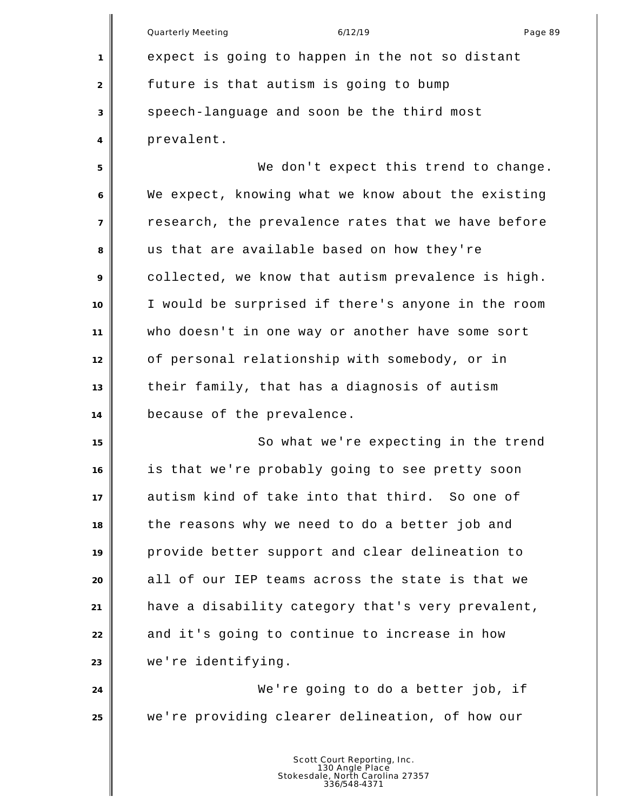|                | Quarterly Meeting<br>6/12/19<br>Page 89            |
|----------------|----------------------------------------------------|
| 1              | expect is going to happen in the not so distant    |
| 2              | future is that autism is going to bump             |
| 3              | speech-language and soon be the third most         |
| 4              | prevalent.                                         |
| 5              | We don't expect this trend to change.              |
| 6              | We expect, knowing what we know about the existing |
| $\overline{7}$ | research, the prevalence rates that we have before |
| 8              | us that are available based on how they're         |
| 9              | collected, we know that autism prevalence is high. |
| 10             | I would be surprised if there's anyone in the room |
| 11             | who doesn't in one way or another have some sort   |
| 12             | of personal relationship with somebody, or in      |
| 13             | their family, that has a diagnosis of autism       |
| 14             | because of the prevalence.                         |
| 15             | So what we're expecting in the trend               |
| 16             | is that we're probably going to see pretty soon    |
| 17             | autism kind of take into that third. So one of     |
| 18             | the reasons why we need to do a better job and     |
| 19             | provide better support and clear delineation to    |
| 20             | all of our IEP teams across the state is that we   |
| 21             | have a disability category that's very prevalent,  |
| 22             | and it's going to continue to increase in how      |
| 23             | we're identifying.                                 |
| 24             | We're going to do a better job, if                 |
| 25             | we're providing clearer delineation, of how our    |
|                |                                                    |
|                |                                                    |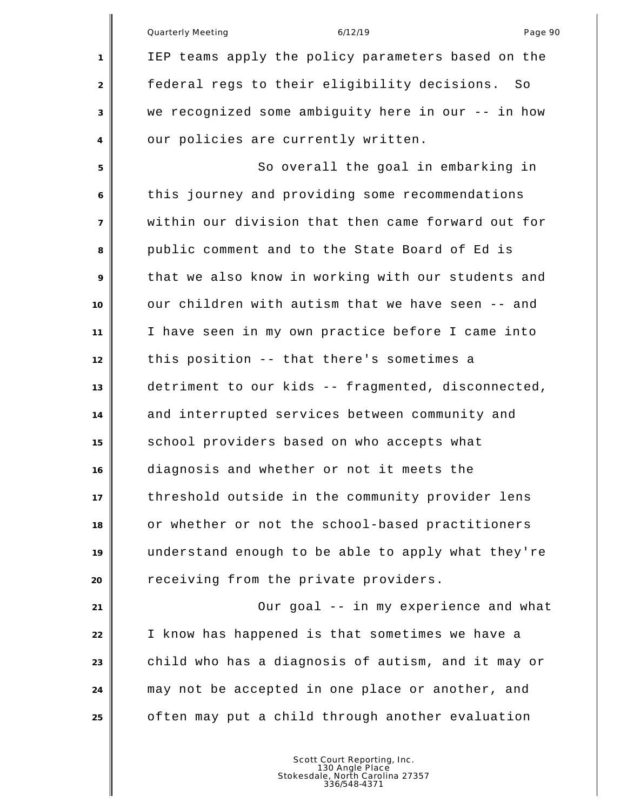Quarterly Meeting and the control of the 6/12/19 control of the control of the Page 90 IEP teams apply the policy parameters based on the federal regs to their eligibility decisions. So we recognized some ambiguity here in our -- in how 4 our policies are currently written. 5 So overall the goal in embarking in this journey and providing some recommendations within our division that then came forward out for public comment and to the State Board of Ed is that we also know in working with our students and our children with autism that we have seen -- and I have seen in my own practice before I came into this position -- that there's sometimes a detriment to our kids -- fragmented, disconnected, 14 and interrupted services between community and school providers based on who accepts what diagnosis and whether or not it meets the threshold outside in the community provider lens or whether or not the school-based practitioners understand enough to be able to apply what they're **P** receiving from the private providers. Our goal -- in my experience and what I know has happened is that sometimes we have a child who has a diagnosis of autism, and it may or may not be accepted in one place or another, and often may put a child through another evaluation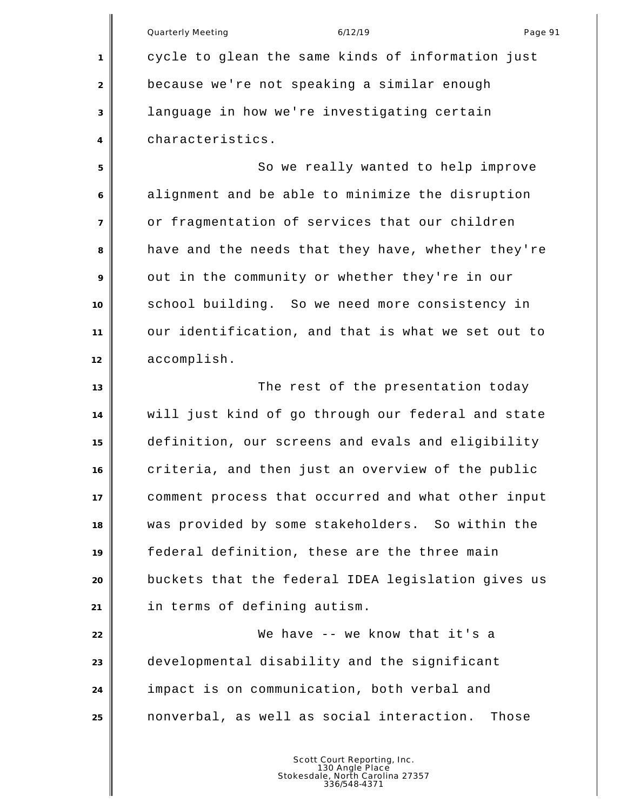Quarterly Meeting and the control of the 6/12/19 control of the control of the Page 91 cycle to glean the same kinds of information just because we're not speaking a similar enough language in how we're investigating certain characteristics. 5 So we really wanted to help improve alignment and be able to minimize the disruption or fragmentation of services that our children have and the needs that they have, whether they're out in the community or whether they're in our school building. So we need more consistency in our identification, and that is what we set out to accomplish. **The rest of the presentation today**  will just kind of go through our federal and state definition, our screens and evals and eligibility criteria, and then just an overview of the public comment process that occurred and what other input was provided by some stakeholders. So within the federal definition, these are the three main buckets that the federal IDEA legislation gives us in terms of defining autism. We have -- we know that it's a developmental disability and the significant impact is on communication, both verbal and nonverbal, as well as social interaction. Those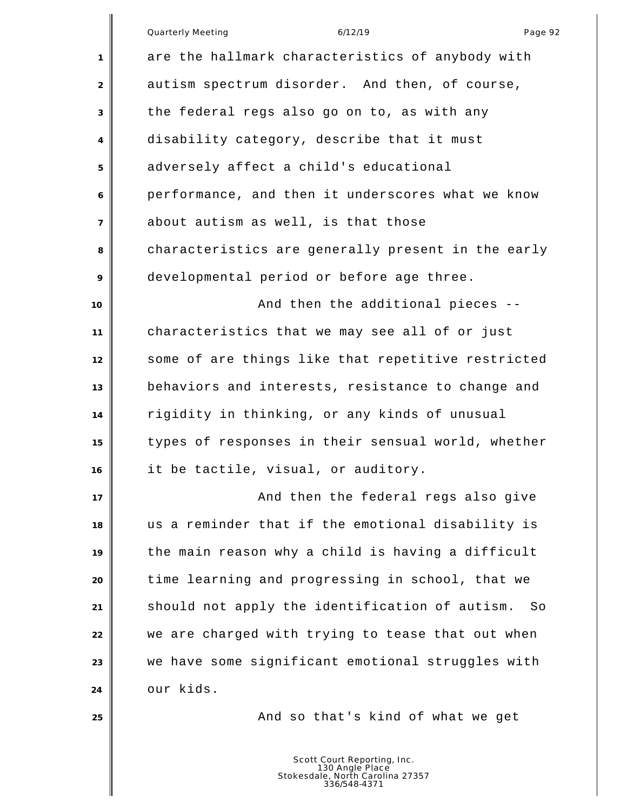Quarterly Meeting and the control of the 6/12/19 control of the Page 92 are the hallmark characteristics of anybody with 2 autism spectrum disorder. And then, of course, the federal regs also go on to, as with any disability category, describe that it must adversely affect a child's educational performance, and then it underscores what we know about autism as well, is that those characteristics are generally present in the early developmental period or before age three. **And then the additional pieces --** characteristics that we may see all of or just some of are things like that repetitive restricted behaviors and interests, resistance to change and rigidity in thinking, or any kinds of unusual types of responses in their sensual world, whether it be tactile, visual, or auditory. **And then the federal regs also give**  us a reminder that if the emotional disability is the main reason why a child is having a difficult time learning and progressing in school, that we should not apply the identification of autism. So we are charged with trying to tease that out when we have some significant emotional struggles with our kids. **And so that's kind of what we get** and the set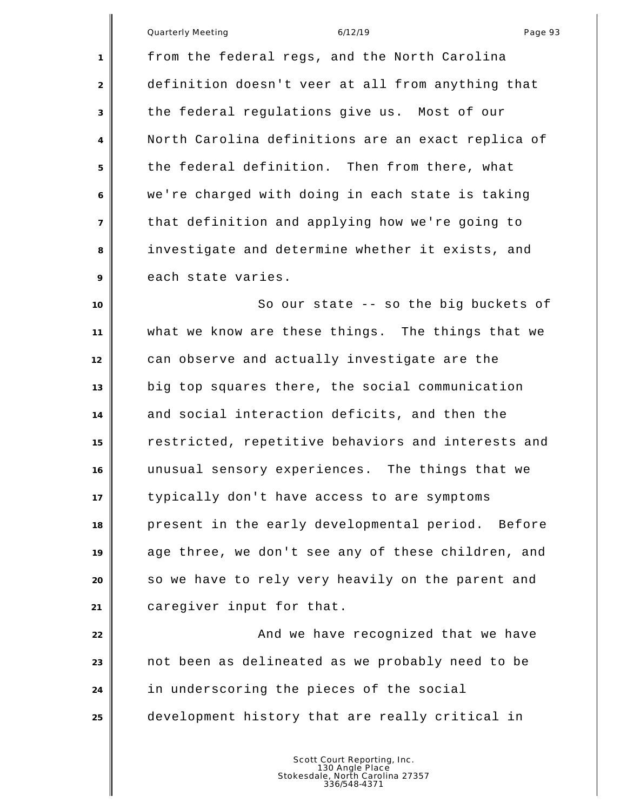Quarterly Meeting and the control of the 6/12/19 control of the Page 93

 from the federal regs, and the North Carolina definition doesn't veer at all from anything that the federal regulations give us. Most of our North Carolina definitions are an exact replica of the federal definition. Then from there, what we're charged with doing in each state is taking that definition and applying how we're going to investigate and determine whether it exists, and 9 each state varies.

**I** So our state -- so the big buckets of what we know are these things. The things that we can observe and actually investigate are the big top squares there, the social communication and social interaction deficits, and then the restricted, repetitive behaviors and interests and unusual sensory experiences. The things that we typically don't have access to are symptoms present in the early developmental period. Before age three, we don't see any of these children, and so we have to rely very heavily on the parent and caregiver input for that.

**And we have recognized that we have** have not been as delineated as we probably need to be in underscoring the pieces of the social development history that are really critical in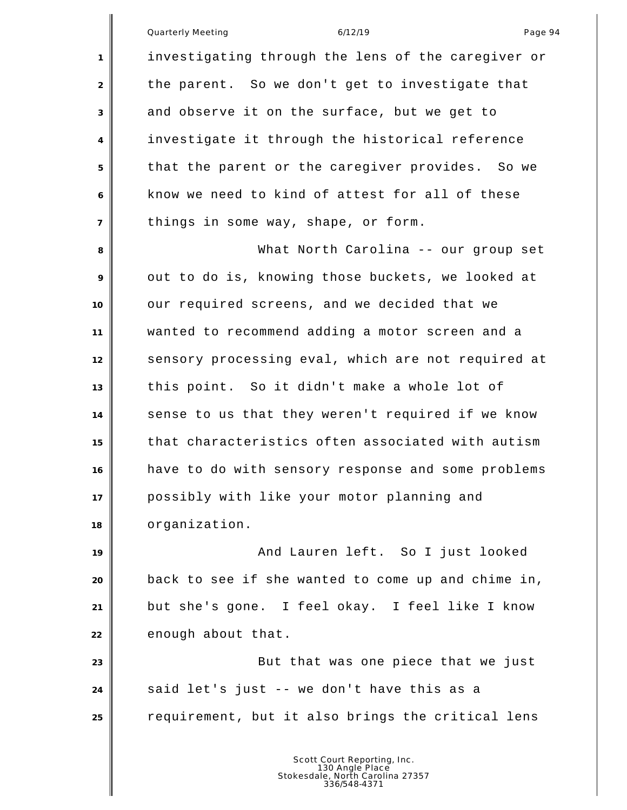Quarterly Meeting and the control of the 6/12/19 control of the control of the Page 94 investigating through the lens of the caregiver or 2 the parent. So we don't get to investigate that and observe it on the surface, but we get to investigate it through the historical reference that the parent or the caregiver provides. So we know we need to kind of attest for all of these things in some way, shape, or form. What North Carolina -- our group set out to do is, knowing those buckets, we looked at our required screens, and we decided that we wanted to recommend adding a motor screen and a sensory processing eval, which are not required at this point. So it didn't make a whole lot of sense to us that they weren't required if we know that characteristics often associated with autism have to do with sensory response and some problems possibly with like your motor planning and organization. **And Lauren left.** So I just looked back to see if she wanted to come up and chime in, but she's gone. I feel okay. I feel like I know 22 enough about that. But that was one piece that we just said let's just -- we don't have this as a requirement, but it also brings the critical lens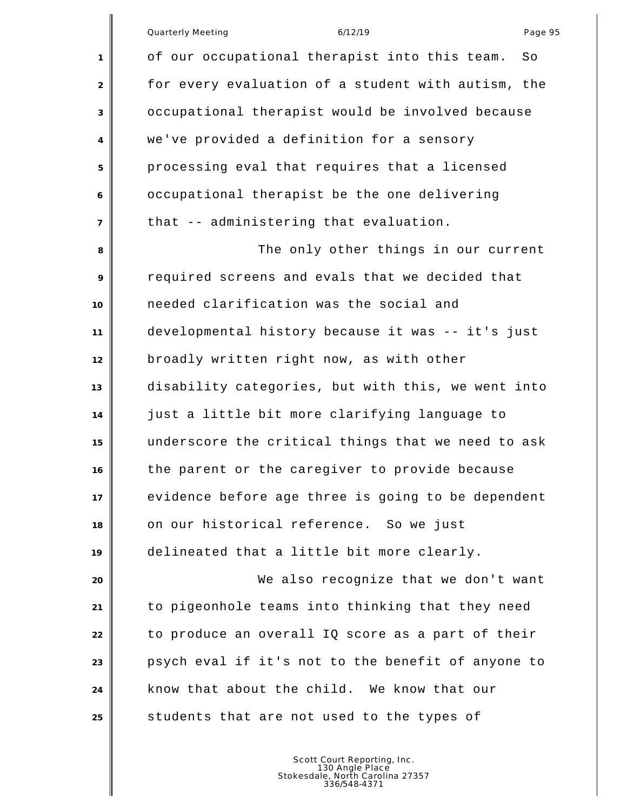|                | Page 95<br><b>Quarterly Meeting</b><br>6/12/19      |
|----------------|-----------------------------------------------------|
| 1              | of our occupational therapist into this team.<br>So |
| 2              | for every evaluation of a student with autism, the  |
| 3              | occupational therapist would be involved because    |
| $\overline{4}$ | we've provided a definition for a sensory           |
| 5              | processing eval that requires that a licensed       |
| 6              | occupational therapist be the one delivering        |
| $\overline{7}$ | that -- administering that evaluation.              |
| 8              | The only other things in our current                |
| 9              | required screens and evals that we decided that     |
| 10             | needed clarification was the social and             |
| 11             | developmental history because it was -- it's just   |
| 12             | broadly written right now, as with other            |
|                |                                                     |

 disability categories, but with this, we went into just a little bit more clarifying language to underscore the critical things that we need to ask the parent or the caregiver to provide because evidence before age three is going to be dependent on our historical reference. So we just delineated that a little bit more clearly.

 We also recognize that we don't want to pigeonhole teams into thinking that they need to produce an overall IQ score as a part of their psych eval if it's not to the benefit of anyone to know that about the child. We know that our **S** students that are not used to the types of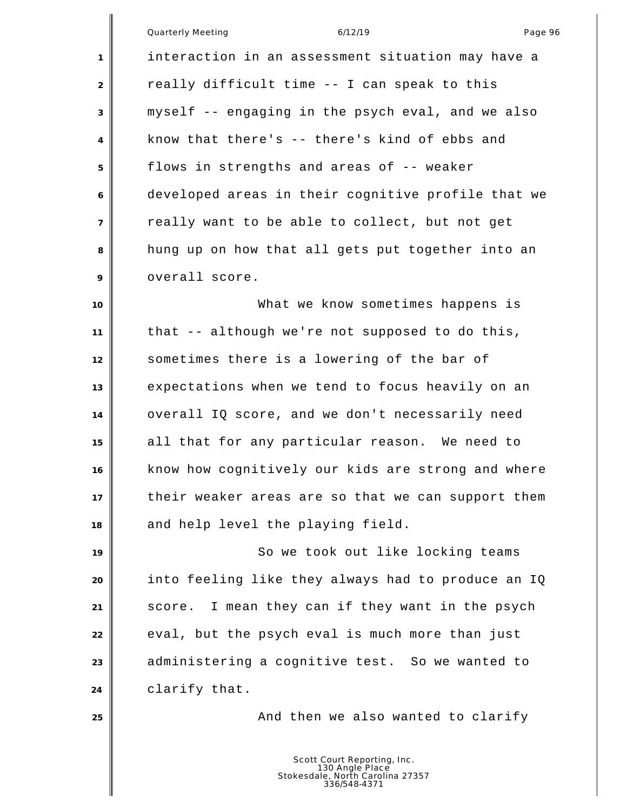|                | Quarterly Meeting<br>6/12/19<br>Page 96            |
|----------------|----------------------------------------------------|
| 1              | interaction in an assessment situation may have a  |
| 2              | really difficult time -- I can speak to this       |
| 3              | myself -- engaging in the psych eval, and we also  |
| 4              | know that there's -- there's kind of ebbs and      |
| 5              | flows in strengths and areas of -- weaker          |
| 6              | developed areas in their cognitive profile that we |
| $\overline{7}$ | really want to be able to collect, but not get     |
| 8              | hung up on how that all gets put together into an  |
| 9              | overall score.                                     |
| 10             | What we know sometimes happens is                  |
| 11             | that -- although we're not supposed to do this,    |
| 12             | sometimes there is a lowering of the bar of        |
| 13             | expectations when we tend to focus heavily on an   |
| 14             | overall IQ score, and we don't necessarily need    |
| 15             | all that for any particular reason. We need to     |
| 16             | know how cognitively our kids are strong and where |
| 17             | their weaker areas are so that we can support them |
| 18             | and help level the playing field.                  |
| 19             | So we took out like locking teams                  |
| 20             | into feeling like they always had to produce an IQ |
| 21             | score. I mean they can if they want in the psych   |
| 22             | eval, but the psych eval is much more than just    |
| 23             | administering a cognitive test. So we wanted to    |
| 24             | clarify that.                                      |
| 25             | And then we also wanted to clarify                 |
|                |                                                    |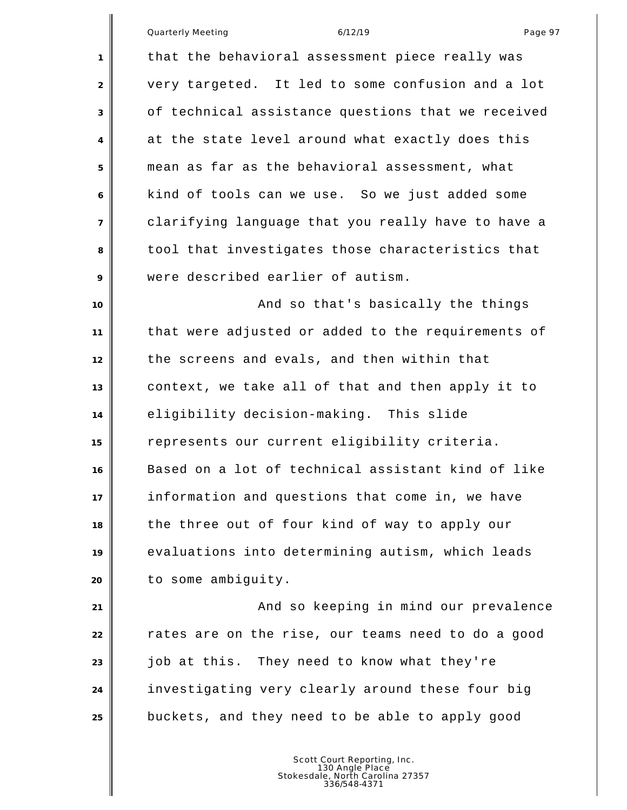|                | Quarterly Meeting<br>Page 97<br>6/12/19            |
|----------------|----------------------------------------------------|
| 1              | that the behavioral assessment piece really was    |
| $\overline{2}$ | very targeted. It led to some confusion and a lot  |
| 3              | of technical assistance questions that we received |
| 4              | at the state level around what exactly does this   |
| 5              | mean as far as the behavioral assessment, what     |
| 6              | kind of tools can we use. So we just added some    |
| $\overline{7}$ | clarifying language that you really have to have a |
| 8              | tool that investigates those characteristics that  |
| 9              | were described earlier of autism.                  |
| 10             | And so that's basically the things                 |
| 11             | that were adjusted or added to the requirements of |
| 12             | the screens and evals, and then within that        |
| 13             | context, we take all of that and then apply it to  |
| 14             | eligibility decision-making. This slide            |
| 15             | represents our current eligibility criteria.       |
| 16             | Based on a lot of technical assistant kind of like |
| 17             | information and questions that come in, we have    |
| 18             | the three out of four kind of way to apply our     |
| 19             | evaluations into determining autism, which leads   |
| 20             | to some ambiguity.                                 |
| 21             | And so keeping in mind our prevalence              |
| 22             | rates are on the rise, our teams need to do a good |
| 23             | job at this. They need to know what they're        |
| 24             | investigating very clearly around these four big   |
| 25             | buckets, and they need to be able to apply good    |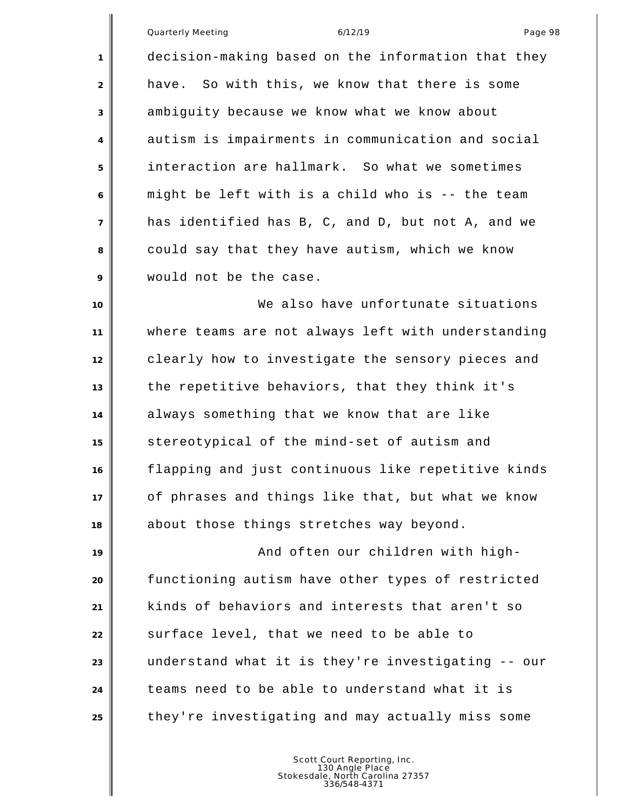Quarterly Meeting and the control of the 6/12/19 control of the control of the Page 98 decision-making based on the information that they have. So with this, we know that there is some ambiguity because we know what we know about autism is impairments in communication and social interaction are hallmark. So what we sometimes might be left with is a child who is -- the team has identified has B, C, and D, but not A, and we could say that they have autism, which we know would not be the case. We also have unfortunate situations where teams are not always left with understanding clearly how to investigate the sensory pieces and the repetitive behaviors, that they think it's always something that we know that are like stereotypical of the mind-set of autism and flapping and just continuous like repetitive kinds of phrases and things like that, but what we know

**And often our children with high-** functioning autism have other types of restricted kinds of behaviors and interests that aren't so **S**urface level, that we need to be able to understand what it is they're investigating -- our teams need to be able to understand what it is they're investigating and may actually miss some

about those things stretches way beyond.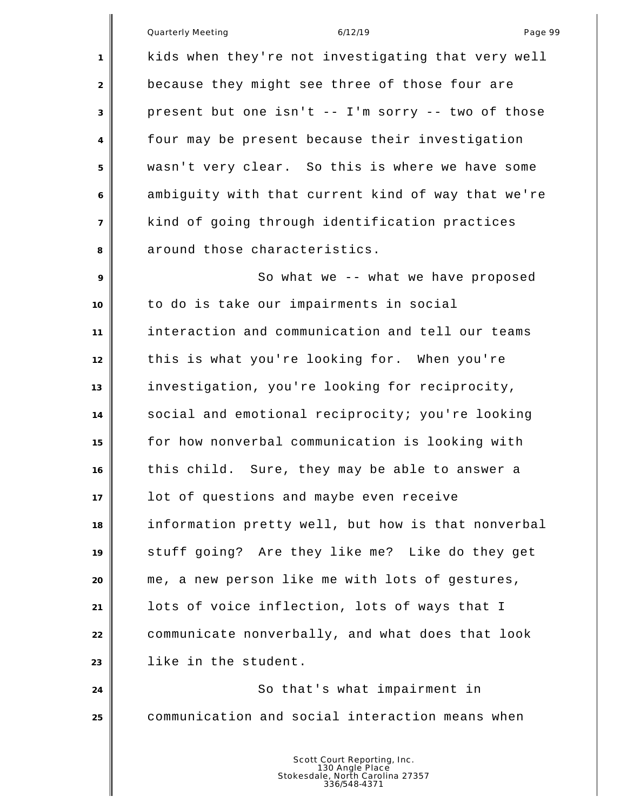Quarterly Meeting and the control of the 6/12/19 control of the Page 99

 kids when they're not investigating that very well because they might see three of those four are present but one isn't -- I'm sorry -- two of those four may be present because their investigation wasn't very clear. So this is where we have some ambiguity with that current kind of way that we're kind of going through identification practices around those characteristics.

9 || So what we -- what we have proposed to do is take our impairments in social interaction and communication and tell our teams this is what you're looking for. When you're investigation, you're looking for reciprocity, social and emotional reciprocity; you're looking for how nonverbal communication is looking with this child. Sure, they may be able to answer a lot of questions and maybe even receive information pretty well, but how is that nonverbal stuff going? Are they like me? Like do they get me, a new person like me with lots of gestures, lots of voice inflection, lots of ways that I communicate nonverbally, and what does that look like in the student.

24 So that's what impairment in communication and social interaction means when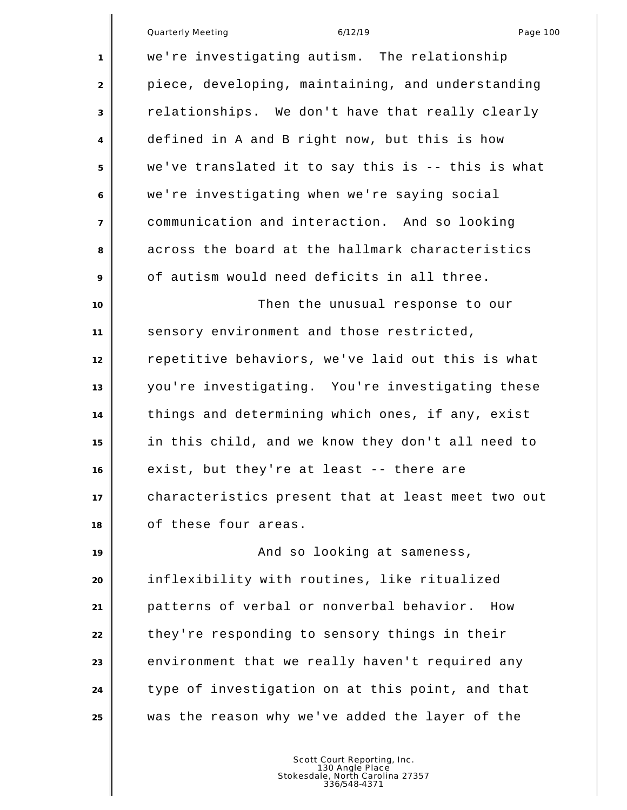|                | <b>Quarterly Meeting</b><br>6/12/19<br>Page 100    |
|----------------|----------------------------------------------------|
| 1              | we're investigating autism. The relationship       |
| 2              | piece, developing, maintaining, and understanding  |
| 3              | relationships. We don't have that really clearly   |
| 4              | defined in A and B right now, but this is how      |
| 5              | we've translated it to say this is -- this is what |
| 6              | we're investigating when we're saying social       |
| $\overline{7}$ | communication and interaction. And so looking      |
| 8              | across the board at the hallmark characteristics   |
| 9              | of autism would need deficits in all three.        |
| 10             | Then the unusual response to our                   |
| 11             | sensory environment and those restricted,          |
| 12             | repetitive behaviors, we've laid out this is what  |
| 13             | you're investigating. You're investigating these   |
| 14             | things and determining which ones, if any, exist   |
| 15             | in this child, and we know they don't all need to  |
| 16             | exist, but they're at least -- there are           |
| 17             | characteristics present that at least meet two out |
| 18             | of these four areas.                               |
| 19             | And so looking at sameness,                        |
| 20             | inflexibility with routines, like ritualized       |
| 21             | patterns of verbal or nonverbal behavior.<br>How   |
| 22             | they're responding to sensory things in their      |
| 23             | environment that we really haven't required any    |
| 24             | type of investigation on at this point, and that   |
| 25             | was the reason why we've added the layer of the    |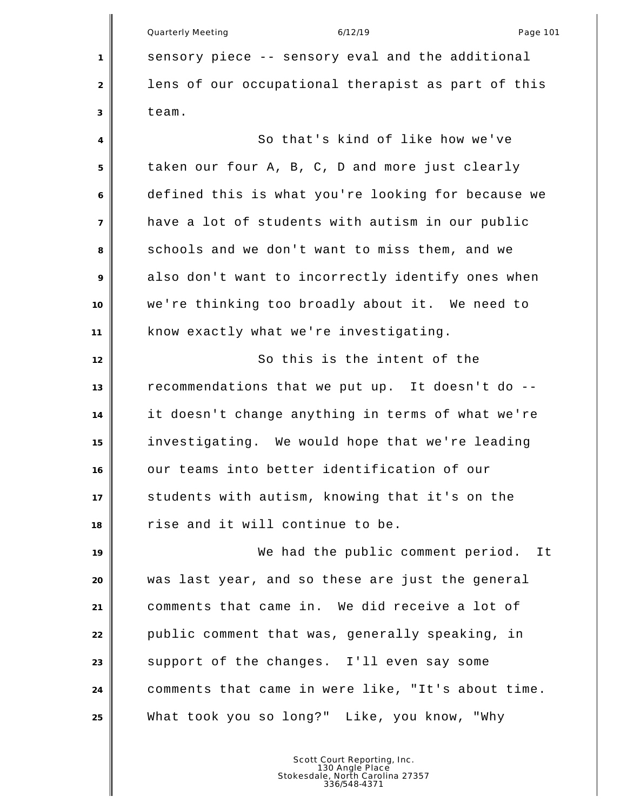Quarterly Meeting and the control of the 6/12/19 control of the Page 101 sensory piece -- sensory eval and the additional lens of our occupational therapist as part of this team.

4 So that's kind of like how we've taken our four A, B, C, D and more just clearly defined this is what you're looking for because we have a lot of students with autism in our public schools and we don't want to miss them, and we also don't want to incorrectly identify ones when we're thinking too broadly about it. We need to know exactly what we're investigating.

12 || So this is the intent of the recommendations that we put up. It doesn't do -- it doesn't change anything in terms of what we're investigating. We would hope that we're leading our teams into better identification of our students with autism, knowing that it's on the rise and it will continue to be.

19 We had the public comment period. It was last year, and so these are just the general comments that came in. We did receive a lot of **public comment that was, generally speaking, in Support of the changes.** I'll even say some comments that came in were like, "It's about time. What took you so long?" Like, you know, "Why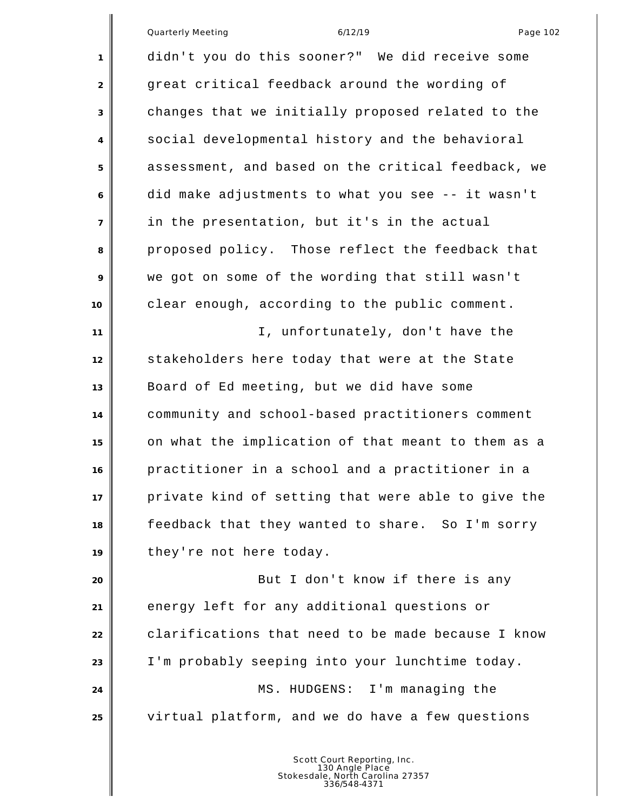|                | Quarterly Meeting<br>Page 102<br>6/12/19           |
|----------------|----------------------------------------------------|
| 1              | didn't you do this sooner?" We did receive some    |
| 2              | great critical feedback around the wording of      |
| 3              | changes that we initially proposed related to the  |
| 4              | social developmental history and the behavioral    |
| 5              | assessment, and based on the critical feedback, we |
| 6              | did make adjustments to what you see -- it wasn't  |
| $\overline{7}$ | in the presentation, but it's in the actual        |
| 8              | proposed policy. Those reflect the feedback that   |
| 9              | we got on some of the wording that still wasn't    |
| 10             | clear enough, according to the public comment.     |
| 11             | I, unfortunately, don't have the                   |
| 12             | stakeholders here today that were at the State     |
| 13             | Board of Ed meeting, but we did have some          |
| 14             | community and school-based practitioners comment   |
| 15             | on what the implication of that meant to them as a |
| 16             | practitioner in a school and a practitioner in a   |
| 17             | private kind of setting that were able to give the |
| 18             | feedback that they wanted to share. So I'm sorry   |
| 19             | they're not here today.                            |
| 20             | But I don't know if there is any                   |
| 21             | energy left for any additional questions or        |
| 22             | clarifications that need to be made because I know |
| 23             | I'm probably seeping into your lunchtime today.    |
| 24             | MS. HUDGENS: I'm managing the                      |
| 25             | virtual platform, and we do have a few questions   |
|                |                                                    |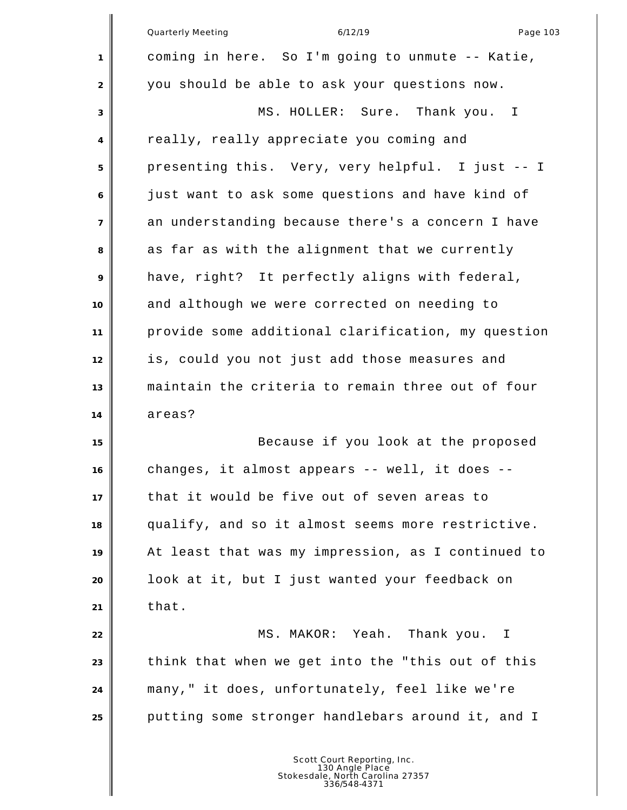|                | Quarterly Meeting<br>Page 103<br>6/12/19           |
|----------------|----------------------------------------------------|
| 1              | coming in here. So I'm going to unmute -- Katie,   |
| $\overline{2}$ | you should be able to ask your questions now.      |
| 3              | MS. HOLLER: Sure.<br>Thank you.<br>I.              |
| 4              | really, really appreciate you coming and           |
| 5              | presenting this. Very, very helpful. I just -- I   |
| 6              | just want to ask some questions and have kind of   |
| $\overline{7}$ | an understanding because there's a concern I have  |
| 8              | as far as with the alignment that we currently     |
| 9              | have, right? It perfectly aligns with federal,     |
| 10             | and although we were corrected on needing to       |
| 11             | provide some additional clarification, my question |
| 12             | is, could you not just add those measures and      |
| 13             | maintain the criteria to remain three out of four  |
| 14             | areas?                                             |
| 15             | Because if you look at the proposed                |
| 16             | changes, it almost appears -- well, it does        |
| 17             | that it would be five out of seven areas to        |
| 18             | qualify, and so it almost seems more restrictive.  |
| 19             | At least that was my impression, as I continued to |
| 20             | look at it, but I just wanted your feedback on     |
| 21             | that.                                              |
| 22             | MS. MAKOR: Yeah. Thank you. I                      |
| 23             | think that when we get into the "this out of this  |
| 24             | many," it does, unfortunately, feel like we're     |
| 25             | putting some stronger handlebars around it, and I  |
|                |                                                    |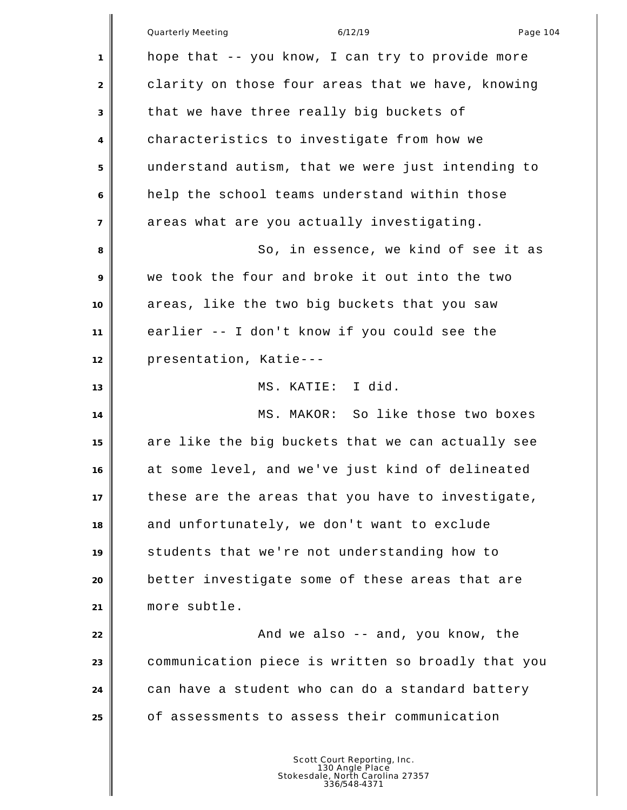|                | <b>Quarterly Meeting</b><br>Page 104<br>6/12/19    |
|----------------|----------------------------------------------------|
| 1              | hope that -- you know, I can try to provide more   |
| $\overline{2}$ | clarity on those four areas that we have, knowing  |
| 3              | that we have three really big buckets of           |
| 4              | characteristics to investigate from how we         |
| 5              | understand autism, that we were just intending to  |
| 6              | help the school teams understand within those      |
| $\overline{7}$ | areas what are you actually investigating.         |
| 8              | So, in essence, we kind of see it as               |
| 9              | we took the four and broke it out into the two     |
| 10             | areas, like the two big buckets that you saw       |
| 11             | earlier -- I don't know if you could see the       |
| 12             | presentation, Katie---                             |
| 13             | MS. KATIE: I did.                                  |
| 14             | MS. MAKOR: So like those two boxes                 |
| 15             | are like the big buckets that we can actually see  |
| 16             | at some level, and we've just kind of delineated   |
| 17             | these are the areas that you have to investigate,  |
| 18             | and unfortunately, we don't want to exclude        |
| 19             | students that we're not understanding how to       |
| 20             | better investigate some of these areas that are    |
| 21             | more subtle.                                       |
| 22             | And we also -- and, you know, the                  |
| 23             | communication piece is written so broadly that you |
| 24             | can have a student who can do a standard battery   |
| 25             | of assessments to assess their communication       |
|                |                                                    |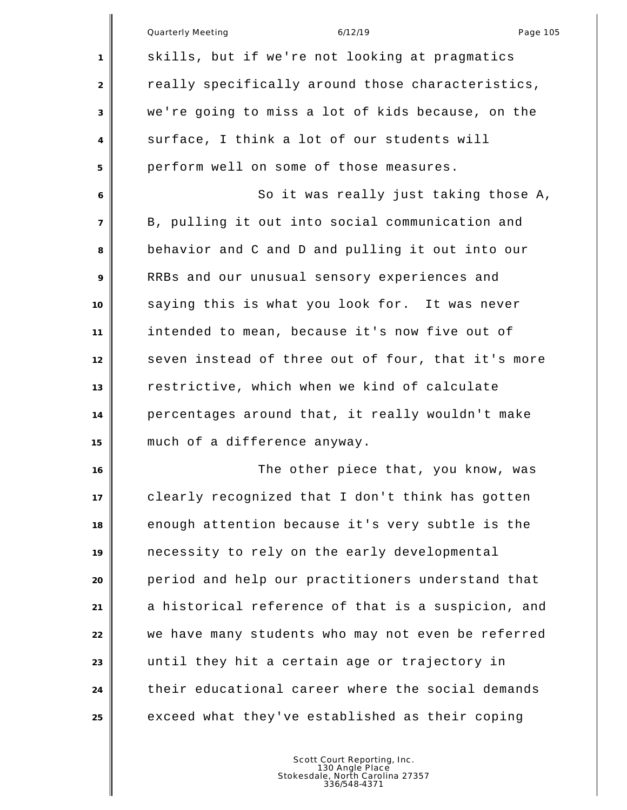|                | Quarterly Meeting<br>6/12/19<br>Page 105           |
|----------------|----------------------------------------------------|
| 1              | skills, but if we're not looking at pragmatics     |
| 2              | really specifically around those characteristics,  |
| 3              | we're going to miss a lot of kids because, on the  |
| 4              | surface, I think a lot of our students will        |
| 5              | perform well on some of those measures.            |
| 6              | So it was really just taking those A,              |
| $\overline{7}$ | B, pulling it out into social communication and    |
| 8              | behavior and C and D and pulling it out into our   |
| 9              | RRBs and our unusual sensory experiences and       |
| 10             | saying this is what you look for. It was never     |
| 11             | intended to mean, because it's now five out of     |
| 12             | seven instead of three out of four, that it's more |
| 13             | restrictive, which when we kind of calculate       |
| 14             | percentages around that, it really wouldn't make   |
| 15             | much of a difference anyway.                       |
| 16             | The other piece that, you know, was                |
| 17             | clearly recognized that I don't think has gotten   |
| 18             | enough attention because it's very subtle is the   |
| 19             | necessity to rely on the early developmental       |
| 20             | period and help our practitioners understand that  |
| 21             | a historical reference of that is a suspicion, and |
| 22             | we have many students who may not even be referred |
| 23             | until they hit a certain age or trajectory in      |
| 24             | their educational career where the social demands  |
| 25             | exceed what they've established as their coping    |
|                |                                                    |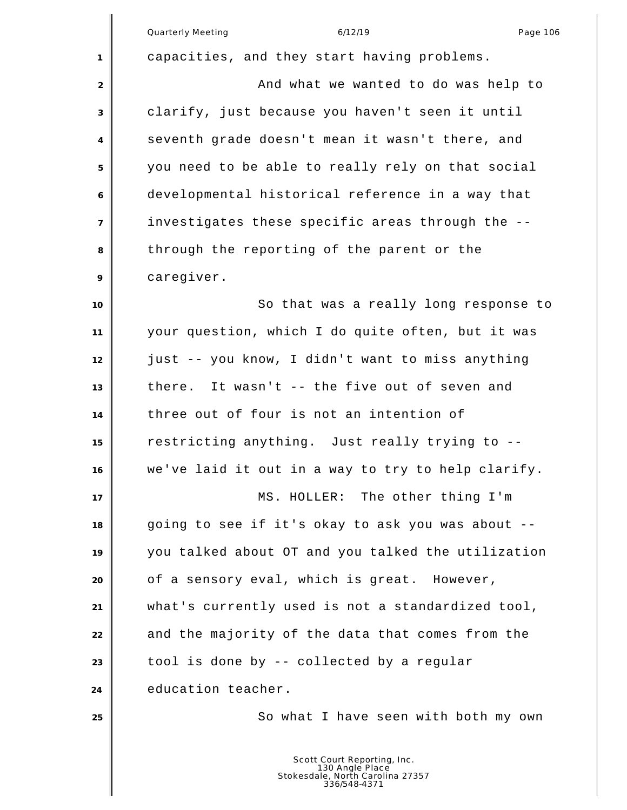|                | Quarterly Meeting<br>6/12/19<br>Page 106                                                           |
|----------------|----------------------------------------------------------------------------------------------------|
| 1              | capacities, and they start having problems.                                                        |
| $\overline{2}$ | And what we wanted to do was help to                                                               |
| 3              | clarify, just because you haven't seen it until                                                    |
| 4              | seventh grade doesn't mean it wasn't there, and                                                    |
| 5              | you need to be able to really rely on that social                                                  |
| 6              | developmental historical reference in a way that                                                   |
| $\overline{7}$ | investigates these specific areas through the --                                                   |
| 8              | through the reporting of the parent or the                                                         |
| 9              | caregiver.                                                                                         |
| 10             | So that was a really long response to                                                              |
| 11             | your question, which I do quite often, but it was                                                  |
| 12             | just -- you know, I didn't want to miss anything                                                   |
| 13             | there. It wasn't -- the five out of seven and                                                      |
| 14             | three out of four is not an intention of                                                           |
| 15             | restricting anything. Just really trying to --                                                     |
| 16             | we've laid it out in a way to try to help clarify.                                                 |
| 17             | MS. HOLLER: The other thing I'm                                                                    |
| 18             | going to see if it's okay to ask you was about --                                                  |
| 19             | you talked about OT and you talked the utilization                                                 |
| 20             | of a sensory eval, which is great. However,                                                        |
| 21             | what's currently used is not a standardized tool,                                                  |
| 22             | and the majority of the data that comes from the                                                   |
| 23             | tool is done by -- collected by a regular                                                          |
| 24             | education teacher.                                                                                 |
| 25             | So what I have seen with both my own                                                               |
|                | Scott Court Reporting, Inc.<br>130 Angle Place<br>Stokesdale, North Carolina 27357<br>336/548-4371 |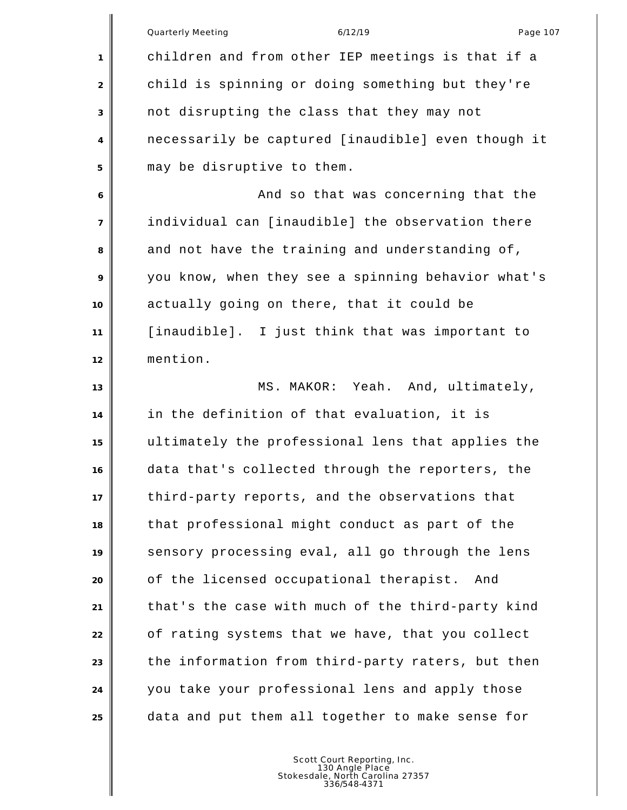|                | <b>Quarterly Meeting</b><br>6/12/19<br>Page 107    |
|----------------|----------------------------------------------------|
| 1              | children and from other IEP meetings is that if a  |
| 2              | child is spinning or doing something but they're   |
| 3              | not disrupting the class that they may not         |
| 4              | necessarily be captured [inaudible] even though it |
| 5              | may be disruptive to them.                         |
| 6              | And so that was concerning that the                |
| $\overline{7}$ | individual can [inaudible] the observation there   |
| 8              | and not have the training and understanding of,    |
| 9              | you know, when they see a spinning behavior what's |
| 10             | actually going on there, that it could be          |
| 11             | [inaudible]. I just think that was important to    |
| 12             | mention.                                           |
| 13             | MS. MAKOR: Yeah. And, ultimately,                  |
| 14             | in the definition of that evaluation, it is        |
| 15             | ultimately the professional lens that applies the  |
| 16             | data that's collected through the reporters, the   |
| 17             | third-party reports, and the observations that     |
| 18             | that professional might conduct as part of the     |
| 19             | sensory processing eval, all go through the lens   |
| 20             | of the licensed occupational therapist.<br>And     |
| 21             | that's the case with much of the third-party kind  |
| 22             | of rating systems that we have, that you collect   |
| 23             | the information from third-party raters, but then  |
| 24             | you take your professional lens and apply those    |
| 25             | data and put them all together to make sense for   |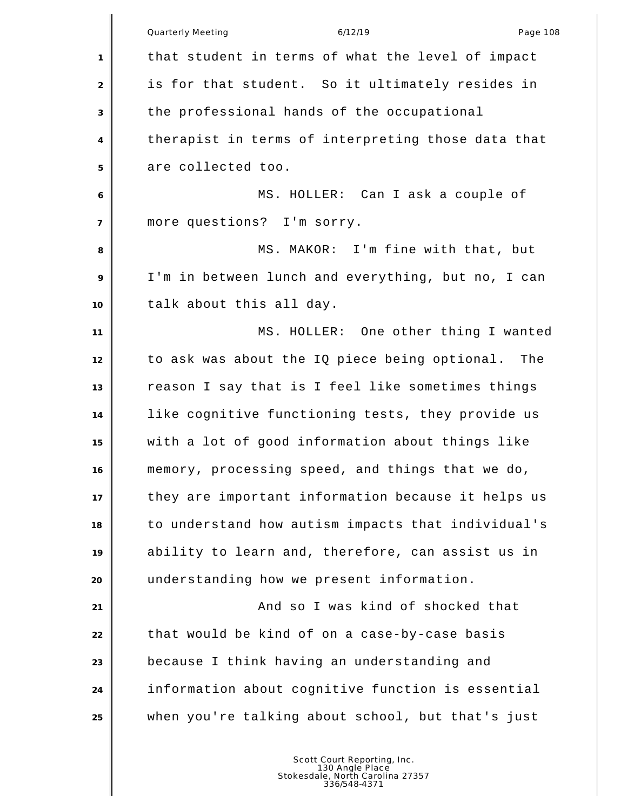|                | Page 108<br><b>Quarterly Meeting</b><br>6/12/19    |
|----------------|----------------------------------------------------|
| 1              | that student in terms of what the level of impact  |
| 2              | is for that student. So it ultimately resides in   |
| 3              | the professional hands of the occupational         |
| 4              | therapist in terms of interpreting those data that |
| 5              | are collected too.                                 |
| 6              | MS. HOLLER: Can I ask a couple of                  |
| $\overline{7}$ | more questions? I'm sorry.                         |
| 8              | MS. MAKOR: I'm fine with that, but                 |
| 9              | I'm in between lunch and everything, but no, I can |
| 10             | talk about this all day.                           |
| 11             | MS. HOLLER: One other thing I wanted               |
| 12             | to ask was about the IQ piece being optional. The  |
| 13             | reason I say that is I feel like sometimes things  |
| 14             | like cognitive functioning tests, they provide us  |
| 15             | with a lot of good information about things like   |
| 16             | memory, processing speed, and things that we do,   |
| 17             | they are important information because it helps us |
| 18             | to understand how autism impacts that individual's |
| 19             | ability to learn and, therefore, can assist us in  |
| 20             | understanding how we present information.          |
| 21             | And so I was kind of shocked that                  |
| 22             | that would be kind of on a case-by-case basis      |
| 23             | because I think having an understanding and        |
| 24             | information about cognitive function is essential  |
| 25             | when you're talking about school, but that's just  |
|                |                                                    |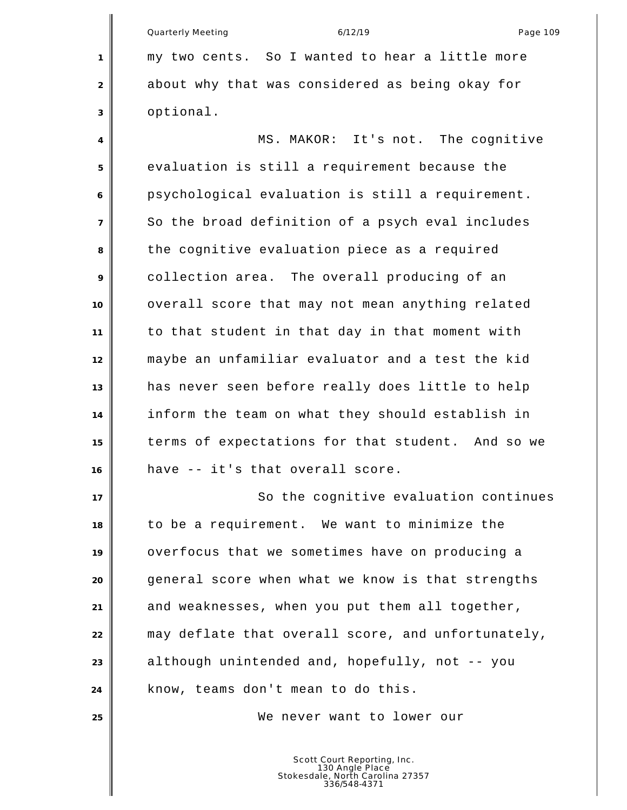Quarterly Meeting and the control of the 6/12/19 control of the Page 109 my two cents. So I wanted to hear a little more about why that was considered as being okay for optional.

 MS. MAKOR: It's not. The cognitive evaluation is still a requirement because the psychological evaluation is still a requirement. So the broad definition of a psych eval includes the cognitive evaluation piece as a required collection area. The overall producing of an overall score that may not mean anything related to that student in that day in that moment with maybe an unfamiliar evaluator and a test the kid has never seen before really does little to help inform the team on what they should establish in terms of expectations for that student. And so we have -- it's that overall score.

17 | So the cognitive evaluation continues to be a requirement. We want to minimize the overfocus that we sometimes have on producing a general score when what we know is that strengths and weaknesses, when you put them all together, may deflate that overall score, and unfortunately, although unintended and, hopefully, not -- you know, teams don't mean to do this.

We never want to lower our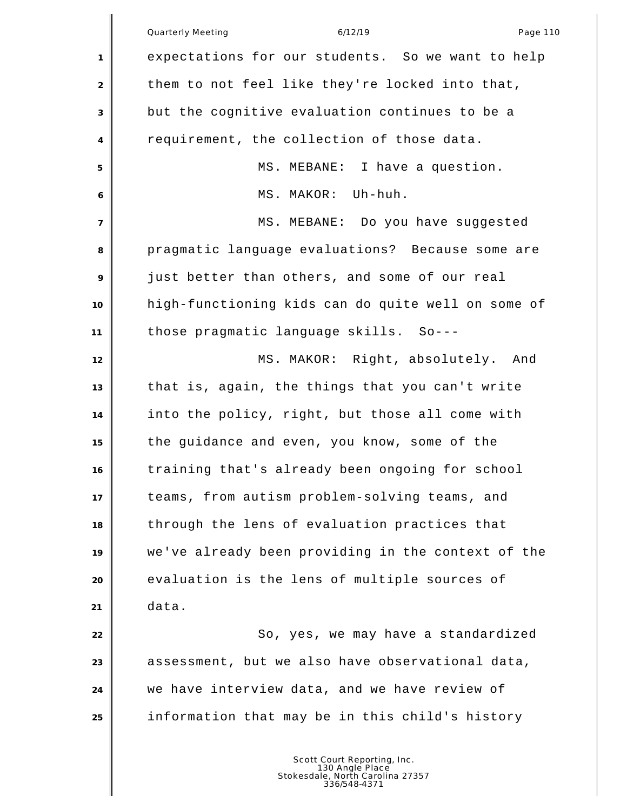|                | <b>Quarterly Meeting</b><br>6/12/19<br>Page 110    |
|----------------|----------------------------------------------------|
| $\mathbf{1}$   | expectations for our students. So we want to help  |
| 2              | them to not feel like they're locked into that,    |
| 3              | but the cognitive evaluation continues to be a     |
| $\overline{4}$ | requirement, the collection of those data.         |
| 5              | MS. MEBANE: I have a question.                     |
| 6              | MS. MAKOR: Uh-huh.                                 |
| $\overline{7}$ | MS. MEBANE: Do you have suggested                  |
| 8              | pragmatic language evaluations? Because some are   |
| 9              | just better than others, and some of our real      |
| 10             | high-functioning kids can do quite well on some of |
| 11             | those pragmatic language skills. So---             |
| 12             | MS. MAKOR: Right, absolutely. And                  |
| 13             | that is, again, the things that you can't write    |
| 14             | into the policy, right, but those all come with    |
| 15             | the guidance and even, you know, some of the       |
| 16             | training that's already been ongoing for school    |
| 17             | teams, from autism problem-solving teams, and      |
| 18             | through the lens of evaluation practices that      |
| 19             | we've already been providing in the context of the |
| 20             | evaluation is the lens of multiple sources of      |
| 21             | data.                                              |
| 22             | So, yes, we may have a standardized                |
| 23             | assessment, but we also have observational data,   |
| 24             | we have interview data, and we have review of      |
| 25             | information that may be in this child's history    |
|                |                                                    |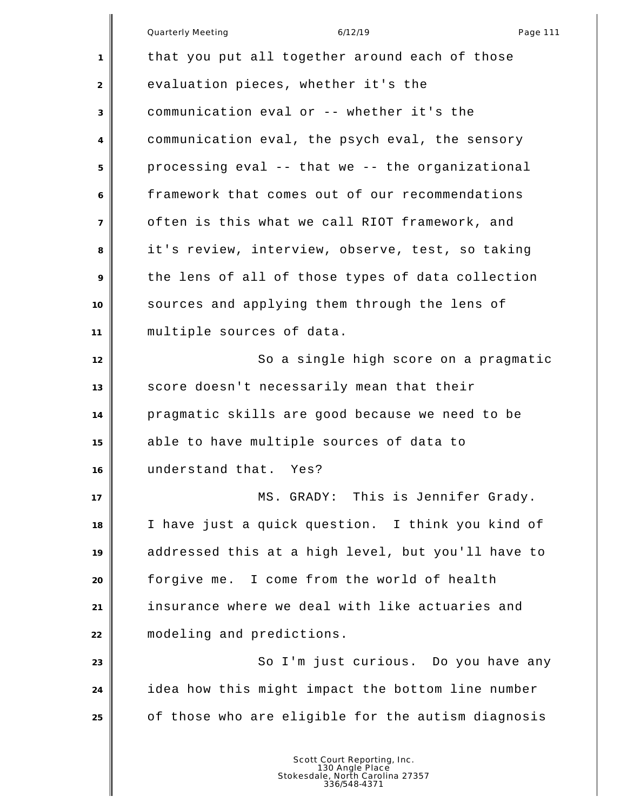|                | <b>Quarterly Meeting</b><br>6/12/19<br>Page 111    |
|----------------|----------------------------------------------------|
| 1              | that you put all together around each of those     |
| 2              | evaluation pieces, whether it's the                |
| 3              | communication eval or -- whether it's the          |
| 4              | communication eval, the psych eval, the sensory    |
| 5              | processing eval -- that we -- the organizational   |
| 6              | framework that comes out of our recommendations    |
| $\overline{7}$ | often is this what we call RIOT framework, and     |
| 8              | it's review, interview, observe, test, so taking   |
| 9              | the lens of all of those types of data collection  |
| 10             | sources and applying them through the lens of      |
| 11             | multiple sources of data.                          |
| 12             | So a single high score on a pragmatic              |
| 13             | score doesn't necessarily mean that their          |
| 14             | pragmatic skills are good because we need to be    |
| 15             | able to have multiple sources of data to           |
| 16             | understand that. Yes?                              |
| 17             | MS. GRADY: This is Jennifer Grady.                 |
| 18             | I have just a quick question. I think you kind of  |
| 19             | addressed this at a high level, but you'll have to |
| 20             | forgive me. I come from the world of health        |
| 21             | insurance where we deal with like actuaries and    |
| 22             | modeling and predictions.                          |
| 23             | So I'm just curious. Do you have any               |
| 24             | idea how this might impact the bottom line number  |
| 25             | of those who are eligible for the autism diagnosis |
|                |                                                    |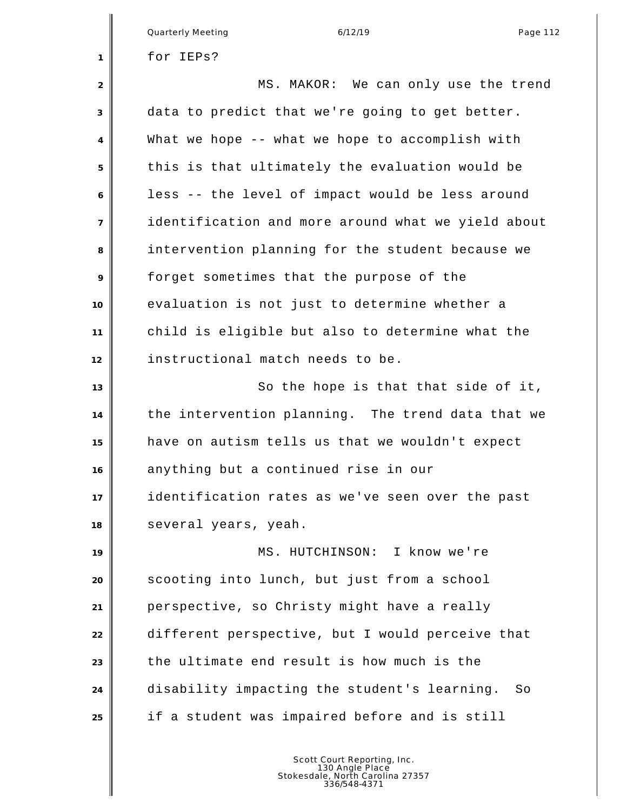|                | Quarterly Meeting<br>6/12/19<br>Page 112           |
|----------------|----------------------------------------------------|
| $\mathbf{1}$   | for IEPs?                                          |
| 2              | MS. MAKOR: We can only use the trend               |
| 3              | data to predict that we're going to get better.    |
| $\overline{4}$ | What we hope -- what we hope to accomplish with    |
| 5              | this is that ultimately the evaluation would be    |
| 6              | less -- the level of impact would be less around   |
| $\overline{7}$ | identification and more around what we yield about |
| 8              | intervention planning for the student because we   |
| 9              | forget sometimes that the purpose of the           |
| 10             | evaluation is not just to determine whether a      |
| 11             | child is eligible but also to determine what the   |
| 12             | instructional match needs to be.                   |
| 13             | So the hope is that that side of it,               |
| 14             | the intervention planning. The trend data that we  |
| 15             | have on autism tells us that we wouldn't expect    |
| 16             | anything but a continued rise in our               |
| 17             | identification rates as we've seen over the past   |
| 18             | several years, yeah.                               |
| 19             | MS. HUTCHINSON: I know we're                       |
| 20             | scooting into lunch, but just from a school        |
| 21             | perspective, so Christy might have a really        |
| 22             | different perspective, but I would perceive that   |
| 23             | the ultimate end result is how much is the         |
| 24             | disability impacting the student's learning.<br>So |
| 25             | if a student was impaired before and is still      |
|                |                                                    |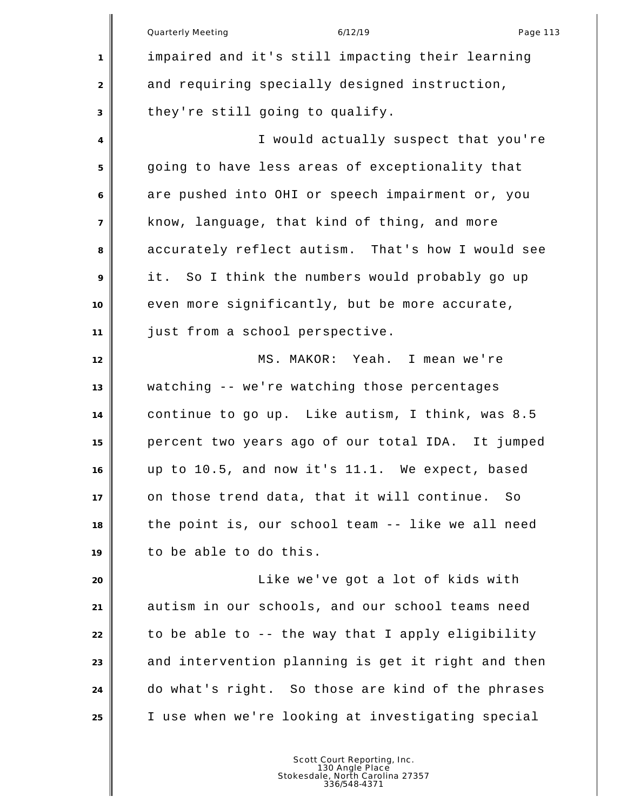Quarterly Meeting and the control of the 6/12/19 control of the Page 113 impaired and it's still impacting their learning 2 and requiring specially designed instruction, they're still going to qualify. I would actually suspect that you're going to have less areas of exceptionality that are pushed into OHI or speech impairment or, you know, language, that kind of thing, and more accurately reflect autism. That's how I would see it. So I think the numbers would probably go up even more significantly, but be more accurate, just from a school perspective. MS. MAKOR: Yeah. I mean we're watching -- we're watching those percentages continue to go up. Like autism, I think, was 8.5 percent two years ago of our total IDA. It jumped up to 10.5, and now it's 11.1. We expect, based on those trend data, that it will continue. So the point is, our school team -- like we all need to be able to do this. Like we've got a lot of kids with autism in our schools, and our school teams need to be able to -- the way that I apply eligibility 23 and intervention planning is get it right and then do what's right. So those are kind of the phrases I use when we're looking at investigating special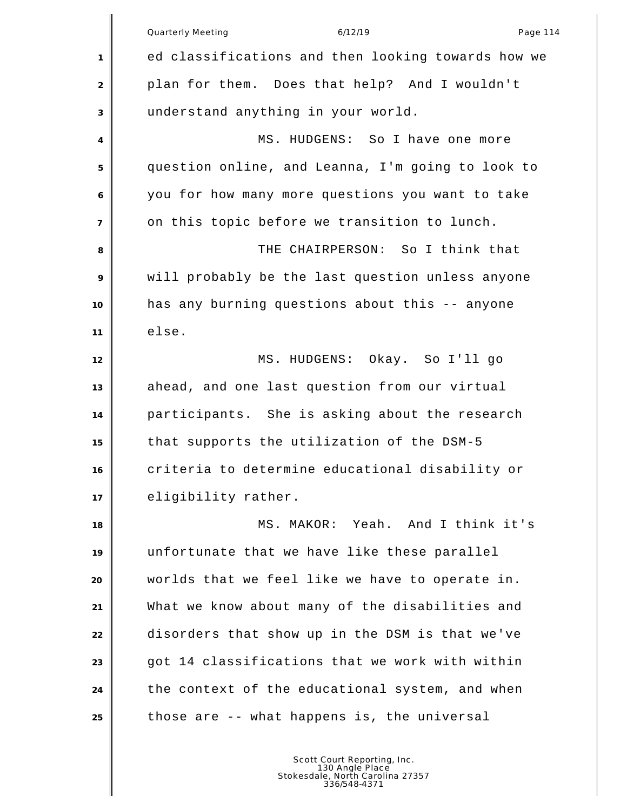|                | Quarterly Meeting<br>6/12/19<br>Page 114           |
|----------------|----------------------------------------------------|
| 1              | ed classifications and then looking towards how we |
| $\overline{2}$ | plan for them. Does that help? And I wouldn't      |
| 3              | understand anything in your world.                 |
| 4              | MS. HUDGENS: So I have one more                    |
| 5              | question online, and Leanna, I'm going to look to  |
| 6              | you for how many more questions you want to take   |
| $\overline{7}$ | on this topic before we transition to lunch.       |
| 8              | THE CHAIRPERSON: So I think that                   |
| 9              | will probably be the last question unless anyone   |
| 10             | has any burning questions about this -- anyone     |
| 11             | else.                                              |
| 12             | MS. HUDGENS: Okay. So I'll go                      |
| 13             | ahead, and one last question from our virtual      |
| 14             | participants. She is asking about the research     |
| 15             | that supports the utilization of the DSM-5         |
| 16             | criteria to determine educational disability or    |
| 17             | eligibility rather.                                |
| 18             | MS. MAKOR: Yeah. And I think it's                  |
| 19             | unfortunate that we have like these parallel       |
| 20             | worlds that we feel like we have to operate in.    |
| 21             | What we know about many of the disabilities and    |
| 22             | disorders that show up in the DSM is that we've    |
| 23             | got 14 classifications that we work with within    |
| 24             | the context of the educational system, and when    |
| 25             | those are -- what happens is, the universal        |
|                |                                                    |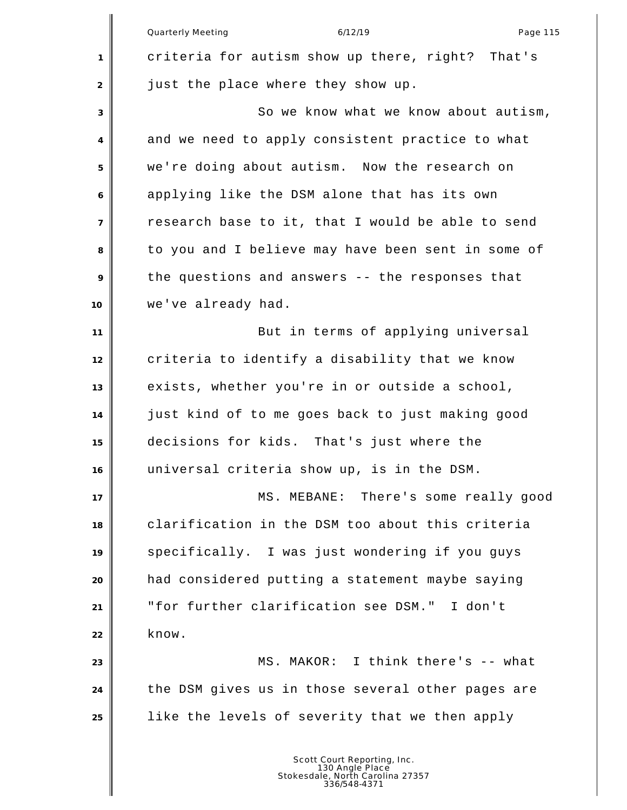|                | 6/12/19<br>Quarterly Meeting<br>Page 115                                                           |
|----------------|----------------------------------------------------------------------------------------------------|
| 1              | criteria for autism show up there, right? That's                                                   |
| 2              | just the place where they show up.                                                                 |
| 3              | So we know what we know about autism,                                                              |
| 4              | and we need to apply consistent practice to what                                                   |
| 5              | we're doing about autism. Now the research on                                                      |
| 6              | applying like the DSM alone that has its own                                                       |
| $\overline{7}$ | research base to it, that I would be able to send                                                  |
| 8              | to you and I believe may have been sent in some of                                                 |
| 9              | the questions and answers -- the responses that                                                    |
| 10             | we've already had.                                                                                 |
| 11             | But in terms of applying universal                                                                 |
| 12             | criteria to identify a disability that we know                                                     |
| 13             | exists, whether you're in or outside a school,                                                     |
| 14             | just kind of to me goes back to just making good                                                   |
| 15             | decisions for kids. That's just where the                                                          |
| 16             | universal criteria show up, is in the DSM.                                                         |
| 17             | MS. MEBANE: There's some really good                                                               |
| 18             | clarification in the DSM too about this criteria                                                   |
| 19             | specifically. I was just wondering if you guys                                                     |
| 20             | had considered putting a statement maybe saying                                                    |
| 21             | "for further clarification see DSM." I don't                                                       |
| 22             | know.                                                                                              |
| 23             | MS. MAKOR: I think there's -- what                                                                 |
| 24             | the DSM gives us in those several other pages are                                                  |
| 25             | like the levels of severity that we then apply                                                     |
|                | Scott Court Reporting, Inc.<br>130 Angle Place<br>Stokesdale, North Carolina 27357<br>336/548-4371 |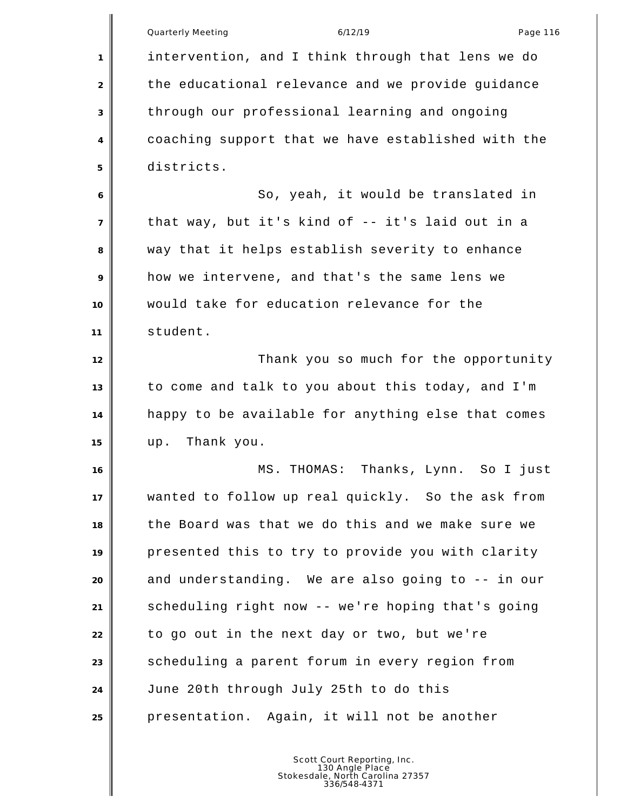|                | <b>Quarterly Meeting</b><br>6/12/19<br>Page 116    |
|----------------|----------------------------------------------------|
| 1              | intervention, and I think through that lens we do  |
| 2              | the educational relevance and we provide guidance  |
| 3              | through our professional learning and ongoing      |
| $\overline{4}$ | coaching support that we have established with the |
| 5              | districts.                                         |
| 6              | So, yeah, it would be translated in                |
| $\overline{7}$ | that way, but it's kind of -- it's laid out in a   |
| 8              | way that it helps establish severity to enhance    |
| 9              | how we intervene, and that's the same lens we      |
| 10             | would take for education relevance for the         |
| 11             | student.                                           |
| 12             | Thank you so much for the opportunity              |
| 13             | to come and talk to you about this today, and I'm  |
| 14             | happy to be available for anything else that comes |
| 15             | Thank you.<br>up.                                  |
| 16             | MS. THOMAS: Thanks, Lynn. So I just                |
| 17             | wanted to follow up real quickly. So the ask from  |
| 18             | the Board was that we do this and we make sure we  |
| 19             | presented this to try to provide you with clarity  |
| 20             | and understanding. We are also going to -- in our  |
| 21             | scheduling right now -- we're hoping that's going  |
| 22             | to go out in the next day or two, but we're        |
| 23             | scheduling a parent forum in every region from     |
| 24             | June 20th through July 25th to do this             |
| 25             | presentation. Again, it will not be another        |
|                |                                                    |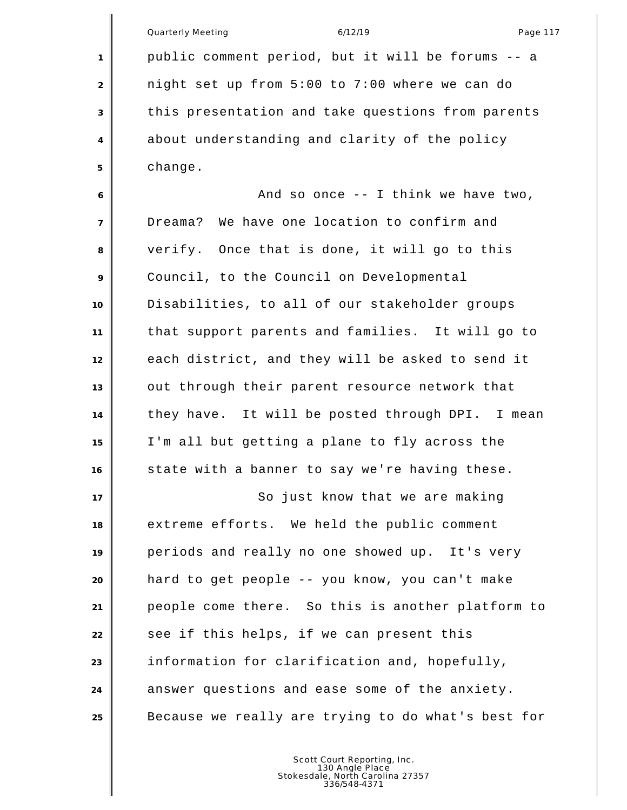|                | Quarterly Meeting<br>6/12/19<br>Page 117           |
|----------------|----------------------------------------------------|
| 1              | public comment period, but it will be forums -- a  |
| 2              | night set up from 5:00 to 7:00 where we can do     |
| 3              | this presentation and take questions from parents  |
| $\overline{4}$ | about understanding and clarity of the policy      |
| 5              | change.                                            |
| 6              | And so once $-$ - I think we have two,             |
| $\overline{7}$ | Dreama? We have one location to confirm and        |
| 8              | verify. Once that is done, it will go to this      |
| 9              | Council, to the Council on Developmental           |
| 10             | Disabilities, to all of our stakeholder groups     |
| 11             | that support parents and families. It will go to   |
| 12             | each district, and they will be asked to send it   |
| 13             | out through their parent resource network that     |
| 14             | they have. It will be posted through DPI. I mean   |
| 15             | I'm all but getting a plane to fly across the      |
| 16             | state with a banner to say we're having these.     |
| 17             | So just know that we are making                    |
| 18             | extreme efforts. We held the public comment        |
| 19             | periods and really no one showed up. It's very     |
| 20             | hard to get people -- you know, you can't make     |
| 21             | people come there. So this is another platform to  |
| 22             | see if this helps, if we can present this          |
| 23             | information for clarification and, hopefully,      |
| 24             | answer questions and ease some of the anxiety.     |
| 25             | Because we really are trying to do what's best for |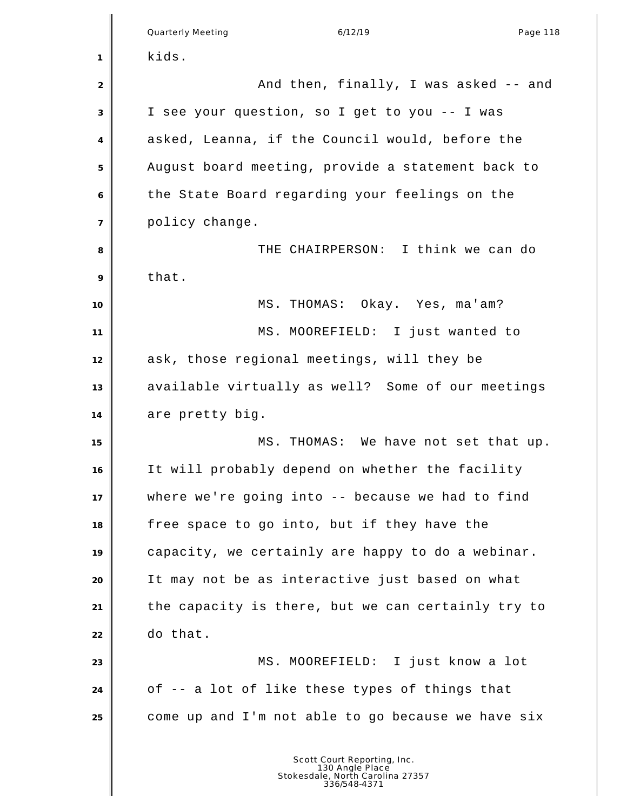|                | <b>Quarterly Meeting</b><br>6/12/19<br>Page 118    |
|----------------|----------------------------------------------------|
| 1              | kids.                                              |
| 2              | And then, finally, I was asked -- and              |
| 3              | I see your question, so I get to you -- I was      |
| 4              | asked, Leanna, if the Council would, before the    |
| 5              | August board meeting, provide a statement back to  |
| 6              | the State Board regarding your feelings on the     |
| $\overline{7}$ | policy change.                                     |
| 8              | THE CHAIRPERSON: I think we can do                 |
| 9              | that.                                              |
| 10             | MS. THOMAS: Okay. Yes, ma'am?                      |
| 11             | MS. MOOREFIELD: I just wanted to                   |
| 12             | ask, those regional meetings, will they be         |
| 13             | available virtually as well? Some of our meetings  |
| 14             | are pretty big.                                    |
| 15             | MS. THOMAS: We have not set that up.               |
| 16             | It will probably depend on whether the facility    |
| 17             | where we're going into -- because we had to find   |
| 18             | free space to go into, but if they have the        |
| 19             | capacity, we certainly are happy to do a webinar.  |
| 20             | It may not be as interactive just based on what    |
| 21             | the capacity is there, but we can certainly try to |
| 22             | do that.                                           |
| 23             | MS. MOOREFIELD: I just know a lot                  |
| 24             | of -- a lot of like these types of things that     |
| 25             | come up and I'm not able to go because we have six |
|                | Scott Court Reporting, Inc.                        |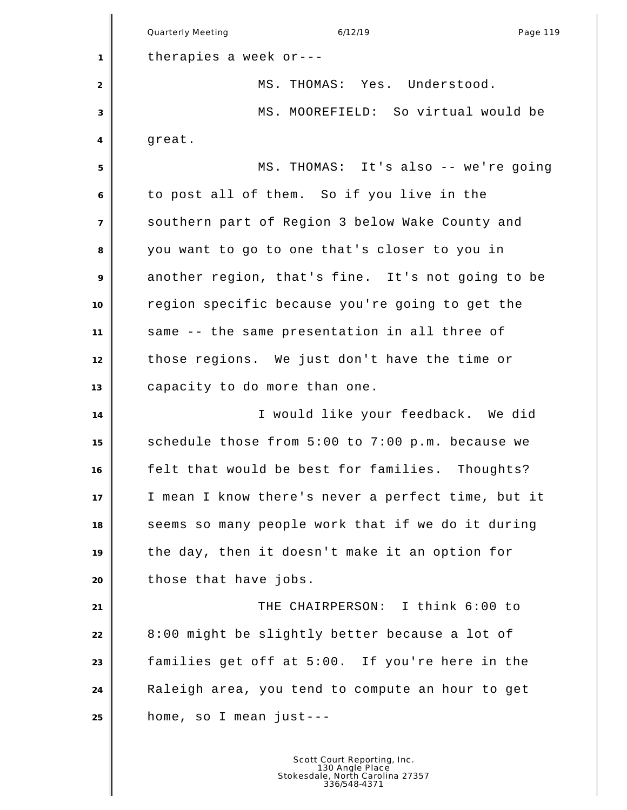Quarterly Meeting and the control of the 6/12/19 control of the Page 119 therapies a week or--- MS. THOMAS: Yes. Understood. MS. MOOREFIELD: So virtual would be great. MS. THOMAS: It's also -- we're going to post all of them. So if you live in the southern part of Region 3 below Wake County and you want to go to one that's closer to you in another region, that's fine. It's not going to be region specific because you're going to get the same -- the same presentation in all three of those regions. We just don't have the time or capacity to do more than one. I would like your feedback. We did schedule those from 5:00 to 7:00 p.m. because we felt that would be best for families. Thoughts? I mean I know there's never a perfect time, but it seems so many people work that if we do it during the day, then it doesn't make it an option for **b** those that have jobs. THE CHAIRPERSON: I think 6:00 to 8:00 might be slightly better because a lot of families get off at 5:00. If you're here in the Raleigh area, you tend to compute an hour to get home, so I mean just---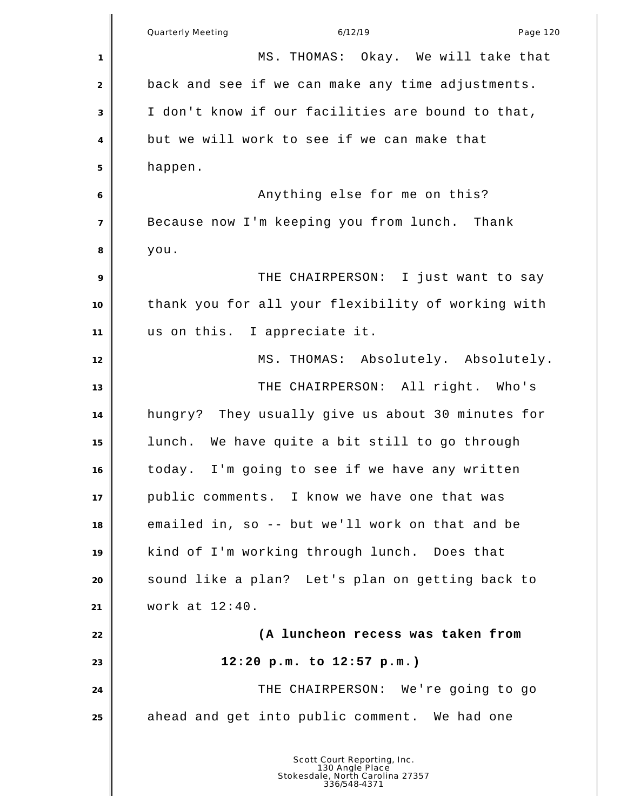|                  | Quarterly Meeting<br>6/12/19<br>Page 120                                                           |
|------------------|----------------------------------------------------------------------------------------------------|
| 1                | MS. THOMAS: Okay. We will take that                                                                |
| 2                | back and see if we can make any time adjustments.                                                  |
| 3                | I don't know if our facilities are bound to that,                                                  |
| 4                | but we will work to see if we can make that                                                        |
| 5                | happen.                                                                                            |
| 6                | Anything else for me on this?                                                                      |
| $\boldsymbol{7}$ | Because now I'm keeping you from lunch. Thank                                                      |
| 8                | you.                                                                                               |
| 9                | THE CHAIRPERSON: I just want to say                                                                |
| 10               | thank you for all your flexibility of working with                                                 |
| 11               | us on this. I appreciate it.                                                                       |
| 12               | MS. THOMAS: Absolutely. Absolutely.                                                                |
| 13               | THE CHAIRPERSON: All right. Who's                                                                  |
| 14               | hungry? They usually give us about 30 minutes for                                                  |
| 15               | lunch. We have quite a bit still to go through                                                     |
| 16               | today. I'm going to see if we have any written                                                     |
| 17               | public comments. I know we have one that was                                                       |
| 18               | emailed in, so -- but we'll work on that and be                                                    |
| 19               | kind of I'm working through lunch. Does that                                                       |
| 20               | sound like a plan? Let's plan on getting back to                                                   |
| 21               | work at $12:40$ .                                                                                  |
| 22               | (A luncheon recess was taken from                                                                  |
| 23               | 12:20 p.m. to 12:57 p.m.)                                                                          |
| 24               | THE CHAIRPERSON: We're going to go                                                                 |
| 25               | ahead and get into public comment. We had one                                                      |
|                  | Scott Court Reporting, Inc.<br>130 Angle Place<br>Stokesdale, North Carolina 27357<br>336/548-4371 |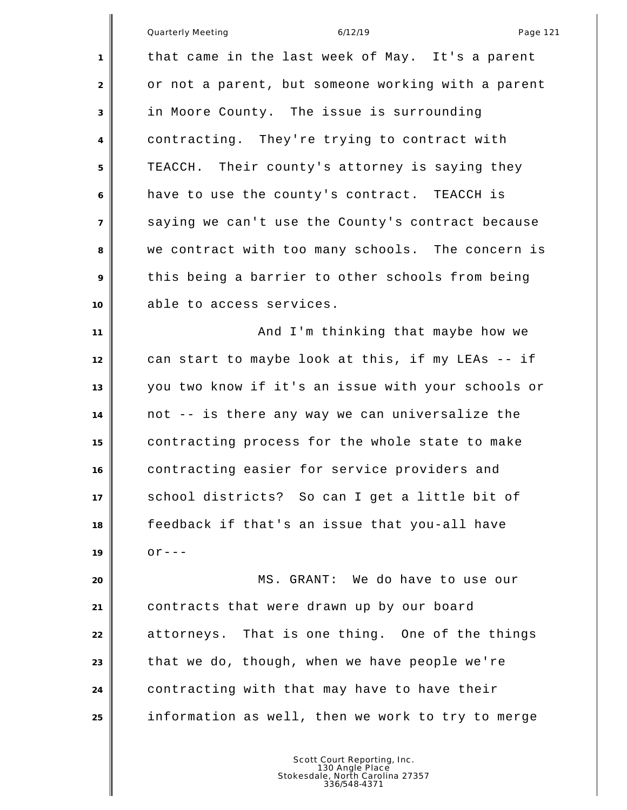|                | Quarterly Meeting<br>6/12/19<br>Page 121           |
|----------------|----------------------------------------------------|
| 1              | that came in the last week of May. It's a parent   |
| $\overline{2}$ | or not a parent, but someone working with a parent |
| 3              | in Moore County. The issue is surrounding          |
| 4              | contracting. They're trying to contract with       |
| 5              | TEACCH. Their county's attorney is saying they     |
| 6              | have to use the county's contract. TEACCH is       |
| $\overline{7}$ | saying we can't use the County's contract because  |
| 8              | we contract with too many schools. The concern is  |
| 9              | this being a barrier to other schools from being   |
|                | able to access services.                           |
| 10             |                                                    |
| 11             | And I'm thinking that maybe how we                 |
| 12             | can start to maybe look at this, if my LEAs -- if  |
| 13             | you two know if it's an issue with your schools or |
| 14             | not -- is there any way we can universalize the    |
| 15             | contracting process for the whole state to make    |
| 16             | contracting easier for service providers and       |
| 17             | school districts? So can I get a little bit of     |
| 18             | feedback if that's an issue that you-all have      |
| 19             | $OY = -$                                           |
| 20             | MS. GRANT: We do have to use our                   |
| 21             | contracts that were drawn up by our board          |
| 22             | attorneys. That is one thing. One of the things    |
| 23             | that we do, though, when we have people we're      |
| 24             | contracting with that may have to have their       |
| 25             | information as well, then we work to try to merge  |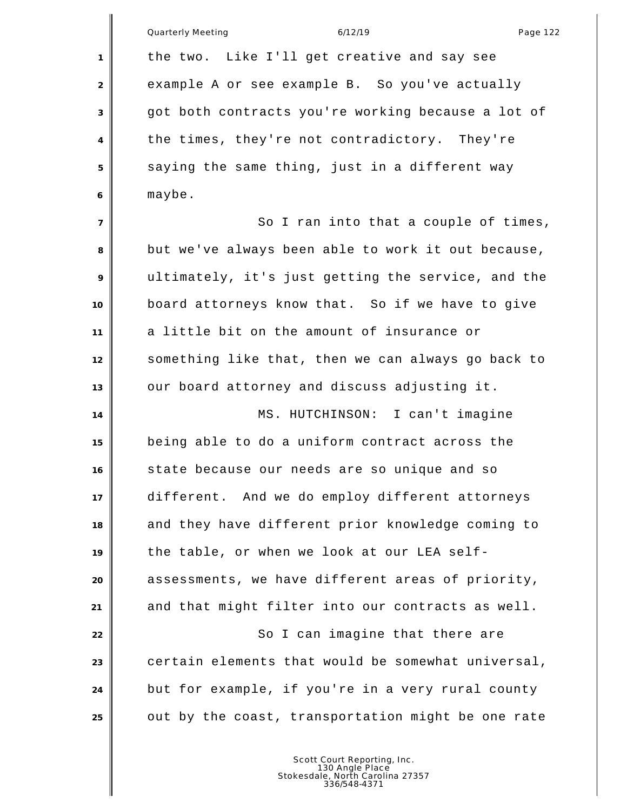|                | <b>Quarterly Meeting</b><br>6/12/19<br>Page 122    |
|----------------|----------------------------------------------------|
| $\mathbf{1}$   | the two. Like I'll get creative and say see        |
| 2              | example A or see example B. So you've actually     |
| 3              | got both contracts you're working because a lot of |
| $\overline{4}$ | the times, they're not contradictory. They're      |
| 5              | saying the same thing, just in a different way     |
| 6              | maybe.                                             |
| $\overline{7}$ | So I ran into that a couple of times,              |
| 8              | but we've always been able to work it out because, |
| 9              | ultimately, it's just getting the service, and the |
| 10             | board attorneys know that. So if we have to give   |
| 11             | a little bit on the amount of insurance or         |
| 12             | something like that, then we can always go back to |
| 13             | our board attorney and discuss adjusting it.       |
| 14             | MS. HUTCHINSON: I can't imagine                    |
| 15             | being able to do a uniform contract across the     |
| 16             | state because our needs are so unique and so       |
| 17             | different. And we do employ different attorneys    |
| 18             | and they have different prior knowledge coming to  |
| 19             | the table, or when we look at our LEA self-        |
| 20             | assessments, we have different areas of priority,  |
| 21             | and that might filter into our contracts as well.  |
| 22             | So I can imagine that there are                    |
| 23             | certain elements that would be somewhat universal, |
| 24             | but for example, if you're in a very rural county  |
| 25             | out by the coast, transportation might be one rate |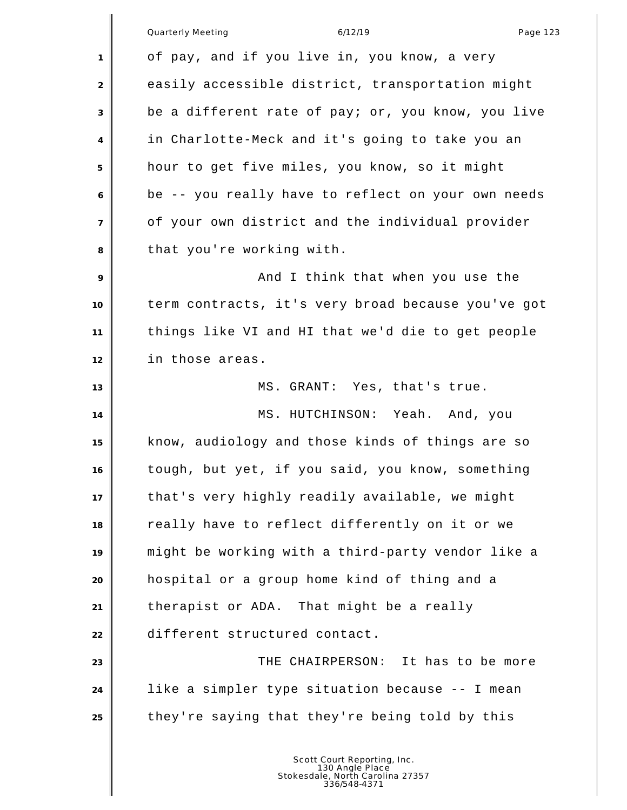|                | <b>Quarterly Meeting</b><br>6/12/19<br>Page 123    |
|----------------|----------------------------------------------------|
| 1              | of pay, and if you live in, you know, a very       |
| 2              | easily accessible district, transportation might   |
| 3              | be a different rate of pay; or, you know, you live |
| $\overline{4}$ | in Charlotte-Meck and it's going to take you an    |
| 5              | hour to get five miles, you know, so it might      |
| 6              | be -- you really have to reflect on your own needs |
| $\overline{7}$ | of your own district and the individual provider   |
| 8              | that you're working with.                          |
| 9              | And I think that when you use the                  |
| 10             | term contracts, it's very broad because you've got |
| 11             | things like VI and HI that we'd die to get people  |
| 12             | in those areas.                                    |
| 13             | MS. GRANT: Yes, that's true.                       |
| 14             | MS. HUTCHINSON: Yeah. And, you                     |
| 15             | know, audiology and those kinds of things are so   |
| 16             | tough, but yet, if you said, you know, something   |
| 17             | that's very highly readily available, we might     |
| 18             | really have to reflect differently on it or we     |
| 19             | might be working with a third-party vendor like a  |
| 20             | hospital or a group home kind of thing and a       |
| 21             | therapist or ADA. That might be a really           |
| 22             | different structured contact.                      |
| 23             | THE CHAIRPERSON: It has to be more                 |
| 24             | like a simpler type situation because -- I mean    |
| 25             | they're saying that they're being told by this     |
|                |                                                    |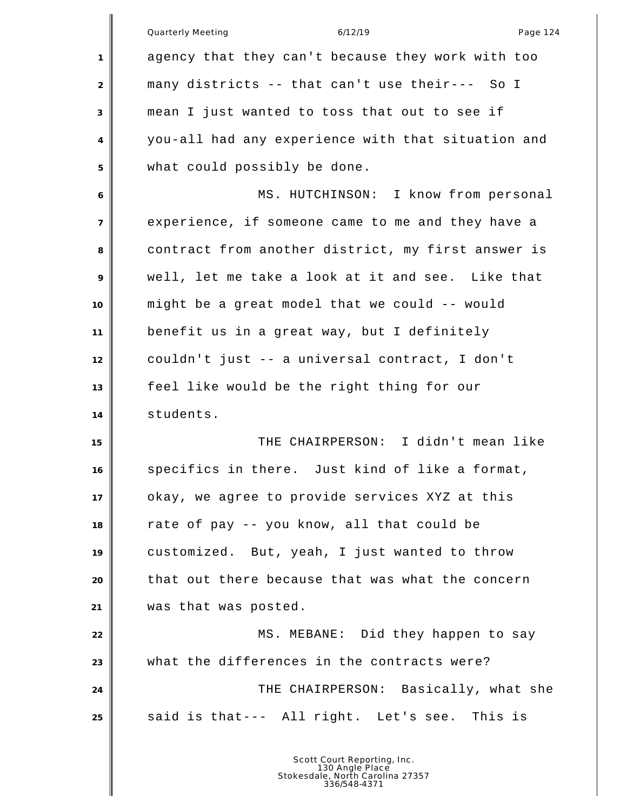|                | <b>Quarterly Meeting</b><br>6/12/19<br>Page 124    |
|----------------|----------------------------------------------------|
| $\mathbf{1}$   | agency that they can't because they work with too  |
| 2              | many districts -- that can't use their--- So I     |
| 3              | mean I just wanted to toss that out to see if      |
| 4              | you-all had any experience with that situation and |
| 5              | what could possibly be done.                       |
| 6              | MS. HUTCHINSON: I know from personal               |
| $\overline{7}$ | experience, if someone came to me and they have a  |
| 8              | contract from another district, my first answer is |
| 9              | well, let me take a look at it and see. Like that  |
| 10             | might be a great model that we could -- would      |
| 11             | benefit us in a great way, but I definitely        |
| 12             | couldn't just -- a universal contract, I don't     |
| 13             | feel like would be the right thing for our         |
| 14             | students.                                          |
| 15             | THE CHAIRPERSON: I didn't mean like                |
| 16             | specifics in there. Just kind of like a format,    |
| 17             | okay, we agree to provide services XYZ at this     |
| 18             | rate of pay -- you know, all that could be         |
| 19             | customized. But, yeah, I just wanted to throw      |
| 20             | that out there because that was what the concern   |
| 21             | was that was posted.                               |
| 22             | MS. MEBANE: Did they happen to say                 |
| 23             | what the differences in the contracts were?        |
| 24             | THE CHAIRPERSON: Basically, what she               |
| 25             | said is that--- All right. Let's see. This is      |
|                |                                                    |
|                |                                                    |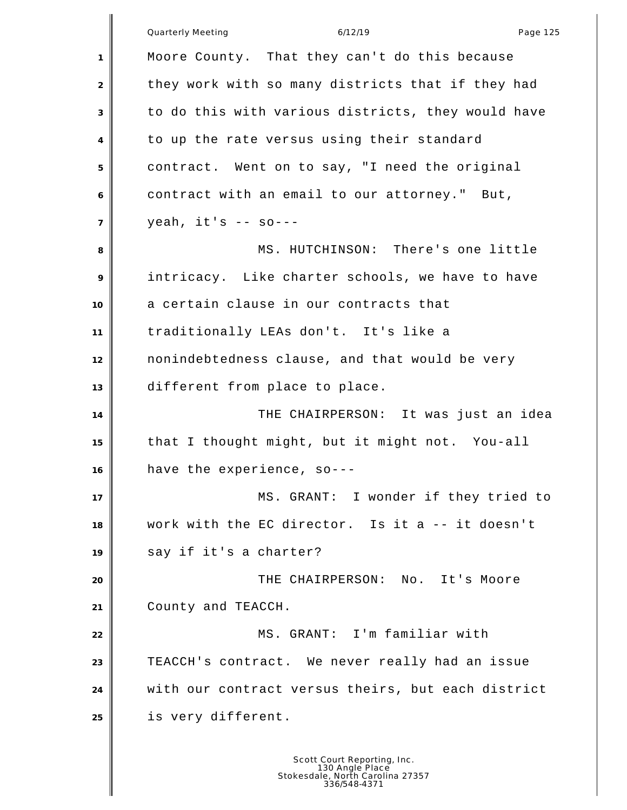Quarterly Meeting and the control of the 6/12/19 control of the Page 125 Moore County. That they can't do this because 2 they work with so many districts that if they had to do this with various districts, they would have to up the rate versus using their standard contract. Went on to say, "I need the original contract with an email to our attorney." But, yeah, it's -- so--- 8 MS. HUTCHINSON: There's one little intricacy. Like charter schools, we have to have a certain clause in our contracts that traditionally LEAs don't. It's like a nonindebtedness clause, and that would be very different from place to place. **THE CHAIRPERSON:** It was just an idea that I thought might, but it might not. You-all have the experience, so--- 17 NS. GRANT: I wonder if they tried to work with the EC director. Is it a -- it doesn't say if it's a charter? THE CHAIRPERSON: No. It's Moore County and TEACCH. MS. GRANT: I'm familiar with TEACCH's contract. We never really had an issue with our contract versus theirs, but each district is very different.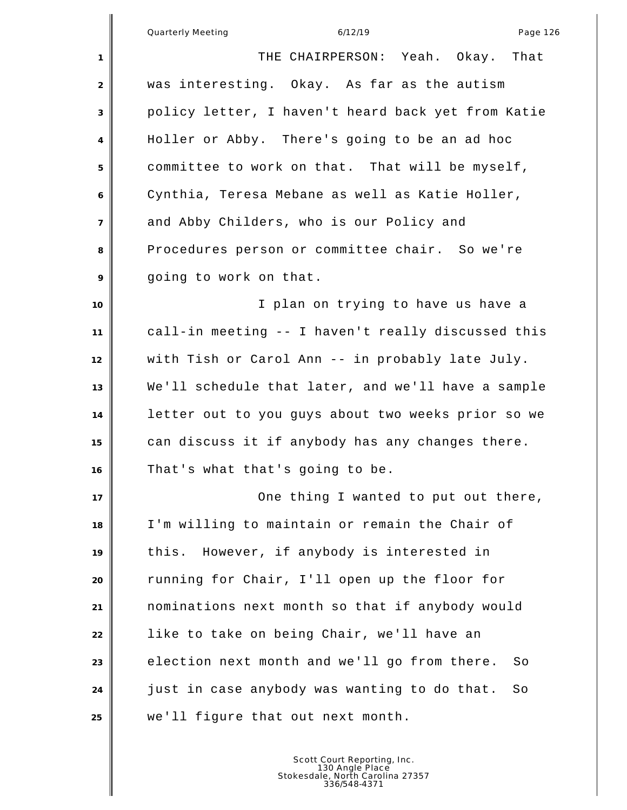Quarterly Meeting and the control of the 6/12/19 control of the Page 126 THE CHAIRPERSON: Yeah. Okay. That was interesting. Okay. As far as the autism policy letter, I haven't heard back yet from Katie Holler or Abby. There's going to be an ad hoc committee to work on that. That will be myself, Cynthia, Teresa Mebane as well as Katie Holler, and Abby Childers, who is our Policy and Procedures person or committee chair. So we're going to work on that. **I** plan on trying to have us have a call-in meeting -- I haven't really discussed this with Tish or Carol Ann -- in probably late July. We'll schedule that later, and we'll have a sample letter out to you guys about two weeks prior so we can discuss it if anybody has any changes there. That's what that's going to be. **I** One thing I wanted to put out there, I'm willing to maintain or remain the Chair of this. However, if anybody is interested in running for Chair, I'll open up the floor for nominations next month so that if anybody would like to take on being Chair, we'll have an election next month and we'll go from there. So just in case anybody was wanting to do that. So we'll figure that out next month.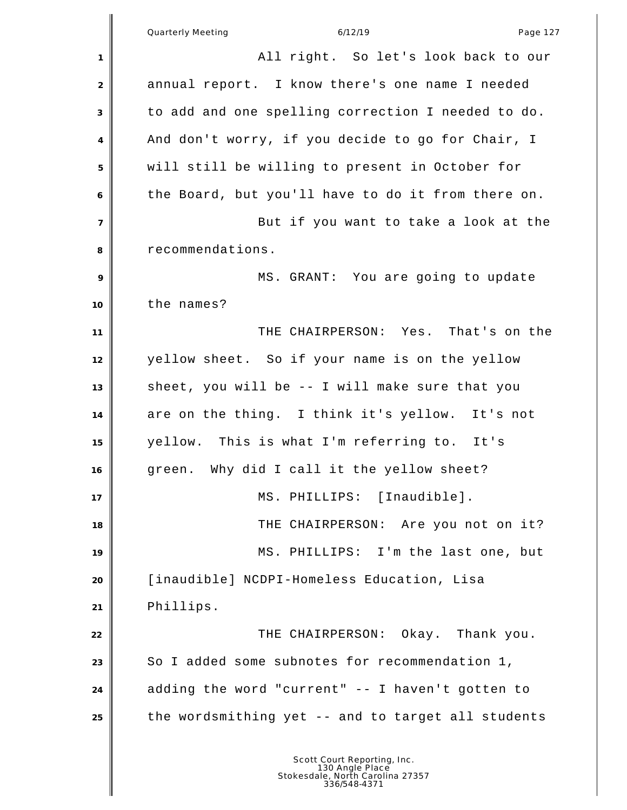|                | Quarterly Meeting<br>6/12/19<br>Page 127                                                           |
|----------------|----------------------------------------------------------------------------------------------------|
| 1              | All right. So let's look back to our                                                               |
| 2              | annual report. I know there's one name I needed                                                    |
| 3              | to add and one spelling correction I needed to do.                                                 |
| 4              | And don't worry, if you decide to go for Chair, I                                                  |
| 5              | will still be willing to present in October for                                                    |
| 6              | the Board, but you'll have to do it from there on.                                                 |
| $\overline{7}$ | But if you want to take a look at the                                                              |
| 8              | recommendations.                                                                                   |
| 9              | MS. GRANT: You are going to update                                                                 |
| 10             | the names?                                                                                         |
| 11             | THE CHAIRPERSON: Yes. That's on the                                                                |
| 12             | yellow sheet. So if your name is on the yellow                                                     |
| 13             | sheet, you will be -- I will make sure that you                                                    |
| 14             | are on the thing. I think it's yellow. It's not                                                    |
| 15             | yellow. This is what I'm referring to. It's                                                        |
| 16             | green. Why did I call it the yellow sheet?                                                         |
| 17             | MS. PHILLIPS: [Inaudible].                                                                         |
| 18             | THE CHAIRPERSON: Are you not on it?                                                                |
| 19             | MS. PHILLIPS: I'm the last one, but                                                                |
| 20             | [inaudible] NCDPI-Homeless Education, Lisa                                                         |
| 21             | Phillips.                                                                                          |
| 22             | THE CHAIRPERSON: Okay. Thank you.                                                                  |
| 23             | So I added some subnotes for recommendation 1,                                                     |
| 24             | adding the word "current" -- I haven't gotten to                                                   |
| 25             | the wordsmithing yet -- and to target all students                                                 |
|                | Scott Court Reporting, Inc.<br>130 Angle Place<br>Stokesdale, North Carolina 27357<br>336/548-4371 |

∥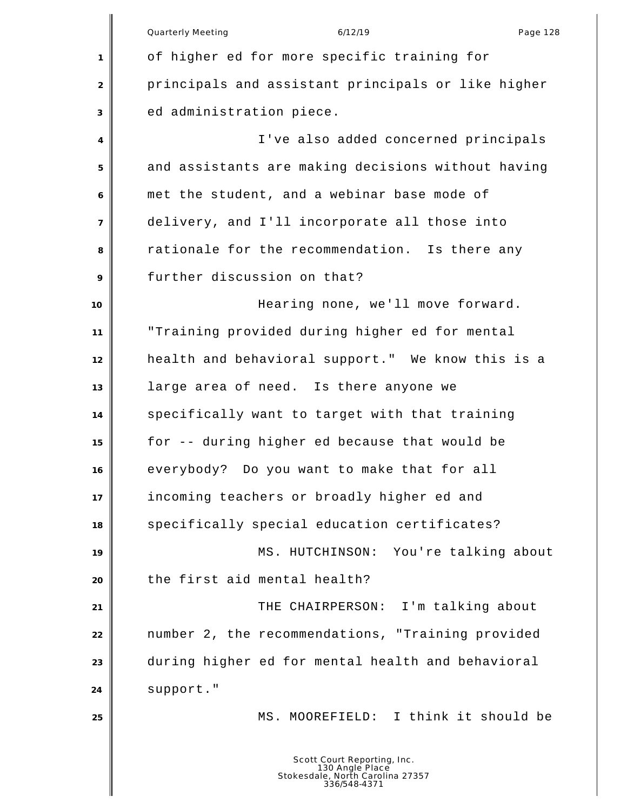|                | Quarterly Meeting<br>Page 128<br>6/12/19                                                           |
|----------------|----------------------------------------------------------------------------------------------------|
| $\mathbf{1}$   | of higher ed for more specific training for                                                        |
| 2              | principals and assistant principals or like higher                                                 |
| 3              | ed administration piece.                                                                           |
| 4              | I've also added concerned principals                                                               |
| 5              | and assistants are making decisions without having                                                 |
| 6              | met the student, and a webinar base mode of                                                        |
| $\overline{7}$ | delivery, and I'll incorporate all those into                                                      |
| 8              | rationale for the recommendation. Is there any                                                     |
| 9              | further discussion on that?                                                                        |
| 10             | Hearing none, we'll move forward.                                                                  |
| 11             | "Training provided during higher ed for mental                                                     |
| 12             | health and behavioral support." We know this is a                                                  |
| 13             | large area of need. Is there anyone we                                                             |
| 14             | specifically want to target with that training                                                     |
| 15             | for -- during higher ed because that would be                                                      |
| 16             | everybody? Do you want to make that for all                                                        |
| 17             | incoming teachers or broadly higher ed and                                                         |
| 18             | specifically special education certificates?                                                       |
| 19             | MS. HUTCHINSON:<br>You're talking about                                                            |
| 20             | the first aid mental health?                                                                       |
| 21             | THE CHAIRPERSON: I'm talking about                                                                 |
| 22             | number 2, the recommendations, "Training provided                                                  |
| 23             | during higher ed for mental health and behavioral                                                  |
| 24             | support."                                                                                          |
| 25             | MS. MOOREFIELD: I think it should be                                                               |
|                | Scott Court Reporting, Inc.<br>130 Angle Place<br>Stokesdale, North Carolina 27357<br>336/548-4371 |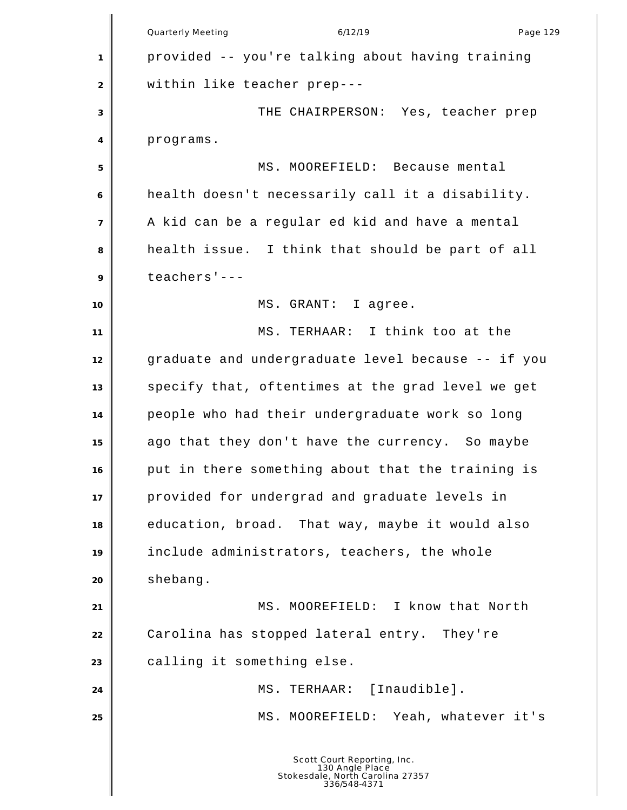Quarterly Meeting and the control of the 6/12/19 control of the Page 129 provided -- you're talking about having training within like teacher prep--- THE CHAIRPERSON: Yes, teacher prep programs. MS. MOOREFIELD: Because mental health doesn't necessarily call it a disability. A kid can be a regular ed kid and have a mental health issue. I think that should be part of all teachers'--- MS. GRANT: I agree. MS. TERHAAR: I think too at the graduate and undergraduate level because -- if you specify that, oftentimes at the grad level we get people who had their undergraduate work so long ago that they don't have the currency. So maybe put in there something about that the training is provided for undergrad and graduate levels in education, broad. That way, maybe it would also include administrators, teachers, the whole shebang. **MS. MOOREFIELD:** I know that North Carolina has stopped lateral entry. They're calling it something else. 24 | MS. TERHAAR: [Inaudible]. MS. MOOREFIELD: Yeah, whatever it's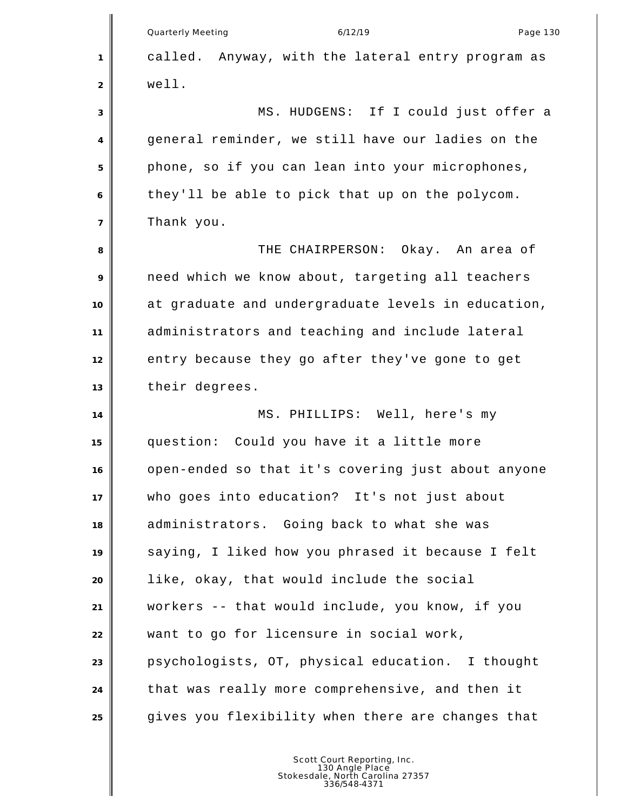|                | Quarterly Meeting<br>6/12/19<br>Page 130           |
|----------------|----------------------------------------------------|
| 1              | called. Anyway, with the lateral entry program as  |
| 2              | well.                                              |
| 3              | MS. HUDGENS: If I could just offer a               |
| $\overline{4}$ | general reminder, we still have our ladies on the  |
| 5              | phone, so if you can lean into your microphones,   |
| 6              | they'll be able to pick that up on the polycom.    |
| $\overline{7}$ | Thank you.                                         |
| 8              | THE CHAIRPERSON: Okay. An area of                  |
| 9              | need which we know about, targeting all teachers   |
| 10             | at graduate and undergraduate levels in education, |
| 11             | administrators and teaching and include lateral    |
| 12             | entry because they go after they've gone to get    |
| 13             | their degrees.                                     |
| 14             | MS. PHILLIPS: Well, here's my                      |
| 15             | question: Could you have it a little more          |
| 16             | open-ended so that it's covering just about anyone |
| 17             | who goes into education? It's not just about       |
| 18             | administrators. Going back to what she was         |
| 19             | saying, I liked how you phrased it because I felt  |
| 20             | like, okay, that would include the social          |
| 21             | workers -- that would include, you know, if you    |
| 22             | want to go for licensure in social work,           |
| 23             | psychologists, OT, physical education. I thought   |
| 24             | that was really more comprehensive, and then it    |
| 25             | gives you flexibility when there are changes that  |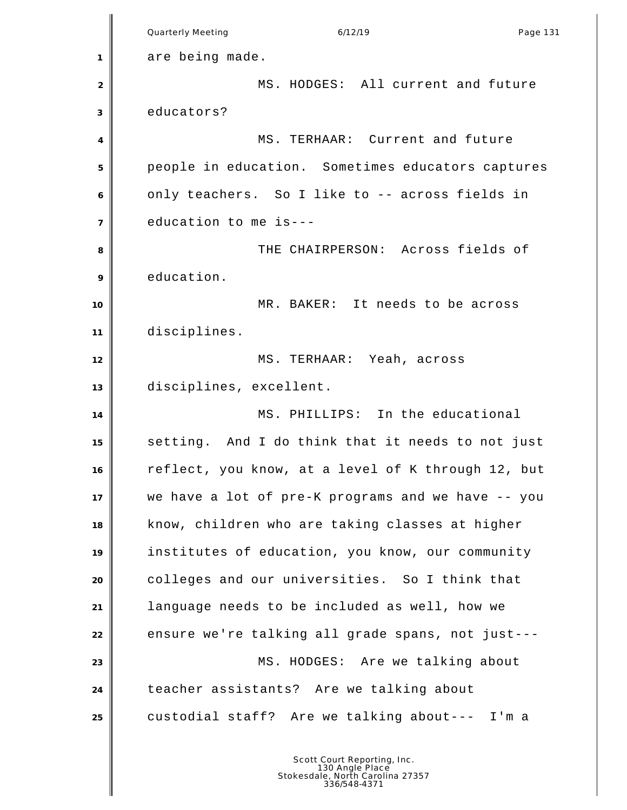Quarterly Meeting and the contract of the 6/12/19 contract the contract Page 131 are being made. MS. HODGES: All current and future educators? 4 MS. TERHAAR: Current and future people in education. Sometimes educators captures only teachers. So I like to -- across fields in education to me is--- **8** THE CHAIRPERSON: Across fields of education. **NR. BAKER:** It needs to be across disciplines. MS. TERHAAR: Yeah, across disciplines, excellent. 14 || MS. PHILLIPS: In the educational setting. And I do think that it needs to not just reflect, you know, at a level of K through 12, but we have a lot of pre-K programs and we have -- you know, children who are taking classes at higher institutes of education, you know, our community colleges and our universities. So I think that language needs to be included as well, how we 22 ensure we're talking all grade spans, not just---**MS. HODGES:** Are we talking about teacher assistants? Are we talking about custodial staff? Are we talking about--- I'm a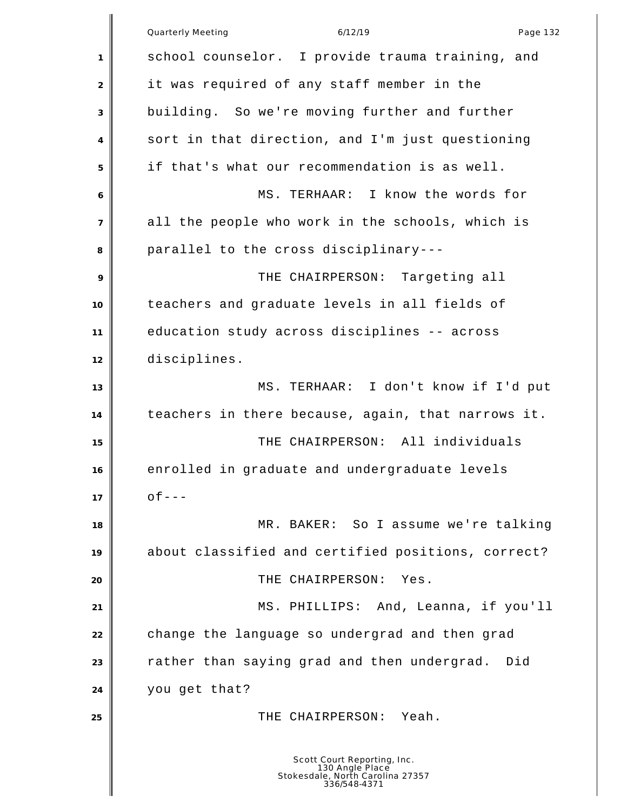|                           | Quarterly Meeting<br>6/12/19<br>Page 132                                                           |
|---------------------------|----------------------------------------------------------------------------------------------------|
| $\mathbf{1}$              | school counselor. I provide trauma training, and                                                   |
| $\overline{2}$            | it was required of any staff member in the                                                         |
| $\ensuremath{\mathsf{3}}$ | building. So we're moving further and further                                                      |
| 4                         | sort in that direction, and I'm just questioning                                                   |
| 5                         | if that's what our recommendation is as well.                                                      |
| 6                         | MS. TERHAAR: I know the words for                                                                  |
| $\overline{7}$            | all the people who work in the schools, which is                                                   |
| 8                         | parallel to the cross disciplinary---                                                              |
| 9                         | THE CHAIRPERSON: Targeting all                                                                     |
| 10                        | teachers and graduate levels in all fields of                                                      |
| 11                        | education study across disciplines -- across                                                       |
| 12                        | disciplines.                                                                                       |
| 13                        | MS. TERHAAR: I don't know if I'd put                                                               |
| 14                        | teachers in there because, again, that narrows it.                                                 |
| 15                        | THE CHAIRPERSON: All individuals                                                                   |
| 16                        | enrolled in graduate and undergraduate levels                                                      |
| 17                        | $of --$                                                                                            |
| 18                        | MR. BAKER: So I assume we're talking                                                               |
| 19                        | about classified and certified positions, correct?                                                 |
| 20                        | THE CHAIRPERSON:<br>Yes.                                                                           |
| 21                        | And, Leanna, if you'll<br>MS. PHILLIPS:                                                            |
| 22                        | change the language so undergrad and then grad                                                     |
| 23                        | rather than saying grad and then undergrad.<br>Did                                                 |
| 24                        | you get that?                                                                                      |
| 25                        | THE CHAIRPERSON: Yeah.                                                                             |
|                           | Scott Court Reporting, Inc.<br>130 Angle Place<br>Stokesdale, North Carolina 27357<br>336/548-4371 |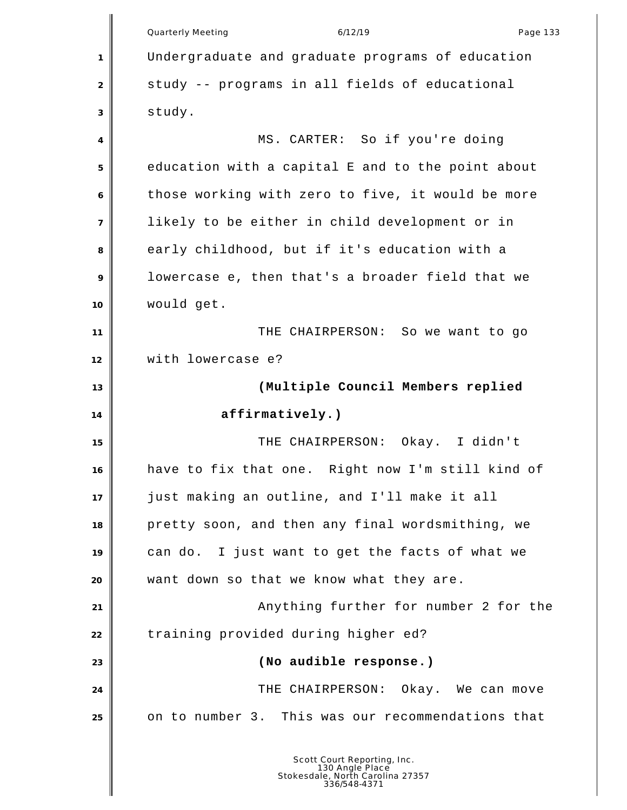|                | <b>Quarterly Meeting</b><br>6/12/19<br>Page 133   |
|----------------|---------------------------------------------------|
| 1              | Undergraduate and graduate programs of education  |
| 2              | study -- programs in all fields of educational    |
| 3              | study.                                            |
| 4              | MS. CARTER: So if you're doing                    |
| 5              | education with a capital E and to the point about |
| 6              | those working with zero to five, it would be more |
| $\overline{7}$ | likely to be either in child development or in    |
| 8              | early childhood, but if it's education with a     |
| 9              | lowercase e, then that's a broader field that we  |
| 10             | would get.                                        |
| 11             | THE CHAIRPERSON: So we want to go                 |
| 12             | with lowercase e?                                 |
| 13             | (Multiple Council Members replied                 |
| 14             | affirmatively.)                                   |
| 15             | THE CHAIRPERSON: Okay. I didn't                   |
| 16             | have to fix that one. Right now I'm still kind of |
| 17             | just making an outline, and I'll make it all      |
| 18             | pretty soon, and then any final wordsmithing, we  |
| 19             | can do. I just want to get the facts of what we   |
| 20             | want down so that we know what they are.          |
| 21             | Anything further for number 2 for the             |
| 22             | training provided during higher ed?               |
| 23             | (No audible response.)                            |
| 24             | THE CHAIRPERSON: Okay. We can move                |
| 25             | on to number 3. This was our recommendations that |
|                | Scott Court Reporting, Inc.                       |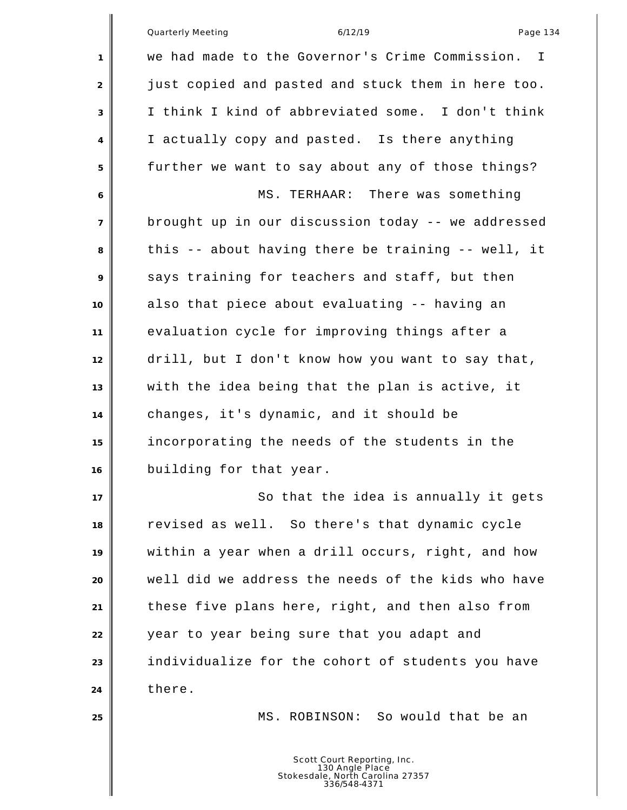|    | Page 134<br>Quarterly Meeting<br>6/12/19                                                           |
|----|----------------------------------------------------------------------------------------------------|
| 1  | we had made to the Governor's Crime Commission.<br>$\mathbf{I}$                                    |
| 2  | just copied and pasted and stuck them in here too.                                                 |
| 3  | I think I kind of abbreviated some. I don't think                                                  |
| 4  | I actually copy and pasted. Is there anything                                                      |
| 5  | further we want to say about any of those things?                                                  |
| 6  | MS. TERHAAR: There was something                                                                   |
| 7  | brought up in our discussion today -- we addressed                                                 |
| 8  | this -- about having there be training -- well, it                                                 |
| 9  | says training for teachers and staff, but then                                                     |
| 10 | also that piece about evaluating -- having an                                                      |
| 11 | evaluation cycle for improving things after a                                                      |
| 12 | drill, but I don't know how you want to say that,                                                  |
| 13 | with the idea being that the plan is active, it                                                    |
| 14 | changes, it's dynamic, and it should be                                                            |
| 15 | incorporating the needs of the students in the                                                     |
| 16 | building for that year.                                                                            |
| 17 | So that the idea is annually it gets                                                               |
| 18 | revised as well. So there's that dynamic cycle                                                     |
| 19 | within a year when a drill occurs, right, and how                                                  |
| 20 | well did we address the needs of the kids who have                                                 |
| 21 | these five plans here, right, and then also from                                                   |
| 22 | year to year being sure that you adapt and                                                         |
| 23 | individualize for the cohort of students you have                                                  |
| 24 | there.                                                                                             |
| 25 | MS. ROBINSON: So would that be an                                                                  |
|    | Scott Court Reporting, Inc.<br>130 Angle Place<br>Stokesdale, North Carolina 27357<br>336/548-4371 |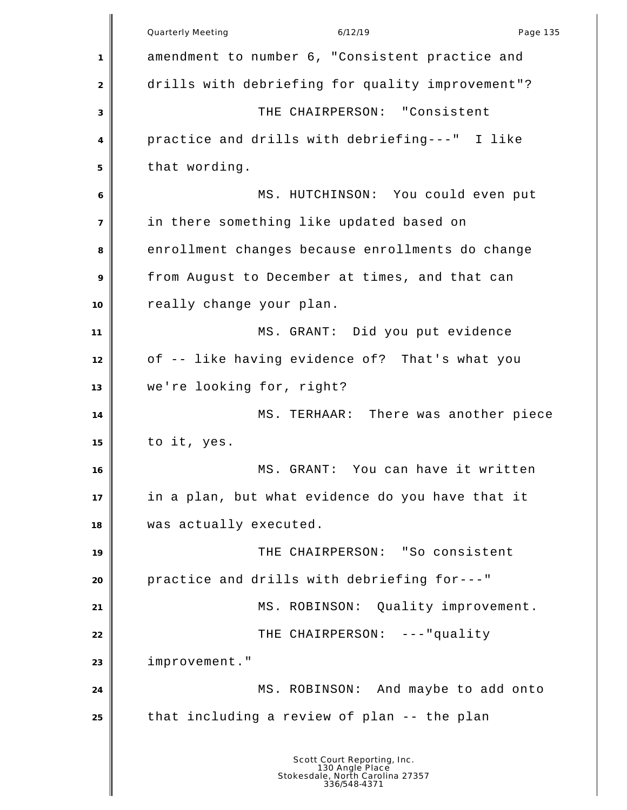Quarterly Meeting and the control of the 6/12/19 control of the Page 135 amendment to number 6, "Consistent practice and 2 drills with debriefing for quality improvement"? THE CHAIRPERSON: "Consistent practice and drills with debriefing---" I like that wording. MS. HUTCHINSON: You could even put in there something like updated based on 8 enrollment changes because enrollments do change from August to December at times, and that can really change your plan. MS. GRANT: Did you put evidence of -- like having evidence of? That's what you we're looking for, right? 14 MS. TERHAAR: There was another piece to it, yes. MS. GRANT: You can have it written in a plan, but what evidence do you have that it was actually executed. THE CHAIRPERSON: "So consistent practice and drills with debriefing for---" 21 | MS. ROBINSON: Quality improvement. THE CHAIRPERSON: ---"quality improvement." MS. ROBINSON: And maybe to add onto that including a review of plan -- the plan Scott Court Reporting, Inc. 130 Angle Place Stokesdale, North Carolina 27357 336/548-4371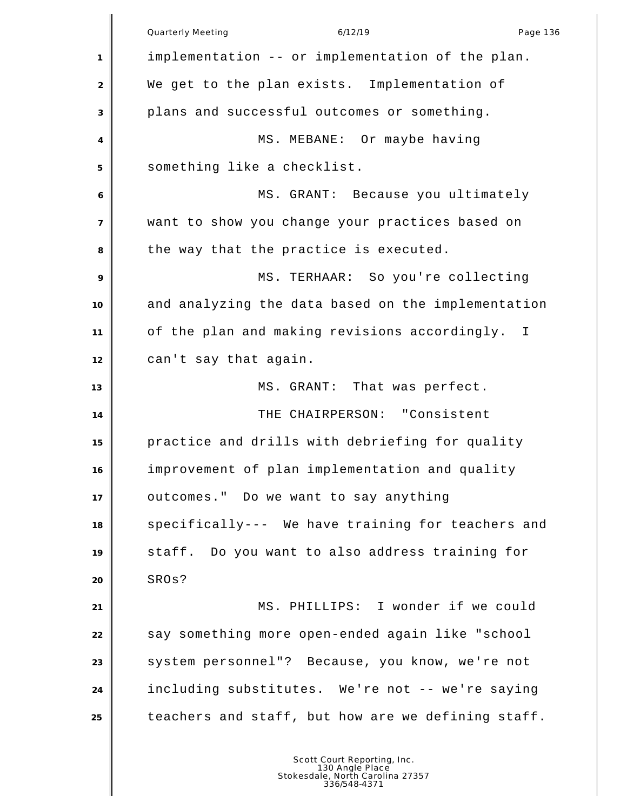Quarterly Meeting and the control of the 6/12/19 control of the Page 136 implementation -- or implementation of the plan. We get to the plan exists. Implementation of plans and successful outcomes or something. 4 || MS. MEBANE: Or maybe having something like a checklist. MS. GRANT: Because you ultimately want to show you change your practices based on 8 the way that the practice is executed. MS. TERHAAR: So you're collecting and analyzing the data based on the implementation of the plan and making revisions accordingly. I can't say that again. 13 MS. GRANT: That was perfect. THE CHAIRPERSON: "Consistent practice and drills with debriefing for quality improvement of plan implementation and quality outcomes." Do we want to say anything specifically--- We have training for teachers and staff. Do you want to also address training for SROs? MS. PHILLIPS: I wonder if we could 22 say something more open-ended again like "school 23 System personnel"? Because, you know, we're not including substitutes. We're not -- we're saying teachers and staff, but how are we defining staff.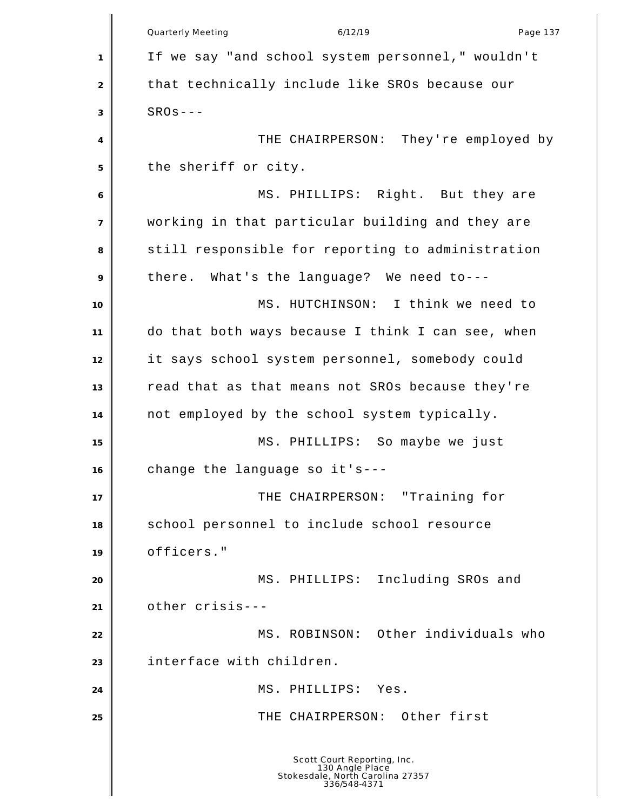|                | Quarterly Meeting<br>6/12/19<br>Page 137                                                           |
|----------------|----------------------------------------------------------------------------------------------------|
| 1              | If we say "and school system personnel," wouldn't                                                  |
| $\overline{2}$ | that technically include like SROs because our                                                     |
| 3              | $SROs---$                                                                                          |
| 4              | THE CHAIRPERSON: They're employed by                                                               |
| 5              | the sheriff or city.                                                                               |
| 6              | MS. PHILLIPS: Right. But they are                                                                  |
| $\overline{7}$ | working in that particular building and they are                                                   |
| 8              | still responsible for reporting to administration                                                  |
| 9              | there. What's the language? We need to---                                                          |
| 10             | MS. HUTCHINSON: I think we need to                                                                 |
| 11             | do that both ways because I think I can see, when                                                  |
| 12             | it says school system personnel, somebody could                                                    |
| 13             | read that as that means not SROs because they're                                                   |
| 14             | not employed by the school system typically.                                                       |
| 15             | MS. PHILLIPS: So maybe we just                                                                     |
| 16             | change the language so it's--                                                                      |
| 17             | THE CHAIRPERSON: "Training for                                                                     |
| 18             | school personnel to include school resource                                                        |
| 19             | officers."                                                                                         |
| 20             | MS. PHILLIPS: Including SROs and                                                                   |
| 21             | other crisis---                                                                                    |
| 22             | MS. ROBINSON: Other individuals who                                                                |
| 23             | interface with children.                                                                           |
| 24             | PHILLIPS:<br>MS.<br>Yes.                                                                           |
| 25             | THE CHAIRPERSON: Other first                                                                       |
|                | Scott Court Reporting, Inc.<br>130 Angle Place<br>Stokesdale, North Carolina 27357<br>336/548-4371 |

║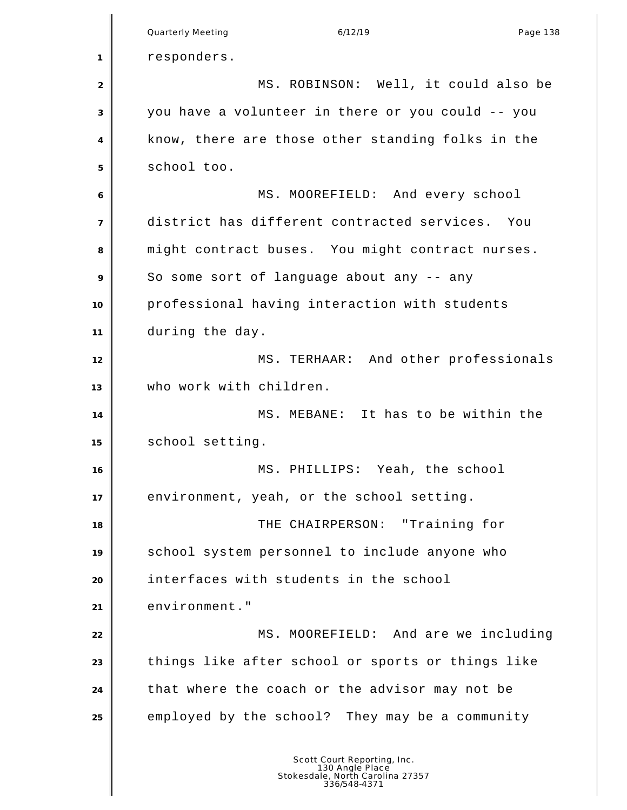|                | Quarterly Meeting<br>6/12/19<br>Page 138                                                           |
|----------------|----------------------------------------------------------------------------------------------------|
| 1              | responders.                                                                                        |
| $\overline{2}$ | MS. ROBINSON: Well, it could also be                                                               |
| 3              | you have a volunteer in there or you could -- you                                                  |
| 4              | know, there are those other standing folks in the                                                  |
| 5              | school too.                                                                                        |
| 6              | MS. MOOREFIELD: And every school                                                                   |
| $\overline{7}$ | district has different contracted services. You                                                    |
| 8              | might contract buses. You might contract nurses.                                                   |
| 9              | So some sort of language about any -- any                                                          |
| 10             | professional having interaction with students                                                      |
| 11             | during the day.                                                                                    |
| 12             | MS. TERHAAR: And other professionals                                                               |
| 13             | who work with children.                                                                            |
| 14             | MS. MEBANE: It has to be within the                                                                |
| 15             | school setting.                                                                                    |
| 16             | MS.<br>PHILLIPS: Yeah, the school                                                                  |
| 17             | environment, yeah, or the school setting.                                                          |
| 18             | THE CHAIRPERSON: "Training for                                                                     |
| 19             | school system personnel to include anyone who                                                      |
| 20             | interfaces with students in the school                                                             |
| 21             | environment."                                                                                      |
| 22             | MS. MOOREFIELD: And are we including                                                               |
| 23             | things like after school or sports or things like                                                  |
| 24             | that where the coach or the advisor may not be                                                     |
| 25             | employed by the school? They may be a community                                                    |
|                | Scott Court Reporting, Inc.<br>130 Angle Place<br>Stokesdale, North Carolina 27357<br>336/548-4371 |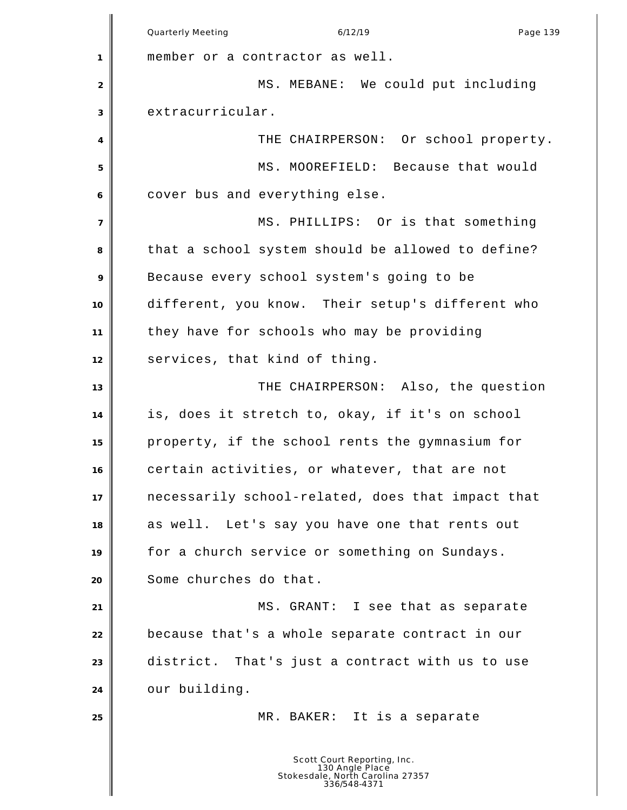Quarterly Meeting and the contract of the 6/12/19 contract the contract of Page 139 member or a contractor as well. 2 MS. MEBANE: We could put including extracurricular. **THE CHAIRPERSON:** Or school property. MS. MOOREFIELD: Because that would cover bus and everything else. MS. PHILLIPS: Or is that something that a school system should be allowed to define? Because every school system's going to be different, you know. Their setup's different who they have for schools who may be providing services, that kind of thing. THE CHAIRPERSON: Also, the question is, does it stretch to, okay, if it's on school property, if the school rents the gymnasium for certain activities, or whatever, that are not necessarily school-related, does that impact that as well. Let's say you have one that rents out for a church service or something on Sundays. Some churches do that. **MS. GRANT:** I see that as separate because that's a whole separate contract in our district. That's just a contract with us to use our building. MR. BAKER: It is a separate Scott Court Reporting, Inc. 130 Angle Place Stokesdale, North Carolina 27357 336/548-4371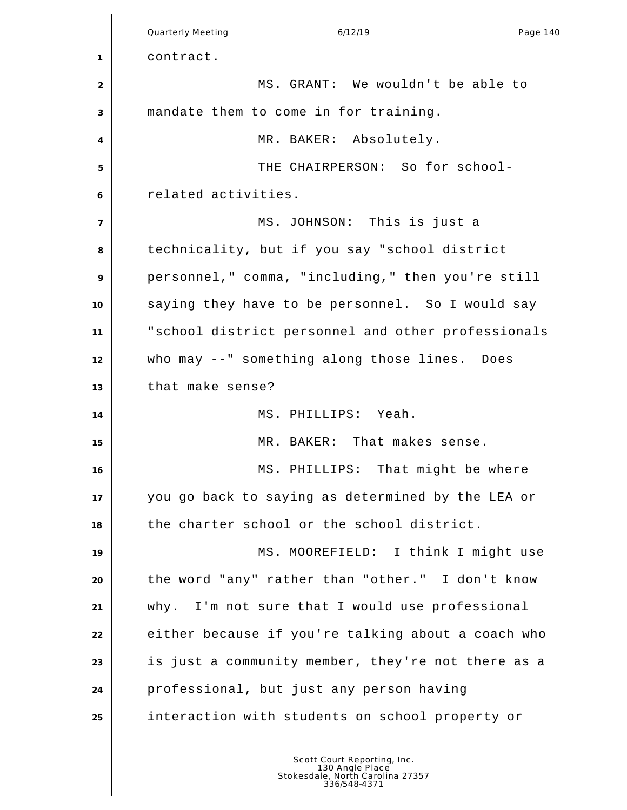Quarterly Meeting and the control of the 6/12/19 control of the Page 140 contract. MS. GRANT: We wouldn't be able to mandate them to come in for training. 4 | MR. BAKER: Absolutely. THE CHAIRPERSON: So for school- related activities. MS. JOHNSON: This is just a technicality, but if you say "school district personnel," comma, "including," then you're still saying they have to be personnel. So I would say "school district personnel and other professionals who may --" something along those lines. Does that make sense? MS. PHILLIPS: Yeah. MR. BAKER: That makes sense. 16 MS. PHILLIPS: That might be where you go back to saying as determined by the LEA or the charter school or the school district. 19 MS. MOOREFIELD: I think I might use the word "any" rather than "other." I don't know why. I'm not sure that I would use professional **either because if you're talking about a coach who**  is just a community member, they're not there as a professional, but just any person having interaction with students on school property or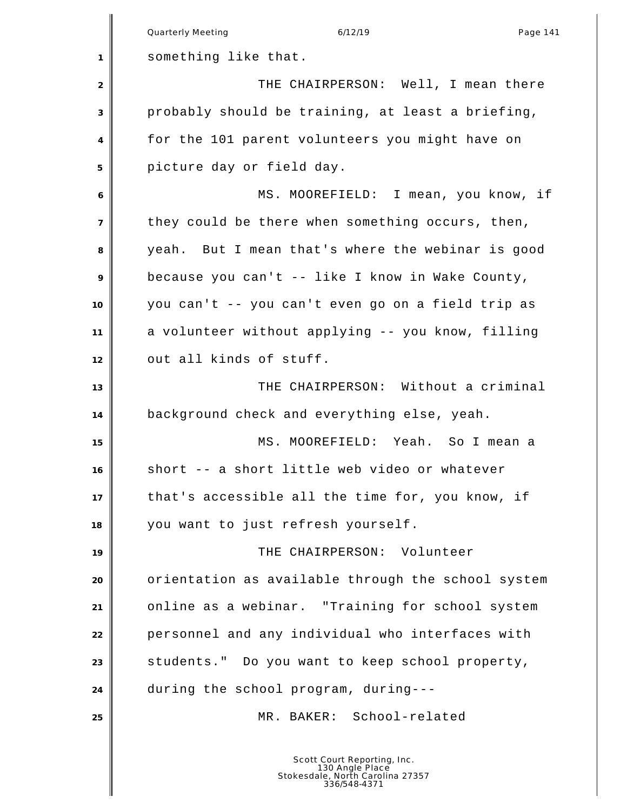|                | <b>Quarterly Meeting</b><br>6/12/19<br>Page 141                                                    |
|----------------|----------------------------------------------------------------------------------------------------|
| $\mathbf{1}$   | something like that.                                                                               |
| 2              | THE CHAIRPERSON: Well, I mean there                                                                |
| 3              | probably should be training, at least a briefing,                                                  |
| 4              | for the 101 parent volunteers you might have on                                                    |
| 5              | picture day or field day.                                                                          |
|                | MS. MOOREFIELD: I mean, you know, if                                                               |
| 6              |                                                                                                    |
| $\overline{7}$ | they could be there when something occurs, then,                                                   |
| 8              | yeah. But I mean that's where the webinar is good                                                  |
| 9              | because you can't -- like I know in Wake County,                                                   |
| 10             | you can't -- you can't even go on a field trip as                                                  |
| 11             | a volunteer without applying -- you know, filling                                                  |
| 12             | out all kinds of stuff.                                                                            |
| 13             | THE CHAIRPERSON: Without a criminal                                                                |
| 14             | background check and everything else, yeah.                                                        |
| 15             | MS. MOOREFIELD: Yeah. So I mean a                                                                  |
| 16             | short -- a short little web video or whatever                                                      |
| 17             | that's accessible all the time for, you know, if                                                   |
| 18             | you want to just refresh yourself.                                                                 |
| 19             | THE CHAIRPERSON: Volunteer                                                                         |
| 20             | orientation as available through the school system                                                 |
| 21             | online as a webinar. "Training for school system                                                   |
| 22             | personnel and any individual who interfaces with                                                   |
| 23             | students." Do you want to keep school property,                                                    |
| 24             | during the school program, during---                                                               |
| 25             | MR. BAKER: School-related                                                                          |
|                | Scott Court Reporting, Inc.<br>130 Angle Place<br>Stokesdale, North Carolina 27357<br>336/548-4371 |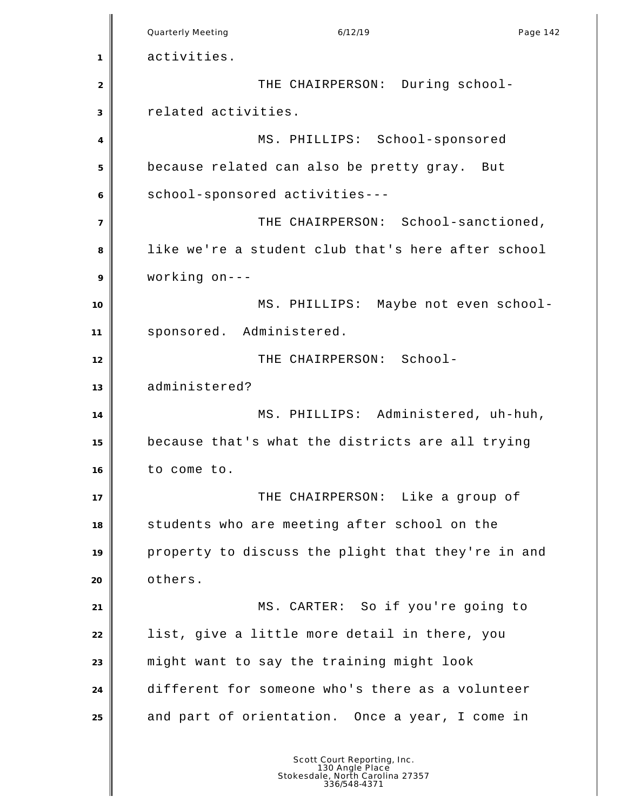Quarterly Meeting and the control of the 6/12/19 control of the Page 142 activities. **THE CHAIRPERSON:** During school- related activities. MS. PHILLIPS: School-sponsored because related can also be pretty gray. But school-sponsored activities--- THE CHAIRPERSON: School-sanctioned, like we're a student club that's here after school working on--- 10 WS. PHILLIPS: Maybe not even school- sponsored. Administered. THE CHAIRPERSON: School- administered? MS. PHILLIPS: Administered, uh-huh, because that's what the districts are all trying to come to. THE CHAIRPERSON: Like a group of students who are meeting after school on the property to discuss the plight that they're in and others. MS. CARTER: So if you're going to list, give a little more detail in there, you might want to say the training might look different for someone who's there as a volunteer and part of orientation. Once a year, I come in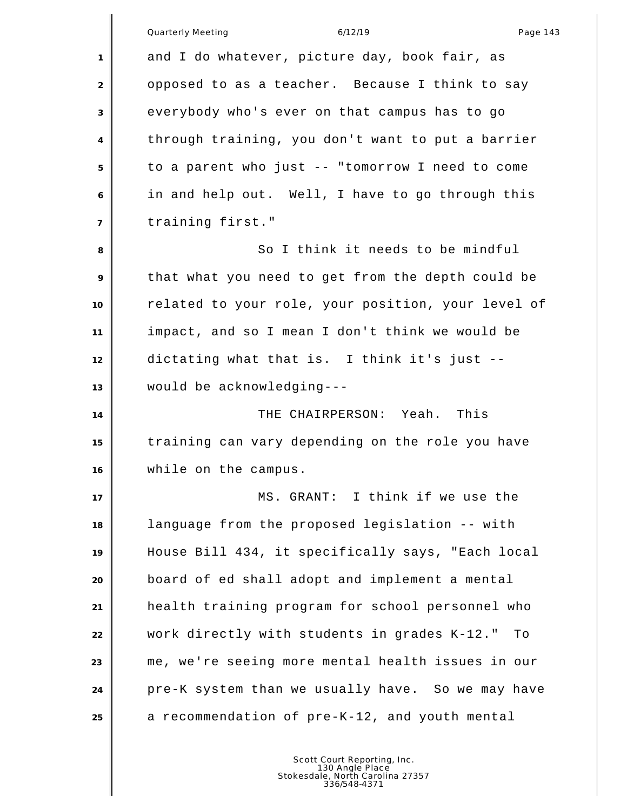|                | Quarterly Meeting<br>6/12/19<br>Page 143           |
|----------------|----------------------------------------------------|
| 1              | and I do whatever, picture day, book fair, as      |
| 2              | opposed to as a teacher. Because I think to say    |
| 3              | everybody who's ever on that campus has to go      |
| 4              | through training, you don't want to put a barrier  |
| 5              | to a parent who just -- "tomorrow I need to come   |
| 6              | in and help out. Well, I have to go through this   |
| $\overline{7}$ | training first."                                   |
| 8              | So I think it needs to be mindful                  |
| 9              | that what you need to get from the depth could be  |
| 10             | related to your role, your position, your level of |
| 11             | impact, and so I mean I don't think we would be    |
| 12             | dictating what that is. I think it's just --       |
| 13             | would be acknowledging---                          |
| 14             | THE CHAIRPERSON: Yeah. This                        |
| 15             | training can vary depending on the role you have   |
| 16             | while on the campus.                               |
| 17             | MS. GRANT: I think if we use the                   |
| 18             | language from the proposed legislation -- with     |
| 19             | House Bill 434, it specifically says, "Each local  |
| 20             | board of ed shall adopt and implement a mental     |
| 21             | health training program for school personnel who   |
| 22             | work directly with students in grades K-12."<br>Tо |
| 23             | me, we're seeing more mental health issues in our  |
| 24             | pre-K system than we usually have. So we may have  |
| 25             | a recommendation of pre-K-12, and youth mental     |
|                |                                                    |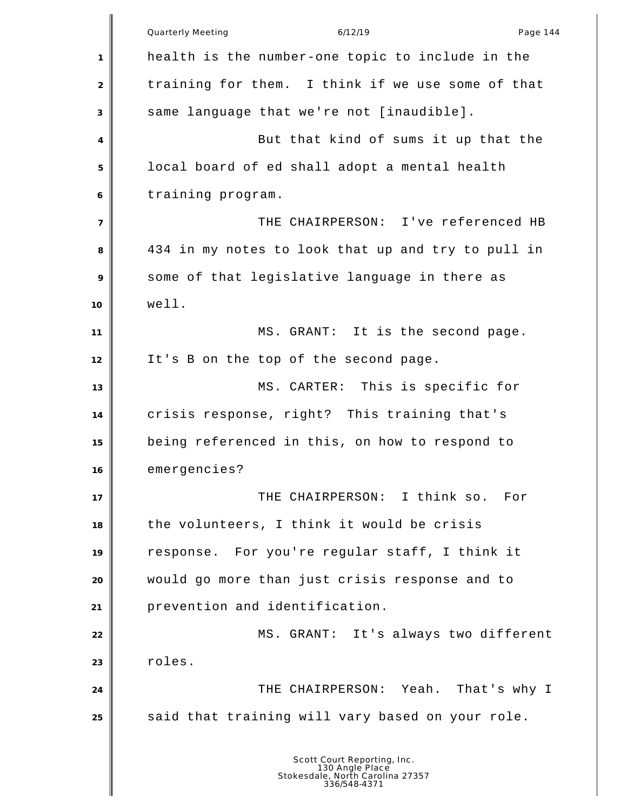Quarterly Meeting and the control of the 6/12/19 control of the Page 144 health is the number-one topic to include in the 2 training for them. I think if we use some of that same language that we're not [inaudible]. But that kind of sums it up that the local board of ed shall adopt a mental health training program. THE CHAIRPERSON: I've referenced HB 434 in my notes to look that up and try to pull in some of that legislative language in there as well. 11 | MS. GRANT: It is the second page. It's B on the top of the second page. 13 MS. CARTER: This is specific for crisis response, right? This training that's being referenced in this, on how to respond to emergencies? THE CHAIRPERSON: I think so. For the volunteers, I think it would be crisis response. For you're regular staff, I think it would go more than just crisis response and to prevention and identification. 22 MS. GRANT: It's always two different 23 | roles. THE CHAIRPERSON: Yeah. That's why I said that training will vary based on your role. Scott Court Reporting, Inc. 130 Angle Place Stokesdale, North Carolina 27357 336/548-4371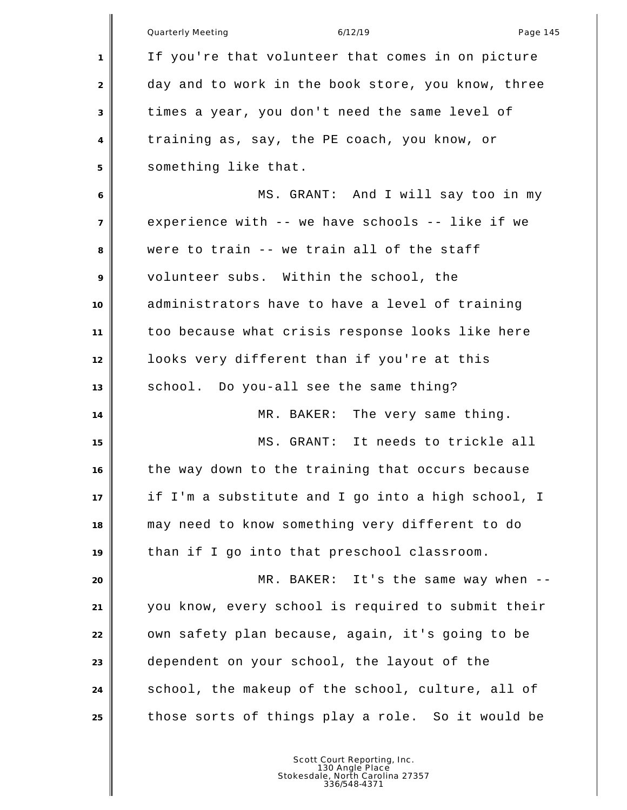|                | 6/12/19<br>Page 145<br>Quarterly Meeting           |
|----------------|----------------------------------------------------|
| 1              | If you're that volunteer that comes in on picture  |
| $\overline{2}$ | day and to work in the book store, you know, three |
| 3              | times a year, you don't need the same level of     |
| 4              | training as, say, the PE coach, you know, or       |
| 5              | something like that.                               |
| 6              | MS. GRANT: And I will say too in my                |
| $\overline{7}$ | experience with -- we have schools -- like if we   |
| 8              | were to train -- we train all of the staff         |
| 9              | volunteer subs. Within the school, the             |
| 10             | administrators have to have a level of training    |
| 11             | too because what crisis response looks like here   |
| 12             | looks very different than if you're at this        |
| 13             | school. Do you-all see the same thing?             |
| 14             | MR. BAKER: The very same thing.                    |
| 15             | MS. GRANT: It needs to trickle all                 |
| 16             | the way down to the training that occurs because   |
| 17             | if I'm a substitute and I go into a high school, I |
| 18             | may need to know something very different to do    |
| 19             | than if I go into that preschool classroom.        |
| 20             | MR. BAKER: It's the same way when --               |
| 21             | you know, every school is required to submit their |
| 22             | own safety plan because, again, it's going to be   |
| 23             | dependent on your school, the layout of the        |
| 24             | school, the makeup of the school, culture, all of  |
| 25             | those sorts of things play a role. So it would be  |
|                |                                                    |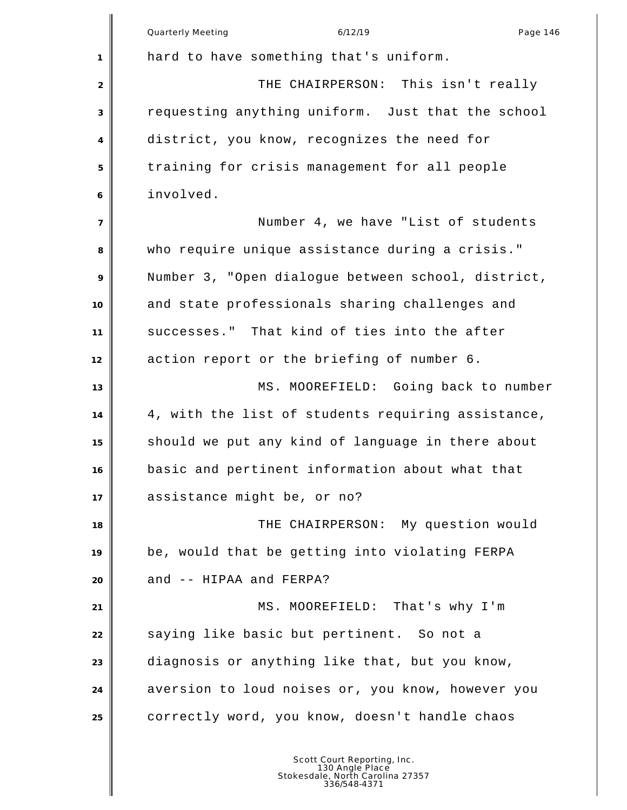|                | Quarterly Meeting<br>6/12/19<br>Page 146           |
|----------------|----------------------------------------------------|
| 1              | hard to have something that's uniform.             |
| $\overline{2}$ | THE CHAIRPERSON: This isn't really                 |
| 3              | requesting anything uniform. Just that the school  |
| 4              | district, you know, recognizes the need for        |
| 5              | training for crisis management for all people      |
| 6              | involved.                                          |
| $\overline{7}$ | Number 4, we have "List of students                |
| 8              | who require unique assistance during a crisis."    |
| 9              | Number 3, "Open dialogue between school, district, |
| 10             | and state professionals sharing challenges and     |
| 11             | successes." That kind of ties into the after       |
| 12             | action report or the briefing of number 6.         |
| 13             | MS. MOOREFIELD: Going back to number               |
| 14             | 4, with the list of students requiring assistance, |
| 15             | should we put any kind of language in there about  |
| 16             | basic and pertinent information about what that    |
| 17             | assistance might be, or no?                        |
| 18             | THE CHAIRPERSON: My question would                 |
| 19             | be, would that be getting into violating FERPA     |
| 20             | and -- HIPAA and FERPA?                            |
| 21             | MS. MOOREFIELD: That's why I'm                     |
| 22             | saying like basic but pertinent. So not a          |
| 23             | diagnosis or anything like that, but you know,     |
| 24             | aversion to loud noises or, you know, however you  |
| 25             | correctly word, you know, doesn't handle chaos     |
|                |                                                    |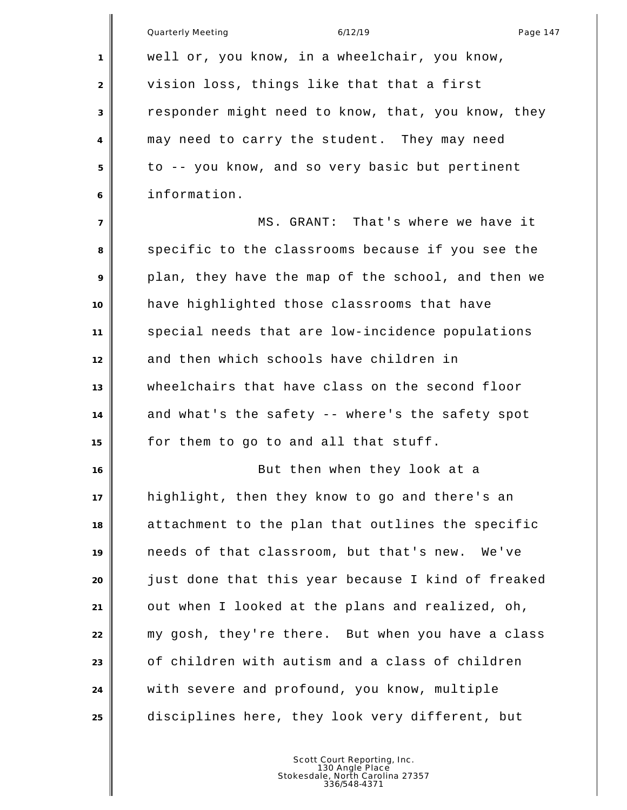|                | Quarterly Meeting<br>6/12/19<br>Page 147           |
|----------------|----------------------------------------------------|
| 1              | well or, you know, in a wheelchair, you know,      |
| 2              | vision loss, things like that that a first         |
| 3              | responder might need to know, that, you know, they |
| 4              | may need to carry the student. They may need       |
| 5              | to -- you know, and so very basic but pertinent    |
| 6              | information.                                       |
| $\overline{7}$ | MS. GRANT: That's where we have it                 |
| 8              | specific to the classrooms because if you see the  |
| 9              | plan, they have the map of the school, and then we |
| 10             | have highlighted those classrooms that have        |
| 11             | special needs that are low-incidence populations   |
| 12             | and then which schools have children in            |
| 13             | wheelchairs that have class on the second floor    |
| 14             | and what's the safety -- where's the safety spot   |
| 15             | for them to go to and all that stuff.              |
| 16             | But then when they look at a                       |
| 17             | highlight, then they know to go and there's an     |
| 18             | attachment to the plan that outlines the specific  |
| 19             | needs of that classroom, but that's new.<br>We've  |
| 20             | just done that this year because I kind of freaked |
| 21             | out when I looked at the plans and realized, oh,   |
| 22             | my gosh, they're there. But when you have a class  |
| 23             | of children with autism and a class of children    |
| 24             | with severe and profound, you know, multiple       |
| 25             | disciplines here, they look very different, but    |
|                |                                                    |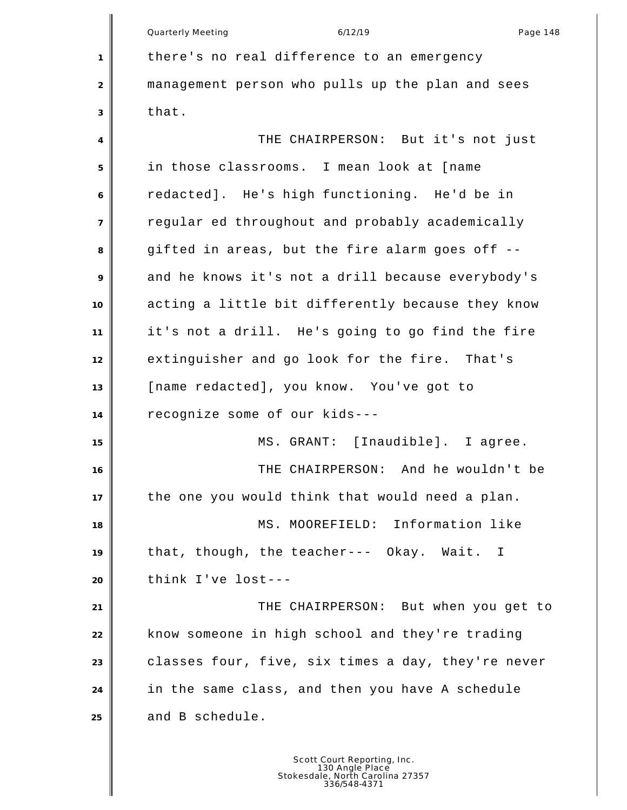Quarterly Meeting and the control of the 6/12/19 control of the Page 148 there's no real difference to an emergency management person who pulls up the plan and sees that. THE CHAIRPERSON: But it's not just in those classrooms. I mean look at [name redacted]. He's high functioning. He'd be in regular ed throughout and probably academically gifted in areas, but the fire alarm goes off -- and he knows it's not a drill because everybody's acting a little bit differently because they know it's not a drill. He's going to go find the fire extinguisher and go look for the fire. That's [name redacted], you know. You've got to recognize some of our kids--- MS. GRANT: [Inaudible]. I agree. THE CHAIRPERSON: And he wouldn't be the one you would think that would need a plan. 18 MS. MOOREFIELD: Information like that, though, the teacher--- Okay. Wait. I think I've lost--- THE CHAIRPERSON: But when you get to know someone in high school and they're trading classes four, five, six times a day, they're never in the same class, and then you have A schedule 25 and B schedule.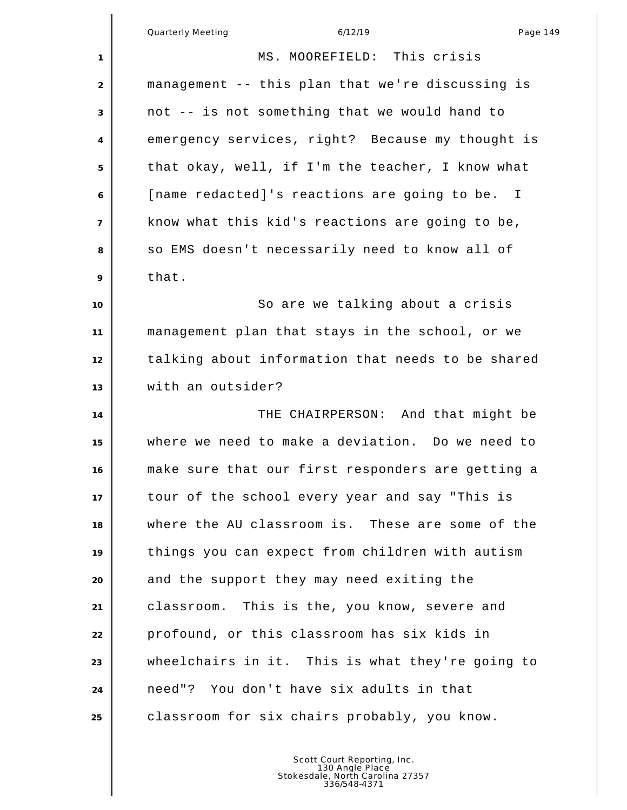| Quarterly Meeting |
|-------------------|
|-------------------|

Quarterly Meeting 6/12/19 Page 149 MS. MOOREFIELD: This crisis management -- this plan that we're discussing is not -- is not something that we would hand to emergency services, right? Because my thought is that okay, well, if I'm the teacher, I know what [name redacted]'s reactions are going to be. I know what this kid's reactions are going to be, 8 so EMS doesn't necessarily need to know all of that. **10** So are we talking about a crisis management plan that stays in the school, or we talking about information that needs to be shared with an outsider? THE CHAIRPERSON: And that might be where we need to make a deviation. Do we need to make sure that our first responders are getting a tour of the school every year and say "This is where the AU classroom is. These are some of the things you can expect from children with autism and the support they may need exiting the classroom. This is the, you know, severe and profound, or this classroom has six kids in wheelchairs in it. This is what they're going to need"? You don't have six adults in that **cand Lands** constant chairs probably, you know.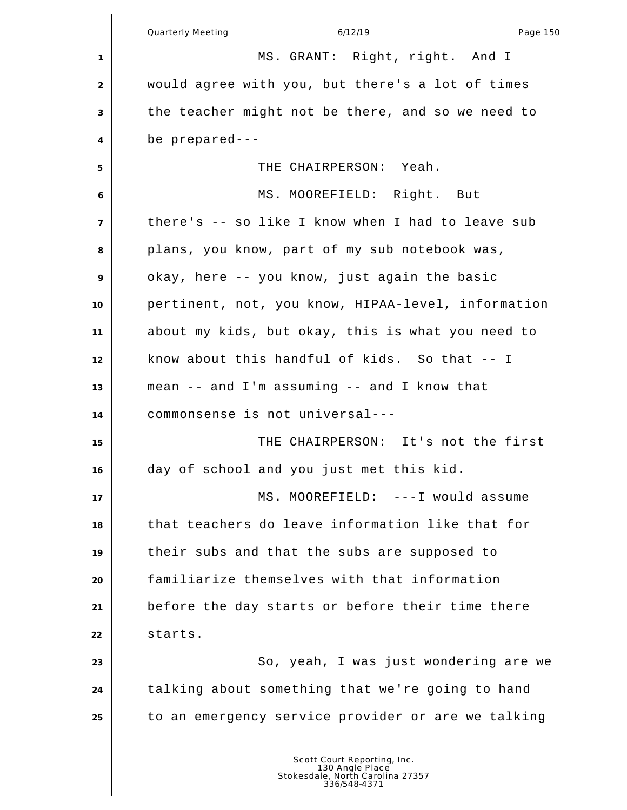|                | Page 150<br><b>Quarterly Meeting</b><br>6/12/19    |
|----------------|----------------------------------------------------|
| 1              | MS. GRANT: Right, right. And I                     |
| $\overline{2}$ | would agree with you, but there's a lot of times   |
| 3              | the teacher might not be there, and so we need to  |
| 4              | be prepared---                                     |
| 5              | THE CHAIRPERSON: Yeah.                             |
| 6              | MS. MOOREFIELD: Right. But                         |
| $\overline{7}$ | there's -- so like I know when I had to leave sub  |
| 8              | plans, you know, part of my sub notebook was,      |
| 9              | okay, here -- you know, just again the basic       |
| 10             | pertinent, not, you know, HIPAA-level, information |
| 11             | about my kids, but okay, this is what you need to  |
| 12             | know about this handful of kids. So that -- I      |
| 13             | mean -- and I'm assuming -- and I know that        |
| 14             | commonsense is not universal---                    |
| 15             | THE CHAIRPERSON: It's not the first                |
| 16             | day of school and you just met this kid.           |
| 17             | MS. MOOREFIELD: ---I would assume                  |
| 18             | that teachers do leave information like that for   |
| 19             | their subs and that the subs are supposed to       |
| 20             | familiarize themselves with that information       |
| 21             | before the day starts or before their time there   |
| 22             | starts.                                            |
| 23             | So, yeah, I was just wondering are we              |
| 24             | talking about something that we're going to hand   |
| 25             | to an emergency service provider or are we talking |
|                |                                                    |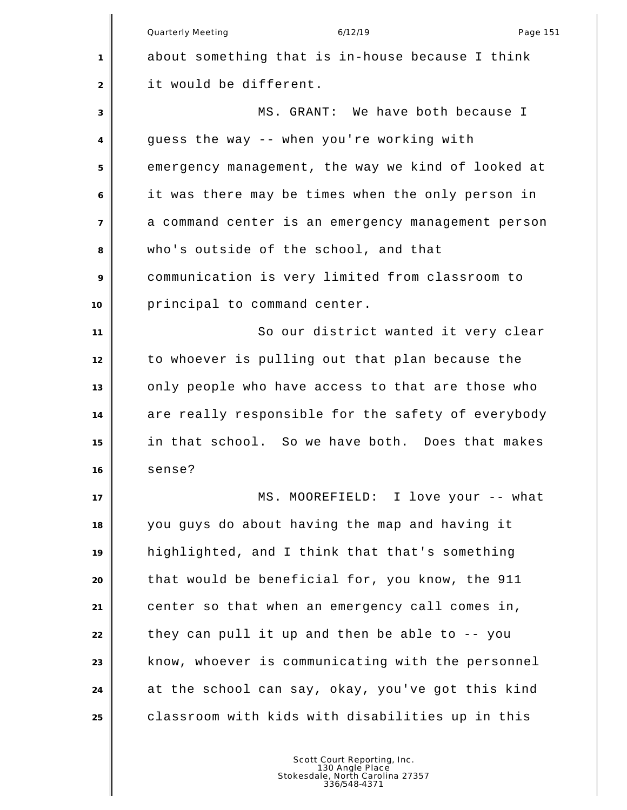Quarterly Meeting and the control of the 6/12/19 control of the Page 151 about something that is in-house because I think it would be different. MS. GRANT: We have both because I guess the way -- when you're working with emergency management, the way we kind of looked at it was there may be times when the only person in a command center is an emergency management person who's outside of the school, and that communication is very limited from classroom to principal to command center. So our district wanted it very clear to whoever is pulling out that plan because the only people who have access to that are those who are really responsible for the safety of everybody in that school. So we have both. Does that makes sense? **||** MS. MOOREFIELD: I love your -- what you guys do about having the map and having it highlighted, and I think that that's something that would be beneficial for, you know, the 911 center so that when an emergency call comes in, they can pull it up and then be able to -- you know, whoever is communicating with the personnel at the school can say, okay, you've got this kind classroom with kids with disabilities up in this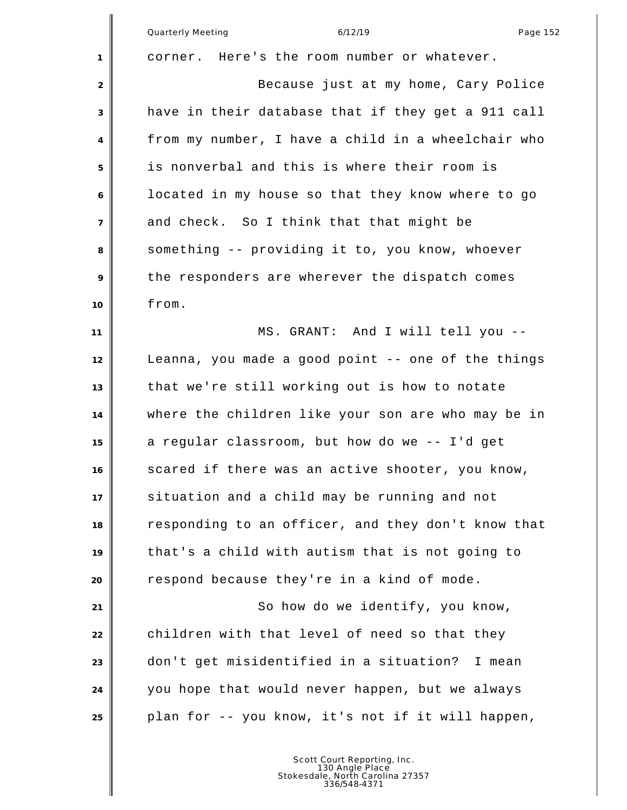|                | <b>Quarterly Meeting</b><br>6/12/19<br>Page 152    |
|----------------|----------------------------------------------------|
| 1              | corner. Here's the room number or whatever.        |
| 2              | Because just at my home, Cary Police               |
| 3              | have in their database that if they get a 911 call |
| 4              | from my number, I have a child in a wheelchair who |
| 5              | is nonverbal and this is where their room is       |
| 6              | located in my house so that they know where to go  |
| $\overline{7}$ | and check. So I think that that might be           |
| 8              | something -- providing it to, you know, whoever    |
| 9              | the responders are wherever the dispatch comes     |
| 10             | from.                                              |
| 11             | MS. GRANT: And I will tell you --                  |
| 12             | Leanna, you made a good point -- one of the things |
| 13             | that we're still working out is how to notate      |
| 14             | where the children like your son are who may be in |
| 15             | a regular classroom, but how do we -- I'd get      |
| 16             | scared if there was an active shooter, you know,   |
| 17             | situation and a child may be running and not       |
| 18             | responding to an officer, and they don't know that |
| 19             | that's a child with autism that is not going to    |
| 20             | respond because they're in a kind of mode.         |
| 21             | So how do we identify, you know,                   |
| 22             | children with that level of need so that they      |
| 23             | don't get misidentified in a situation?<br>I mean  |
| 24             | you hope that would never happen, but we always    |
| 25             | plan for -- you know, it's not if it will happen,  |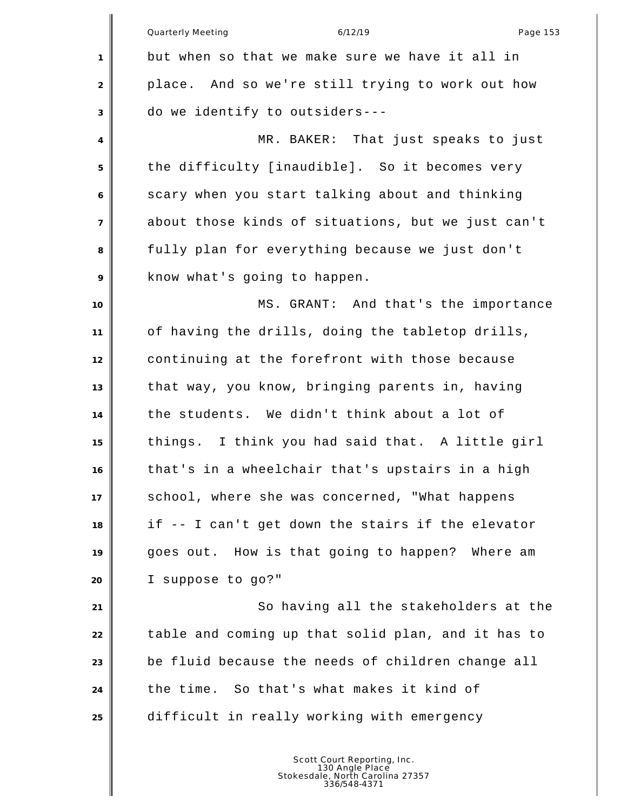|                | Quarterly Meeting<br>6/12/19<br>Page 153           |
|----------------|----------------------------------------------------|
| $\mathbf{1}$   | but when so that we make sure we have it all in    |
| 2              | place. And so we're still trying to work out how   |
| 3              | do we identify to outsiders---                     |
| $\overline{4}$ | MR. BAKER: That just speaks to just                |
| 5              | the difficulty [inaudible]. So it becomes very     |
| 6              | scary when you start talking about and thinking    |
| $\overline{7}$ | about those kinds of situations, but we just can't |
| 8              | fully plan for everything because we just don't    |
| 9              | know what's going to happen.                       |
| 10             | MS. GRANT: And that's the importance               |
| 11             | of having the drills, doing the tabletop drills,   |
| 12             | continuing at the forefront with those because     |
| 13             | that way, you know, bringing parents in, having    |
| 14             | the students. We didn't think about a lot of       |
| 15             | things. I think you had said that. A little girl   |
| 16             | that's in a wheelchair that's upstairs in a high   |
| 17             | school, where she was concerned, "What happens     |
| 18             | if -- I can't get down the stairs if the elevator  |
| 19             | goes out. How is that going to happen? Where am    |
| 20             | I suppose to go?"                                  |
| 21             | So having all the stakeholders at the              |
| 22             | table and coming up that solid plan, and it has to |
| 23             | be fluid because the needs of children change all  |
| 24             | the time. So that's what makes it kind of          |
| 25             | difficult in really working with emergency         |
|                |                                                    |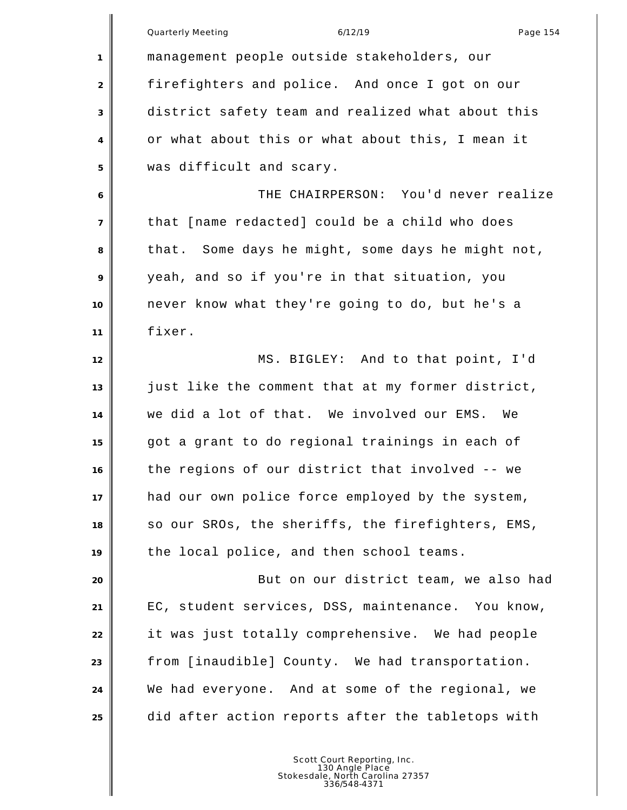|                | Quarterly Meeting<br>6/12/19<br>Page 154          |
|----------------|---------------------------------------------------|
| 1              | management people outside stakeholders, our       |
| 2              | firefighters and police. And once I got on our    |
| 3              | district safety team and realized what about this |
| 4              | or what about this or what about this, I mean it  |
| 5              | was difficult and scary.                          |
| 6              | THE CHAIRPERSON: You'd never realize              |
| $\overline{7}$ | that [name redacted] could be a child who does    |
| 8              | that. Some days he might, some days he might not, |
| 9              | yeah, and so if you're in that situation, you     |
| 10             | never know what they're going to do, but he's a   |
| 11             | fixer.                                            |
| 12             | MS. BIGLEY: And to that point, I'd                |
| 13             | just like the comment that at my former district, |
| 14             | we did a lot of that. We involved our EMS.<br>We  |
| 15             | got a grant to do regional trainings in each of   |
| 16             | the regions of our district that involved -- we   |
| 17             | had our own police force employed by the system,  |
| 18             | so our SROs, the sheriffs, the firefighters, EMS, |
| 19             | the local police, and then school teams.          |
| 20             | But on our district team, we also had             |
| 21             | EC, student services, DSS, maintenance. You know, |
| 22             | it was just totally comprehensive. We had people  |
| 23             | from [inaudible] County. We had transportation.   |
| 24             | We had everyone. And at some of the regional, we  |
| 25             | did after action reports after the tabletops with |
|                |                                                   |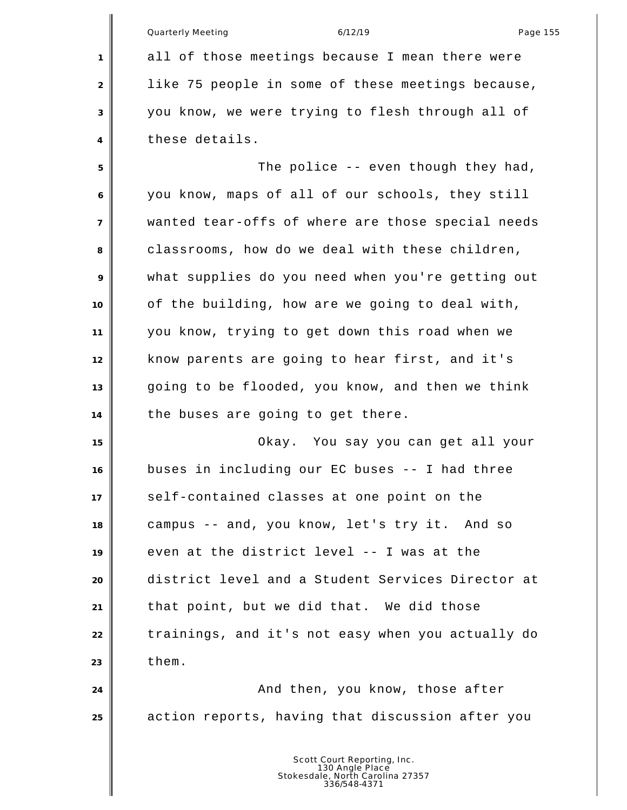|    | Quarterly Meeting<br>6/12/19<br>Page 155          |
|----|---------------------------------------------------|
| 1  | all of those meetings because I mean there were   |
| 2  | like 75 people in some of these meetings because, |
| 3  | you know, we were trying to flesh through all of  |
| 4  | these details.                                    |
| 5  | The police -- even though they had,               |
| 6  | you know, maps of all of our schools, they still  |
| 7  | wanted tear-offs of where are those special needs |
| 8  | classrooms, how do we deal with these children,   |
| 9  | what supplies do you need when you're getting out |
| 10 | of the building, how are we going to deal with,   |
| 11 | you know, trying to get down this road when we    |
| 12 | know parents are going to hear first, and it's    |
| 13 | going to be flooded, you know, and then we think  |
| 14 | the buses are going to get there.                 |
| 15 | Okay. You say you can get all your                |
| 16 | buses in including our EC buses -- I had three    |
| 17 | self-contained classes at one point on the        |
| 18 | campus -- and, you know, let's try it. And so     |
| 19 | even at the district level -- I was at the        |
| 20 | district level and a Student Services Director at |
| 21 | that point, but we did that. We did those         |
| 22 | trainings, and it's not easy when you actually do |
| 23 | them.                                             |
| 24 | And then, you know, those after                   |
| 25 | action reports, having that discussion after you  |
|    |                                                   |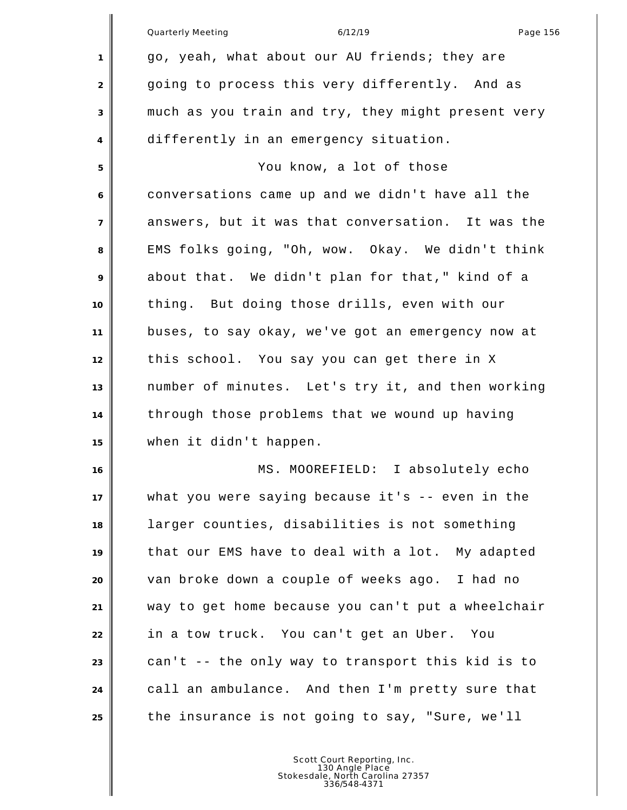|                | Quarterly Meeting<br>6/12/19<br>Page 156           |
|----------------|----------------------------------------------------|
| 1              | go, yeah, what about our AU friends; they are      |
| $\overline{2}$ | going to process this very differently. And as     |
| 3              | much as you train and try, they might present very |
| 4              | differently in an emergency situation.             |
| 5              | You know, a lot of those                           |
| 6              | conversations came up and we didn't have all the   |
| $\overline{7}$ | answers, but it was that conversation. It was the  |
| 8              | EMS folks going, "Oh, wow. Okay. We didn't think   |
| 9              | about that. We didn't plan for that," kind of a    |
| 10             | thing. But doing those drills, even with our       |
| 11             | buses, to say okay, we've got an emergency now at  |
| 12             | this school. You say you can get there in X        |
| 13             | number of minutes. Let's try it, and then working  |
| 14             | through those problems that we wound up having     |
| 15             | when it didn't happen.                             |
| 16             | MS. MOOREFIELD: I absolutely echo                  |
| 17             | what you were saying because it's -- even in the   |
| 18             | larger counties, disabilities is not something     |
| 19             | that our EMS have to deal with a lot. My adapted   |
| 20             | van broke down a couple of weeks ago. I had no     |
| 21             | way to get home because you can't put a wheelchair |
| 22             | in a tow truck. You can't get an Uber. You         |
| 23             | can't -- the only way to transport this kid is to  |
| 24             | call an ambulance. And then I'm pretty sure that   |
| 25             | the insurance is not going to say, "Sure, we'll    |
|                |                                                    |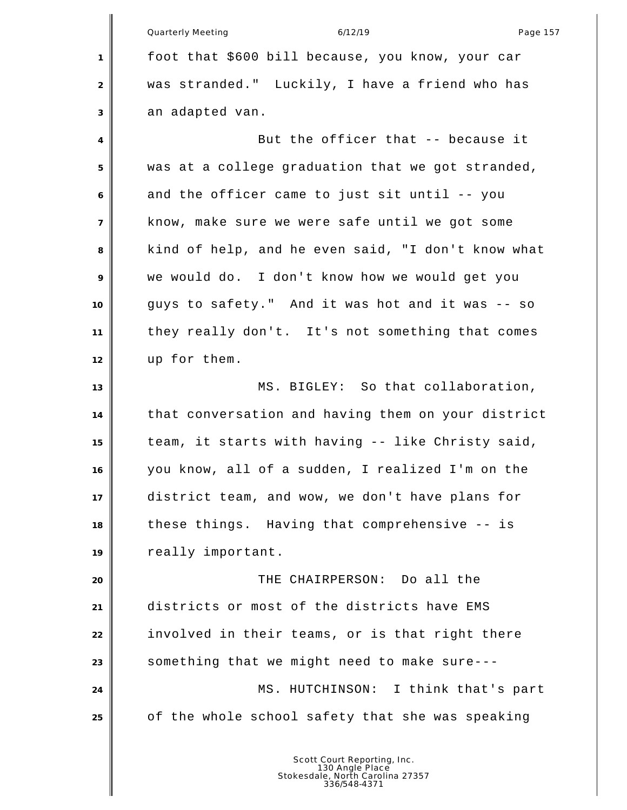Quarterly Meeting and the control of the 6/12/19 control of the Page 157 foot that \$600 bill because, you know, your car was stranded." Luckily, I have a friend who has an adapted van. 4<sup>|</sup> But the officer that -- because it was at a college graduation that we got stranded, and the officer came to just sit until -- you know, make sure we were safe until we got some kind of help, and he even said, "I don't know what we would do. I don't know how we would get you guys to safety." And it was hot and it was -- so they really don't. It's not something that comes up for them. **MS. BIGLEY:** So that collaboration, that conversation and having them on your district team, it starts with having -- like Christy said, you know, all of a sudden, I realized I'm on the district team, and wow, we don't have plans for these things. Having that comprehensive -- is really important. THE CHAIRPERSON: Do all the districts or most of the districts have EMS involved in their teams, or is that right there something that we might need to make sure--- MS. HUTCHINSON: I think that's part of the whole school safety that she was speaking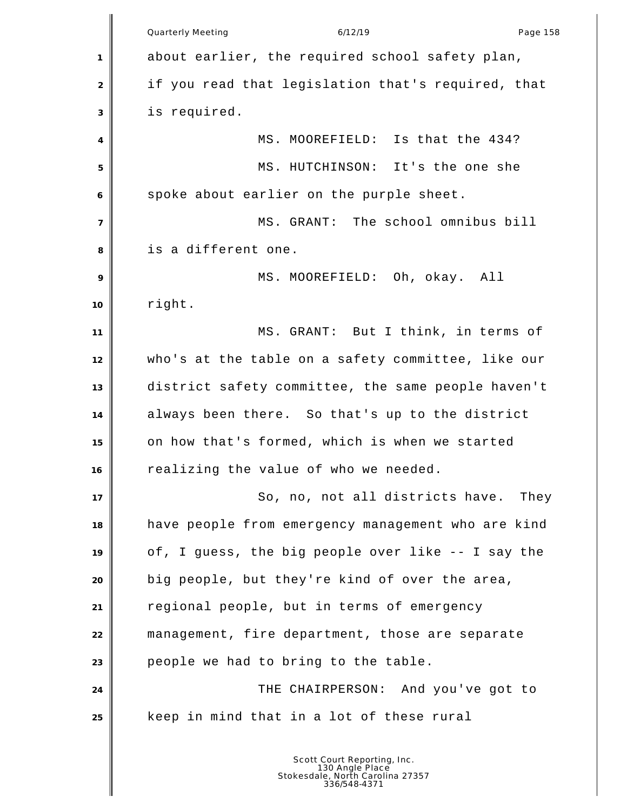Quarterly Meeting and the control of the 6/12/19 control of the Page 158 about earlier, the required school safety plan, if you read that legislation that's required, that is required. 4 MS. MOOREFIELD: Is that the 434? MS. HUTCHINSON: It's the one she spoke about earlier on the purple sheet. MS. GRANT: The school omnibus bill is a different one. MS. MOOREFIELD: Oh, okay. All right. MS. GRANT: But I think, in terms of who's at the table on a safety committee, like our district safety committee, the same people haven't always been there. So that's up to the district on how that's formed, which is when we started realizing the value of who we needed. **I** So, no, not all districts have. They have people from emergency management who are kind of, I guess, the big people over like -- I say the big people, but they're kind of over the area, regional people, but in terms of emergency management, fire department, those are separate people we had to bring to the table. THE CHAIRPERSON: And you've got to keep in mind that in a lot of these rural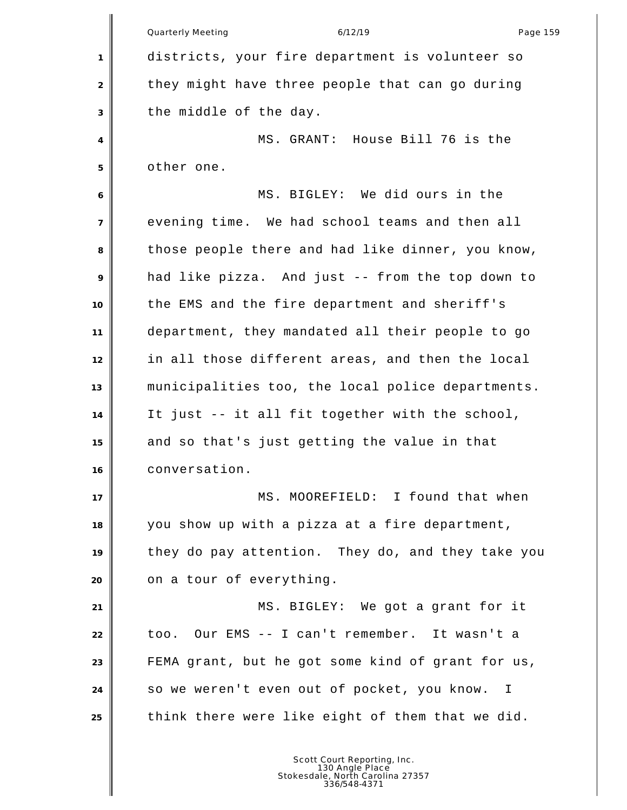Quarterly Meeting and the control of the 6/12/19 control of the Page 159 districts, your fire department is volunteer so 2 they might have three people that can go during the middle of the day. MS. GRANT: House Bill 76 is the other one. MS. BIGLEY: We did ours in the evening time. We had school teams and then all those people there and had like dinner, you know, had like pizza. And just -- from the top down to the EMS and the fire department and sheriff's department, they mandated all their people to go in all those different areas, and then the local municipalities too, the local police departments. It just -- it all fit together with the school, and so that's just getting the value in that conversation. MS. MOOREFIELD: I found that when you show up with a pizza at a fire department, they do pay attention. They do, and they take you **on** a tour of everything. MS. BIGLEY: We got a grant for it too. Our EMS -- I can't remember. It wasn't a FEMA grant, but he got some kind of grant for us, so we weren't even out of pocket, you know. I think there were like eight of them that we did.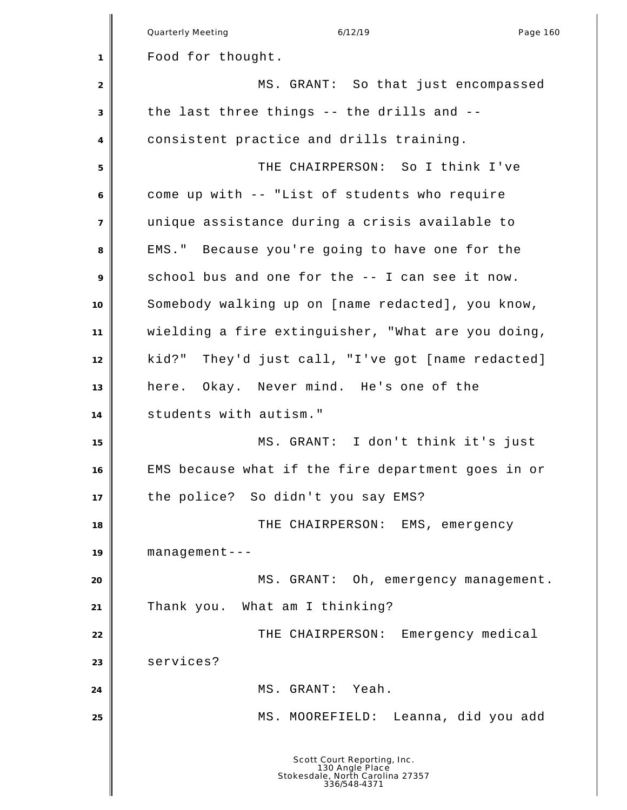|                | Quarterly Meeting<br>6/12/19<br>Page 160                                                           |
|----------------|----------------------------------------------------------------------------------------------------|
| 1              | Food for thought.                                                                                  |
| $\overline{2}$ | MS. GRANT: So that just encompassed                                                                |
| 3              | the last three things -- the drills and --                                                         |
| $\overline{4}$ | consistent practice and drills training.                                                           |
|                | THE CHAIRPERSON: So I think I've                                                                   |
| 5              |                                                                                                    |
| 6              | come up with -- "List of students who require                                                      |
| $\overline{7}$ | unique assistance during a crisis available to                                                     |
| 8              | EMS." Because you're going to have one for the                                                     |
| 9              | school bus and one for the -- I can see it now.                                                    |
| 10             | Somebody walking up on [name redacted], you know,                                                  |
| 11             | wielding a fire extinguisher, "What are you doing,                                                 |
| 12             | kid?" They'd just call, "I've got [name redacted]                                                  |
| 13             | here. Okay. Never mind. He's one of the                                                            |
| 14             | students with autism."                                                                             |
| 15             | MS. GRANT: I don't think it's just                                                                 |
| 16             | EMS because what if the fire department goes in or                                                 |
| 17             | the police? So didn't you say EMS?                                                                 |
| 18             | THE CHAIRPERSON: EMS, emergency                                                                    |
| 19             | $m$ anagement---                                                                                   |
| 20             | MS. GRANT: Oh, emergency management.                                                               |
| 21             | Thank you. What am I thinking?                                                                     |
| 22             | THE CHAIRPERSON: Emergency medical                                                                 |
| 23             | services?                                                                                          |
| 24             | MS. GRANT: Yeah.                                                                                   |
| 25             | Leanna, did you add<br>MS. MOOREFIELD:                                                             |
|                | Scott Court Reporting, Inc.<br>130 Angle Place<br>Stokesdale, North Carolina 27357<br>336/548-4371 |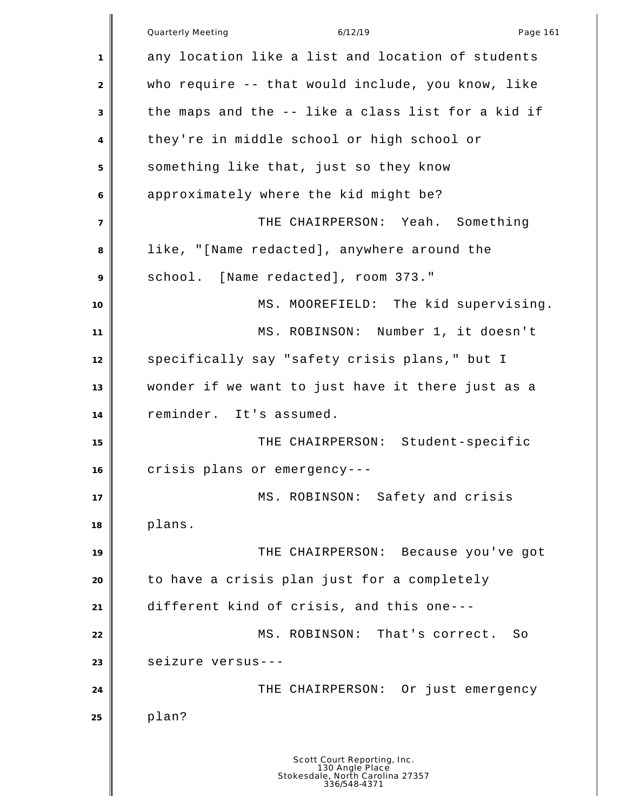Quarterly Meeting and the control of the 6/12/19 control of the Page 161 any location like a list and location of students who require -- that would include, you know, like the maps and the -- like a class list for a kid if they're in middle school or high school or something like that, just so they know approximately where the kid might be? THE CHAIRPERSON: Yeah. Something like, "[Name redacted], anywhere around the school. [Name redacted], room 373." 10 MS. MOOREFIELD: The kid supervising. MS. ROBINSON: Number 1, it doesn't 12 specifically say "safety crisis plans," but I wonder if we want to just have it there just as a reminder. It's assumed. 15 No. 2016 THE CHAIRPERSON: Student-specific crisis plans or emergency--- 17 || MS. ROBINSON: Safety and crisis plans. THE CHAIRPERSON: Because you've got to have a crisis plan just for a completely different kind of crisis, and this one--- 22 MS. ROBINSON: That's correct. So seizure versus--- **THE CHAIRPERSON:** Or just emergency plan? Scott Court Reporting, Inc. 130 Angle Place Stokesdale, North Carolina 27357 336/548-4371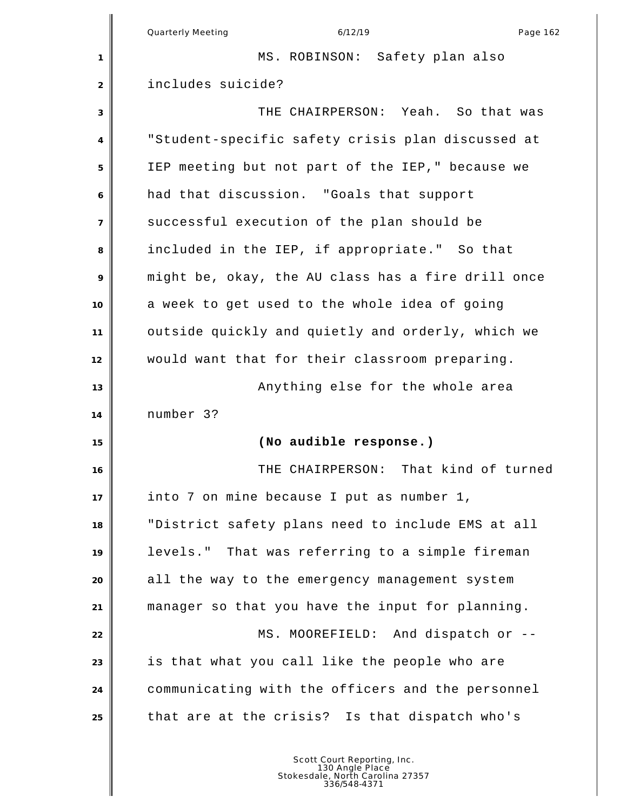|                | <b>Quarterly Meeting</b><br>6/12/19<br>Page 162    |
|----------------|----------------------------------------------------|
| 1              | MS. ROBINSON: Safety plan also                     |
| $\overline{2}$ | includes suicide?                                  |
| 3              | THE CHAIRPERSON: Yeah. So that was                 |
| 4              | "Student-specific safety crisis plan discussed at  |
| 5              | IEP meeting but not part of the IEP," because we   |
| 6              | had that discussion. "Goals that support           |
| $\overline{7}$ | successful execution of the plan should be         |
| 8              | included in the IEP, if appropriate." So that      |
| 9              | might be, okay, the AU class has a fire drill once |
| 10             | a week to get used to the whole idea of going      |
| 11             | outside quickly and quietly and orderly, which we  |
| 12             | would want that for their classroom preparing.     |
| 13             | Anything else for the whole area                   |
| 14             | number 3?                                          |
| 15             | (No audible response.)                             |
| 16             | THE CHAIRPERSON: That kind of turned               |
| 17             | into 7 on mine because I put as number 1,          |
| 18             | "District safety plans need to include EMS at all  |
| 19             | levels." That was referring to a simple fireman    |
| 20             | all the way to the emergency management system     |
| 21             | manager so that you have the input for planning.   |
| 22             | MS. MOOREFIELD: And dispatch or --                 |
| 23             | is that what you call like the people who are      |
| 24             | communicating with the officers and the personnel  |
| 25             | that are at the crisis? Is that dispatch who's     |
|                |                                                    |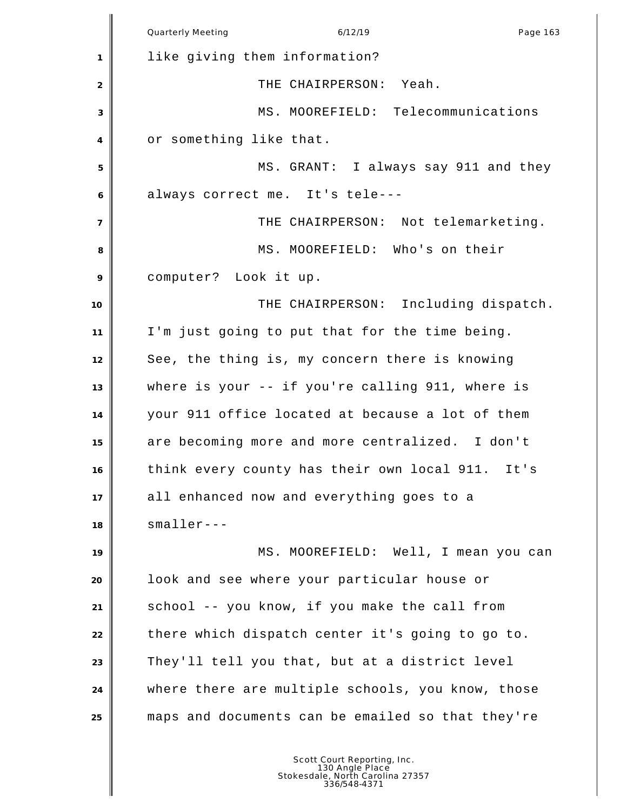|                | Quarterly Meeting<br>6/12/19<br>Page 163          |
|----------------|---------------------------------------------------|
| 1              | like giving them information?                     |
| 2              | THE CHAIRPERSON: Yeah.                            |
| 3              | MS. MOOREFIELD: Telecommunications                |
| 4              | or something like that.                           |
| 5              | MS. GRANT: I always say 911 and they              |
| 6              | always correct me. It's tele---                   |
| $\overline{7}$ | THE CHAIRPERSON: Not telemarketing.               |
| 8              | MS. MOOREFIELD: Who's on their                    |
| 9              | computer? Look it up.                             |
| 10             | THE CHAIRPERSON: Including dispatch.              |
| 11             | I'm just going to put that for the time being.    |
| 12             | See, the thing is, my concern there is knowing    |
| 13             | where is your -- if you're calling 911, where is  |
| 14             | your 911 office located at because a lot of them  |
| 15             | are becoming more and more centralized. I don't   |
| 16             | think every county has their own local 911. It's  |
| 17             | all enhanced now and everything goes to a         |
| 18             | $smaller--$                                       |
| 19             | MS. MOOREFIELD: Well, I mean you can              |
| 20             | look and see where your particular house or       |
| 21             | school -- you know, if you make the call from     |
| 22             | there which dispatch center it's going to go to.  |
| 23             | They'll tell you that, but at a district level    |
| 24             | where there are multiple schools, you know, those |
| 25             | maps and documents can be emailed so that they're |
|                |                                                   |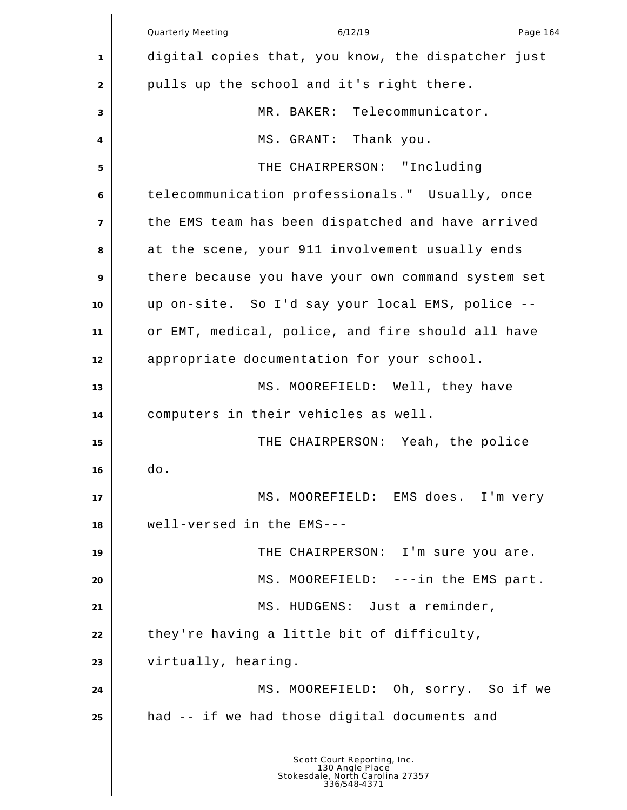|                | Quarterly Meeting<br>6/12/19<br>Page 164                                                           |
|----------------|----------------------------------------------------------------------------------------------------|
| 1              | digital copies that, you know, the dispatcher just                                                 |
| 2              | pulls up the school and it's right there.                                                          |
| 3              | MR. BAKER: Telecommunicator.                                                                       |
| 4              | MS. GRANT: Thank you.                                                                              |
| 5              | THE CHAIRPERSON: "Including                                                                        |
| 6              | telecommunication professionals." Usually, once                                                    |
| $\overline{7}$ | the EMS team has been dispatched and have arrived                                                  |
| 8              | at the scene, your 911 involvement usually ends                                                    |
| 9              | there because you have your own command system set                                                 |
| 10             | up on-site. So I'd say your local EMS, police --                                                   |
| 11             | or EMT, medical, police, and fire should all have                                                  |
| 12             | appropriate documentation for your school.                                                         |
| 13             | MS. MOOREFIELD: Well, they have                                                                    |
| 14             | computers in their vehicles as well.                                                               |
| 15             | THE CHAIRPERSON: Yeah, the police                                                                  |
| 16             | do.                                                                                                |
| 17             | MS. MOOREFIELD: EMS does. I'm very                                                                 |
| 18             | well-versed in the EMS---                                                                          |
| 19             | THE CHAIRPERSON: I'm sure you are.                                                                 |
| 20             | MS. MOOREFIELD: ---in the EMS part.                                                                |
| 21             | MS. HUDGENS: Just a reminder,                                                                      |
| 22             | they're having a little bit of difficulty,                                                         |
| 23             | virtually, hearing.                                                                                |
| 24             | MS. MOOREFIELD: Oh, sorry. So if we                                                                |
| 25             | had -- if we had those digital documents and                                                       |
|                | Scott Court Reporting, Inc.<br>130 Angle Place<br>Stokesdale, North Carolina 27357<br>336/548-4371 |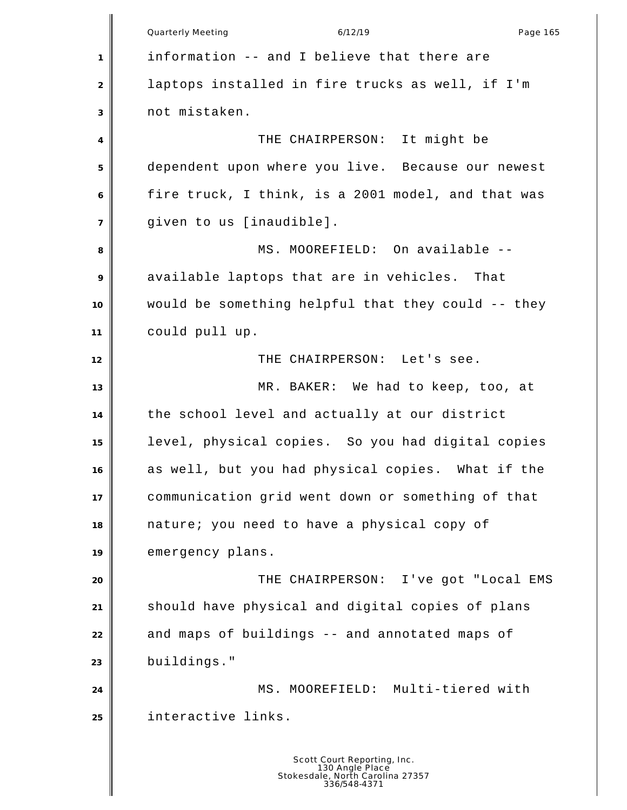Quarterly Meeting and the control of the 6/12/19 control of the Page 165 information -- and I believe that there are laptops installed in fire trucks as well, if I'm not mistaken. THE CHAIRPERSON: It might be dependent upon where you live. Because our newest fire truck, I think, is a 2001 model, and that was given to us [inaudible]. 8 MS. MOOREFIELD: On available -- available laptops that are in vehicles. That would be something helpful that they could -- they could pull up. **||** THE CHAIRPERSON: Let's see. MR. BAKER: We had to keep, too, at the school level and actually at our district level, physical copies. So you had digital copies as well, but you had physical copies. What if the communication grid went down or something of that nature; you need to have a physical copy of emergency plans. THE CHAIRPERSON: I've got "Local EMS should have physical and digital copies of plans and maps of buildings -- and annotated maps of buildings." 24 || MS. MOOREFIELD: Multi-tiered with interactive links.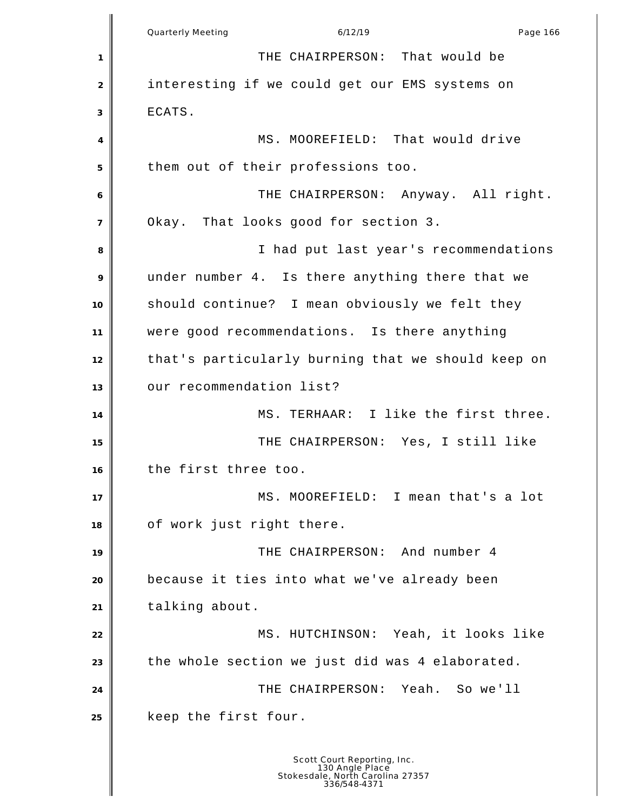Quarterly Meeting and the control of the 6/12/19 control of the Page 166 THE CHAIRPERSON: That would be interesting if we could get our EMS systems on ECATS. 4 MS. MOOREFIELD: That would drive them out of their professions too. THE CHAIRPERSON: Anyway. All right. Okay. That looks good for section 3. I had put last year's recommendations under number 4. Is there anything there that we should continue? I mean obviously we felt they were good recommendations. Is there anything that's particularly burning that we should keep on 13 | our recommendation list? MS. TERHAAR: I like the first three. THE CHAIRPERSON: Yes, I still like the first three too. MS. MOOREFIELD: I mean that's a lot of work just right there. THE CHAIRPERSON: And number 4 because it ties into what we've already been talking about. MS. HUTCHINSON: Yeah, it looks like the whole section we just did was 4 elaborated. THE CHAIRPERSON: Yeah. So we'll keep the first four.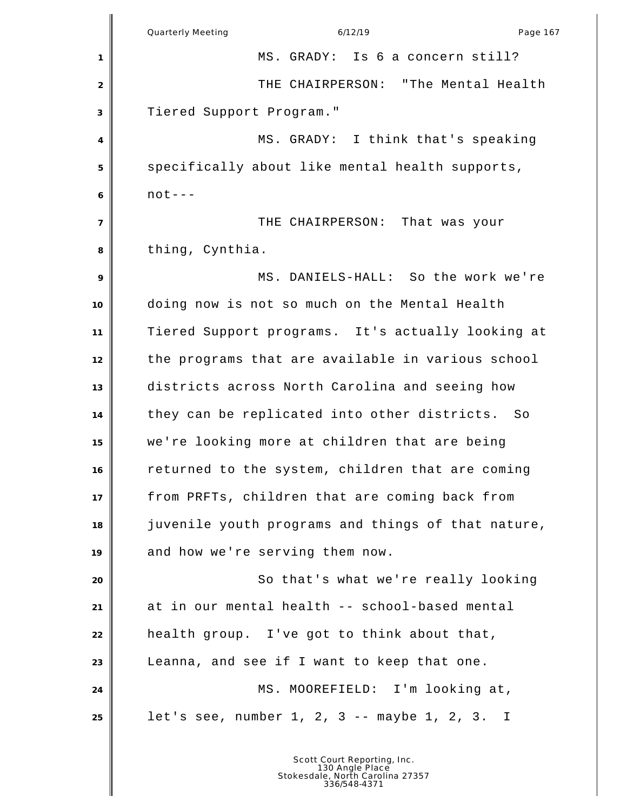|                | Page 167<br>Quarterly Meeting<br>6/12/19           |
|----------------|----------------------------------------------------|
| 1              | MS. GRADY: Is 6 a concern still?                   |
| $\sqrt{2}$     | THE CHAIRPERSON: "The Mental Health                |
| 3              | Tiered Support Program."                           |
| 4              | MS. GRADY: I think that's speaking                 |
| 5              | specifically about like mental health supports,    |
| 6              | $not--$                                            |
| $\overline{7}$ | THE CHAIRPERSON: That was your                     |
| 8              | thing, Cynthia.                                    |
| 9              | MS. DANIELS-HALL: So the work we're                |
| 10             | doing now is not so much on the Mental Health      |
| 11             | Tiered Support programs. It's actually looking at  |
| 12             | the programs that are available in various school  |
| 13             | districts across North Carolina and seeing how     |
| 14             | they can be replicated into other districts. So    |
| 15             | we're looking more at children that are being      |
| 16             | returned to the system, children that are coming   |
| 17             | from PRFTs, children that are coming back from     |
| 18             | juvenile youth programs and things of that nature, |
| 19             | and how we're serving them now.                    |
| 20             | So that's what we're really looking                |
| 21             | at in our mental health -- school-based mental     |
| 22             | health group. I've got to think about that,        |
| 23             | Leanna, and see if I want to keep that one.        |
| 24             | MS. MOOREFIELD: I'm looking at,                    |
| 25             | let's see, number $1, 2, 3 --$ maybe $1, 2, 3. I$  |
|                | Scott Court Deporting In                           |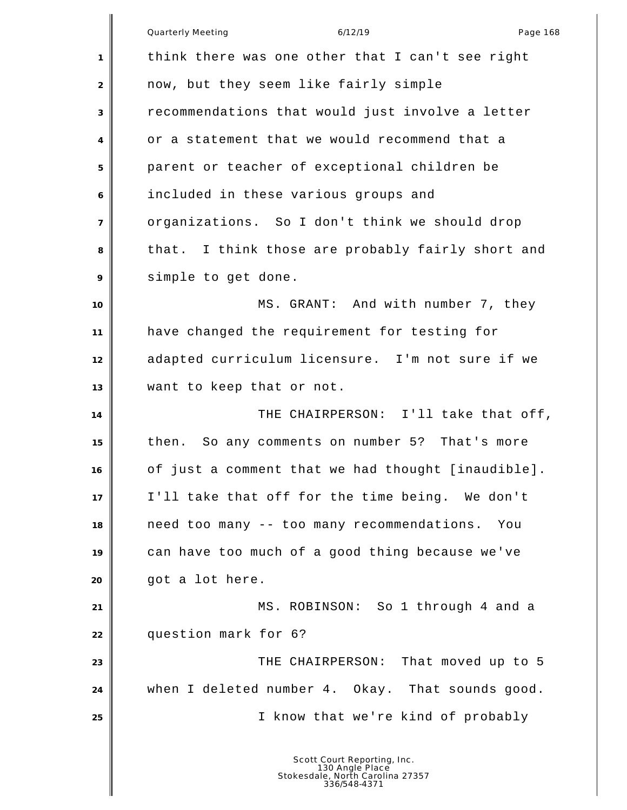Quarterly Meeting and the control of the 6/12/19 control of the Page 168 think there was one other that I can't see right now, but they seem like fairly simple recommendations that would just involve a letter or a statement that we would recommend that a parent or teacher of exceptional children be included in these various groups and organizations. So I don't think we should drop that. I think those are probably fairly short and simple to get done. **MS. GRANT:** And with number 7, they have changed the requirement for testing for adapted curriculum licensure. I'm not sure if we want to keep that or not. THE CHAIRPERSON: I'll take that off, then. So any comments on number 5? That's more of just a comment that we had thought [inaudible]. I'll take that off for the time being. We don't need too many -- too many recommendations. You can have too much of a good thing because we've got a lot here. MS. ROBINSON: So 1 through 4 and a question mark for 6? THE CHAIRPERSON: That moved up to 5 when I deleted number 4. Okay. That sounds good. I know that we're kind of probably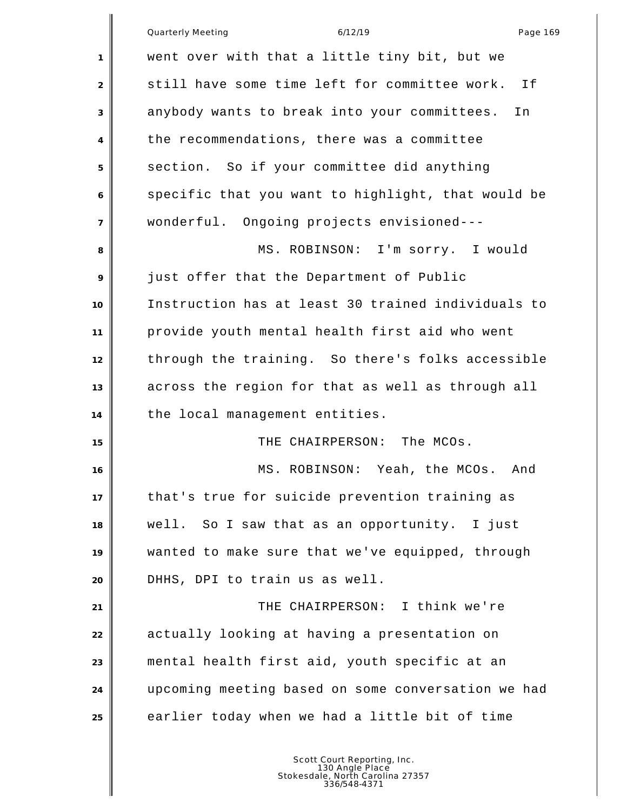|                | Quarterly Meeting<br>6/12/19<br>Page 169            |
|----------------|-----------------------------------------------------|
| 1              | went over with that a little tiny bit, but we       |
| 2              | still have some time left for committee work.<br>Ιf |
| 3              | anybody wants to break into your committees.<br>In  |
| 4              | the recommendations, there was a committee          |
| 5              | section. So if your committee did anything          |
| 6              | specific that you want to highlight, that would be  |
| $\overline{7}$ | wonderful. Ongoing projects envisioned---           |
| 8              | MS. ROBINSON: I'm sorry. I would                    |
| 9              | just offer that the Department of Public            |
| 10             | Instruction has at least 30 trained individuals to  |
| 11             | provide youth mental health first aid who went      |
| 12             | through the training. So there's folks accessible   |
| 13             | across the region for that as well as through all   |
| 14             | the local management entities.                      |
| 15             | THE CHAIRPERSON: The MCOs.                          |
| 16             | MS. ROBINSON: Yeah, the MCOs. And                   |
| 17             | that's true for suicide prevention training as      |
| 18             | well. So I saw that as an opportunity. I just       |
| 19             | wanted to make sure that we've equipped, through    |
| 20             | DHHS, DPI to train us as well.                      |
| 21             | THE CHAIRPERSON: I think we're                      |
| 22             | actually looking at having a presentation on        |
| 23             | mental health first aid, youth specific at an       |
| 24             | upcoming meeting based on some conversation we had  |
| 25             | earlier today when we had a little bit of time      |
|                |                                                     |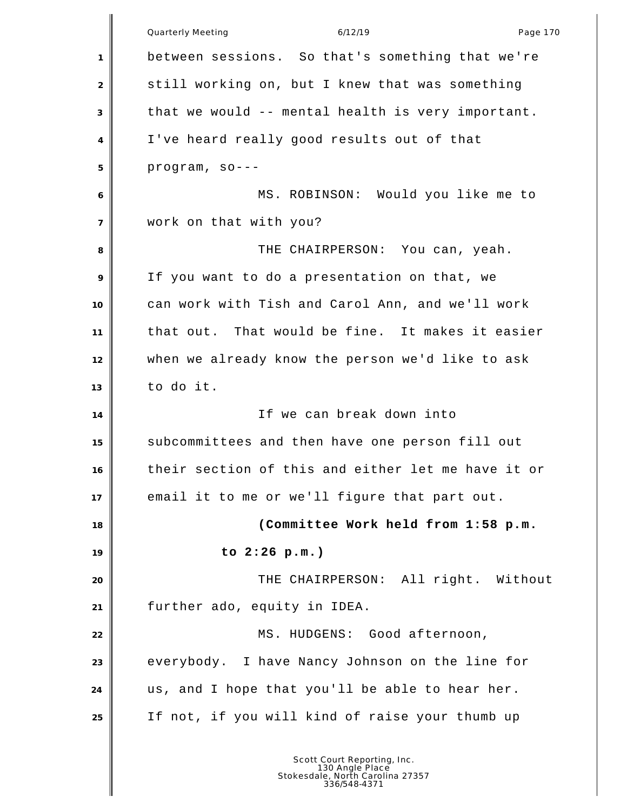|                | Quarterly Meeting<br>6/12/19<br>Page 170           |
|----------------|----------------------------------------------------|
|                |                                                    |
| $\mathbf{1}$   | between sessions. So that's something that we're   |
| 2              | still working on, but I knew that was something    |
| 3              | that we would -- mental health is very important.  |
| 4              | I've heard really good results out of that         |
| 5              | program, so---                                     |
| 6              | MS. ROBINSON: Would you like me to                 |
| $\overline{7}$ | work on that with you?                             |
| 8              | THE CHAIRPERSON: You can, yeah.                    |
| 9              | If you want to do a presentation on that, we       |
| 10             | can work with Tish and Carol Ann, and we'll work   |
| 11             | that out. That would be fine. It makes it easier   |
| 12             | when we already know the person we'd like to ask   |
| 13             | to do it.                                          |
| 14             | If we can break down into                          |
| 15             | subcommittees and then have one person fill out    |
| 16             | their section of this and either let me have it or |
| 17             | email it to me or we'll figure that part out.      |
| 18             | (Committee Work held from 1:58 p.m.                |
| 19             | to $2:26$ p.m.)                                    |
| 20             | THE CHAIRPERSON: All right. Without                |
| 21             | further ado, equity in IDEA.                       |
| 22             | MS. HUDGENS: Good afternoon,                       |
| 23             | everybody. I have Nancy Johnson on the line for    |
| 24             | us, and I hope that you'll be able to hear her.    |
| 25             | If not, if you will kind of raise your thumb up    |
|                |                                                    |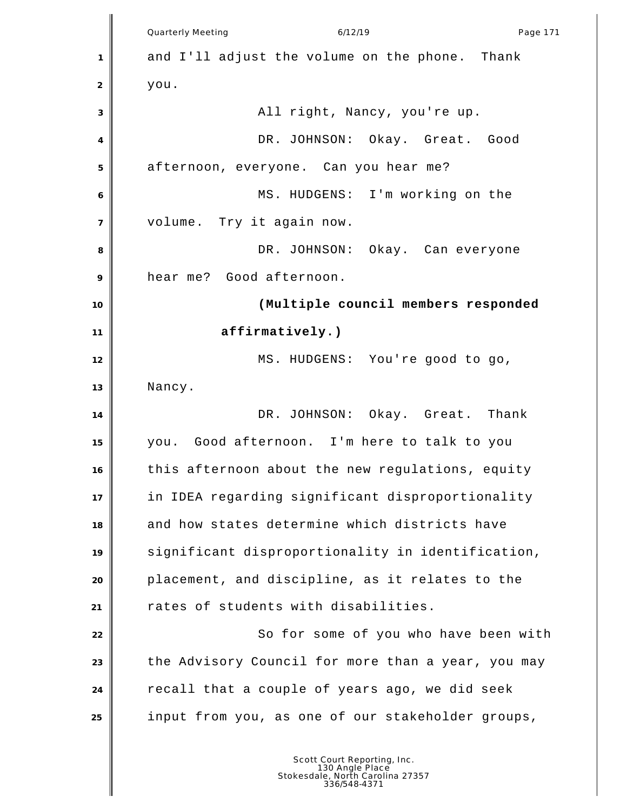|                | Quarterly Meeting<br>6/12/19<br>Page 171           |
|----------------|----------------------------------------------------|
| 1              | and I'll adjust the volume on the phone. Thank     |
| 2              | you.                                               |
| 3              | All right, Nancy, you're up.                       |
| 4              | DR. JOHNSON: Okay. Great. Good                     |
| 5              | afternoon, everyone. Can you hear me?              |
| 6              | MS. HUDGENS: I'm working on the                    |
| $\overline{7}$ | volume. Try it again now.                          |
| 8              | DR. JOHNSON: Okay. Can everyone                    |
| 9              | hear me? Good afternoon.                           |
| 10             | (Multiple council members responded                |
| 11             | affirmatively.)                                    |
| 12             | MS. HUDGENS: You're good to go,                    |
| 13             | Nancy.                                             |
| 14             | DR. JOHNSON: Okay. Great. Thank                    |
| 15             | you. Good afternoon. I'm here to talk to you       |
| 16             | this afternoon about the new regulations, equity   |
| 17             | in IDEA regarding significant disproportionality   |
| 18             | and how states determine which districts have      |
| 19             | significant disproportionality in identification,  |
| 20             | placement, and discipline, as it relates to the    |
| 21             | rates of students with disabilities.               |
| 22             | So for some of you who have been with              |
| 23             | the Advisory Council for more than a year, you may |
| 24             | recall that a couple of years ago, we did seek     |
| 25             | input from you, as one of our stakeholder groups,  |
|                |                                                    |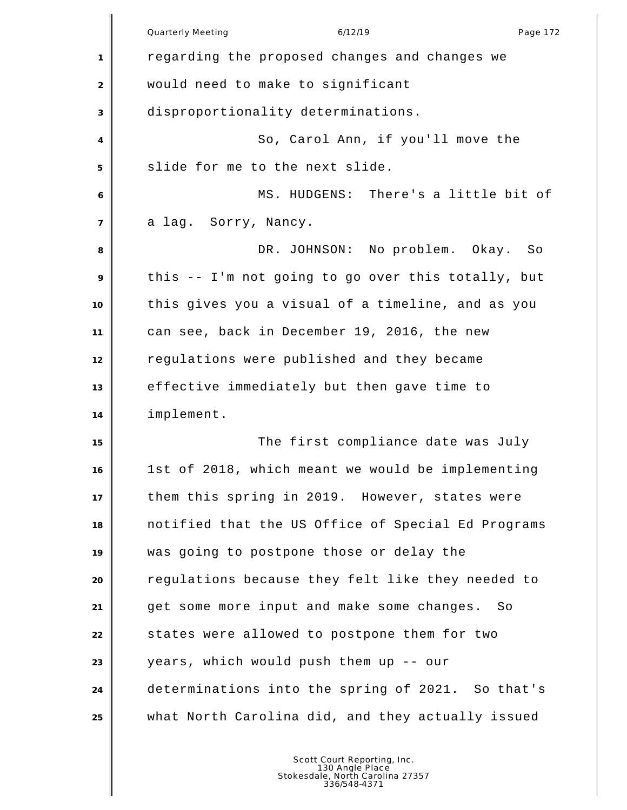|                | <b>Quarterly Meeting</b><br>6/12/19<br>Page 172    |
|----------------|----------------------------------------------------|
| 1              | regarding the proposed changes and changes we      |
| $\overline{2}$ | would need to make to significant                  |
| 3              | disproportionality determinations.                 |
| 4              | So, Carol Ann, if you'll move the                  |
| 5              | slide for me to the next slide.                    |
| 6              | MS. HUDGENS: There's a little bit of               |
| $\overline{7}$ | a lag. Sorry, Nancy.                               |
| 8              | DR. JOHNSON: No problem. Okay. So                  |
| 9              | this -- I'm not going to go over this totally, but |
| 10             | this gives you a visual of a timeline, and as you  |
| 11             | can see, back in December 19, 2016, the new        |
| 12             | regulations were published and they became         |
| 13             | effective immediately but then gave time to        |
| 14             | implement.                                         |
| 15             | The first compliance date was July                 |
| 16             | 1st of 2018, which meant we would be implementing  |
| 17             | them this spring in 2019. However, states were     |
| 18             | notified that the US Office of Special Ed Programs |
| 19             | was going to postpone those or delay the           |
| 20             | regulations because they felt like they needed to  |
| 21             | get some more input and make some changes.<br>So   |
| 22             | states were allowed to postpone them for two       |
| 23             | years, which would push them up -- our             |
| 24             | determinations into the spring of 2021. So that's  |
| 25             | what North Carolina did, and they actually issued  |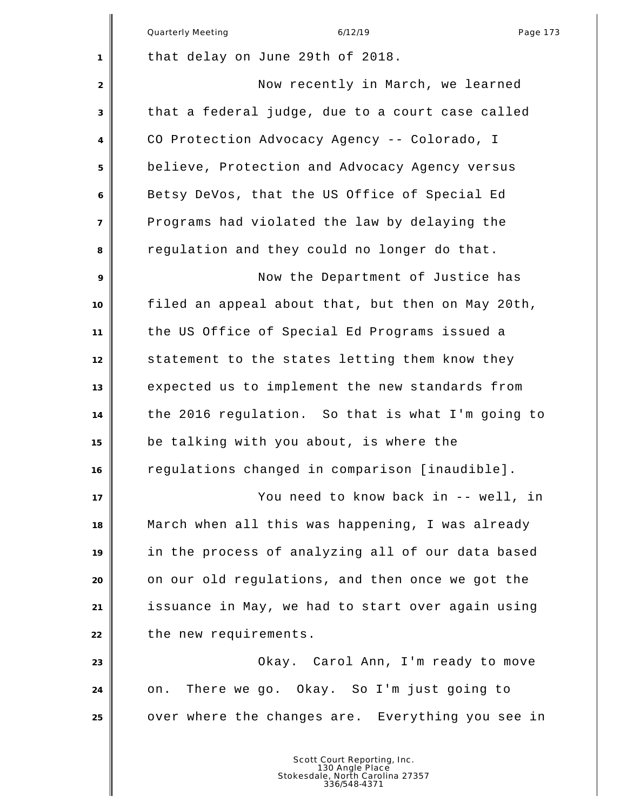|                | Quarterly Meeting<br>6/12/19<br>Page 173          |
|----------------|---------------------------------------------------|
| 1              | that delay on June 29th of 2018.                  |
| $\overline{2}$ | Now recently in March, we learned                 |
| 3              | that a federal judge, due to a court case called  |
| 4              | CO Protection Advocacy Agency -- Colorado, I      |
| 5              | believe, Protection and Advocacy Agency versus    |
| 6              | Betsy DeVos, that the US Office of Special Ed     |
| $\overline{7}$ | Programs had violated the law by delaying the     |
| 8              | regulation and they could no longer do that.      |
| 9              | Now the Department of Justice has                 |
| 10             | filed an appeal about that, but then on May 20th, |
| 11             | the US Office of Special Ed Programs issued a     |
| 12             | statement to the states letting them know they    |
| 13             | expected us to implement the new standards from   |
| 14             | the 2016 regulation. So that is what I'm going to |
| 15             | be talking with you about, is where the           |
| 16             | regulations changed in comparison [inaudible].    |
| 17             | You need to know back in -- well, in              |
| 18             | March when all this was happening, I was already  |
| 19             | in the process of analyzing all of our data based |
| 20             | on our old regulations, and then once we got the  |
| 21             | issuance in May, we had to start over again using |
| 22             | the new requirements.                             |
| 23             | Okay. Carol Ann, I'm ready to move                |
| 24             | There we go. Okay. So I'm just going to<br>on.    |
| 25             | over where the changes are. Everything you see in |
|                |                                                   |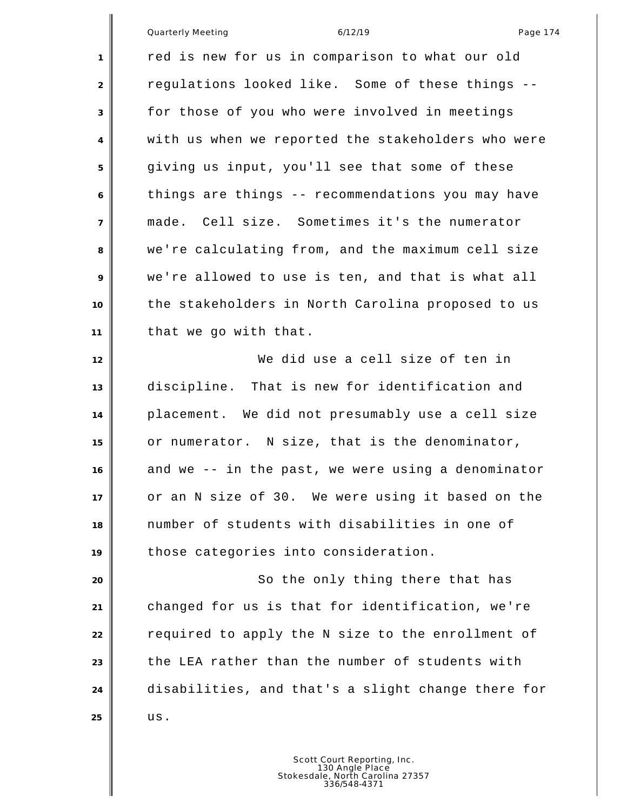|                | Quarterly Meeting<br>6/12/19<br>Page 174           |
|----------------|----------------------------------------------------|
| 1              | red is new for us in comparison to what our old    |
| 2              | regulations looked like. Some of these things --   |
| 3              | for those of you who were involved in meetings     |
| 4              | with us when we reported the stakeholders who were |
| 5              | giving us input, you'll see that some of these     |
| 6              | things are things -- recommendations you may have  |
| $\overline{7}$ | made. Cell size. Sometimes it's the numerator      |
| 8              | we're calculating from, and the maximum cell size  |
| 9              | we're allowed to use is ten, and that is what all  |
| 10             | the stakeholders in North Carolina proposed to us  |
| 11             | that we go with that.                              |
| 12             | We did use a cell size of ten in                   |
| 13             | discipline. That is new for identification and     |
| 14             | placement. We did not presumably use a cell size   |
| 15             | or numerator. N size, that is the denominator,     |
| 16             | and we -- in the past, we were using a denominator |
| 17             | or an N size of 30. We were using it based on the  |
| 18             | number of students with disabilities in one of     |
| 19             | those categories into consideration.               |
| 20             | So the only thing there that has                   |
| 21             | changed for us is that for identification, we're   |
| 22             | required to apply the N size to the enrollment of  |
| 23             | the LEA rather than the number of students with    |
| 24             | disabilities, and that's a slight change there for |
| 25             | us.                                                |
|                |                                                    |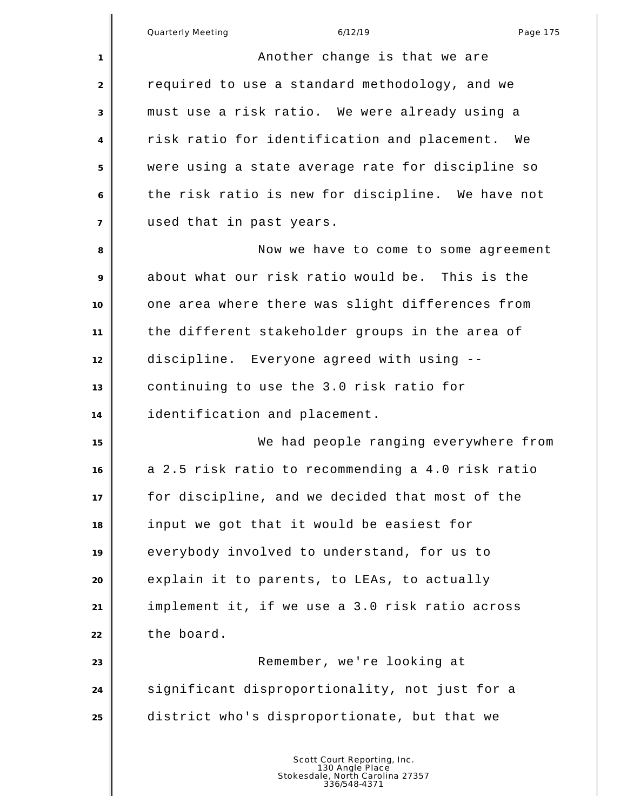| 1              | Another change is that we are                      |
|----------------|----------------------------------------------------|
| $\overline{2}$ | required to use a standard methodology, and we     |
| 3              | must use a risk ratio. We were already using a     |
| 4              | risk ratio for identification and placement.<br>We |
| 5              | were using a state average rate for discipline so  |
| 6              | the risk ratio is new for discipline. We have not  |
| $\overline{7}$ | used that in past years.                           |
| 8              | Now we have to come to some agreement              |
| 9              | about what our risk ratio would be. This is the    |
| 10             | one area where there was slight differences from   |
| 11             | the different stakeholder groups in the area of    |
| 12             | discipline. Everyone agreed with using --          |
| 13             | continuing to use the 3.0 risk ratio for           |
| 14             | identification and placement.                      |
| 15             | We had people ranging everywhere from              |
| 16             | a 2.5 risk ratio to recommending a 4.0 risk ratio  |
| 17             | for discipline, and we decided that most of the    |
| 18             | input we got that it would be easiest for          |
| 19             | everybody involved to understand, for us to        |
| 20             | explain it to parents, to LEAs, to actually        |
| 21             | implement it, if we use a 3.0 risk ratio across    |
| 22             | the board.                                         |
| 23             | Remember, we're looking at                         |
| 24             | significant disproportionality, not just for a     |
| 25             | district who's disproportionate, but that we       |
|                |                                                    |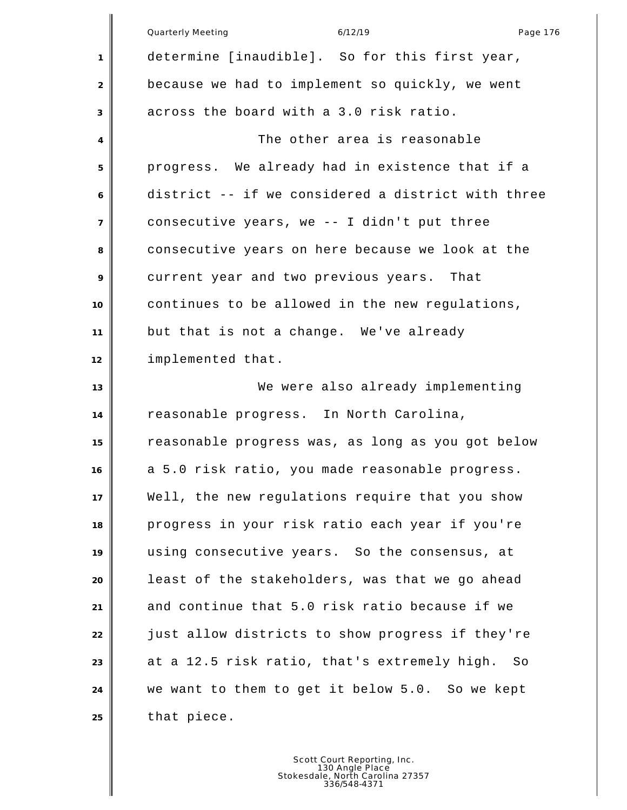|                | Quarterly Meeting<br>6/12/19<br>Page 176           |
|----------------|----------------------------------------------------|
| 1              | determine [inaudible]. So for this first year,     |
| $\overline{2}$ | because we had to implement so quickly, we went    |
| 3              | across the board with a 3.0 risk ratio.            |
| 4              | The other area is reasonable                       |
| 5              | progress. We already had in existence that if a    |
| 6              | district -- if we considered a district with three |
| $\overline{7}$ | consecutive years, we -- I didn't put three        |
| 8              | consecutive years on here because we look at the   |
| 9              | current year and two previous years. That          |
| 10             | continues to be allowed in the new regulations,    |
| 11             | but that is not a change. We've already            |
| 12             | implemented that.                                  |
| 13             | We were also already implementing                  |
| 14             | reasonable progress. In North Carolina,            |
| 15             | reasonable progress was, as long as you got below  |
| 16             | a 5.0 risk ratio, you made reasonable progress.    |
| 17             | Well, the new regulations require that you show    |
| 18             | progress in your risk ratio each year if you're    |
| 19             | using consecutive years. So the consensus, at      |
| 20             | least of the stakeholders, was that we go ahead    |
| 21             | and continue that 5.0 risk ratio because if we     |
| 22             | just allow districts to show progress if they're   |
| 23             | at a 12.5 risk ratio, that's extremely high.<br>So |
| 24             | we want to them to get it below 5.0. So we kept    |
| 25             | that piece.                                        |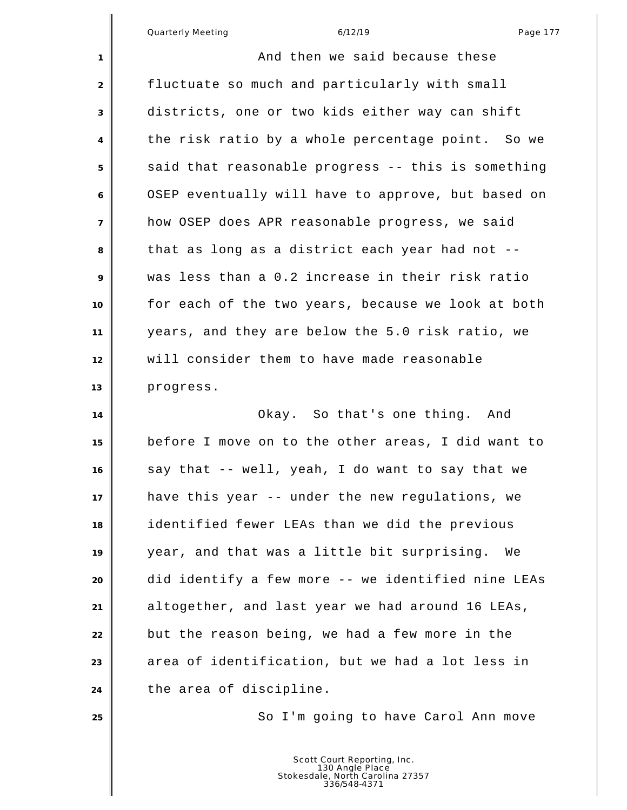∥

| $\mathbf{1}$               | And then we said because these                     |
|----------------------------|----------------------------------------------------|
| 2                          | fluctuate so much and particularly with small      |
| 3                          | districts, one or two kids either way can shift    |
| 4                          | the risk ratio by a whole percentage point. So we  |
| 5                          | said that reasonable progress -- this is something |
| 6                          | OSEP eventually will have to approve, but based on |
| $\overline{7}$             | how OSEP does APR reasonable progress, we said     |
| 8                          | that as long as a district each year had not --    |
| 9                          | was less than a 0.2 increase in their risk ratio   |
| 10                         | for each of the two years, because we look at both |
| 11                         | years, and they are below the 5.0 risk ratio, we   |
| 12                         | will consider them to have made reasonable         |
| 13                         | progress.                                          |
| 14                         | Okay. So that's one thing. And                     |
| 15                         | before I move on to the other areas, I did want to |
| 16                         | say that -- well, yeah, I do want to say that we   |
| 17                         |                                                    |
|                            | have this year -- under the new regulations, we    |
|                            | identified fewer LEAs than we did the previous     |
|                            | year, and that was a little bit surprising.<br>We  |
|                            | did identify a few more -- we identified nine LEAs |
|                            | altogether, and last year we had around 16 LEAs,   |
| 18<br>19<br>20<br>21<br>22 | but the reason being, we had a few more in the     |
|                            | area of identification, but we had a lot less in   |
| 23<br>24                   | the area of discipline.                            |
| 25                         | So I'm going to have Carol Ann move                |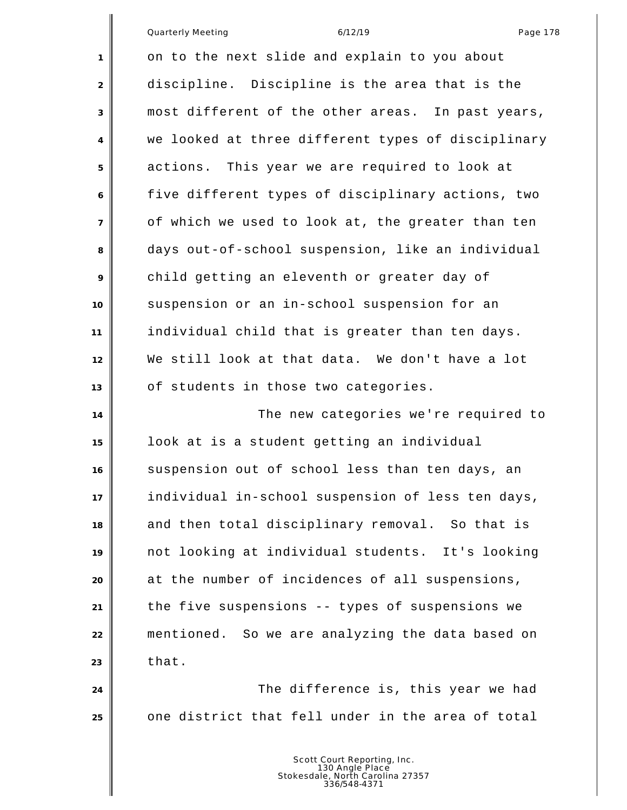| Quarterly Meeting |  |
|-------------------|--|
|                   |  |

|                | Quarterly Meeting<br>6/12/19<br>Page 178           |
|----------------|----------------------------------------------------|
| 1              | on to the next slide and explain to you about      |
| $\overline{c}$ | discipline. Discipline is the area that is the     |
| 3              | most different of the other areas. In past years,  |
| 4              | we looked at three different types of disciplinary |
| 5              | actions. This year we are required to look at      |
| 6              | five different types of disciplinary actions, two  |
| 7              | of which we used to look at, the greater than ten  |
| 8              | days out-of-school suspension, like an individual  |
| 9              | child getting an eleventh or greater day of        |
| 10             | suspension or an in-school suspension for an       |
| 11             | individual child that is greater than ten days.    |
| 12             | We still look at that data. We don't have a lot    |
| 13             | of students in those two categories.               |
| 14             | The new categories we're required to               |
| 15             | look at is a student getting an individual         |
| 16             | suspension out of school less than ten days, an    |
| $17$           | individual in-school suspension of less ten days,  |
| 18             | and then total disciplinary removal. So that is    |
| 19             | not looking at individual students. It's looking   |
| 20             | at the number of incidences of all suspensions,    |
| 21             | the five suspensions -- types of suspensions we    |
| 22             | mentioned. So we are analyzing the data based on   |
| 23             | that.                                              |
| 24             | The difference is, this year we had                |
| 25             | one district that fell under in the area of total  |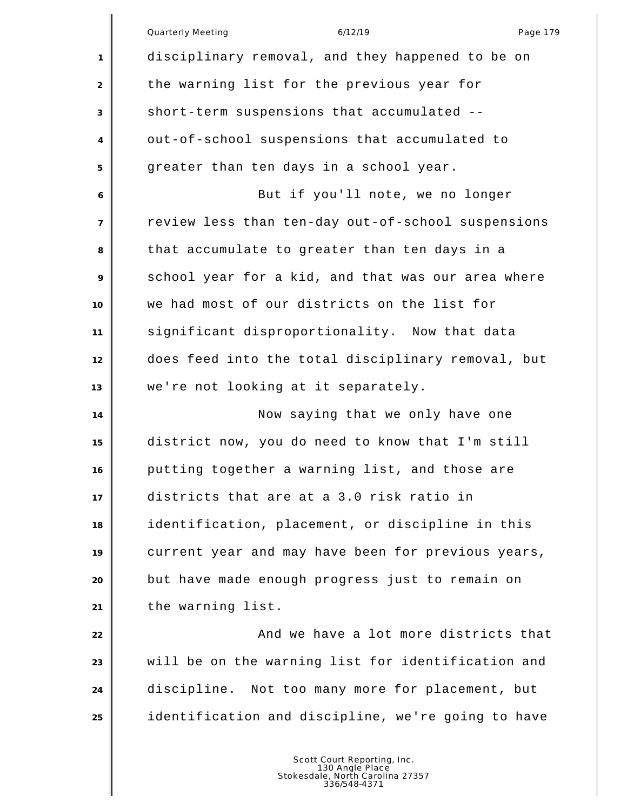|                | Quarterly Meeting<br>6/12/19<br>Page 179           |
|----------------|----------------------------------------------------|
| 1              | disciplinary removal, and they happened to be on   |
| 2              | the warning list for the previous year for         |
| 3              | short-term suspensions that accumulated --         |
| 4              | out-of-school suspensions that accumulated to      |
| 5              | greater than ten days in a school year.            |
| 6              | But if you'll note, we no longer                   |
| $\overline{7}$ | review less than ten-day out-of-school suspensions |
| 8              | that accumulate to greater than ten days in a      |
| 9              | school year for a kid, and that was our area where |
| 10             | we had most of our districts on the list for       |
| 11             | significant disproportionality. Now that data      |
| 12             | does feed into the total disciplinary removal, but |
| 13             | we're not looking at it separately.                |
| 14             | Now saying that we only have one                   |
| 15             | district now, you do need to know that I'm still   |
| 16             | putting together a warning list, and those are     |
| 17             | districts that are at a 3.0 risk ratio in          |
| 18             | identification, placement, or discipline in this   |
| 19             | current year and may have been for previous years, |
| 20             | but have made enough progress just to remain on    |
| 21             | the warning list.                                  |
| 22             | And we have a lot more districts that              |
| 23             | will be on the warning list for identification and |
| 24             | discipline. Not too many more for placement, but   |
| 25             | identification and discipline, we're going to have |
|                |                                                    |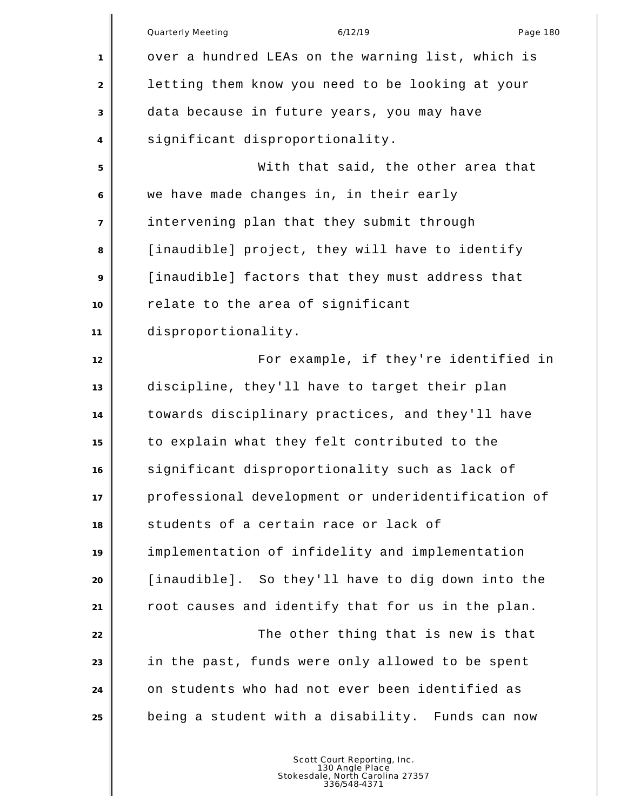|                | <b>Quarterly Meeting</b><br>6/12/19<br>Page 180    |
|----------------|----------------------------------------------------|
| 1              | over a hundred LEAs on the warning list, which is  |
| 2              | letting them know you need to be looking at your   |
| 3              | data because in future years, you may have         |
| 4              | significant disproportionality.                    |
| 5              | With that said, the other area that                |
| 6              | we have made changes in, in their early            |
| $\overline{7}$ | intervening plan that they submit through          |
| 8              | [inaudible] project, they will have to identify    |
| 9              | [inaudible] factors that they must address that    |
| 10             | relate to the area of significant                  |
| 11             | disproportionality.                                |
| 12             | For example, if they're identified in              |
| 13             | discipline, they'll have to target their plan      |
| 14             | towards disciplinary practices, and they'll have   |
| 15             | to explain what they felt contributed to the       |
| 16             | significant disproportionality such as lack of     |
| 17             | professional development or underidentification of |
| 18             | students of a certain race or lack of              |
| 19             | implementation of infidelity and implementation    |
| 20             | [inaudible]. So they'll have to dig down into the  |
| 21             | root causes and identify that for us in the plan.  |
| 22             | The other thing that is new is that                |
| 23             | in the past, funds were only allowed to be spent   |
| 24             | on students who had not ever been identified as    |
| 25             | being a student with a disability. Funds can now   |
|                |                                                    |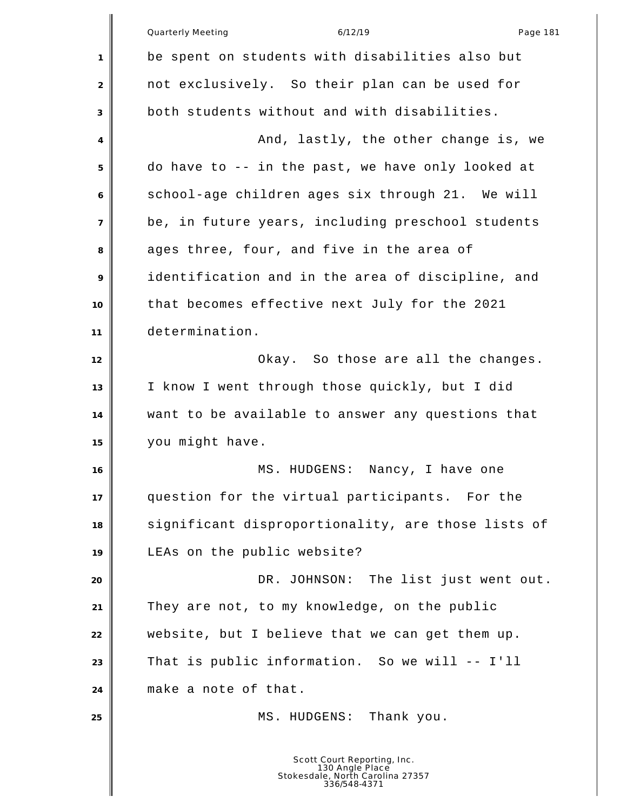|                | <b>Quarterly Meeting</b><br>6/12/19<br>Page 181                                                    |
|----------------|----------------------------------------------------------------------------------------------------|
| 1              | be spent on students with disabilities also but                                                    |
| 2              | not exclusively. So their plan can be used for                                                     |
| 3              | both students without and with disabilities.                                                       |
| 4              | And, lastly, the other change is, we                                                               |
| 5              | do have to -- in the past, we have only looked at                                                  |
| 6              | school-age children ages six through 21. We will                                                   |
| $\overline{7}$ | be, in future years, including preschool students                                                  |
| 8              | ages three, four, and five in the area of                                                          |
| 9              | identification and in the area of discipline, and                                                  |
| 10             | that becomes effective next July for the 2021                                                      |
| 11             | determination.                                                                                     |
| 12             | Okay. So those are all the changes.                                                                |
| 13             | I know I went through those quickly, but I did                                                     |
| 14             | want to be available to answer any questions that                                                  |
| 15             | you might have.                                                                                    |
| 16             | MS. HUDGENS:<br>Nancy, I have one                                                                  |
| 17             | question for the virtual participants. For the                                                     |
| 18             | significant disproportionality, are those lists of                                                 |
| 19             | LEAs on the public website?                                                                        |
| 20             | DR. JOHNSON: The list just went out.                                                               |
| 21             | They are not, to my knowledge, on the public                                                       |
| 22             | website, but I believe that we can get them up.                                                    |
| 23             | That is public information. So we will -- I'll                                                     |
| 24             | make a note of that.                                                                               |
| 25             | MS. HUDGENS: Thank you.                                                                            |
|                | Scott Court Reporting, Inc.<br>130 Angle Place<br>Stokesdale, North Carolina 27357<br>336/548-4371 |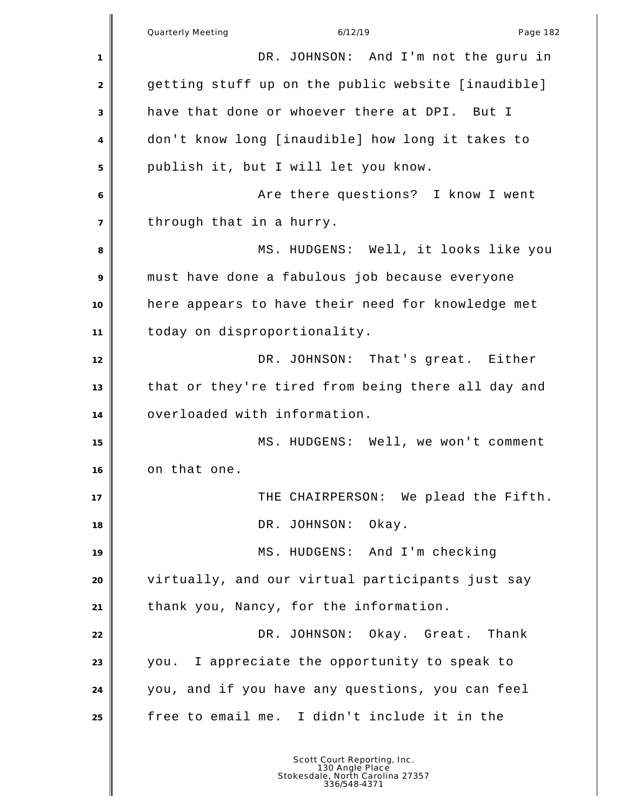Quarterly Meeting and the control of the 6/12/19 control of the Page 182 DR. JOHNSON: And I'm not the guru in 2 getting stuff up on the public website [inaudible] have that done or whoever there at DPI. But I don't know long [inaudible] how long it takes to publish it, but I will let you know. Are there questions? I know I went through that in a hurry. MS. HUDGENS: Well, it looks like you must have done a fabulous job because everyone here appears to have their need for knowledge met today on disproportionality. 12 DR. JOHNSON: That's great. Either that or they're tired from being there all day and overloaded with information. MS. HUDGENS: Well, we won't comment on that one. **THE CHAIRPERSON:** We plead the Fifth. 18 | DR. JOHNSON: Okay. 19 MS. HUDGENS: And I'm checking virtually, and our virtual participants just say thank you, Nancy, for the information. **DR. JOHNSON:** Okay. Great. Thank you. I appreciate the opportunity to speak to you, and if you have any questions, you can feel free to email me. I didn't include it in the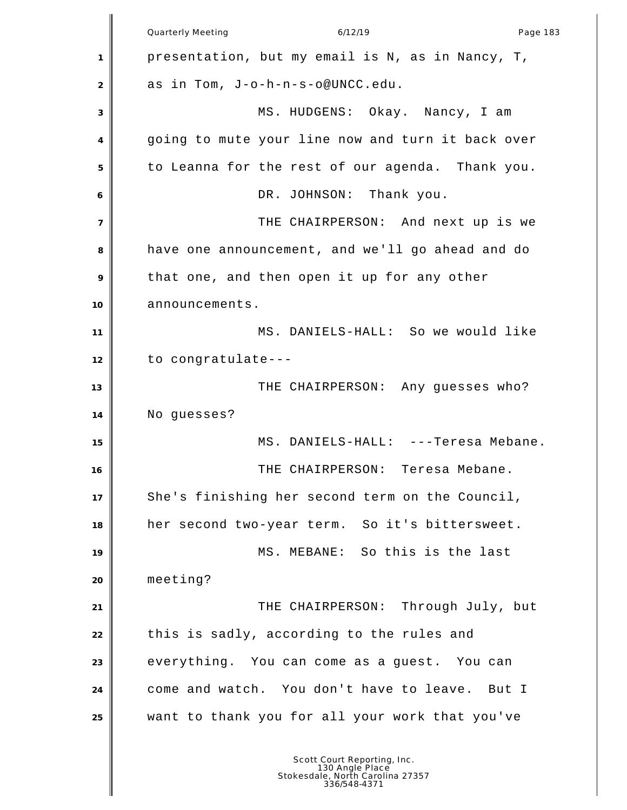Quarterly Meeting and the control of the 6/12/19 control of the Page 183 presentation, but my email is N, as in Nancy, T, as in Tom, J-o-h-n-s-o@UNCC.edu. MS. HUDGENS: Okay. Nancy, I am going to mute your line now and turn it back over to Leanna for the rest of our agenda. Thank you. DR. JOHNSON: Thank you. THE CHAIRPERSON: And next up is we have one announcement, and we'll go ahead and do that one, and then open it up for any other 10 announcements. MS. DANIELS-HALL: So we would like to congratulate--- 13 THE CHAIRPERSON: Any guesses who? No guesses? MS. DANIELS-HALL: ---Teresa Mebane. THE CHAIRPERSON: Teresa Mebane. She's finishing her second term on the Council, her second two-year term. So it's bittersweet. MS. MEBANE: So this is the last meeting? THE CHAIRPERSON: Through July, but 22 this is sadly, according to the rules and 23 everything. You can come as a guest. You can come and watch. You don't have to leave. But I want to thank you for all your work that you've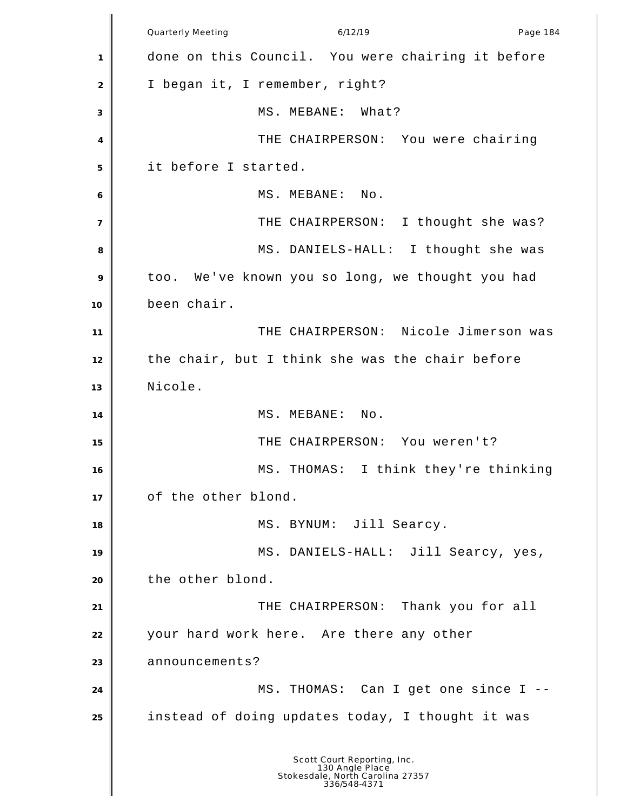Quarterly Meeting and the control of the 6/12/19 control of the Page 184 done on this Council. You were chairing it before I began it, I remember, right? MS. MEBANE: What? THE CHAIRPERSON: You were chairing it before I started. 6 | MS. MEBANE: No. 7 THE CHAIRPERSON: I thought she was? MS. DANIELS-HALL: I thought she was too. We've known you so long, we thought you had been chair. THE CHAIRPERSON: Nicole Jimerson was the chair, but I think she was the chair before Nicole. MS. MEBANE: No. THE CHAIRPERSON: You weren't? 16 MS. THOMAS: I think they're thinking of the other blond. MS. BYNUM: Jill Searcy. MS. DANIELS-HALL: Jill Searcy, yes, the other blond. THE CHAIRPERSON: Thank you for all your hard work here. Are there any other 23 announcements? MS. THOMAS: Can I get one since I -- instead of doing updates today, I thought it was Scott Court Reporting, Inc. 130 Angle Place Stokesdale, North Carolina 27357 336/548-4371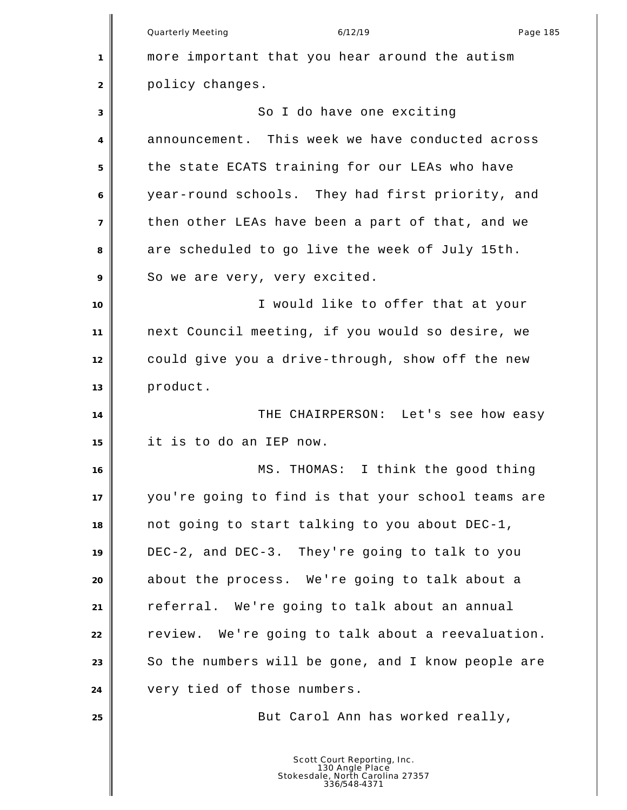Quarterly Meeting and the control of the 6/12/19 control of the Page 185 more important that you hear around the autism policy changes. 3 So I do have one exciting announcement. This week we have conducted across the state ECATS training for our LEAs who have year-round schools. They had first priority, and then other LEAs have been a part of that, and we are scheduled to go live the week of July 15th. 9 So we are very, very excited. **I** would like to offer that at your next Council meeting, if you would so desire, we could give you a drive-through, show off the new product. THE CHAIRPERSON: Let's see how easy it is to do an IEP now. MS. THOMAS: I think the good thing you're going to find is that your school teams are not going to start talking to you about DEC-1, DEC-2, and DEC-3. They're going to talk to you about the process. We're going to talk about a referral. We're going to talk about an annual **Philop** review. We're going to talk about a reevaluation. 23 So the numbers will be gone, and I know people are very tied of those numbers. **But Carol Ann has worked really,** Scott Court Reporting, Inc. 130 Angle Place Stokesdale, North Carolina 27357 336/548-4371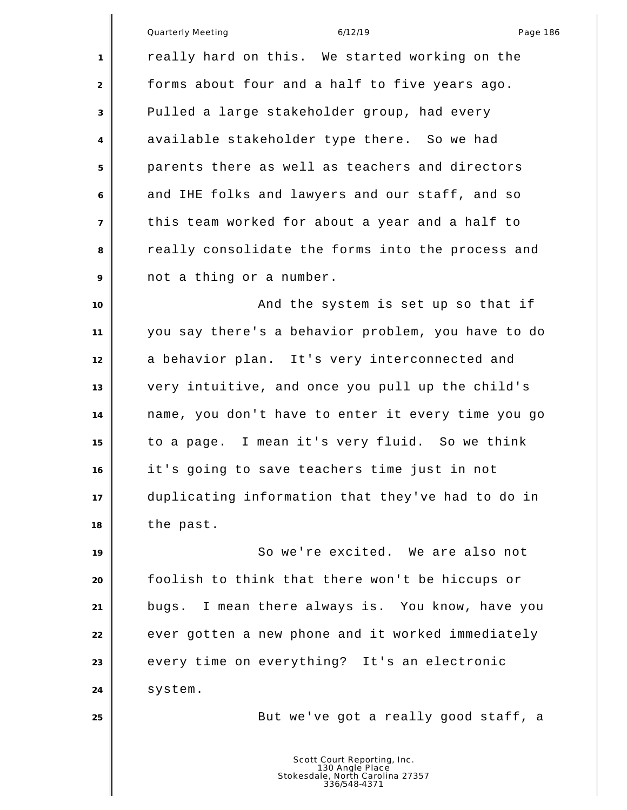|                | Quarterly Meeting<br>6/12/19<br>Page 186           |
|----------------|----------------------------------------------------|
| 1              | really hard on this. We started working on the     |
| 2              | forms about four and a half to five years ago.     |
| 3              | Pulled a large stakeholder group, had every        |
| 4              | available stakeholder type there. So we had        |
| 5              | parents there as well as teachers and directors    |
| 6              | and IHE folks and lawyers and our staff, and so    |
| $\overline{7}$ | this team worked for about a year and a half to    |
| 8              | really consolidate the forms into the process and  |
| 9              | not a thing or a number.                           |
| 10             | And the system is set up so that if                |
| 11             | you say there's a behavior problem, you have to do |
| 12             | a behavior plan. It's very interconnected and      |
| 13             | very intuitive, and once you pull up the child's   |
| 14             | name, you don't have to enter it every time you go |
| 15             | to a page. I mean it's very fluid. So we think     |
| 16             | it's going to save teachers time just in not       |
| 17             | duplicating information that they've had to do in  |
| 18             | the past.                                          |
| 19             | So we're excited. We are also not                  |
| 20             | foolish to think that there won't be hiccups or    |
| 21             | bugs. I mean there always is. You know, have you   |
| 22             | ever gotten a new phone and it worked immediately  |
| 23             | every time on everything? It's an electronic       |
| 24             | system.                                            |
| 25             | But we've got a really good staff, a               |
|                |                                                    |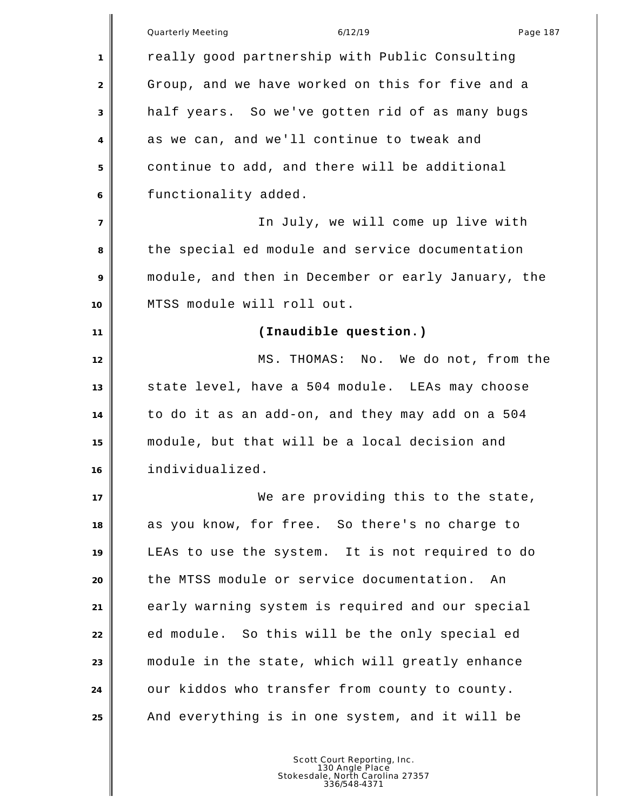|                | 6/12/19<br><b>Quarterly Meeting</b><br>Page 187    |
|----------------|----------------------------------------------------|
| 1              | really good partnership with Public Consulting     |
| 2              | Group, and we have worked on this for five and a   |
| 3              | half years. So we've gotten rid of as many bugs    |
| 4              | as we can, and we'll continue to tweak and         |
| 5              | continue to add, and there will be additional      |
| 6              | functionality added.                               |
| $\overline{7}$ | In July, we will come up live with                 |
| 8              | the special ed module and service documentation    |
| 9              | module, and then in December or early January, the |
| 10             | MTSS module will roll out.                         |
| 11             | (Inaudible question.)                              |
| 12             | MS. THOMAS: No. We do not, from the                |
| 13             | state level, have a 504 module. LEAs may choose    |
| 14             | to do it as an add-on, and they may add on a 504   |
| 15             | module, but that will be a local decision and      |
| 16             | individualized.                                    |
| 17             | We are providing this to the state,                |
| 18             | as you know, for free. So there's no charge to     |
| 19             | LEAs to use the system. It is not required to do   |
| 20             | the MTSS module or service documentation.<br>An    |
| 21             | early warning system is required and our special   |
| 22             | ed module. So this will be the only special ed     |
| 23             | module in the state, which will greatly enhance    |
| 24             | our kiddos who transfer from county to county.     |
| 25             | And everything is in one system, and it will be    |
|                |                                                    |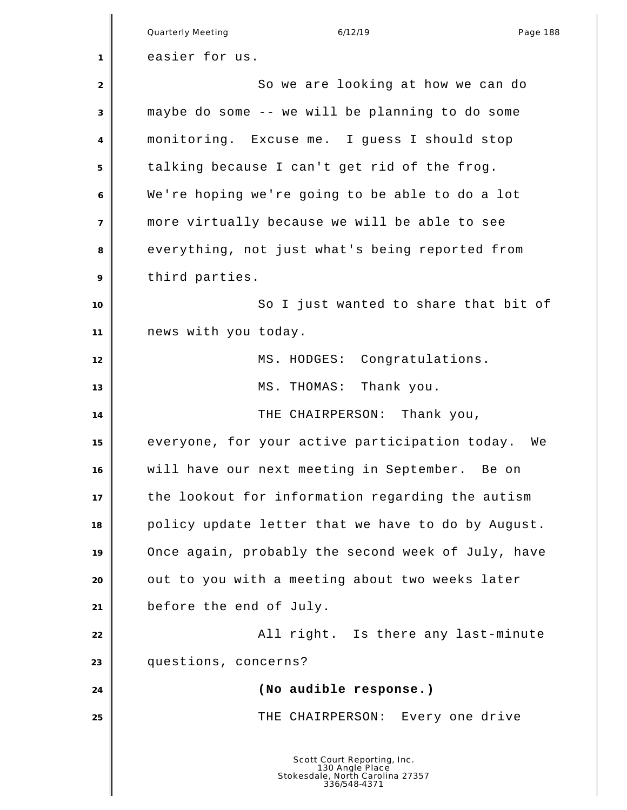|                | Quarterly Meeting<br>6/12/19<br>Page 188                                                           |
|----------------|----------------------------------------------------------------------------------------------------|
| 1              | easier for us.                                                                                     |
| $\overline{2}$ | So we are looking at how we can do                                                                 |
| 3              | maybe do some -- we will be planning to do some                                                    |
|                | monitoring. Excuse me. I guess I should stop                                                       |
| 4              |                                                                                                    |
| 5              | talking because I can't get rid of the frog.                                                       |
| 6              | We're hoping we're going to be able to do a lot                                                    |
| $\overline{7}$ | more virtually because we will be able to see                                                      |
| 8              | everything, not just what's being reported from                                                    |
| 9              | third parties.                                                                                     |
| 10             | So I just wanted to share that bit of                                                              |
| 11             | news with you today.                                                                               |
| 12             | MS. HODGES: Congratulations.                                                                       |
| 13             | Thank you.<br>MS. THOMAS:                                                                          |
| 14             | THE CHAIRPERSON: Thank you,                                                                        |
| 15             | everyone, for your active participation today.<br>We                                               |
| 16             | will have our next meeting in September. Be on                                                     |
| 17             | the lookout for information regarding the autism                                                   |
| 18             | policy update letter that we have to do by August.                                                 |
| 19             | Once again, probably the second week of July, have                                                 |
| 20             | out to you with a meeting about two weeks later                                                    |
| 21             | before the end of July.                                                                            |
| 22             | All right. Is there any last-minute                                                                |
| 23             | questions, concerns?                                                                               |
| 24             | (No audible response.)                                                                             |
| 25             | THE CHAIRPERSON: Every one drive                                                                   |
|                | Scott Court Reporting, Inc.<br>130 Angle Place<br>Stokesdale, North Carolina 27357<br>336/548-4371 |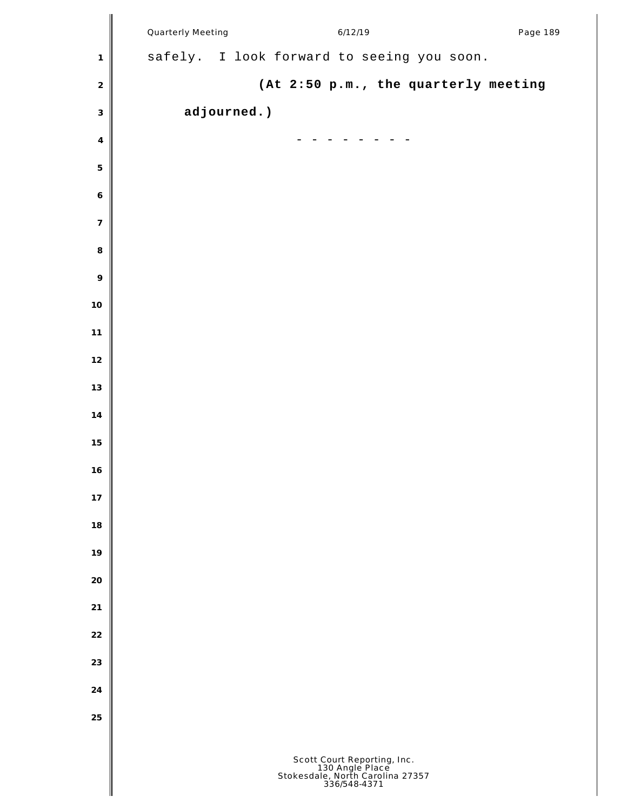|                  | Quarterly Meeting | 6/12/19                                                                                            | Page 189 |
|------------------|-------------------|----------------------------------------------------------------------------------------------------|----------|
| $\mathbf{1}$     |                   | safely. I look forward to seeing you soon.                                                         |          |
| $\sqrt{2}$       |                   | (At 2:50 p.m., the quarterly meeting                                                               |          |
| $\mathfrak{Z}$   | adjourned.)       |                                                                                                    |          |
| $\overline{4}$   |                   |                                                                                                    |          |
| $\mathbf 5$      |                   |                                                                                                    |          |
| $\boldsymbol{6}$ |                   |                                                                                                    |          |
| $\overline{7}$   |                   |                                                                                                    |          |
| $\,8\,$          |                   |                                                                                                    |          |
| $\circ$          |                   |                                                                                                    |          |
| 10               |                   |                                                                                                    |          |
| 11               |                   |                                                                                                    |          |
| 12               |                   |                                                                                                    |          |
| 13               |                   |                                                                                                    |          |
| $14$             |                   |                                                                                                    |          |
| 15               |                   |                                                                                                    |          |
| 16               |                   |                                                                                                    |          |
| 17               |                   |                                                                                                    |          |
| 18               |                   |                                                                                                    |          |
| 19               |                   |                                                                                                    |          |
| 20               |                   |                                                                                                    |          |
| 21               |                   |                                                                                                    |          |
| 22               |                   |                                                                                                    |          |
| 23               |                   |                                                                                                    |          |
| 24               |                   |                                                                                                    |          |
| 25               |                   |                                                                                                    |          |
|                  |                   | Scott Court Reporting, Inc.<br>130 Angle Place<br>Stokesdale, North Carolina 27357<br>336/548-4371 |          |